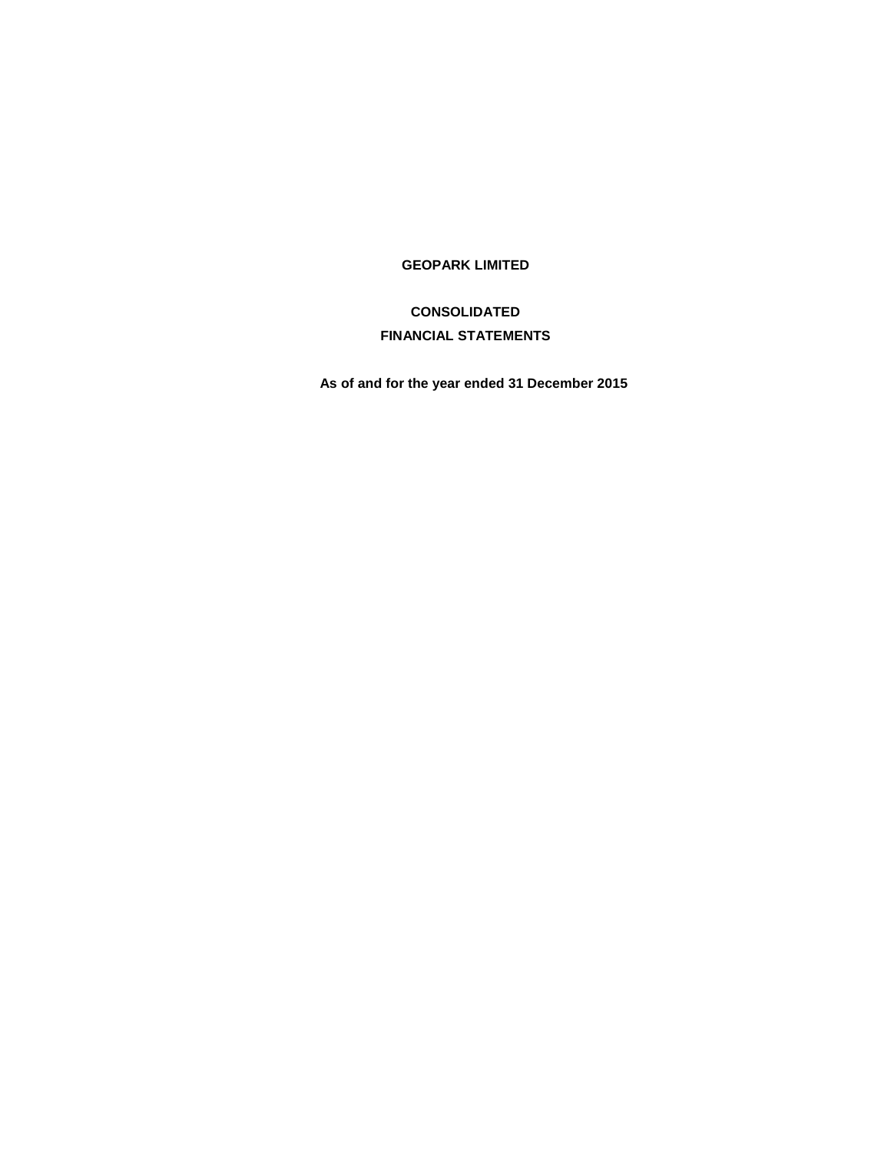# **GEOPARK LIMITED**

# **CONSOLIDATED FINANCIAL STATEMENTS**

**As of and for the year ended 31 December 2015**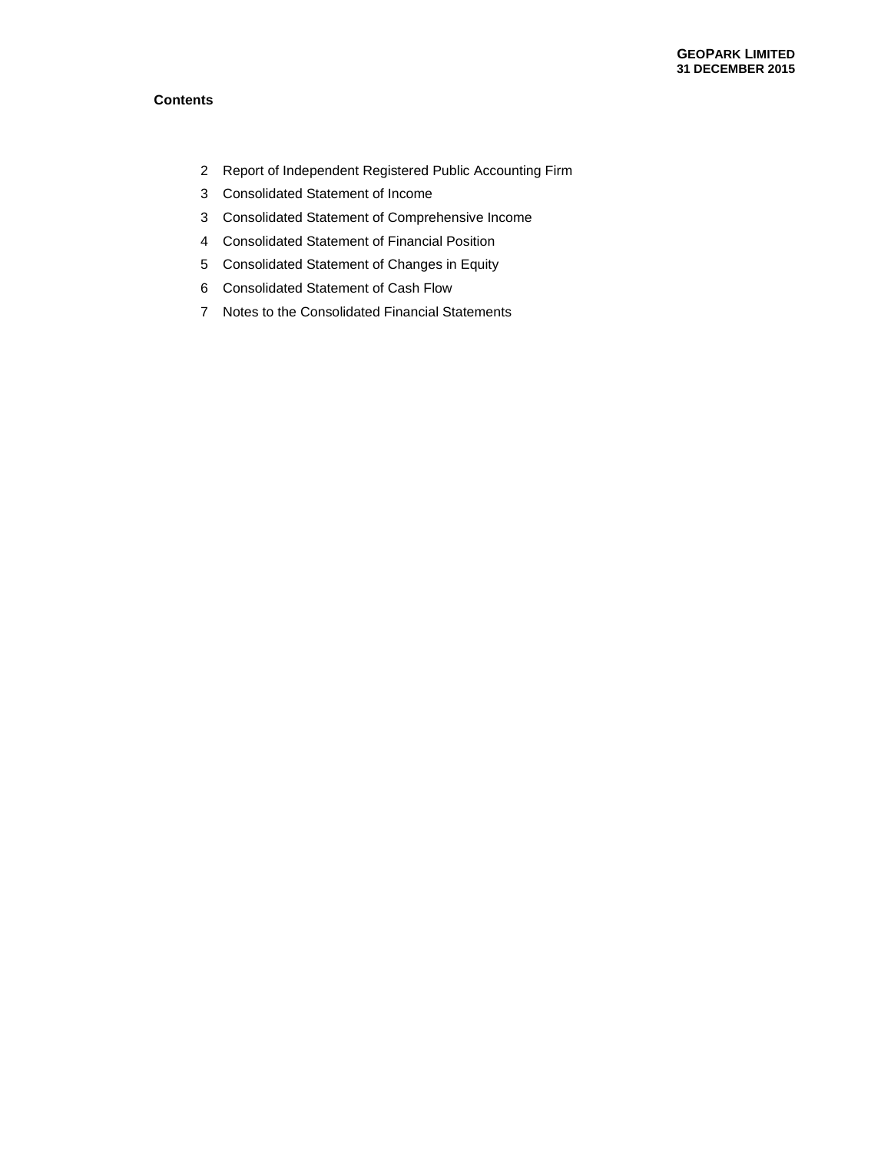# **Contents**

- Report of Independent Registered Public Accounting Firm
- Consolidated Statement of Income
- Consolidated Statement of Comprehensive Income
- Consolidated Statement of Financial Position
- Consolidated Statement of Changes in Equity
- Consolidated Statement of Cash Flow
- Notes to the Consolidated Financial Statements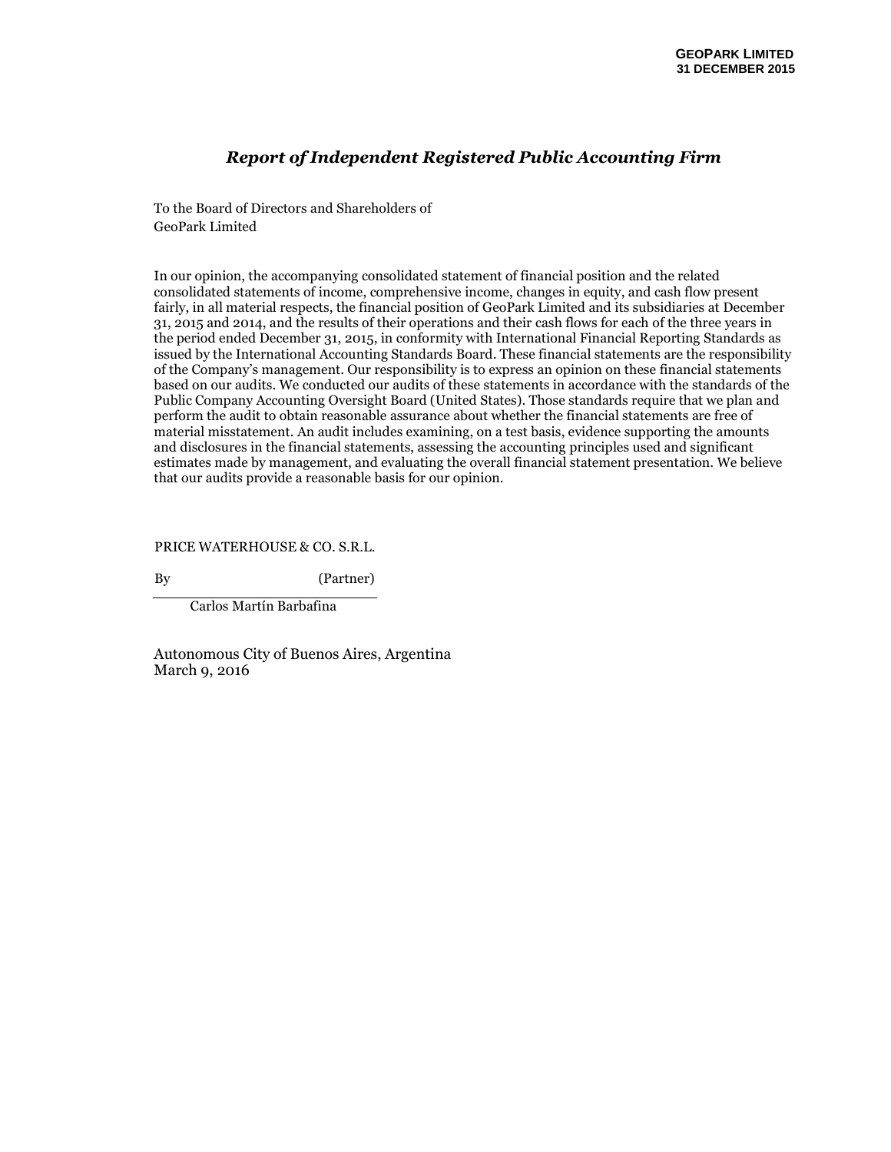# *Report of Independent Registered Public Accounting Firm*

To the Board of Directors and Shareholders of GeoPark Limited

In our opinion, the accompanying consolidated statement of financial position and the related consolidated statements of income, comprehensive income, changes in equity, and cash flow present fairly, in all material respects, the financial position of GeoPark Limited and its subsidiaries at December 31, 2015 and 2014, and the results of their operations and their cash flows for each of the three years in the period ended December 31, 2015, in conformity with International Financial Reporting Standards as issued by the International Accounting Standards Board. These financial statements are the responsibility of the Company's management. Our responsibility is to express an opinion on these financial statements based on our audits. We conducted our audits of these statements in accordance with the standards of the Public Company Accounting Oversight Board (United States). Those standards require that we plan and perform the audit to obtain reasonable assurance about whether the financial statements are free of material misstatement. An audit includes examining, on a test basis, evidence supporting the amounts and disclosures in the financial statements, assessing the accounting principles used and significant estimates made by management, and evaluating the overall financial statement presentation. We believe that our audits provide a reasonable basis for our opinion.

PRICE WATERHOUSE & CO. S.R.L.

By (Partner)

Carlos Martín Barbafina

Autonomous City of Buenos Aires, Argentina March 9, 2016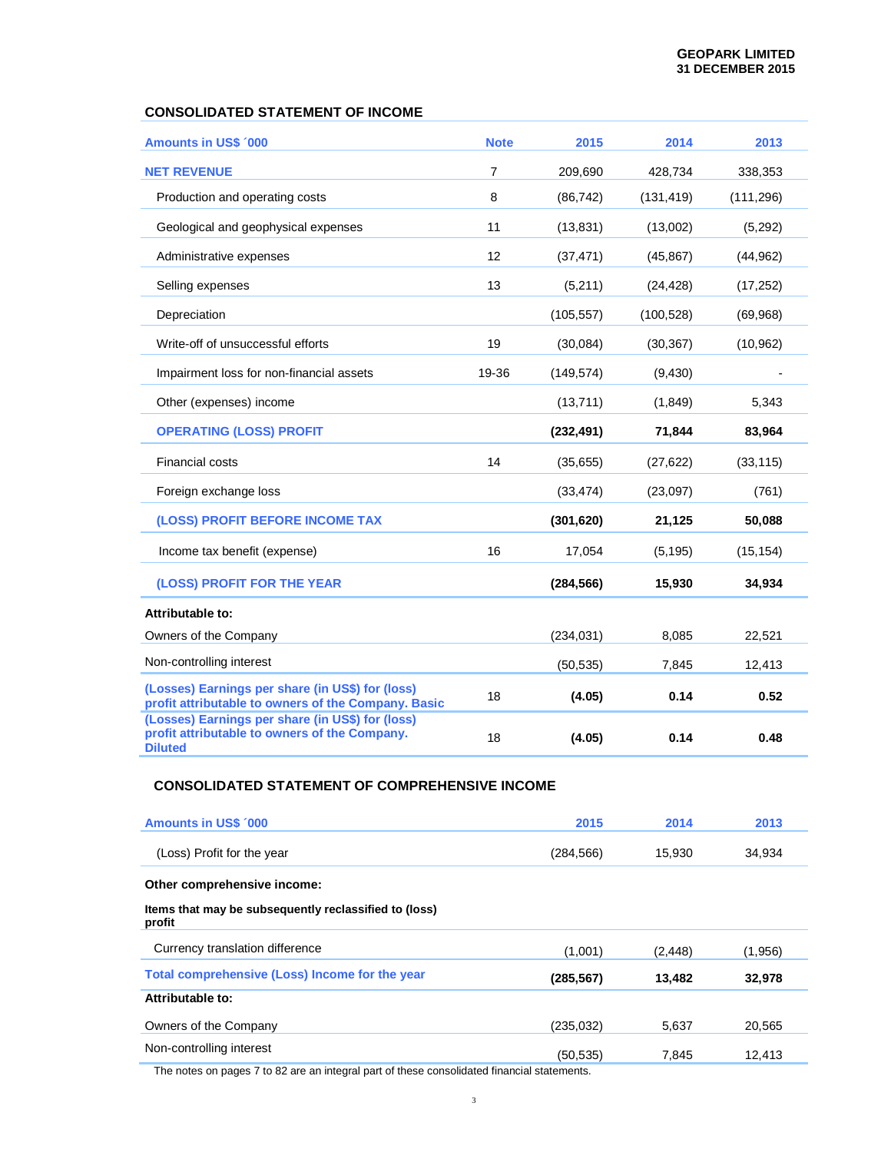# **CONSOLIDATED STATEMENT OF INCOME**

| <b>Amounts in US\$ '000</b>                                                                                         | <b>Note</b>    | 2015       | 2014       | 2013       |
|---------------------------------------------------------------------------------------------------------------------|----------------|------------|------------|------------|
| <b>NET REVENUE</b>                                                                                                  | $\overline{7}$ | 209,690    | 428,734    | 338,353    |
| Production and operating costs                                                                                      | 8              | (86, 742)  | (131, 419) | (111, 296) |
| Geological and geophysical expenses                                                                                 | 11             | (13, 831)  | (13,002)   | (5,292)    |
| Administrative expenses                                                                                             | 12             | (37, 471)  | (45, 867)  | (44, 962)  |
| Selling expenses                                                                                                    | 13             | (5,211)    | (24, 428)  | (17, 252)  |
| Depreciation                                                                                                        |                | (105, 557) | (100, 528) | (69, 968)  |
| Write-off of unsuccessful efforts                                                                                   | 19             | (30,084)   | (30, 367)  | (10, 962)  |
| Impairment loss for non-financial assets                                                                            | 19-36          | (149, 574) | (9,430)    |            |
| Other (expenses) income                                                                                             |                | (13,711)   | (1,849)    | 5,343      |
| <b>OPERATING (LOSS) PROFIT</b>                                                                                      |                | (232, 491) | 71,844     | 83,964     |
| Financial costs                                                                                                     | 14             | (35,655)   | (27, 622)  | (33, 115)  |
| Foreign exchange loss                                                                                               |                | (33, 474)  | (23,097)   | (761)      |
| (LOSS) PROFIT BEFORE INCOME TAX                                                                                     |                | (301, 620) | 21,125     | 50,088     |
| Income tax benefit (expense)                                                                                        | 16             | 17,054     | (5, 195)   | (15, 154)  |
| (LOSS) PROFIT FOR THE YEAR                                                                                          |                | (284, 566) | 15,930     | 34,934     |
| Attributable to:                                                                                                    |                |            |            |            |
| Owners of the Company                                                                                               |                | (234, 031) | 8,085      | 22,521     |
| Non-controlling interest                                                                                            |                | (50, 535)  | 7,845      | 12,413     |
| (Losses) Earnings per share (in US\$) for (loss)<br>profit attributable to owners of the Company. Basic             | 18             | (4.05)     | 0.14       | 0.52       |
| (Losses) Earnings per share (in US\$) for (loss)<br>profit attributable to owners of the Company.<br><b>Diluted</b> | 18             | (4.05)     | 0.14       | 0.48       |

# **CONSOLIDATED STATEMENT OF COMPREHENSIVE INCOME**

| <b>Amounts in US\$ '000</b>                                                                                            | 2015       | 2014     | 2013    |
|------------------------------------------------------------------------------------------------------------------------|------------|----------|---------|
| (Loss) Profit for the year                                                                                             | (284, 566) | 15,930   | 34,934  |
| Other comprehensive income:                                                                                            |            |          |         |
| Items that may be subsequently reclassified to (loss)<br>profit                                                        |            |          |         |
| Currency translation difference                                                                                        | (1,001)    | (2, 448) | (1,956) |
| Total comprehensive (Loss) Income for the year                                                                         | (285, 567) | 13,482   | 32,978  |
| Attributable to:                                                                                                       |            |          |         |
| Owners of the Company                                                                                                  | (235, 032) | 5,637    | 20,565  |
| Non-controlling interest<br>The notes an newse 7 to 00 are an integral next of these consolidated financial statements | (50, 535)  | 7,845    | 12,413  |

The notes on pages 7 to 82 are an integral part of these consolidated financial statements.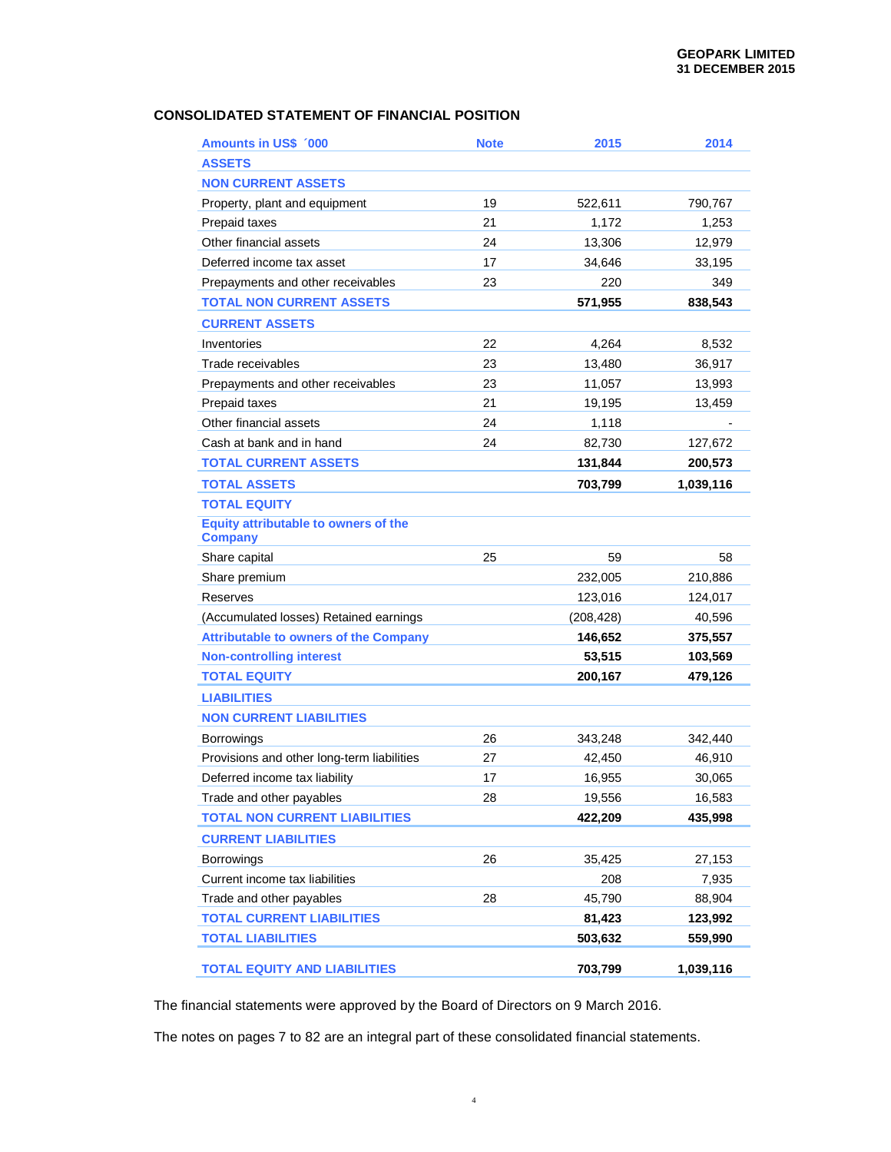# **CONSOLIDATED STATEMENT OF FINANCIAL POSITION**

| <b>Amounts in US\$ 000</b>                             | <b>Note</b> | 2015       | 2014      |
|--------------------------------------------------------|-------------|------------|-----------|
| <b>ASSETS</b>                                          |             |            |           |
| <b>NON CURRENT ASSETS</b>                              |             |            |           |
| Property, plant and equipment                          | 19          | 522,611    | 790,767   |
| Prepaid taxes                                          | 21          | 1,172      | 1,253     |
| Other financial assets                                 | 24          | 13,306     | 12,979    |
| Deferred income tax asset                              | 17          | 34,646     | 33,195    |
| Prepayments and other receivables                      | 23          | 220        | 349       |
| <b>TOTAL NON CURRENT ASSETS</b>                        |             | 571,955    | 838,543   |
| <b>CURRENT ASSETS</b>                                  |             |            |           |
| Inventories                                            | 22          | 4,264      | 8,532     |
| Trade receivables                                      | 23          | 13,480     | 36,917    |
| Prepayments and other receivables                      | 23          | 11,057     | 13,993    |
| Prepaid taxes                                          | 21          | 19,195     | 13,459    |
| Other financial assets                                 | 24          | 1,118      |           |
| Cash at bank and in hand                               | 24          | 82,730     | 127,672   |
| <b>TOTAL CURRENT ASSETS</b>                            |             | 131,844    | 200,573   |
| <b>TOTAL ASSETS</b>                                    |             | 703,799    | 1,039,116 |
| <b>TOTAL EQUITY</b>                                    |             |            |           |
| Equity attributable to owners of the<br><b>Company</b> |             |            |           |
| Share capital                                          | 25          | 59         | 58        |
| Share premium                                          |             | 232,005    | 210,886   |
| Reserves                                               |             | 123,016    | 124,017   |
| (Accumulated losses) Retained earnings                 |             | (208, 428) | 40,596    |
| <b>Attributable to owners of the Company</b>           |             | 146,652    | 375,557   |
| <b>Non-controlling interest</b>                        |             | 53,515     | 103,569   |
| <b>TOTAL EQUITY</b>                                    |             | 200,167    | 479,126   |
| <b>LIABILITIES</b>                                     |             |            |           |
| <b>NON CURRENT LIABILITIES</b>                         |             |            |           |
| <b>Borrowings</b>                                      | 26          | 343,248    | 342,440   |
| Provisions and other long-term liabilities             | 27          | 42,450     | 46,910    |
| Deferred income tax liability                          | 17          | 16,955     | 30,065    |
| Trade and other payables                               | 28          | 19,556     | 16,583    |
| <b>TOTAL NON CURRENT LIABILITIES</b>                   |             | 422,209    | 435,998   |
| <b>CURRENT LIABILITIES</b>                             |             |            |           |
| Borrowings                                             | 26          | 35,425     | 27,153    |
| Current income tax liabilities                         |             | 208        | 7,935     |
| Trade and other payables                               | 28          | 45,790     | 88,904    |
| <b>TOTAL CURRENT LIABILITIES</b>                       |             | 81,423     | 123,992   |
| <b>TOTAL LIABILITIES</b>                               |             | 503,632    | 559,990   |
| <b>TOTAL EQUITY AND LIABILITIES</b>                    |             | 703,799    | 1,039,116 |

The financial statements were approved by the Board of Directors on 9 March 2016.

The notes on pages 7 to 82 are an integral part of these consolidated financial statements.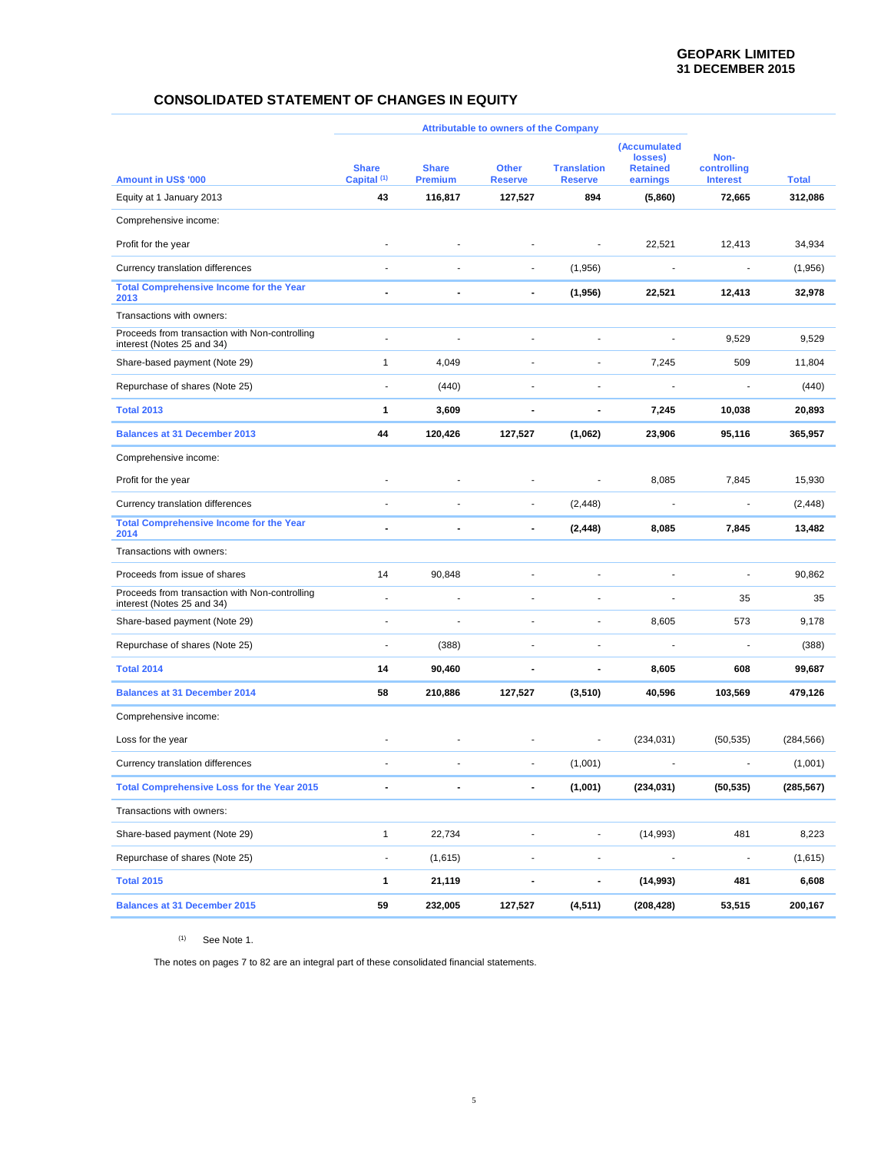# **CONSOLIDATED STATEMENT OF CHANGES IN EQUITY**

|                                                                              | <b>Attributable to owners of the Company</b> |                                |                                |                                      |                                                        |                                        |              |
|------------------------------------------------------------------------------|----------------------------------------------|--------------------------------|--------------------------------|--------------------------------------|--------------------------------------------------------|----------------------------------------|--------------|
| <b>Amount in US\$ '000</b>                                                   | <b>Share</b><br>Capital <sup>(1)</sup>       | <b>Share</b><br><b>Premium</b> | <b>Other</b><br><b>Reserve</b> | <b>Translation</b><br><b>Reserve</b> | (Accumulated<br>losses)<br><b>Retained</b><br>earnings | Non-<br>controlling<br><b>Interest</b> | <b>Total</b> |
| Equity at 1 January 2013                                                     | 43                                           | 116,817                        | 127,527                        | 894                                  | (5,860)                                                | 72,665                                 | 312,086      |
| Comprehensive income:                                                        |                                              |                                |                                |                                      |                                                        |                                        |              |
| Profit for the year                                                          | ٠                                            |                                |                                | $\qquad \qquad \blacksquare$         | 22,521                                                 | 12,413                                 | 34,934       |
| Currency translation differences                                             | $\overline{a}$                               | $\overline{a}$                 | $\blacksquare$                 | (1,956)                              | $\overline{\phantom{a}}$                               | $\overline{\phantom{a}}$               | (1,956)      |
| <b>Total Comprehensive Income for the Year</b><br>2013                       |                                              |                                |                                | (1,956)                              | 22,521                                                 | 12,413                                 | 32,978       |
| Transactions with owners:                                                    |                                              |                                |                                |                                      |                                                        |                                        |              |
| Proceeds from transaction with Non-controlling<br>interest (Notes 25 and 34) | ÷                                            |                                |                                |                                      | $\overline{\phantom{a}}$                               | 9,529                                  | 9,529        |
| Share-based payment (Note 29)                                                | 1                                            | 4,049                          | Ĭ.                             |                                      | 7,245                                                  | 509                                    | 11,804       |
| Repurchase of shares (Note 25)                                               | ÷,                                           | (440)                          | J.                             | ä,                                   | $\overline{a}$                                         | ä,                                     | (440)        |
| <b>Total 2013</b>                                                            | 1                                            | 3,609                          | $\blacksquare$                 | $\blacksquare$                       | 7,245                                                  | 10,038                                 | 20,893       |
| <b>Balances at 31 December 2013</b>                                          | 44                                           | 120,426                        | 127,527                        | (1,062)                              | 23,906                                                 | 95,116                                 | 365,957      |
| Comprehensive income:                                                        |                                              |                                |                                |                                      |                                                        |                                        |              |
| Profit for the year                                                          | $\overline{\phantom{a}}$                     |                                | $\overline{a}$                 | $\qquad \qquad \blacksquare$         | 8,085                                                  | 7,845                                  | 15,930       |
| Currency translation differences                                             | ä,                                           |                                | $\blacksquare$                 | (2, 448)                             | $\overline{\phantom{a}}$                               | $\overline{a}$                         | (2, 448)     |
| <b>Total Comprehensive Income for the Year</b><br>2014                       | $\blacksquare$                               |                                |                                | (2, 448)                             | 8,085                                                  | 7,845                                  | 13,482       |
| Transactions with owners:                                                    |                                              |                                |                                |                                      |                                                        |                                        |              |
| Proceeds from issue of shares                                                | 14                                           | 90,848                         | $\overline{a}$                 |                                      |                                                        | $\overline{a}$                         | 90,862       |
| Proceeds from transaction with Non-controlling<br>interest (Notes 25 and 34) | $\overline{\phantom{a}}$                     | $\overline{\phantom{a}}$       | Ĭ.                             |                                      |                                                        | 35                                     | 35           |
| Share-based payment (Note 29)                                                | $\overline{a}$                               |                                | ä,                             | ٠                                    | 8,605                                                  | 573                                    | 9,178        |
| Repurchase of shares (Note 25)                                               | $\overline{a}$                               | (388)                          | $\overline{a}$                 | Ĭ.                                   | ÷                                                      | $\overline{\phantom{a}}$               | (388)        |
| <b>Total 2014</b>                                                            | 14                                           | 90,460                         | ÷                              | ÷                                    | 8,605                                                  | 608                                    | 99,687       |
| <b>Balances at 31 December 2014</b>                                          | 58                                           | 210,886                        | 127,527                        | (3,510)                              | 40,596                                                 | 103,569                                | 479,126      |
| Comprehensive income:                                                        |                                              |                                |                                |                                      |                                                        |                                        |              |
| Loss for the year                                                            |                                              |                                |                                | Ĭ.                                   | (234, 031)                                             | (50, 535)                              | (284, 566)   |
| Currency translation differences                                             |                                              |                                |                                | (1,001)                              |                                                        | ٠                                      | (1,001)      |
| <b>Total Comprehensive Loss for the Year 2015</b>                            | $\blacksquare$                               |                                | $\blacksquare$                 | (1,001)                              | (234, 031)                                             | (50, 535)                              | (285, 567)   |
| Transactions with owners:                                                    |                                              |                                |                                |                                      |                                                        |                                        |              |
| Share-based payment (Note 29)                                                | 1                                            | 22,734                         | $\centerdot$                   | $\overline{\phantom{a}}$             | (14, 993)                                              | 481                                    | 8,223        |
| Repurchase of shares (Note 25)                                               | $\overline{\phantom{a}}$                     | (1,615)                        | $\centerdot$                   | $\qquad \qquad \blacksquare$         |                                                        |                                        | (1,615)      |
| <b>Total 2015</b>                                                            | 1                                            | 21,119                         | $\blacksquare$                 | $\blacksquare$                       | (14,993)                                               | 481                                    | 6,608        |
| <b>Balances at 31 December 2015</b>                                          | 59                                           | 232,005                        | 127,527                        | (4, 511)                             | (208, 428)                                             | 53,515                                 | 200,167      |

 $(1)$  See Note 1.

The notes on pages 7 to 82 are an integral part of these consolidated financial statements.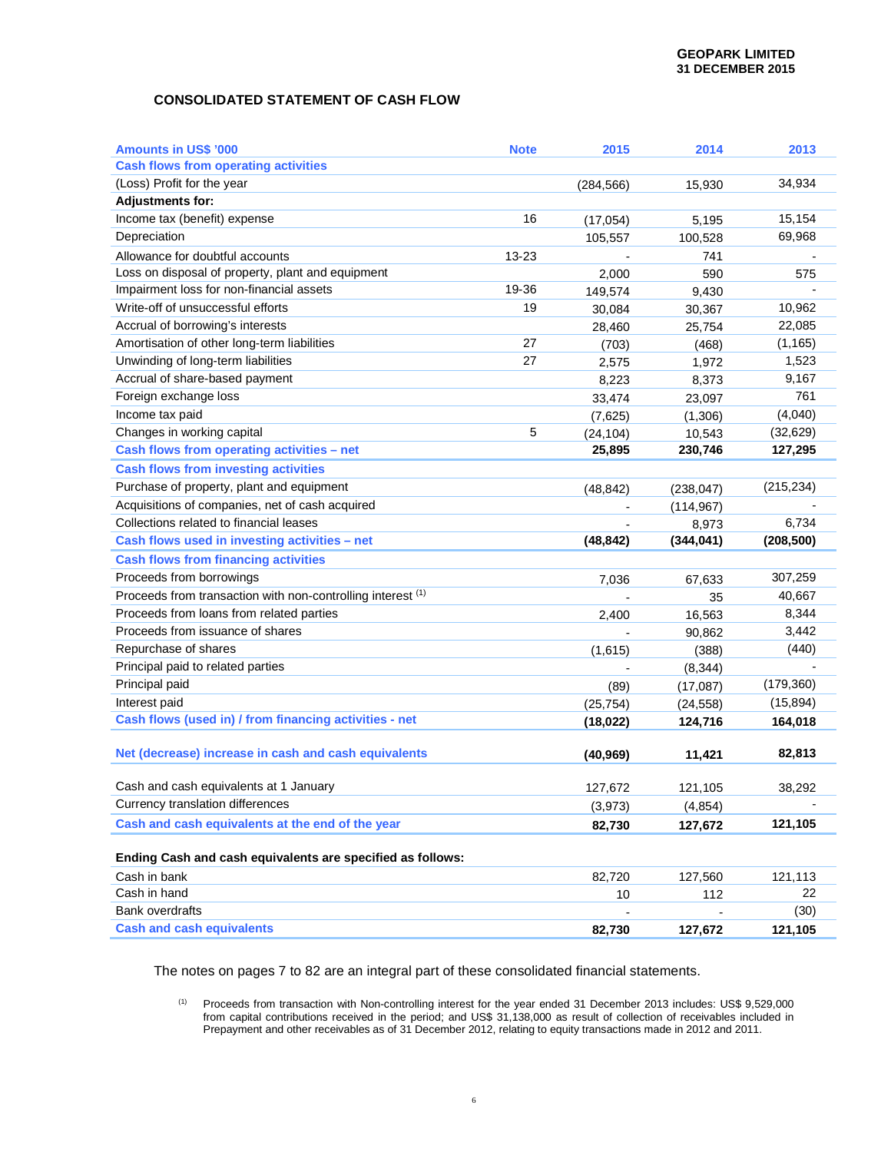# **CONSOLIDATED STATEMENT OF CASH FLOW**

| <b>Amounts in US\$ '000</b>                                 | <b>Note</b> | 2015                   | 2014                 | 2013       |
|-------------------------------------------------------------|-------------|------------------------|----------------------|------------|
| <b>Cash flows from operating activities</b>                 |             |                        |                      |            |
| (Loss) Profit for the year                                  |             | (284, 566)             | 15,930               | 34,934     |
| <b>Adjustments for:</b>                                     |             |                        |                      |            |
| Income tax (benefit) expense                                | 16          | (17,054)               | 5,195                | 15,154     |
| Depreciation                                                |             | 105,557                | 100,528              | 69,968     |
| Allowance for doubtful accounts                             | 13-23       |                        | 741                  |            |
| Loss on disposal of property, plant and equipment           |             | 2,000                  | 590                  | 575        |
| Impairment loss for non-financial assets                    | 19-36       | 149,574                | 9,430                |            |
| Write-off of unsuccessful efforts                           | 19          | 30,084                 | 30,367               | 10,962     |
| Accrual of borrowing's interests                            |             | 28,460                 | 25,754               | 22,085     |
| Amortisation of other long-term liabilities                 | 27          | (703)                  | (468)                | (1, 165)   |
| Unwinding of long-term liabilities                          | 27          | 2,575                  | 1,972                | 1,523      |
| Accrual of share-based payment                              |             | 8,223                  | 8,373                | 9,167      |
| Foreign exchange loss                                       |             | 33,474                 | 23,097               | 761        |
| Income tax paid                                             |             | (7,625)                | (1,306)              | (4,040)    |
| Changes in working capital                                  | 5           | (24, 104)              | 10,543               | (32, 629)  |
| Cash flows from operating activities - net                  |             | 25,895                 | 230,746              | 127,295    |
| <b>Cash flows from investing activities</b>                 |             |                        |                      |            |
| Purchase of property, plant and equipment                   |             | (48, 842)              | (238, 047)           | (215, 234) |
| Acquisitions of companies, net of cash acquired             |             |                        | (114, 967)           |            |
| Collections related to financial leases                     |             |                        | 8,973                | 6,734      |
| Cash flows used in investing activities - net               |             | (48, 842)              | (344, 041)           | (208, 500) |
| <b>Cash flows from financing activities</b>                 |             |                        |                      |            |
| Proceeds from borrowings                                    |             | 7,036                  | 67,633               | 307,259    |
|                                                             |             |                        | 35                   | 40,667     |
| Proceeds from transaction with non-controlling interest (1) |             |                        |                      |            |
| Proceeds from loans from related parties                    |             | 2,400                  |                      | 8,344      |
| Proceeds from issuance of shares                            |             |                        | 16,563               | 3,442      |
| Repurchase of shares                                        |             |                        | 90,862               | (440)      |
| Principal paid to related parties                           |             | (1,615)                | (388)                |            |
| Principal paid                                              |             | (89)                   | (8, 344)             | (179, 360) |
| Interest paid                                               |             |                        | (17,087)             | (15, 894)  |
| Cash flows (used in) / from financing activities - net      |             | (25, 754)<br>(18, 022) | (24, 558)<br>124,716 | 164,018    |
|                                                             |             |                        |                      |            |
| Net (decrease) increase in cash and cash equivalents        |             | (40, 969)              | 11,421               | 82,813     |
|                                                             |             |                        |                      |            |
| Cash and cash equivalents at 1 January                      |             | 127,672                | 121,105              | 38,292     |
| Currency translation differences                            |             | (3,973)                | (4,854)              |            |
| Cash and cash equivalents at the end of the year            |             | 82,730                 | 127,672              | 121,105    |
| Ending Cash and cash equivalents are specified as follows:  |             |                        |                      |            |
| Cash in bank                                                |             | 82,720                 | 127,560              | 121,113    |
| Cash in hand                                                |             | 10                     | 112                  | 22         |
| <b>Bank overdrafts</b>                                      |             |                        |                      | (30)       |

The notes on pages 7 to 82 are an integral part of these consolidated financial statements.

(1) Proceeds from transaction with Non-controlling interest for the year ended 31 December 2013 includes: US\$ 9,529,000 from capital contributions received in the period; and US\$ 31,138,000 as result of collection of receivables included in Prepayment and other receivables as of 31 December 2012, relating to equity transactions made in 2012 and 2011.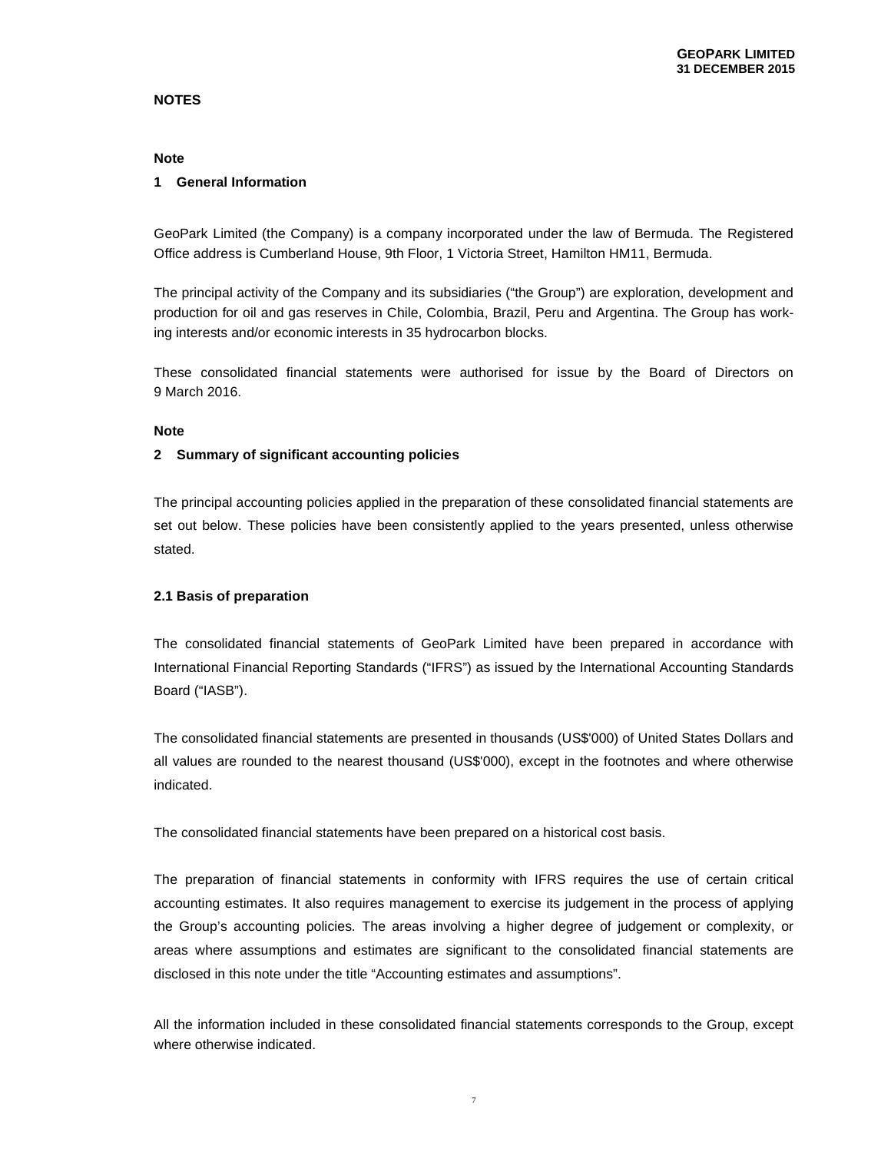# **NOTES**

# **Note**

## **1 General Information**

GeoPark Limited (the Company) is a company incorporated under the law of Bermuda. The Registered Office address is Cumberland House, 9th Floor, 1 Victoria Street, Hamilton HM11, Bermuda.

The principal activity of the Company and its subsidiaries ("the Group") are exploration, development and production for oil and gas reserves in Chile, Colombia, Brazil, Peru and Argentina. The Group has working interests and/or economic interests in 35 hydrocarbon blocks.

These consolidated financial statements were authorised for issue by the Board of Directors on 9 March 2016.

# **Note**

## **2 Summary of significant accounting policies**

The principal accounting policies applied in the preparation of these consolidated financial statements are set out below. These policies have been consistently applied to the years presented, unless otherwise stated.

## **2.1 Basis of preparation**

The consolidated financial statements of GeoPark Limited have been prepared in accordance with International Financial Reporting Standards ("IFRS") as issued by the International Accounting Standards Board ("IASB").

The consolidated financial statements are presented in thousands (US\$'000) of United States Dollars and all values are rounded to the nearest thousand (US\$'000), except in the footnotes and where otherwise indicated.

The consolidated financial statements have been prepared on a historical cost basis.

The preparation of financial statements in conformity with IFRS requires the use of certain critical accounting estimates. It also requires management to exercise its judgement in the process of applying the Group's accounting policies. The areas involving a higher degree of judgement or complexity, or areas where assumptions and estimates are significant to the consolidated financial statements are disclosed in this note under the title "Accounting estimates and assumptions".

All the information included in these consolidated financial statements corresponds to the Group, except where otherwise indicated.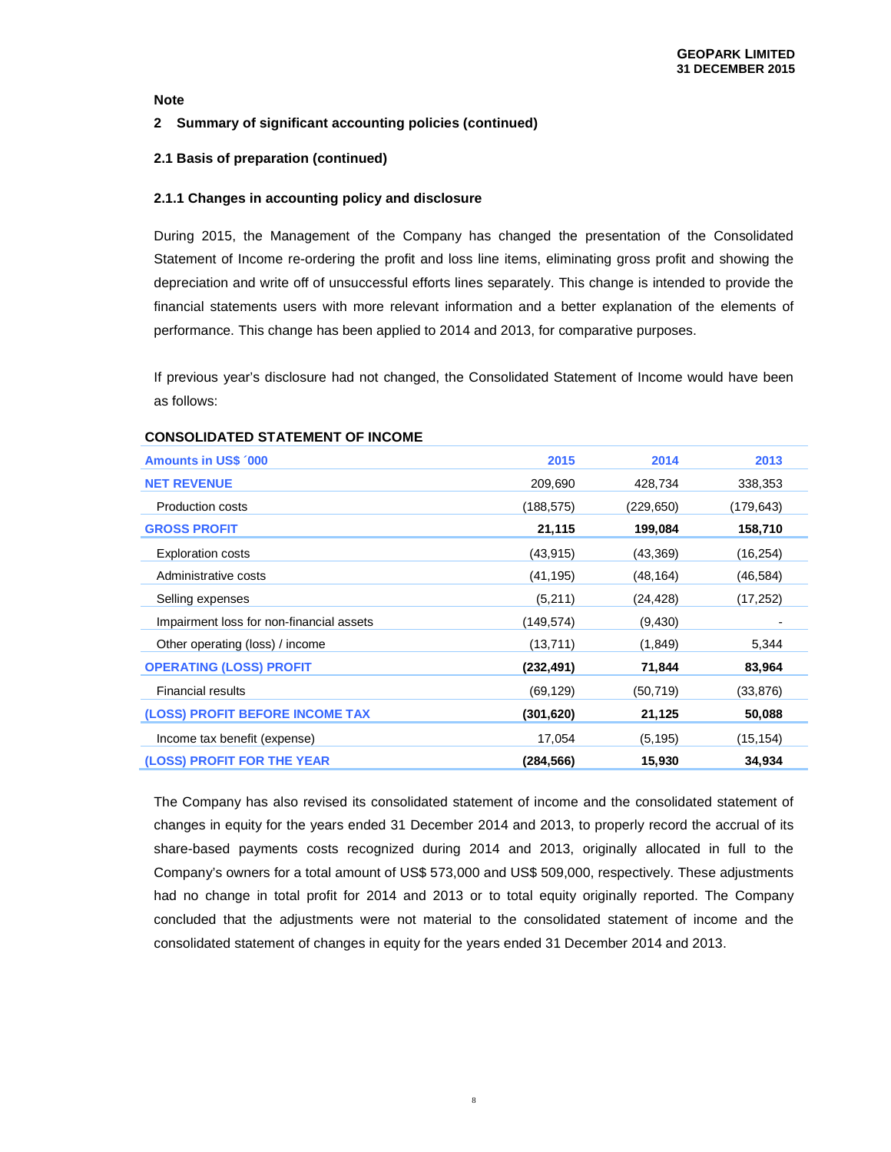## **2 Summary of significant accounting policies (continued)**

# **2.1 Basis of preparation (continued)**

#### **2.1.1 Changes in accounting policy and disclosure**

During 2015, the Management of the Company has changed the presentation of the Consolidated Statement of Income re-ordering the profit and loss line items, eliminating gross profit and showing the depreciation and write off of unsuccessful efforts lines separately. This change is intended to provide the financial statements users with more relevant information and a better explanation of the elements of performance. This change has been applied to 2014 and 2013, for comparative purposes.

If previous year's disclosure had not changed, the Consolidated Statement of Income would have been as follows:

| <b>Amounts in US\$ '000</b>              | 2015       | 2014      | 2013      |
|------------------------------------------|------------|-----------|-----------|
| <b>NET REVENUE</b>                       | 209,690    | 428,734   | 338,353   |
| Production costs                         | (188,575)  | (229,650) | (179,643) |
| <b>GROSS PROFIT</b>                      | 21,115     | 199,084   | 158,710   |
| <b>Exploration costs</b>                 | (43, 915)  | (43, 369) | (16, 254) |
| Administrative costs                     | (41, 195)  | (48,164)  | (46, 584) |
| Selling expenses                         | (5,211)    | (24,428)  | (17, 252) |
| Impairment loss for non-financial assets | (149,574)  | (9,430)   |           |
| Other operating (loss) / income          | (13,711)   | (1,849)   | 5,344     |
| <b>OPERATING (LOSS) PROFIT</b>           | (232, 491) | 71,844    | 83,964    |
| <b>Financial results</b>                 | (69, 129)  | (50,719)  | (33, 876) |
| (LOSS) PROFIT BEFORE INCOME TAX          | (301, 620) | 21,125    | 50,088    |
| Income tax benefit (expense)             | 17,054     | (5,195)   | (15, 154) |
| (LOSS) PROFIT FOR THE YEAR               | (284, 566) | 15,930    | 34,934    |

#### **CONSOLIDATED STATEMENT OF INCOME**

The Company has also revised its consolidated statement of income and the consolidated statement of changes in equity for the years ended 31 December 2014 and 2013, to properly record the accrual of its share-based payments costs recognized during 2014 and 2013, originally allocated in full to the Company's owners for a total amount of US\$ 573,000 and US\$ 509,000, respectively. These adjustments had no change in total profit for 2014 and 2013 or to total equity originally reported. The Company concluded that the adjustments were not material to the consolidated statement of income and the consolidated statement of changes in equity for the years ended 31 December 2014 and 2013.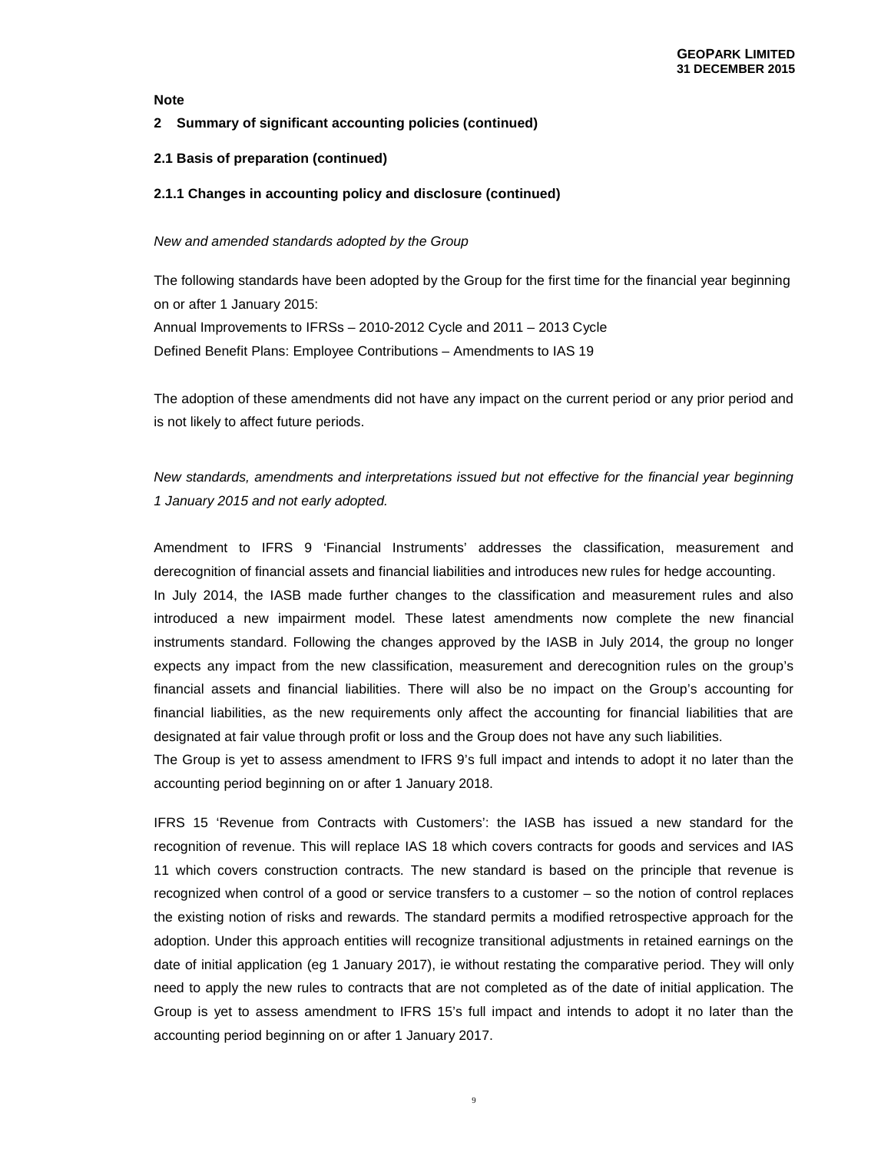# **2 Summary of significant accounting policies (continued)**

# **2.1 Basis of preparation (continued)**

## **2.1.1 Changes in accounting policy and disclosure (continued)**

#### New and amended standards adopted by the Group

The following standards have been adopted by the Group for the first time for the financial year beginning on or after 1 January 2015: Annual Improvements to IFRSs – 2010-2012 Cycle and 2011 – 2013 Cycle Defined Benefit Plans: Employee Contributions – Amendments to IAS 19

The adoption of these amendments did not have any impact on the current period or any prior period and is not likely to affect future periods.

# New standards, amendments and interpretations issued but not effective for the financial year beginning 1 January 2015 and not early adopted.

Amendment to IFRS 9 'Financial Instruments' addresses the classification, measurement and derecognition of financial assets and financial liabilities and introduces new rules for hedge accounting. In July 2014, the IASB made further changes to the classification and measurement rules and also introduced a new impairment model. These latest amendments now complete the new financial instruments standard. Following the changes approved by the IASB in July 2014, the group no longer expects any impact from the new classification, measurement and derecognition rules on the group's financial assets and financial liabilities. There will also be no impact on the Group's accounting for financial liabilities, as the new requirements only affect the accounting for financial liabilities that are designated at fair value through profit or loss and the Group does not have any such liabilities.

The Group is yet to assess amendment to IFRS 9's full impact and intends to adopt it no later than the accounting period beginning on or after 1 January 2018.

IFRS 15 'Revenue from Contracts with Customers': the IASB has issued a new standard for the recognition of revenue. This will replace IAS 18 which covers contracts for goods and services and IAS 11 which covers construction contracts. The new standard is based on the principle that revenue is recognized when control of a good or service transfers to a customer – so the notion of control replaces the existing notion of risks and rewards. The standard permits a modified retrospective approach for the adoption. Under this approach entities will recognize transitional adjustments in retained earnings on the date of initial application (eg 1 January 2017), ie without restating the comparative period. They will only need to apply the new rules to contracts that are not completed as of the date of initial application. The Group is yet to assess amendment to IFRS 15's full impact and intends to adopt it no later than the accounting period beginning on or after 1 January 2017.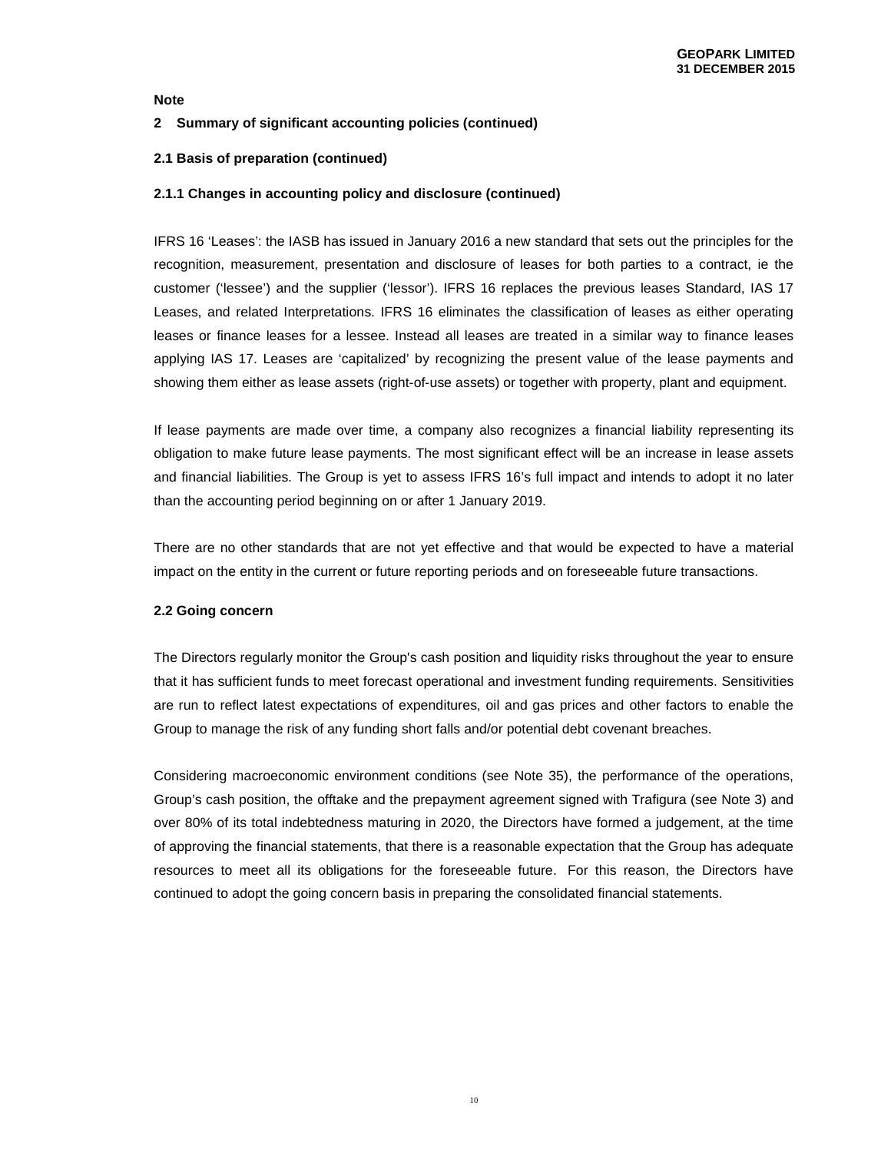# **2 Summary of significant accounting policies (continued)**

# **2.1 Basis of preparation (continued)**

## **2.1.1 Changes in accounting policy and disclosure (continued)**

IFRS 16 'Leases': the IASB has issued in January 2016 a new standard that sets out the principles for the recognition, measurement, presentation and disclosure of leases for both parties to a contract, ie the customer ('lessee') and the supplier ('lessor'). IFRS 16 replaces the previous leases Standard, IAS 17 Leases, and related Interpretations. IFRS 16 eliminates the classification of leases as either operating leases or finance leases for a lessee. Instead all leases are treated in a similar way to finance leases applying IAS 17. Leases are 'capitalized' by recognizing the present value of the lease payments and showing them either as lease assets (right-of-use assets) or together with property, plant and equipment.

If lease payments are made over time, a company also recognizes a financial liability representing its obligation to make future lease payments. The most significant effect will be an increase in lease assets and financial liabilities. The Group is yet to assess IFRS 16's full impact and intends to adopt it no later than the accounting period beginning on or after 1 January 2019.

There are no other standards that are not yet effective and that would be expected to have a material impact on the entity in the current or future reporting periods and on foreseeable future transactions.

## **2.2 Going concern**

The Directors regularly monitor the Group's cash position and liquidity risks throughout the year to ensure that it has sufficient funds to meet forecast operational and investment funding requirements. Sensitivities are run to reflect latest expectations of expenditures, oil and gas prices and other factors to enable the Group to manage the risk of any funding short falls and/or potential debt covenant breaches.

Considering macroeconomic environment conditions (see Note 35), the performance of the operations, Group's cash position, the offtake and the prepayment agreement signed with Trafigura (see Note 3) and over 80% of its total indebtedness maturing in 2020, the Directors have formed a judgement, at the time of approving the financial statements, that there is a reasonable expectation that the Group has adequate resources to meet all its obligations for the foreseeable future. For this reason, the Directors have continued to adopt the going concern basis in preparing the consolidated financial statements.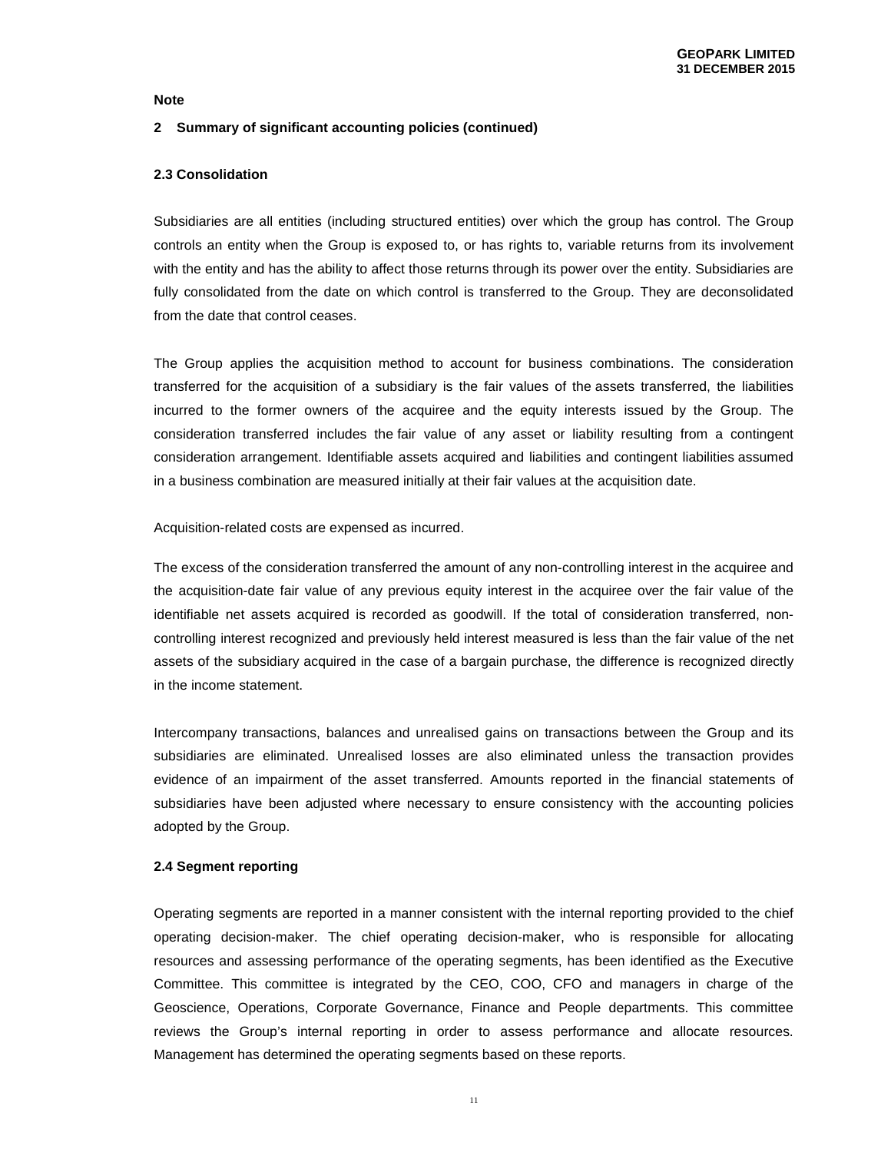#### **2 Summary of significant accounting policies (continued)**

#### **2.3 Consolidation**

Subsidiaries are all entities (including structured entities) over which the group has control. The Group controls an entity when the Group is exposed to, or has rights to, variable returns from its involvement with the entity and has the ability to affect those returns through its power over the entity. Subsidiaries are fully consolidated from the date on which control is transferred to the Group. They are deconsolidated from the date that control ceases.

The Group applies the acquisition method to account for business combinations. The consideration transferred for the acquisition of a subsidiary is the fair values of the assets transferred, the liabilities incurred to the former owners of the acquiree and the equity interests issued by the Group. The consideration transferred includes the fair value of any asset or liability resulting from a contingent consideration arrangement. Identifiable assets acquired and liabilities and contingent liabilities assumed in a business combination are measured initially at their fair values at the acquisition date.

#### Acquisition-related costs are expensed as incurred.

The excess of the consideration transferred the amount of any non-controlling interest in the acquiree and the acquisition-date fair value of any previous equity interest in the acquiree over the fair value of the identifiable net assets acquired is recorded as goodwill. If the total of consideration transferred, noncontrolling interest recognized and previously held interest measured is less than the fair value of the net assets of the subsidiary acquired in the case of a bargain purchase, the difference is recognized directly in the income statement.

Intercompany transactions, balances and unrealised gains on transactions between the Group and its subsidiaries are eliminated. Unrealised losses are also eliminated unless the transaction provides evidence of an impairment of the asset transferred. Amounts reported in the financial statements of subsidiaries have been adjusted where necessary to ensure consistency with the accounting policies adopted by the Group.

#### **2.4 Segment reporting**

Operating segments are reported in a manner consistent with the internal reporting provided to the chief operating decision-maker. The chief operating decision-maker, who is responsible for allocating resources and assessing performance of the operating segments, has been identified as the Executive Committee. This committee is integrated by the CEO, COO, CFO and managers in charge of the Geoscience, Operations, Corporate Governance, Finance and People departments. This committee reviews the Group's internal reporting in order to assess performance and allocate resources. Management has determined the operating segments based on these reports.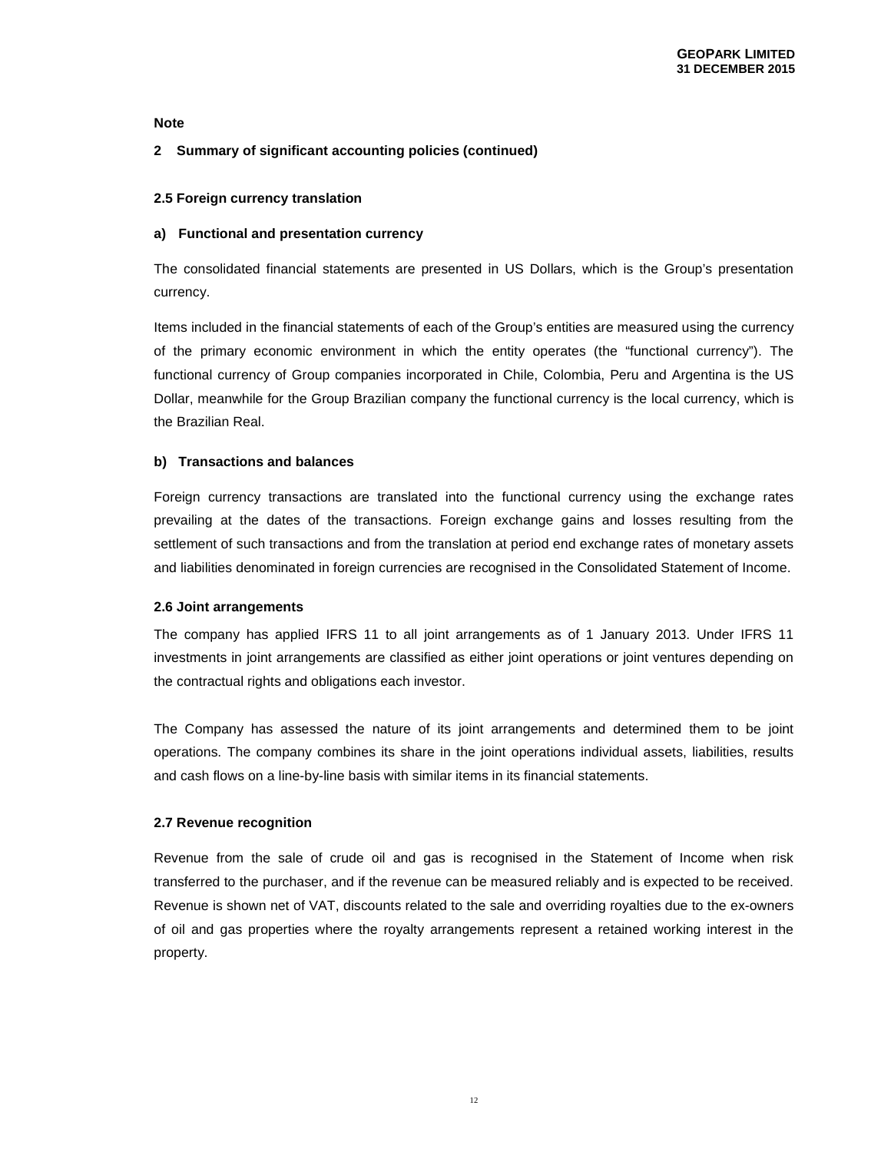# **2 Summary of significant accounting policies (continued)**

## **2.5 Foreign currency translation**

# **a) Functional and presentation currency**

The consolidated financial statements are presented in US Dollars, which is the Group's presentation currency.

Items included in the financial statements of each of the Group's entities are measured using the currency of the primary economic environment in which the entity operates (the "functional currency"). The functional currency of Group companies incorporated in Chile, Colombia, Peru and Argentina is the US Dollar, meanwhile for the Group Brazilian company the functional currency is the local currency, which is the Brazilian Real.

# **b) Transactions and balances**

Foreign currency transactions are translated into the functional currency using the exchange rates prevailing at the dates of the transactions. Foreign exchange gains and losses resulting from the settlement of such transactions and from the translation at period end exchange rates of monetary assets and liabilities denominated in foreign currencies are recognised in the Consolidated Statement of Income.

## **2.6 Joint arrangements**

The company has applied IFRS 11 to all joint arrangements as of 1 January 2013. Under IFRS 11 investments in joint arrangements are classified as either joint operations or joint ventures depending on the contractual rights and obligations each investor.

The Company has assessed the nature of its joint arrangements and determined them to be joint operations. The company combines its share in the joint operations individual assets, liabilities, results and cash flows on a line-by-line basis with similar items in its financial statements.

## **2.7 Revenue recognition**

Revenue from the sale of crude oil and gas is recognised in the Statement of Income when risk transferred to the purchaser, and if the revenue can be measured reliably and is expected to be received. Revenue is shown net of VAT, discounts related to the sale and overriding royalties due to the ex-owners of oil and gas properties where the royalty arrangements represent a retained working interest in the property.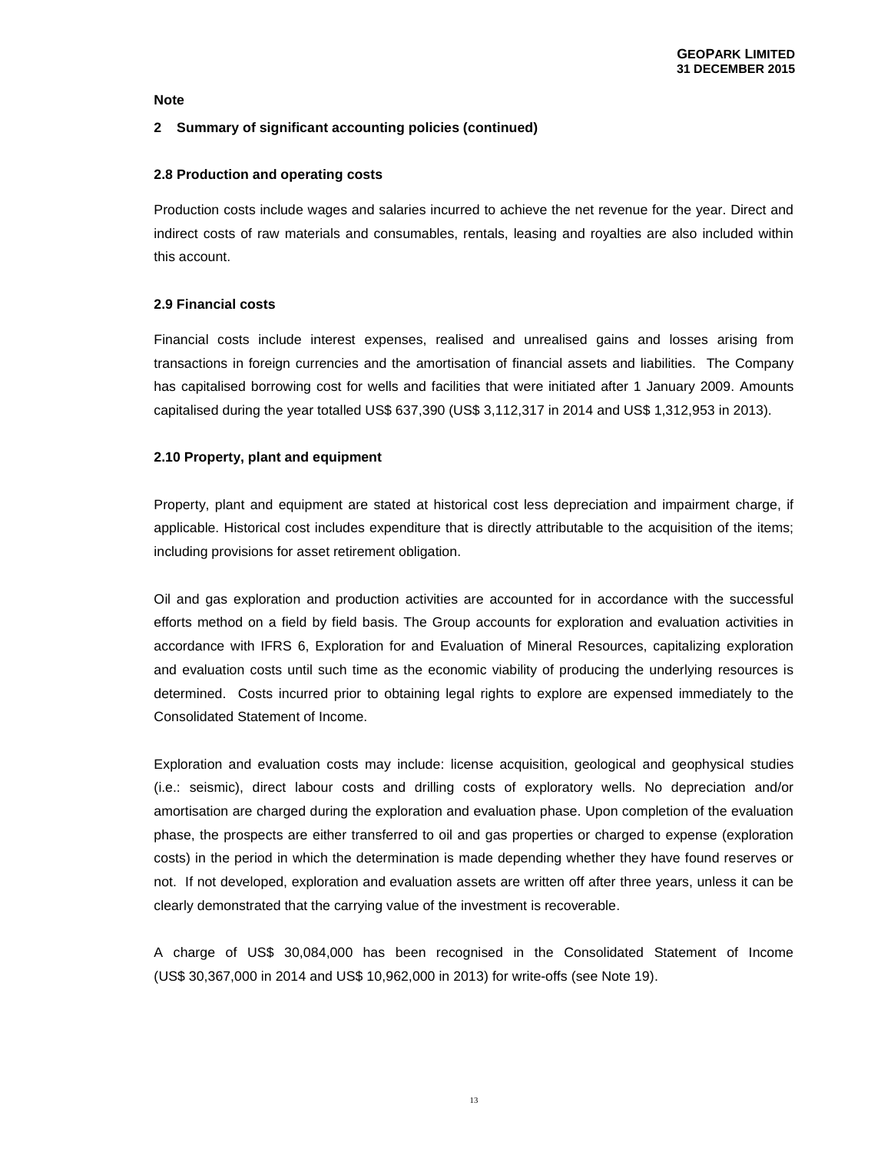## **2 Summary of significant accounting policies (continued)**

#### **2.8 Production and operating costs**

Production costs include wages and salaries incurred to achieve the net revenue for the year. Direct and indirect costs of raw materials and consumables, rentals, leasing and royalties are also included within this account.

## **2.9 Financial costs**

Financial costs include interest expenses, realised and unrealised gains and losses arising from transactions in foreign currencies and the amortisation of financial assets and liabilities. The Company has capitalised borrowing cost for wells and facilities that were initiated after 1 January 2009. Amounts capitalised during the year totalled US\$ 637,390 (US\$ 3,112,317 in 2014 and US\$ 1,312,953 in 2013).

#### **2.10 Property, plant and equipment**

Property, plant and equipment are stated at historical cost less depreciation and impairment charge, if applicable. Historical cost includes expenditure that is directly attributable to the acquisition of the items; including provisions for asset retirement obligation.

Oil and gas exploration and production activities are accounted for in accordance with the successful efforts method on a field by field basis. The Group accounts for exploration and evaluation activities in accordance with IFRS 6, Exploration for and Evaluation of Mineral Resources, capitalizing exploration and evaluation costs until such time as the economic viability of producing the underlying resources is determined. Costs incurred prior to obtaining legal rights to explore are expensed immediately to the Consolidated Statement of Income.

Exploration and evaluation costs may include: license acquisition, geological and geophysical studies (i.e.: seismic), direct labour costs and drilling costs of exploratory wells. No depreciation and/or amortisation are charged during the exploration and evaluation phase. Upon completion of the evaluation phase, the prospects are either transferred to oil and gas properties or charged to expense (exploration costs) in the period in which the determination is made depending whether they have found reserves or not. If not developed, exploration and evaluation assets are written off after three years, unless it can be clearly demonstrated that the carrying value of the investment is recoverable.

A charge of US\$ 30,084,000 has been recognised in the Consolidated Statement of Income (US\$ 30,367,000 in 2014 and US\$ 10,962,000 in 2013) for write-offs (see Note 19).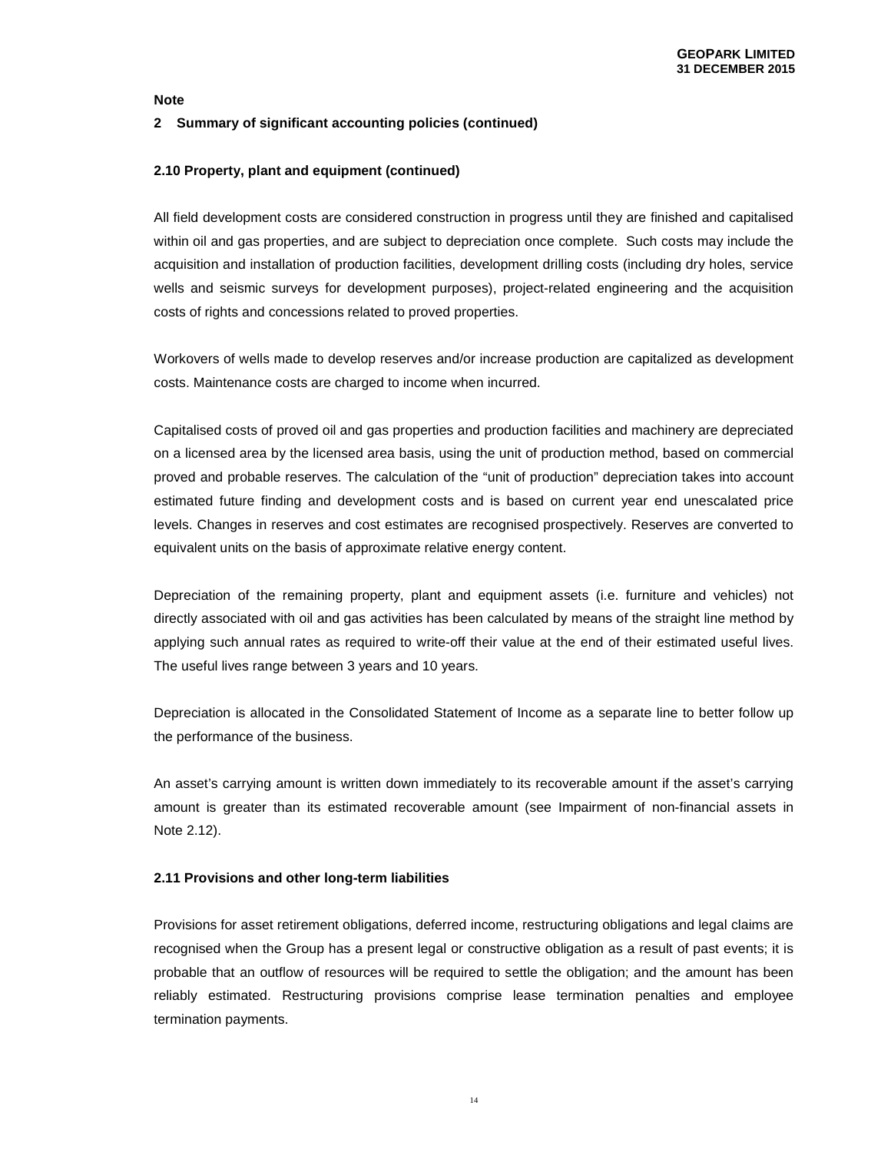#### **2 Summary of significant accounting policies (continued)**

#### **2.10 Property, plant and equipment (continued)**

All field development costs are considered construction in progress until they are finished and capitalised within oil and gas properties, and are subject to depreciation once complete. Such costs may include the acquisition and installation of production facilities, development drilling costs (including dry holes, service wells and seismic surveys for development purposes), project-related engineering and the acquisition costs of rights and concessions related to proved properties.

Workovers of wells made to develop reserves and/or increase production are capitalized as development costs. Maintenance costs are charged to income when incurred.

Capitalised costs of proved oil and gas properties and production facilities and machinery are depreciated on a licensed area by the licensed area basis, using the unit of production method, based on commercial proved and probable reserves. The calculation of the "unit of production" depreciation takes into account estimated future finding and development costs and is based on current year end unescalated price levels. Changes in reserves and cost estimates are recognised prospectively. Reserves are converted to equivalent units on the basis of approximate relative energy content.

Depreciation of the remaining property, plant and equipment assets (i.e. furniture and vehicles) not directly associated with oil and gas activities has been calculated by means of the straight line method by applying such annual rates as required to write-off their value at the end of their estimated useful lives. The useful lives range between 3 years and 10 years.

Depreciation is allocated in the Consolidated Statement of Income as a separate line to better follow up the performance of the business.

An asset's carrying amount is written down immediately to its recoverable amount if the asset's carrying amount is greater than its estimated recoverable amount (see Impairment of non-financial assets in Note 2.12).

## **2.11 Provisions and other long-term liabilities**

Provisions for asset retirement obligations, deferred income, restructuring obligations and legal claims are recognised when the Group has a present legal or constructive obligation as a result of past events; it is probable that an outflow of resources will be required to settle the obligation; and the amount has been reliably estimated. Restructuring provisions comprise lease termination penalties and employee termination payments.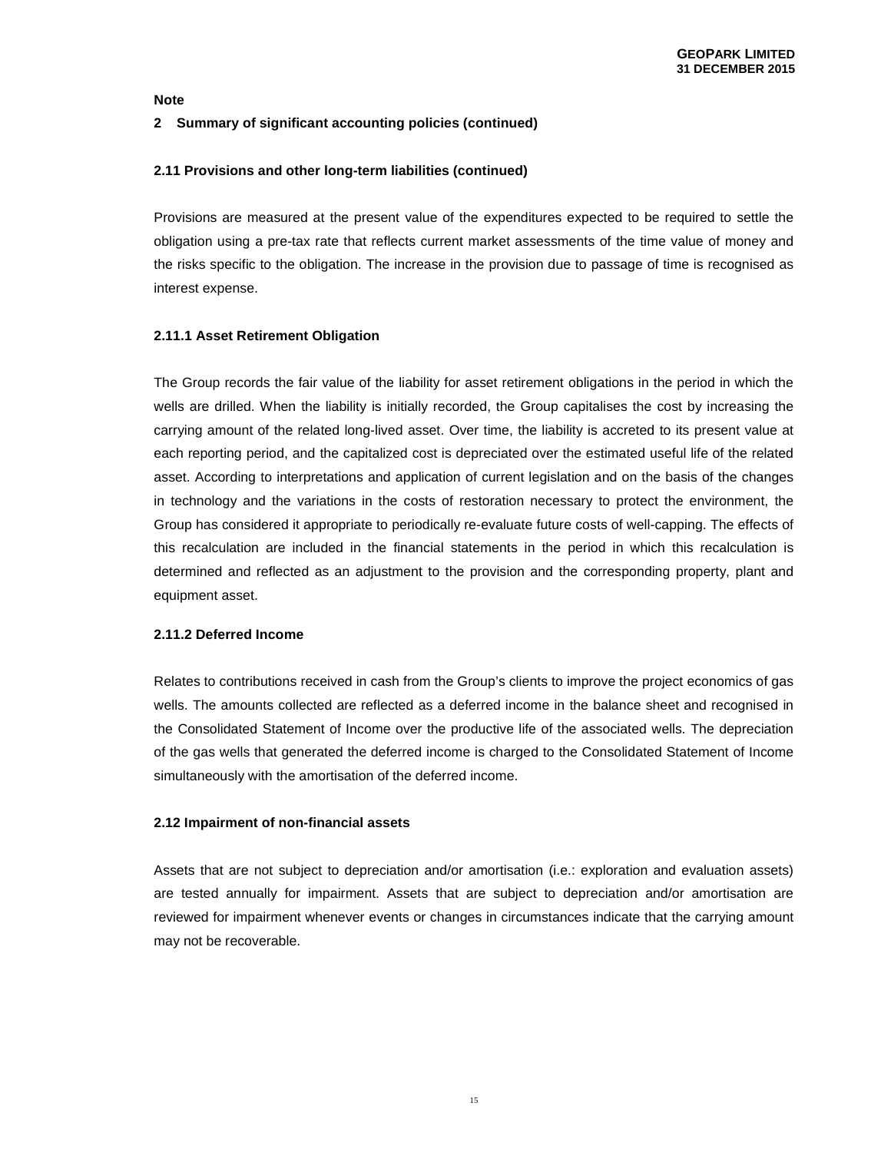# **2 Summary of significant accounting policies (continued)**

## **2.11 Provisions and other long-term liabilities (continued)**

Provisions are measured at the present value of the expenditures expected to be required to settle the obligation using a pre-tax rate that reflects current market assessments of the time value of money and the risks specific to the obligation. The increase in the provision due to passage of time is recognised as interest expense.

# **2.11.1 Asset Retirement Obligation**

The Group records the fair value of the liability for asset retirement obligations in the period in which the wells are drilled. When the liability is initially recorded, the Group capitalises the cost by increasing the carrying amount of the related long-lived asset. Over time, the liability is accreted to its present value at each reporting period, and the capitalized cost is depreciated over the estimated useful life of the related asset. According to interpretations and application of current legislation and on the basis of the changes in technology and the variations in the costs of restoration necessary to protect the environment, the Group has considered it appropriate to periodically re-evaluate future costs of well-capping. The effects of this recalculation are included in the financial statements in the period in which this recalculation is determined and reflected as an adjustment to the provision and the corresponding property, plant and equipment asset.

# **2.11.2 Deferred Income**

Relates to contributions received in cash from the Group's clients to improve the project economics of gas wells. The amounts collected are reflected as a deferred income in the balance sheet and recognised in the Consolidated Statement of Income over the productive life of the associated wells. The depreciation of the gas wells that generated the deferred income is charged to the Consolidated Statement of Income simultaneously with the amortisation of the deferred income.

## **2.12 Impairment of non-financial assets**

Assets that are not subject to depreciation and/or amortisation (i.e.: exploration and evaluation assets) are tested annually for impairment. Assets that are subject to depreciation and/or amortisation are reviewed for impairment whenever events or changes in circumstances indicate that the carrying amount may not be recoverable.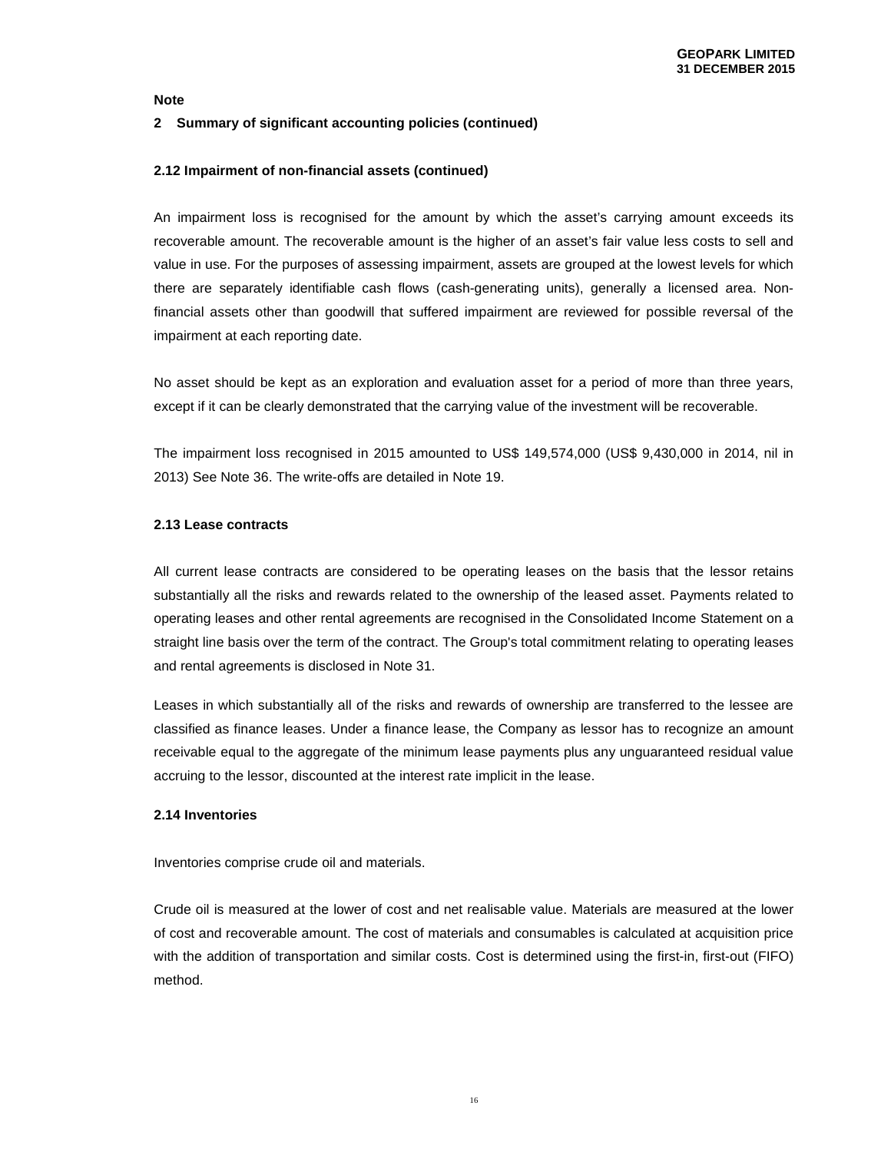## **2 Summary of significant accounting policies (continued)**

#### **2.12 Impairment of non-financial assets (continued)**

An impairment loss is recognised for the amount by which the asset's carrying amount exceeds its recoverable amount. The recoverable amount is the higher of an asset's fair value less costs to sell and value in use. For the purposes of assessing impairment, assets are grouped at the lowest levels for which there are separately identifiable cash flows (cash-generating units), generally a licensed area. Nonfinancial assets other than goodwill that suffered impairment are reviewed for possible reversal of the impairment at each reporting date.

No asset should be kept as an exploration and evaluation asset for a period of more than three years, except if it can be clearly demonstrated that the carrying value of the investment will be recoverable.

The impairment loss recognised in 2015 amounted to US\$ 149,574,000 (US\$ 9,430,000 in 2014, nil in 2013) See Note 36. The write-offs are detailed in Note 19.

## **2.13 Lease contracts**

All current lease contracts are considered to be operating leases on the basis that the lessor retains substantially all the risks and rewards related to the ownership of the leased asset. Payments related to operating leases and other rental agreements are recognised in the Consolidated Income Statement on a straight line basis over the term of the contract. The Group's total commitment relating to operating leases and rental agreements is disclosed in Note 31.

Leases in which substantially all of the risks and rewards of ownership are transferred to the lessee are classified as finance leases. Under a finance lease, the Company as lessor has to recognize an amount receivable equal to the aggregate of the minimum lease payments plus any unguaranteed residual value accruing to the lessor, discounted at the interest rate implicit in the lease.

# **2.14 Inventories**

Inventories comprise crude oil and materials.

Crude oil is measured at the lower of cost and net realisable value. Materials are measured at the lower of cost and recoverable amount. The cost of materials and consumables is calculated at acquisition price with the addition of transportation and similar costs. Cost is determined using the first-in, first-out (FIFO) method.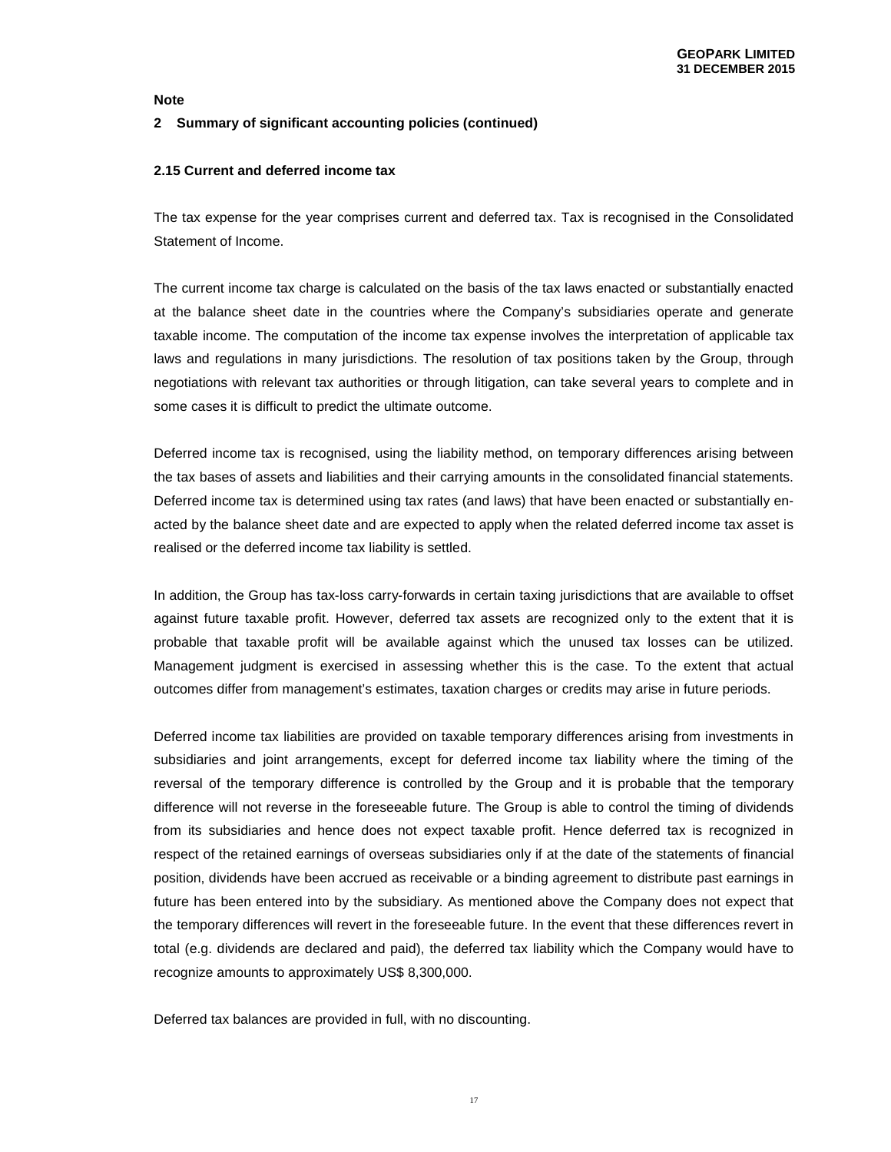## **2 Summary of significant accounting policies (continued)**

## **2.15 Current and deferred income tax**

The tax expense for the year comprises current and deferred tax. Tax is recognised in the Consolidated Statement of Income.

The current income tax charge is calculated on the basis of the tax laws enacted or substantially enacted at the balance sheet date in the countries where the Company's subsidiaries operate and generate taxable income. The computation of the income tax expense involves the interpretation of applicable tax laws and regulations in many jurisdictions. The resolution of tax positions taken by the Group, through negotiations with relevant tax authorities or through litigation, can take several years to complete and in some cases it is difficult to predict the ultimate outcome.

Deferred income tax is recognised, using the liability method, on temporary differences arising between the tax bases of assets and liabilities and their carrying amounts in the consolidated financial statements. Deferred income tax is determined using tax rates (and laws) that have been enacted or substantially enacted by the balance sheet date and are expected to apply when the related deferred income tax asset is realised or the deferred income tax liability is settled.

In addition, the Group has tax-loss carry-forwards in certain taxing jurisdictions that are available to offset against future taxable profit. However, deferred tax assets are recognized only to the extent that it is probable that taxable profit will be available against which the unused tax losses can be utilized. Management judgment is exercised in assessing whether this is the case. To the extent that actual outcomes differ from management's estimates, taxation charges or credits may arise in future periods.

Deferred income tax liabilities are provided on taxable temporary differences arising from investments in subsidiaries and joint arrangements, except for deferred income tax liability where the timing of the reversal of the temporary difference is controlled by the Group and it is probable that the temporary difference will not reverse in the foreseeable future. The Group is able to control the timing of dividends from its subsidiaries and hence does not expect taxable profit. Hence deferred tax is recognized in respect of the retained earnings of overseas subsidiaries only if at the date of the statements of financial position, dividends have been accrued as receivable or a binding agreement to distribute past earnings in future has been entered into by the subsidiary. As mentioned above the Company does not expect that the temporary differences will revert in the foreseeable future. In the event that these differences revert in total (e.g. dividends are declared and paid), the deferred tax liability which the Company would have to recognize amounts to approximately US\$ 8,300,000.

Deferred tax balances are provided in full, with no discounting.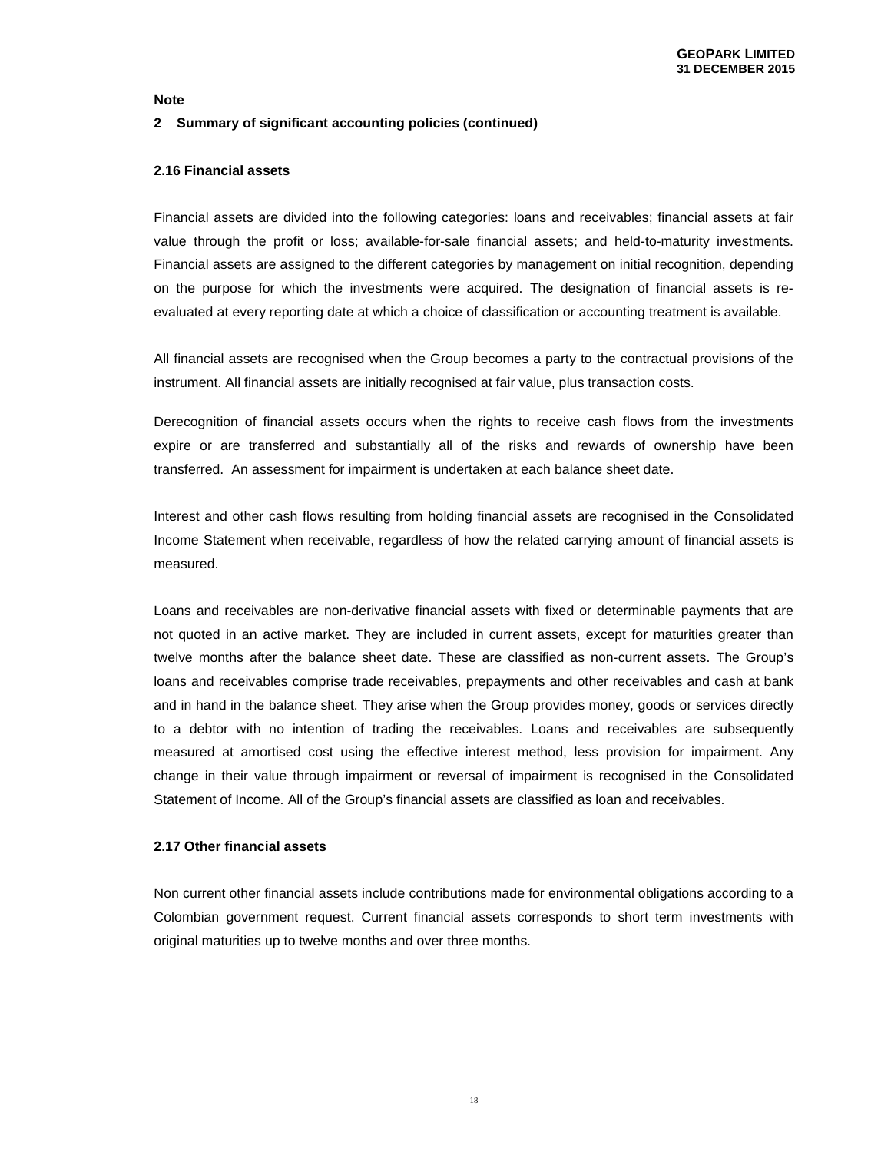# **2 Summary of significant accounting policies (continued)**

## **2.16 Financial assets**

Financial assets are divided into the following categories: loans and receivables; financial assets at fair value through the profit or loss; available-for-sale financial assets; and held-to-maturity investments. Financial assets are assigned to the different categories by management on initial recognition, depending on the purpose for which the investments were acquired. The designation of financial assets is reevaluated at every reporting date at which a choice of classification or accounting treatment is available.

All financial assets are recognised when the Group becomes a party to the contractual provisions of the instrument. All financial assets are initially recognised at fair value, plus transaction costs.

Derecognition of financial assets occurs when the rights to receive cash flows from the investments expire or are transferred and substantially all of the risks and rewards of ownership have been transferred. An assessment for impairment is undertaken at each balance sheet date.

Interest and other cash flows resulting from holding financial assets are recognised in the Consolidated Income Statement when receivable, regardless of how the related carrying amount of financial assets is measured.

Loans and receivables are non-derivative financial assets with fixed or determinable payments that are not quoted in an active market. They are included in current assets, except for maturities greater than twelve months after the balance sheet date. These are classified as non-current assets. The Group's loans and receivables comprise trade receivables, prepayments and other receivables and cash at bank and in hand in the balance sheet. They arise when the Group provides money, goods or services directly to a debtor with no intention of trading the receivables. Loans and receivables are subsequently measured at amortised cost using the effective interest method, less provision for impairment. Any change in their value through impairment or reversal of impairment is recognised in the Consolidated Statement of Income. All of the Group's financial assets are classified as loan and receivables.

## **2.17 Other financial assets**

Non current other financial assets include contributions made for environmental obligations according to a Colombian government request. Current financial assets corresponds to short term investments with original maturities up to twelve months and over three months.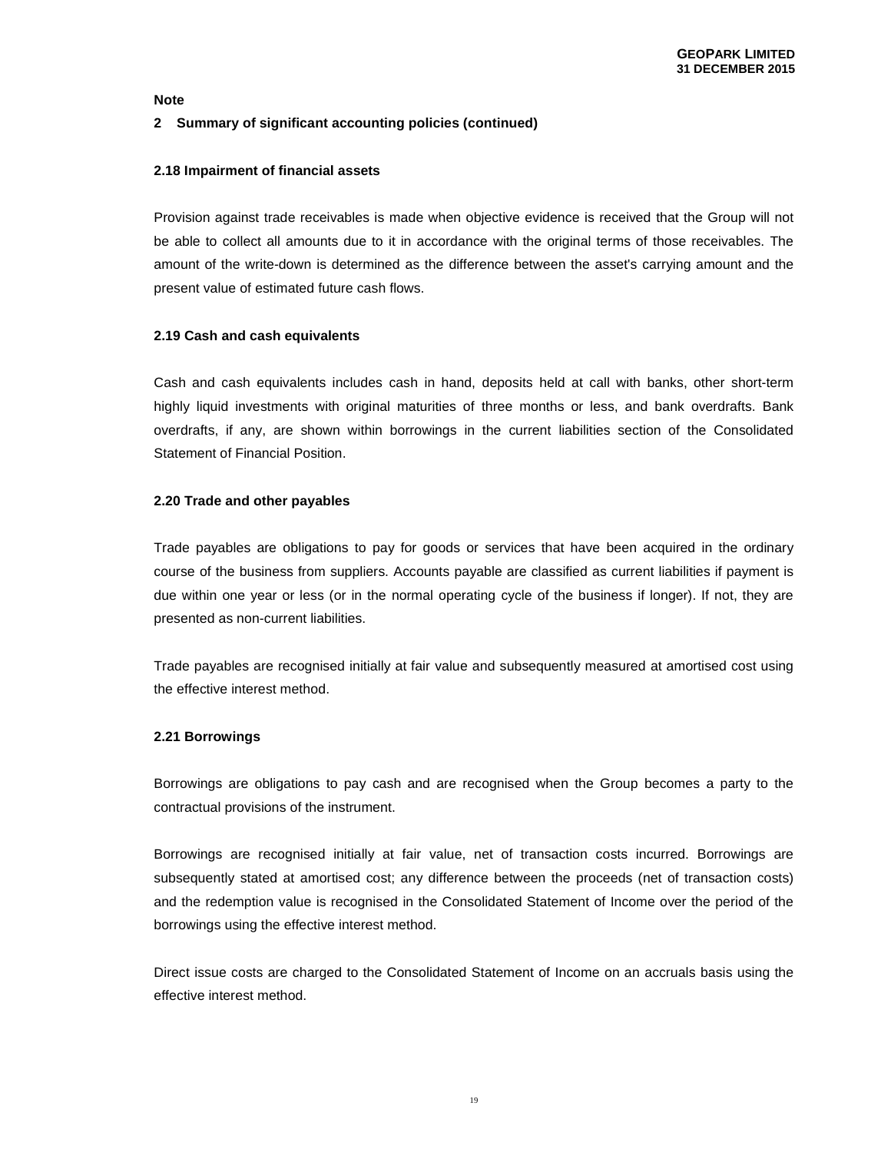# **2 Summary of significant accounting policies (continued)**

## **2.18 Impairment of financial assets**

Provision against trade receivables is made when objective evidence is received that the Group will not be able to collect all amounts due to it in accordance with the original terms of those receivables. The amount of the write-down is determined as the difference between the asset's carrying amount and the present value of estimated future cash flows.

## **2.19 Cash and cash equivalents**

Cash and cash equivalents includes cash in hand, deposits held at call with banks, other short-term highly liquid investments with original maturities of three months or less, and bank overdrafts. Bank overdrafts, if any, are shown within borrowings in the current liabilities section of the Consolidated Statement of Financial Position.

# **2.20 Trade and other payables**

Trade payables are obligations to pay for goods or services that have been acquired in the ordinary course of the business from suppliers. Accounts payable are classified as current liabilities if payment is due within one year or less (or in the normal operating cycle of the business if longer). If not, they are presented as non-current liabilities.

Trade payables are recognised initially at fair value and subsequently measured at amortised cost using the effective interest method.

# **2.21 Borrowings**

Borrowings are obligations to pay cash and are recognised when the Group becomes a party to the contractual provisions of the instrument.

Borrowings are recognised initially at fair value, net of transaction costs incurred. Borrowings are subsequently stated at amortised cost; any difference between the proceeds (net of transaction costs) and the redemption value is recognised in the Consolidated Statement of Income over the period of the borrowings using the effective interest method.

Direct issue costs are charged to the Consolidated Statement of Income on an accruals basis using the effective interest method.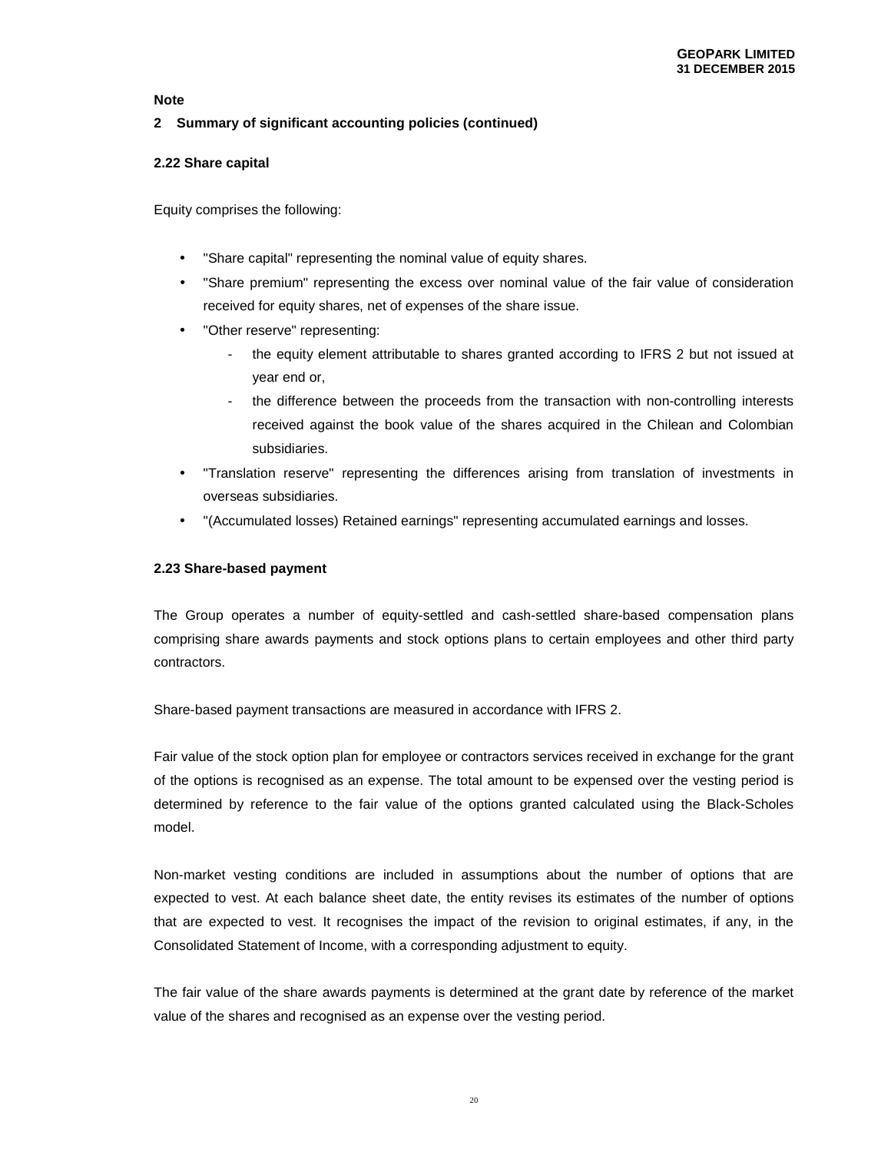# **2 Summary of significant accounting policies (continued)**

# **2.22 Share capital**

Equity comprises the following:

- "Share capital" representing the nominal value of equity shares.
- "Share premium" representing the excess over nominal value of the fair value of consideration received for equity shares, net of expenses of the share issue.
- "Other reserve" representing:
	- the equity element attributable to shares granted according to IFRS 2 but not issued at year end or,
	- the difference between the proceeds from the transaction with non-controlling interests received against the book value of the shares acquired in the Chilean and Colombian subsidiaries.
- "Translation reserve" representing the differences arising from translation of investments in overseas subsidiaries.
- "(Accumulated losses) Retained earnings" representing accumulated earnings and losses.

# **2.23 Share-based payment**

The Group operates a number of equity-settled and cash-settled share-based compensation plans comprising share awards payments and stock options plans to certain employees and other third party contractors.

Share-based payment transactions are measured in accordance with IFRS 2.

Fair value of the stock option plan for employee or contractors services received in exchange for the grant of the options is recognised as an expense. The total amount to be expensed over the vesting period is determined by reference to the fair value of the options granted calculated using the Black-Scholes model.

Non-market vesting conditions are included in assumptions about the number of options that are expected to vest. At each balance sheet date, the entity revises its estimates of the number of options that are expected to vest. It recognises the impact of the revision to original estimates, if any, in the Consolidated Statement of Income, with a corresponding adjustment to equity.

The fair value of the share awards payments is determined at the grant date by reference of the market value of the shares and recognised as an expense over the vesting period.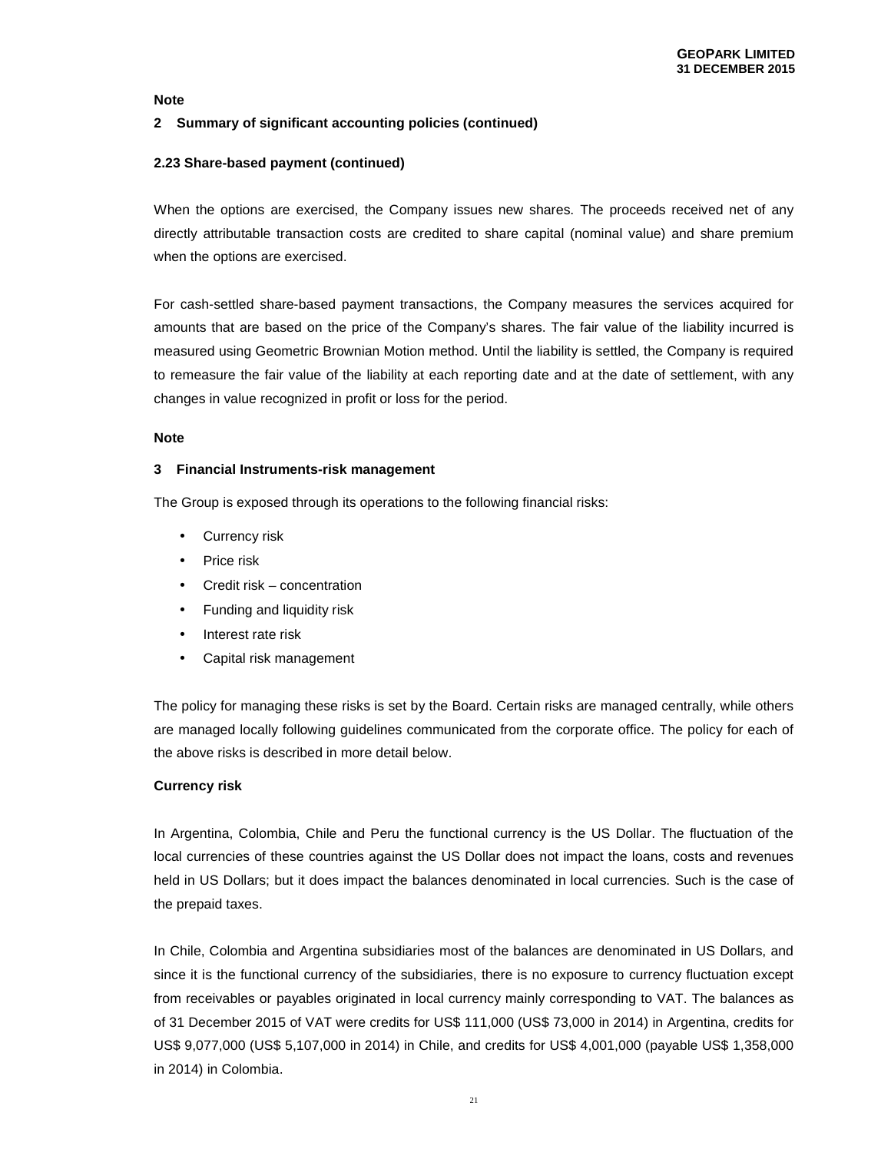# **2 Summary of significant accounting policies (continued)**

# **2.23 Share-based payment (continued)**

When the options are exercised, the Company issues new shares. The proceeds received net of any directly attributable transaction costs are credited to share capital (nominal value) and share premium when the options are exercised.

For cash-settled share-based payment transactions, the Company measures the services acquired for amounts that are based on the price of the Company's shares. The fair value of the liability incurred is measured using Geometric Brownian Motion method. Until the liability is settled, the Company is required to remeasure the fair value of the liability at each reporting date and at the date of settlement, with any changes in value recognized in profit or loss for the period.

## **Note**

#### **3 Financial Instruments-risk management**

The Group is exposed through its operations to the following financial risks:

- Currency risk
- Price risk
- Credit risk concentration
- Funding and liquidity risk
- Interest rate risk
- Capital risk management

The policy for managing these risks is set by the Board. Certain risks are managed centrally, while others are managed locally following guidelines communicated from the corporate office. The policy for each of the above risks is described in more detail below.

## **Currency risk**

In Argentina, Colombia, Chile and Peru the functional currency is the US Dollar. The fluctuation of the local currencies of these countries against the US Dollar does not impact the loans, costs and revenues held in US Dollars; but it does impact the balances denominated in local currencies. Such is the case of the prepaid taxes.

In Chile, Colombia and Argentina subsidiaries most of the balances are denominated in US Dollars, and since it is the functional currency of the subsidiaries, there is no exposure to currency fluctuation except from receivables or payables originated in local currency mainly corresponding to VAT. The balances as of 31 December 2015 of VAT were credits for US\$ 111,000 (US\$ 73,000 in 2014) in Argentina, credits for US\$ 9,077,000 (US\$ 5,107,000 in 2014) in Chile, and credits for US\$ 4,001,000 (payable US\$ 1,358,000 in 2014) in Colombia.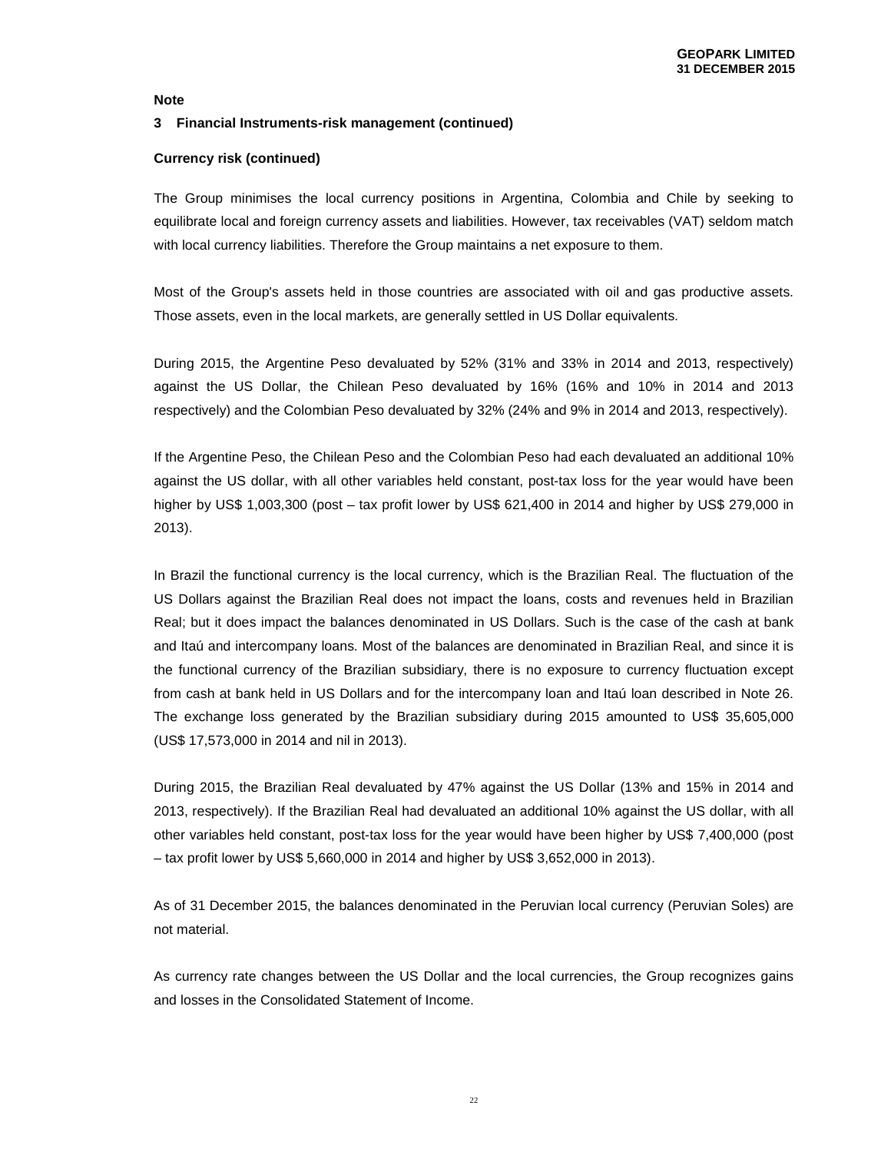#### **3 Financial Instruments-risk management (continued)**

#### **Currency risk (continued)**

The Group minimises the local currency positions in Argentina, Colombia and Chile by seeking to equilibrate local and foreign currency assets and liabilities. However, tax receivables (VAT) seldom match with local currency liabilities. Therefore the Group maintains a net exposure to them.

Most of the Group's assets held in those countries are associated with oil and gas productive assets. Those assets, even in the local markets, are generally settled in US Dollar equivalents.

During 2015, the Argentine Peso devaluated by 52% (31% and 33% in 2014 and 2013, respectively) against the US Dollar, the Chilean Peso devaluated by 16% (16% and 10% in 2014 and 2013 respectively) and the Colombian Peso devaluated by 32% (24% and 9% in 2014 and 2013, respectively).

If the Argentine Peso, the Chilean Peso and the Colombian Peso had each devaluated an additional 10% against the US dollar, with all other variables held constant, post-tax loss for the year would have been higher by US\$ 1,003,300 (post – tax profit lower by US\$ 621,400 in 2014 and higher by US\$ 279,000 in 2013).

In Brazil the functional currency is the local currency, which is the Brazilian Real. The fluctuation of the US Dollars against the Brazilian Real does not impact the loans, costs and revenues held in Brazilian Real; but it does impact the balances denominated in US Dollars. Such is the case of the cash at bank and Itaú and intercompany loans. Most of the balances are denominated in Brazilian Real, and since it is the functional currency of the Brazilian subsidiary, there is no exposure to currency fluctuation except from cash at bank held in US Dollars and for the intercompany loan and Itaú loan described in Note 26. The exchange loss generated by the Brazilian subsidiary during 2015 amounted to US\$ 35,605,000 (US\$ 17,573,000 in 2014 and nil in 2013).

During 2015, the Brazilian Real devaluated by 47% against the US Dollar (13% and 15% in 2014 and 2013, respectively). If the Brazilian Real had devaluated an additional 10% against the US dollar, with all other variables held constant, post-tax loss for the year would have been higher by US\$ 7,400,000 (post – tax profit lower by US\$ 5,660,000 in 2014 and higher by US\$ 3,652,000 in 2013).

As of 31 December 2015, the balances denominated in the Peruvian local currency (Peruvian Soles) are not material.

As currency rate changes between the US Dollar and the local currencies, the Group recognizes gains and losses in the Consolidated Statement of Income.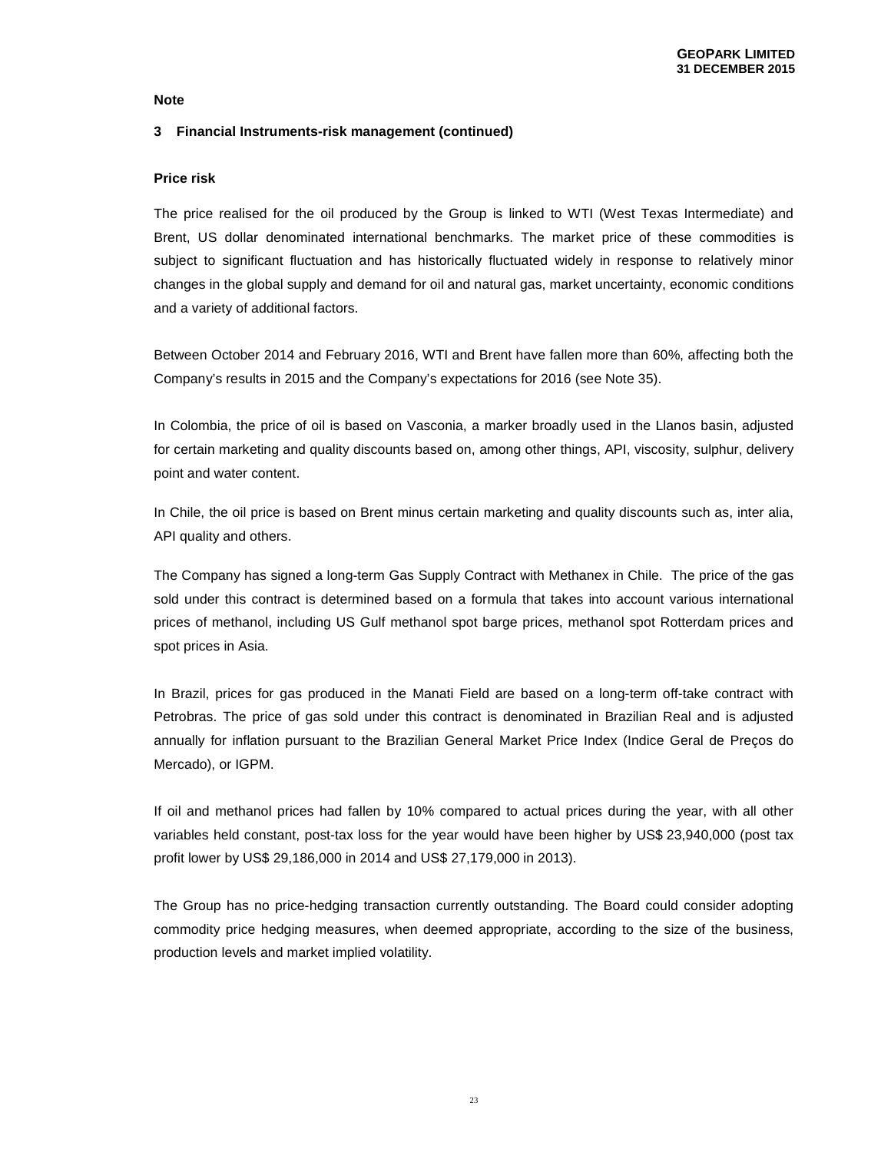## **3 Financial Instruments-risk management (continued)**

#### **Price risk**

The price realised for the oil produced by the Group is linked to WTI (West Texas Intermediate) and Brent, US dollar denominated international benchmarks. The market price of these commodities is subject to significant fluctuation and has historically fluctuated widely in response to relatively minor changes in the global supply and demand for oil and natural gas, market uncertainty, economic conditions and a variety of additional factors.

Between October 2014 and February 2016, WTI and Brent have fallen more than 60%, affecting both the Company's results in 2015 and the Company's expectations for 2016 (see Note 35).

In Colombia, the price of oil is based on Vasconia, a marker broadly used in the Llanos basin, adjusted for certain marketing and quality discounts based on, among other things, API, viscosity, sulphur, delivery point and water content.

In Chile, the oil price is based on Brent minus certain marketing and quality discounts such as, inter alia, API quality and others.

The Company has signed a long-term Gas Supply Contract with Methanex in Chile. The price of the gas sold under this contract is determined based on a formula that takes into account various international prices of methanol, including US Gulf methanol spot barge prices, methanol spot Rotterdam prices and spot prices in Asia.

In Brazil, prices for gas produced in the Manati Field are based on a long-term off-take contract with Petrobras. The price of gas sold under this contract is denominated in Brazilian Real and is adjusted annually for inflation pursuant to the Brazilian General Market Price Index (Indice Geral de Preços do Mercado), or IGPM.

If oil and methanol prices had fallen by 10% compared to actual prices during the year, with all other variables held constant, post-tax loss for the year would have been higher by US\$ 23,940,000 (post tax profit lower by US\$ 29,186,000 in 2014 and US\$ 27,179,000 in 2013).

The Group has no price-hedging transaction currently outstanding. The Board could consider adopting commodity price hedging measures, when deemed appropriate, according to the size of the business, production levels and market implied volatility.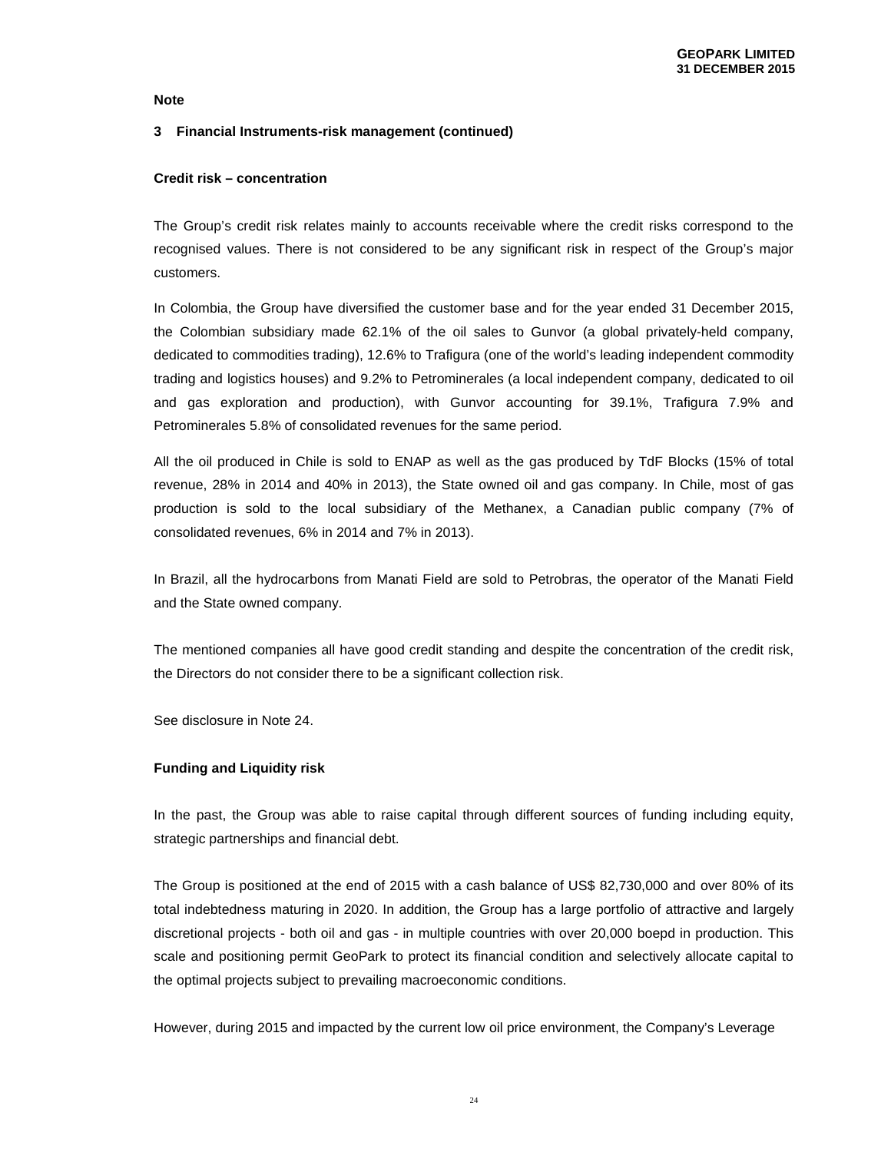## **3 Financial Instruments-risk management (continued)**

#### **Credit risk – concentration**

The Group's credit risk relates mainly to accounts receivable where the credit risks correspond to the recognised values. There is not considered to be any significant risk in respect of the Group's major customers.

In Colombia, the Group have diversified the customer base and for the year ended 31 December 2015, the Colombian subsidiary made 62.1% of the oil sales to Gunvor (a global privately-held company, dedicated to commodities trading), 12.6% to Trafigura (one of the world's leading independent commodity trading and logistics houses) and 9.2% to Petrominerales (a local independent company, dedicated to oil and gas exploration and production), with Gunvor accounting for 39.1%, Trafigura 7.9% and Petrominerales 5.8% of consolidated revenues for the same period.

All the oil produced in Chile is sold to ENAP as well as the gas produced by TdF Blocks (15% of total revenue, 28% in 2014 and 40% in 2013), the State owned oil and gas company. In Chile, most of gas production is sold to the local subsidiary of the Methanex, a Canadian public company (7% of consolidated revenues, 6% in 2014 and 7% in 2013).

In Brazil, all the hydrocarbons from Manati Field are sold to Petrobras, the operator of the Manati Field and the State owned company.

The mentioned companies all have good credit standing and despite the concentration of the credit risk, the Directors do not consider there to be a significant collection risk.

See disclosure in Note 24.

## **Funding and Liquidity risk**

In the past, the Group was able to raise capital through different sources of funding including equity, strategic partnerships and financial debt.

The Group is positioned at the end of 2015 with a cash balance of US\$ 82,730,000 and over 80% of its total indebtedness maturing in 2020. In addition, the Group has a large portfolio of attractive and largely discretional projects - both oil and gas - in multiple countries with over 20,000 boepd in production. This scale and positioning permit GeoPark to protect its financial condition and selectively allocate capital to the optimal projects subject to prevailing macroeconomic conditions.

However, during 2015 and impacted by the current low oil price environment, the Company's Leverage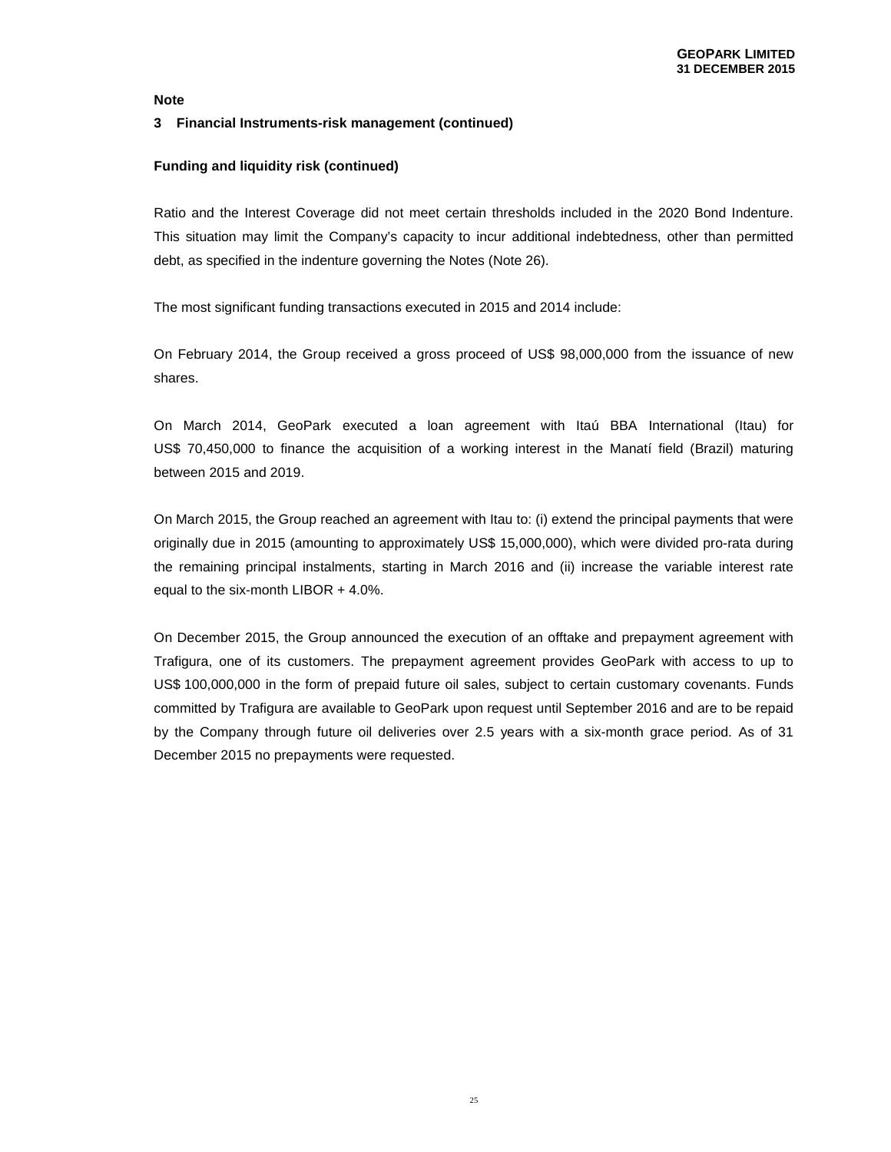#### **3 Financial Instruments-risk management (continued)**

#### **Funding and liquidity risk (continued)**

Ratio and the Interest Coverage did not meet certain thresholds included in the 2020 Bond Indenture. This situation may limit the Company's capacity to incur additional indebtedness, other than permitted debt, as specified in the indenture governing the Notes (Note 26).

The most significant funding transactions executed in 2015 and 2014 include:

On February 2014, the Group received a gross proceed of US\$ 98,000,000 from the issuance of new shares.

On March 2014, GeoPark executed a loan agreement with Itaú BBA International (Itau) for US\$ 70,450,000 to finance the acquisition of a working interest in the Manatí field (Brazil) maturing between 2015 and 2019.

On March 2015, the Group reached an agreement with Itau to: (i) extend the principal payments that were originally due in 2015 (amounting to approximately US\$ 15,000,000), which were divided pro-rata during the remaining principal instalments, starting in March 2016 and (ii) increase the variable interest rate equal to the six-month LIBOR + 4.0%.

On December 2015, the Group announced the execution of an offtake and prepayment agreement with Trafigura, one of its customers. The prepayment agreement provides GeoPark with access to up to US\$ 100,000,000 in the form of prepaid future oil sales, subject to certain customary covenants. Funds committed by Trafigura are available to GeoPark upon request until September 2016 and are to be repaid by the Company through future oil deliveries over 2.5 years with a six-month grace period. As of 31 December 2015 no prepayments were requested.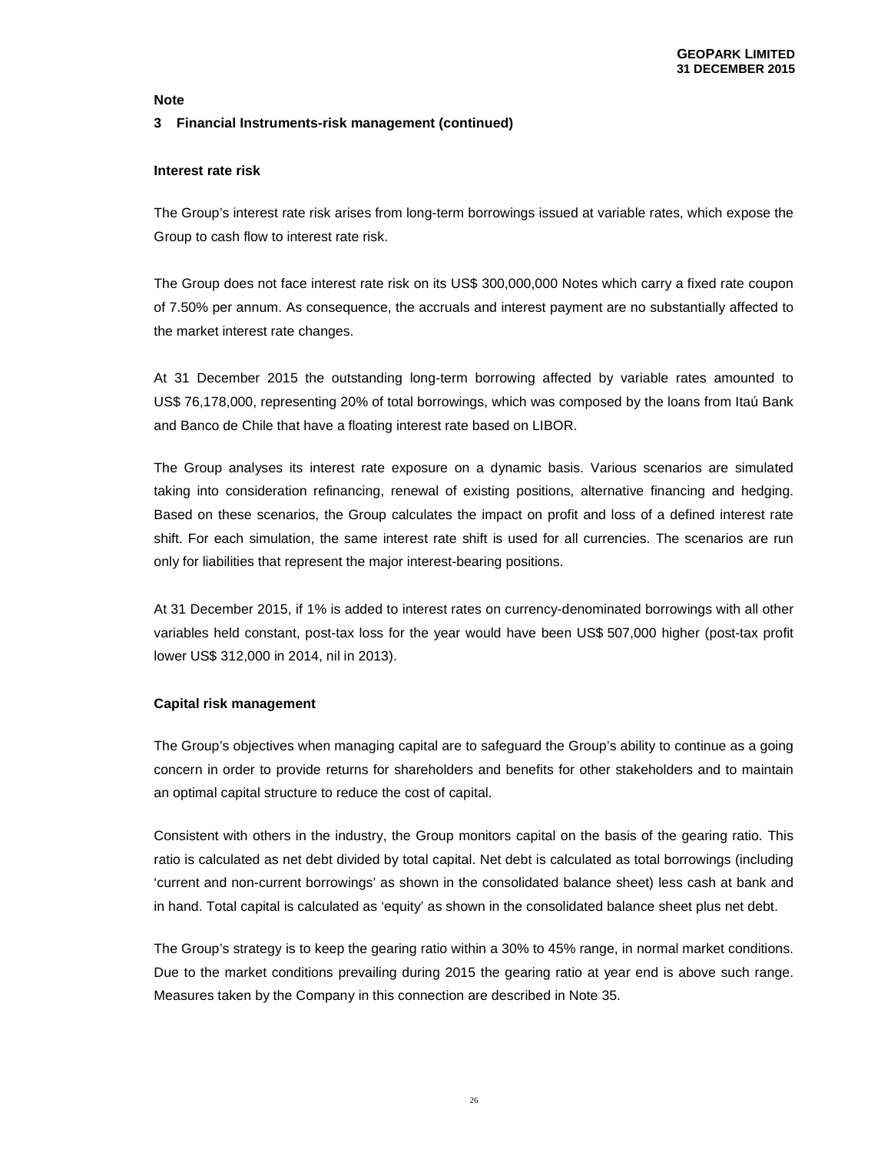# **Note 3 Financial Instruments-risk management (continued)**

# **Interest rate risk**

The Group's interest rate risk arises from long-term borrowings issued at variable rates, which expose the Group to cash flow to interest rate risk.

The Group does not face interest rate risk on its US\$ 300,000,000 Notes which carry a fixed rate coupon of 7.50% per annum. As consequence, the accruals and interest payment are no substantially affected to the market interest rate changes.

At 31 December 2015 the outstanding long-term borrowing affected by variable rates amounted to US\$ 76,178,000, representing 20% of total borrowings, which was composed by the loans from Itaú Bank and Banco de Chile that have a floating interest rate based on LIBOR.

The Group analyses its interest rate exposure on a dynamic basis. Various scenarios are simulated taking into consideration refinancing, renewal of existing positions, alternative financing and hedging. Based on these scenarios, the Group calculates the impact on profit and loss of a defined interest rate shift. For each simulation, the same interest rate shift is used for all currencies. The scenarios are run only for liabilities that represent the major interest-bearing positions.

At 31 December 2015, if 1% is added to interest rates on currency-denominated borrowings with all other variables held constant, post-tax loss for the year would have been US\$ 507,000 higher (post-tax profit lower US\$ 312,000 in 2014, nil in 2013).

# **Capital risk management**

The Group's objectives when managing capital are to safeguard the Group's ability to continue as a going concern in order to provide returns for shareholders and benefits for other stakeholders and to maintain an optimal capital structure to reduce the cost of capital.

Consistent with others in the industry, the Group monitors capital on the basis of the gearing ratio. This ratio is calculated as net debt divided by total capital. Net debt is calculated as total borrowings (including 'current and non-current borrowings' as shown in the consolidated balance sheet) less cash at bank and in hand. Total capital is calculated as 'equity' as shown in the consolidated balance sheet plus net debt.

The Group's strategy is to keep the gearing ratio within a 30% to 45% range, in normal market conditions. Due to the market conditions prevailing during 2015 the gearing ratio at year end is above such range. Measures taken by the Company in this connection are described in Note 35.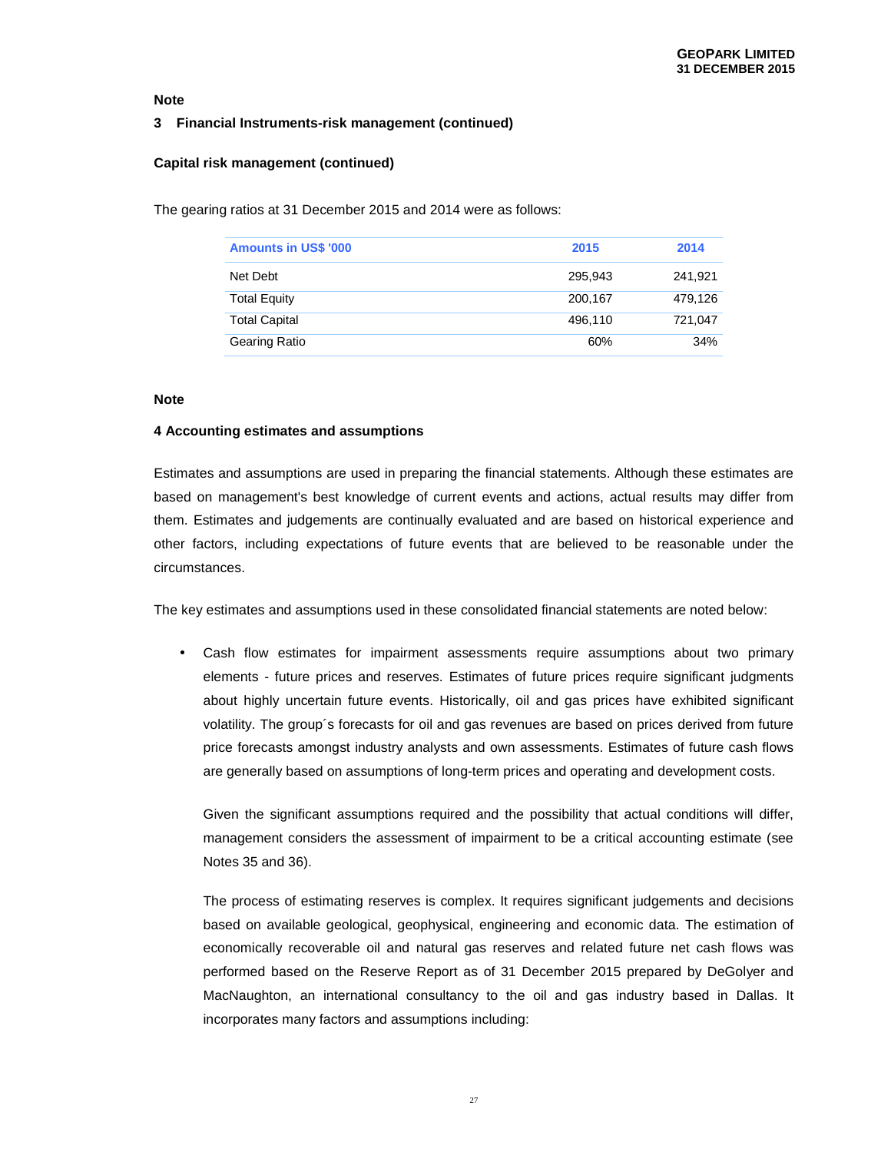# **3 Financial Instruments-risk management (continued)**

# **Capital risk management (continued)**

The gearing ratios at 31 December 2015 and 2014 were as follows:

| <b>Amounts in US\$ '000</b> | 2015    | 2014    |
|-----------------------------|---------|---------|
| Net Debt                    | 295.943 | 241,921 |
| <b>Total Equity</b>         | 200,167 | 479,126 |
| <b>Total Capital</b>        | 496.110 | 721,047 |
| <b>Gearing Ratio</b>        | 60%     | 34%     |

#### **Note**

#### **4 Accounting estimates and assumptions**

Estimates and assumptions are used in preparing the financial statements. Although these estimates are based on management's best knowledge of current events and actions, actual results may differ from them. Estimates and judgements are continually evaluated and are based on historical experience and other factors, including expectations of future events that are believed to be reasonable under the circumstances.

The key estimates and assumptions used in these consolidated financial statements are noted below:

• Cash flow estimates for impairment assessments require assumptions about two primary elements - future prices and reserves. Estimates of future prices require significant judgments about highly uncertain future events. Historically, oil and gas prices have exhibited significant volatility. The group´s forecasts for oil and gas revenues are based on prices derived from future price forecasts amongst industry analysts and own assessments. Estimates of future cash flows are generally based on assumptions of long-term prices and operating and development costs.

Given the significant assumptions required and the possibility that actual conditions will differ, management considers the assessment of impairment to be a critical accounting estimate (see Notes 35 and 36).

The process of estimating reserves is complex. It requires significant judgements and decisions based on available geological, geophysical, engineering and economic data. The estimation of economically recoverable oil and natural gas reserves and related future net cash flows was performed based on the Reserve Report as of 31 December 2015 prepared by DeGolyer and MacNaughton, an international consultancy to the oil and gas industry based in Dallas. It incorporates many factors and assumptions including: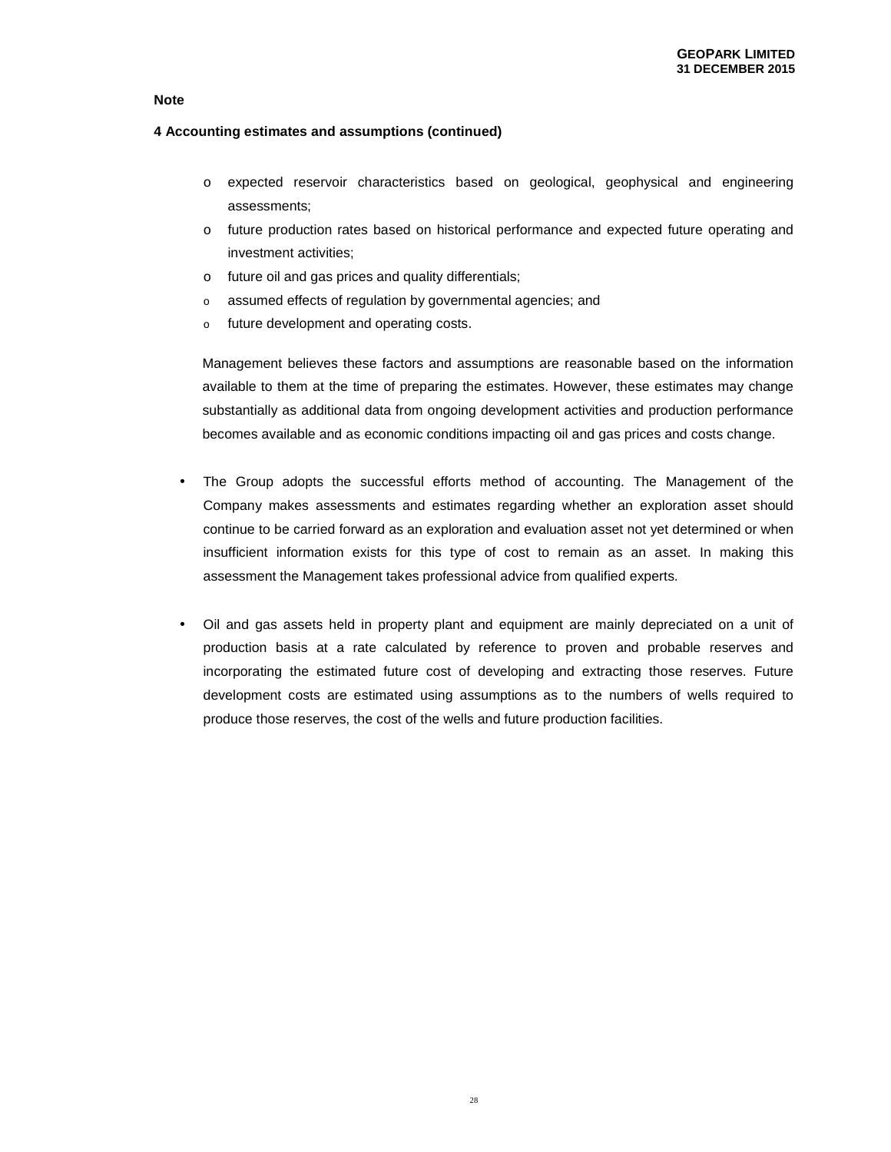# **4 Accounting estimates and assumptions (continued)**

- o expected reservoir characteristics based on geological, geophysical and engineering assessments;
- o future production rates based on historical performance and expected future operating and investment activities;
- o future oil and gas prices and quality differentials;
- o assumed effects of regulation by governmental agencies; and
- o future development and operating costs.

Management believes these factors and assumptions are reasonable based on the information available to them at the time of preparing the estimates. However, these estimates may change substantially as additional data from ongoing development activities and production performance becomes available and as economic conditions impacting oil and gas prices and costs change.

- The Group adopts the successful efforts method of accounting. The Management of the Company makes assessments and estimates regarding whether an exploration asset should continue to be carried forward as an exploration and evaluation asset not yet determined or when insufficient information exists for this type of cost to remain as an asset. In making this assessment the Management takes professional advice from qualified experts.
- Oil and gas assets held in property plant and equipment are mainly depreciated on a unit of production basis at a rate calculated by reference to proven and probable reserves and incorporating the estimated future cost of developing and extracting those reserves. Future development costs are estimated using assumptions as to the numbers of wells required to produce those reserves, the cost of the wells and future production facilities.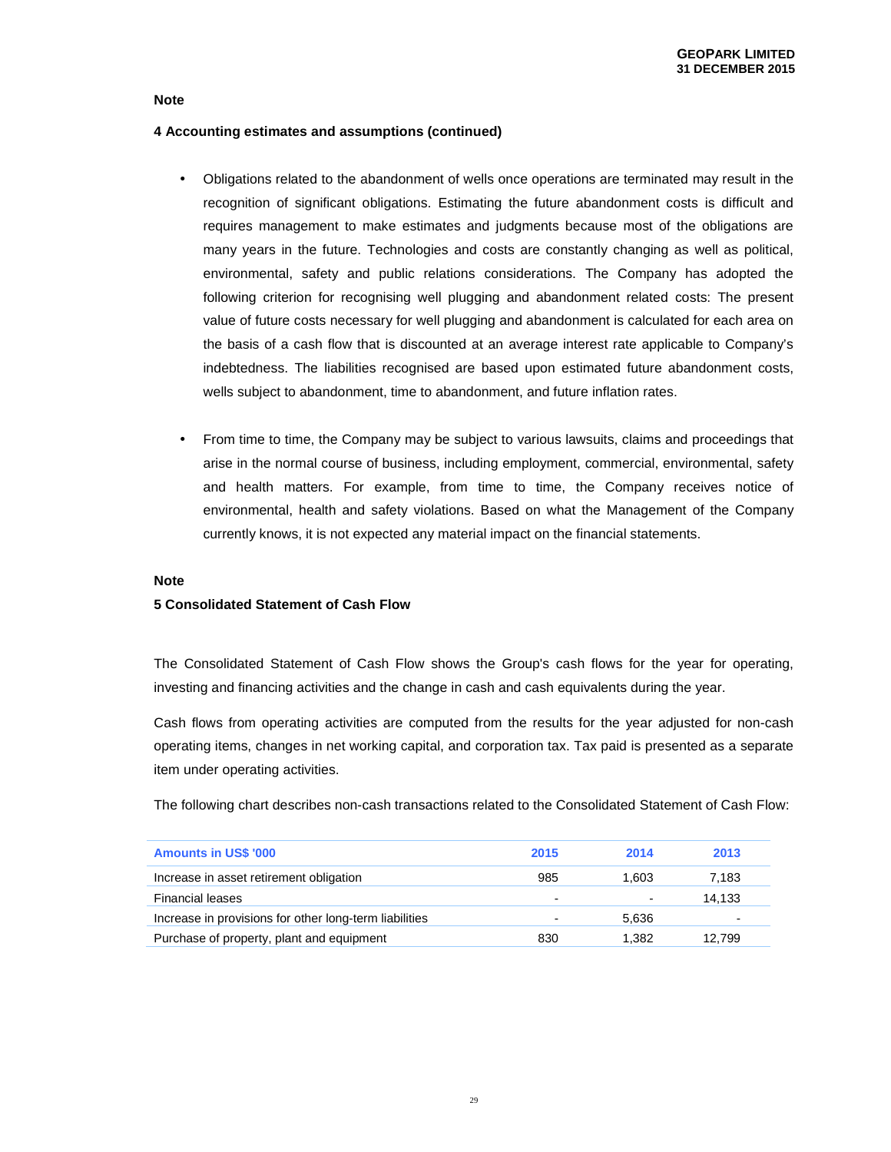## **4 Accounting estimates and assumptions (continued)**

- Obligations related to the abandonment of wells once operations are terminated may result in the recognition of significant obligations. Estimating the future abandonment costs is difficult and requires management to make estimates and judgments because most of the obligations are many years in the future. Technologies and costs are constantly changing as well as political, environmental, safety and public relations considerations. The Company has adopted the following criterion for recognising well plugging and abandonment related costs: The present value of future costs necessary for well plugging and abandonment is calculated for each area on the basis of a cash flow that is discounted at an average interest rate applicable to Company's indebtedness. The liabilities recognised are based upon estimated future abandonment costs, wells subject to abandonment, time to abandonment, and future inflation rates.
- From time to time, the Company may be subject to various lawsuits, claims and proceedings that arise in the normal course of business, including employment, commercial, environmental, safety and health matters. For example, from time to time, the Company receives notice of environmental, health and safety violations. Based on what the Management of the Company currently knows, it is not expected any material impact on the financial statements.

# **Note**

## **5 Consolidated Statement of Cash Flow**

The Consolidated Statement of Cash Flow shows the Group's cash flows for the year for operating, investing and financing activities and the change in cash and cash equivalents during the year.

Cash flows from operating activities are computed from the results for the year adjusted for non-cash operating items, changes in net working capital, and corporation tax. Tax paid is presented as a separate item under operating activities.

The following chart describes non-cash transactions related to the Consolidated Statement of Cash Flow:

| <b>Amounts in US\$ '000</b>                            | 2015           | 2014  | 2013           |
|--------------------------------------------------------|----------------|-------|----------------|
| Increase in asset retirement obligation                | 985            | 1.603 | 7,183          |
| <b>Financial leases</b>                                | $\blacksquare$ | -     | 14.133         |
| Increase in provisions for other long-term liabilities |                | 5.636 | $\blacksquare$ |
| Purchase of property, plant and equipment              | 830            | 1.382 | 12.799         |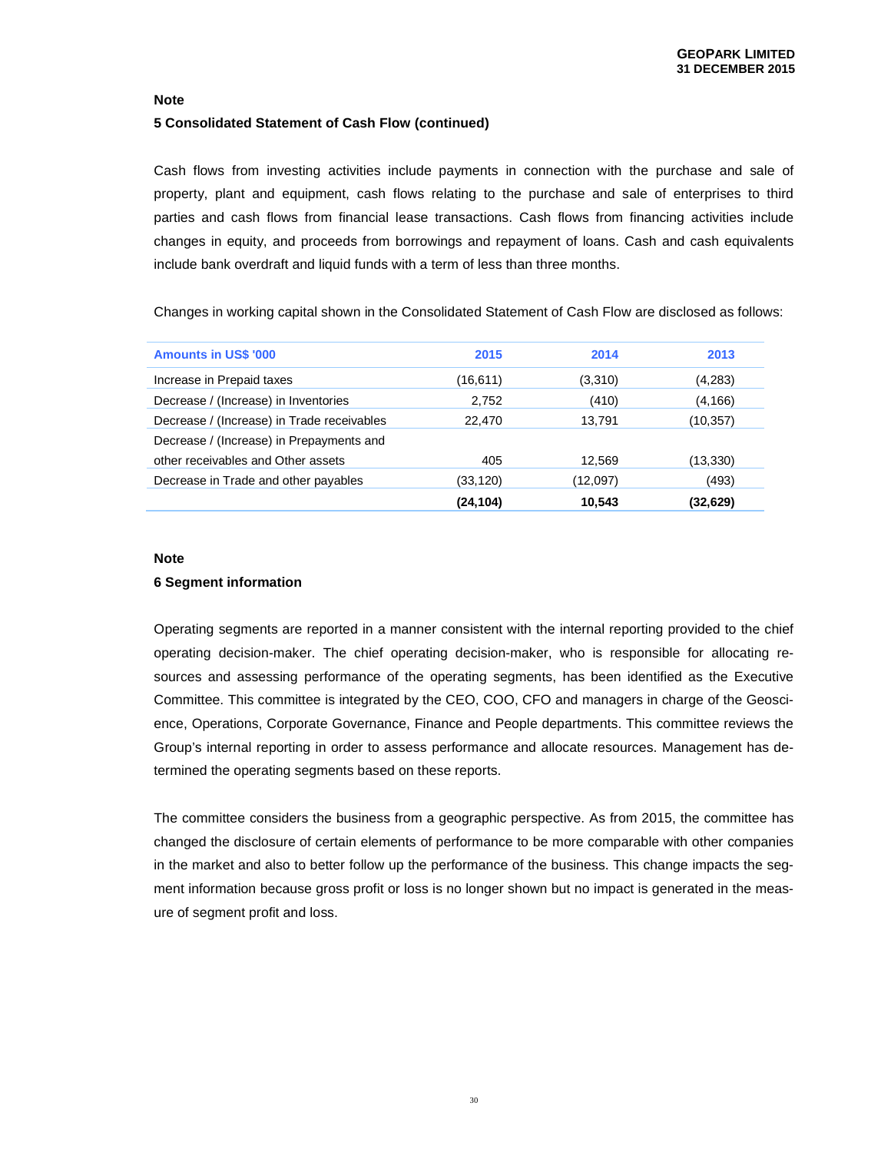## **5 Consolidated Statement of Cash Flow (continued)**

Cash flows from investing activities include payments in connection with the purchase and sale of property, plant and equipment, cash flows relating to the purchase and sale of enterprises to third parties and cash flows from financial lease transactions. Cash flows from financing activities include changes in equity, and proceeds from borrowings and repayment of loans. Cash and cash equivalents include bank overdraft and liquid funds with a term of less than three months.

Changes in working capital shown in the Consolidated Statement of Cash Flow are disclosed as follows:

| <b>Amounts in US\$ '000</b>                | 2015      | 2014     | 2013      |
|--------------------------------------------|-----------|----------|-----------|
| Increase in Prepaid taxes                  | (16,611)  | (3,310)  | (4,283)   |
| Decrease / (Increase) in Inventories       | 2,752     | (410)    | (4, 166)  |
| Decrease / (Increase) in Trade receivables | 22,470    | 13.791   | (10,357)  |
| Decrease / (Increase) in Prepayments and   |           |          |           |
| other receivables and Other assets         | 405       | 12,569   | (13,330)  |
| Decrease in Trade and other payables       | (33,120)  | (12,097) | (493)     |
|                                            | (24, 104) | 10,543   | (32, 629) |

#### **Note**

#### **6 Segment information**

Operating segments are reported in a manner consistent with the internal reporting provided to the chief operating decision-maker. The chief operating decision-maker, who is responsible for allocating resources and assessing performance of the operating segments, has been identified as the Executive Committee. This committee is integrated by the CEO, COO, CFO and managers in charge of the Geoscience, Operations, Corporate Governance, Finance and People departments. This committee reviews the Group's internal reporting in order to assess performance and allocate resources. Management has determined the operating segments based on these reports.

The committee considers the business from a geographic perspective. As from 2015, the committee has changed the disclosure of certain elements of performance to be more comparable with other companies in the market and also to better follow up the performance of the business. This change impacts the segment information because gross profit or loss is no longer shown but no impact is generated in the measure of segment profit and loss.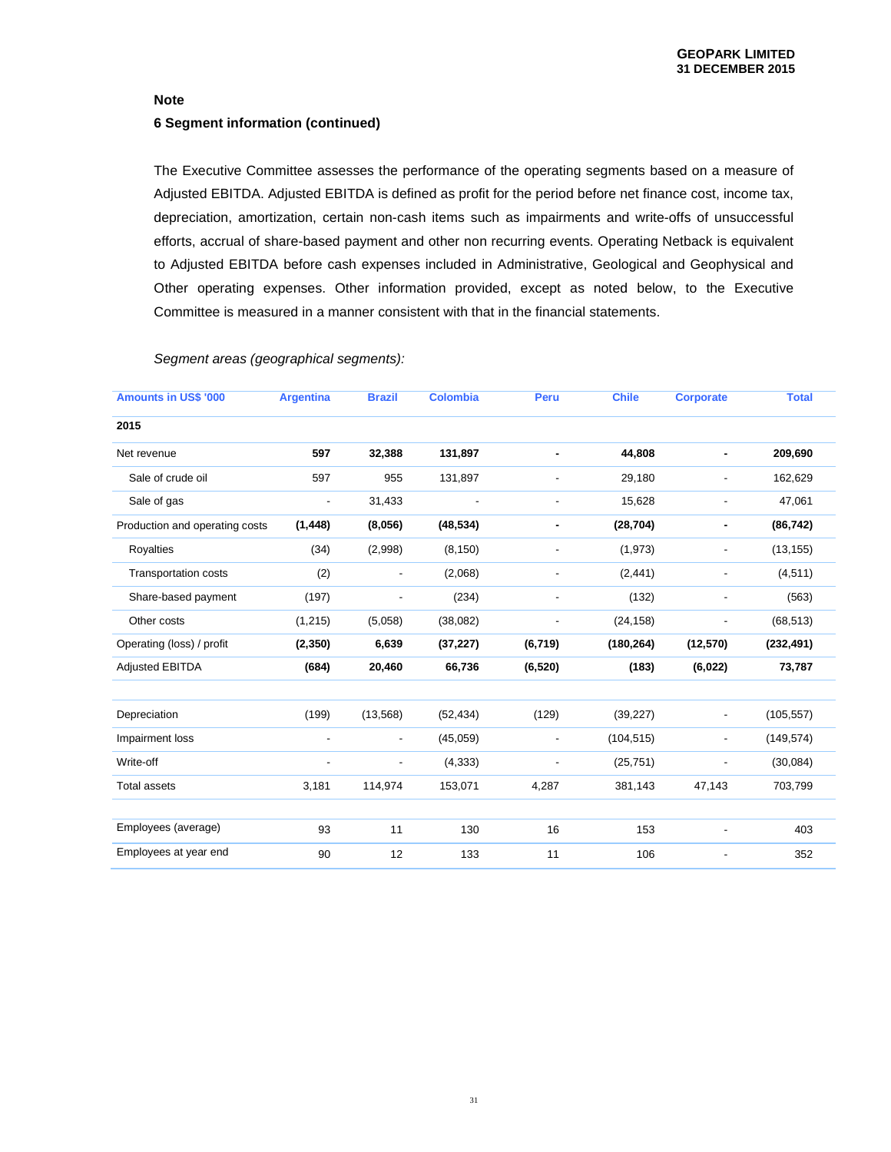# **Note 6 Segment information (continued)**

The Executive Committee assesses the performance of the operating segments based on a measure of Adjusted EBITDA. Adjusted EBITDA is defined as profit for the period before net finance cost, income tax, depreciation, amortization, certain non-cash items such as impairments and write-offs of unsuccessful efforts, accrual of share-based payment and other non recurring events. Operating Netback is equivalent to Adjusted EBITDA before cash expenses included in Administrative, Geological and Geophysical and Other operating expenses. Other information provided, except as noted below, to the Executive Committee is measured in a manner consistent with that in the financial statements.

Segment areas (geographical segments):

| <b>Amounts in US\$ '000</b>    | <b>Argentina</b>         | <b>Brazil</b>            | <b>Colombia</b>          | Peru                     | <b>Chile</b> | <b>Corporate</b>         | <b>Total</b> |
|--------------------------------|--------------------------|--------------------------|--------------------------|--------------------------|--------------|--------------------------|--------------|
| 2015                           |                          |                          |                          |                          |              |                          |              |
| Net revenue                    | 597                      | 32,388                   | 131,897                  | ٠                        | 44,808       | ٠                        | 209,690      |
| Sale of crude oil              | 597                      | 955                      | 131,897                  |                          | 29,180       | $\overline{\phantom{0}}$ | 162,629      |
| Sale of gas                    | $\overline{\phantom{a}}$ | 31,433                   | $\overline{\phantom{a}}$ | $\blacksquare$           | 15,628       | $\overline{\phantom{0}}$ | 47,061       |
| Production and operating costs | (1, 448)                 | (8,056)                  | (48, 534)                | ۰                        | (28, 704)    | ۰                        | (86, 742)    |
| Royalties                      | (34)                     | (2,998)                  | (8, 150)                 | $\overline{\phantom{a}}$ | (1,973)      | $\frac{1}{2}$            | (13, 155)    |
| <b>Transportation costs</b>    | (2)                      | $\overline{\phantom{a}}$ | (2,068)                  |                          | (2, 441)     | $\overline{\phantom{0}}$ | (4, 511)     |
| Share-based payment            | (197)                    | $\overline{\phantom{a}}$ | (234)                    | $\overline{\phantom{a}}$ | (132)        | $\overline{\phantom{0}}$ | (563)        |
| Other costs                    | (1, 215)                 | (5,058)                  | (38,082)                 | $\overline{\phantom{0}}$ | (24, 158)    | $\overline{\phantom{m}}$ | (68, 513)    |
| Operating (loss) / profit      | (2, 350)                 | 6,639                    | (37, 227)                | (6, 719)                 | (180, 264)   | (12, 570)                | (232, 491)   |
| <b>Adjusted EBITDA</b>         | (684)                    | 20,460                   | 66,736                   | (6, 520)                 | (183)        | (6,022)                  | 73,787       |
|                                |                          |                          |                          |                          |              |                          |              |
| Depreciation                   | (199)                    | (13, 568)                | (52, 434)                | (129)                    | (39, 227)    | $\overline{\phantom{a}}$ | (105, 557)   |
| Impairment loss                | -                        | $\overline{\phantom{a}}$ | (45,059)                 | $\overline{\phantom{a}}$ | (104, 515)   | $\overline{\phantom{0}}$ | (149, 574)   |
| Write-off                      | $\overline{a}$           | $\frac{1}{2}$            | (4, 333)                 |                          | (25, 751)    | $\overline{\phantom{m}}$ | (30,084)     |
| <b>Total assets</b>            | 3,181                    | 114,974                  | 153,071                  | 4,287                    | 381,143      | 47,143                   | 703,799      |
|                                |                          |                          |                          |                          |              |                          |              |
| Employees (average)            | 93                       | 11                       | 130                      | 16                       | 153          |                          | 403          |
| Employees at year end          | 90                       | 12                       | 133                      | 11                       | 106          |                          | 352          |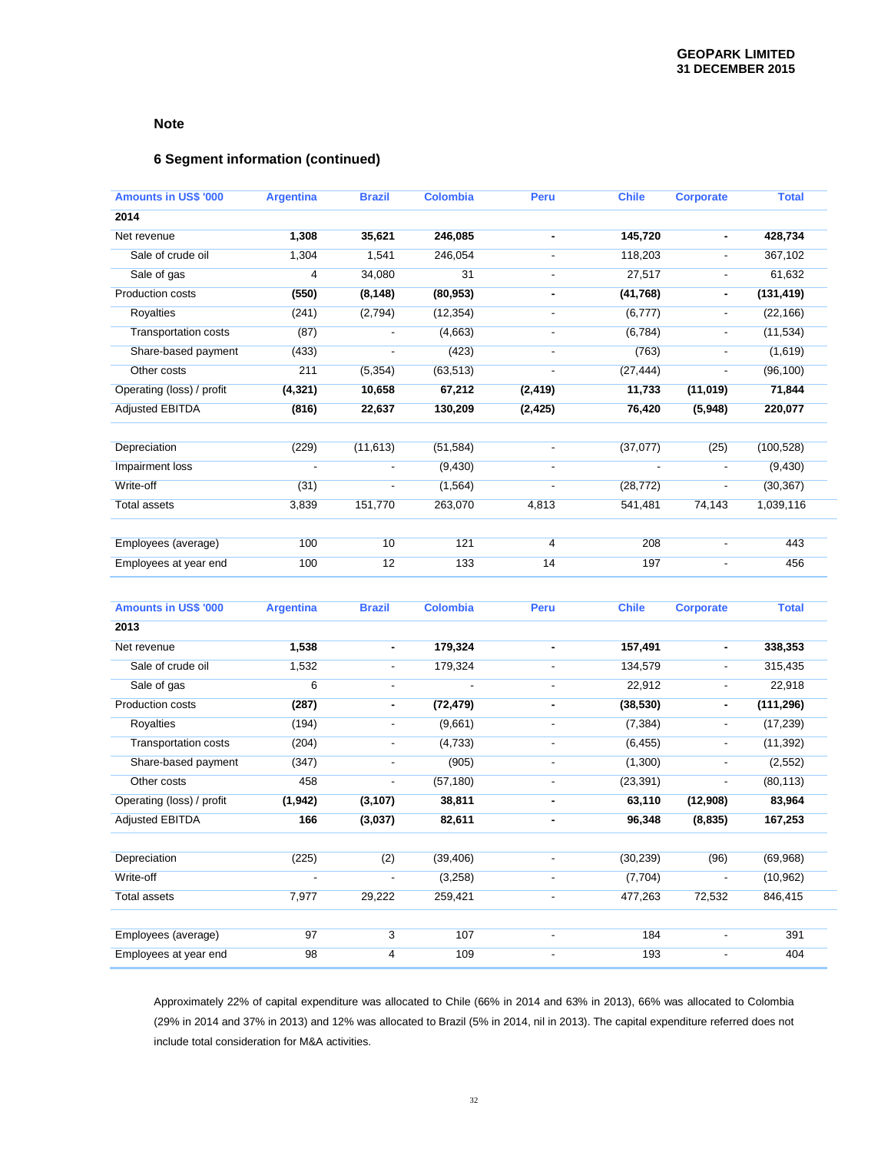# **6 Segment information (continued)**

| <b>Amounts in US\$ '000</b> | <b>Argentina</b> | <b>Brazil</b>            | <b>Colombia</b> | Peru                         | <b>Chile</b> | <b>Corporate</b>         | <b>Total</b> |
|-----------------------------|------------------|--------------------------|-----------------|------------------------------|--------------|--------------------------|--------------|
| 2014                        |                  |                          |                 |                              |              |                          |              |
| Net revenue                 | 1,308            | 35,621                   | 246,085         | ٠                            | 145,720      | $\blacksquare$           | 428,734      |
| Sale of crude oil           | 1,304            | 1,541                    | 246,054         | $\overline{\phantom{a}}$     | 118,203      | $\overline{\phantom{a}}$ | 367,102      |
| Sale of gas                 | 4                | 34,080                   | 31              |                              | 27,517       | $\overline{\phantom{a}}$ | 61,632       |
| Production costs            | (550)            | (8, 148)                 | (80, 953)       | $\qquad \qquad \blacksquare$ | (41, 768)    | $\blacksquare$           | (131, 419)   |
| Royalties                   | (241)            | (2,794)                  | (12, 354)       | $\overline{\phantom{a}}$     | (6, 777)     | $\overline{\phantom{a}}$ | (22, 166)    |
| Transportation costs        | (87)             | $\blacksquare$           | (4,663)         | $\overline{\phantom{a}}$     | (6, 784)     | $\overline{\phantom{a}}$ | (11, 534)    |
| Share-based payment         | (433)            | $\overline{\phantom{a}}$ | (423)           | $\blacksquare$               | (763)        | $\overline{\phantom{a}}$ | (1,619)      |
| Other costs                 | 211              | (5, 354)                 | (63, 513)       |                              | (27, 444)    | $\overline{\phantom{a}}$ | (96, 100)    |
| Operating (loss) / profit   | (4, 321)         | 10,658                   | 67,212          | (2, 419)                     | 11,733       | (11, 019)                | 71,844       |
| <b>Adjusted EBITDA</b>      | (816)            | 22,637                   | 130,209         | (2, 425)                     | 76,420       | (5,948)                  | 220,077      |
| Depreciation                | (229)            | (11, 613)                | (51, 584)       | $\overline{\phantom{a}}$     | (37,077)     | (25)                     | (100, 528)   |
| Impairment loss             | $\overline{a}$   | $\blacksquare$           | (9, 430)        |                              |              | $\overline{\phantom{a}}$ | (9, 430)     |
| Write-off                   | (31)             | $\Box$                   | (1, 564)        | $\blacksquare$               | (28, 772)    | $\overline{\phantom{a}}$ | (30, 367)    |
| <b>Total assets</b>         | 3,839            | 151,770                  | 263,070         | 4,813                        | 541,481      | 74,143                   | 1,039,116    |
|                             |                  |                          |                 |                              |              |                          |              |
| Employees (average)         | 100              | 10                       | 121             | 4                            | 208          | $\overline{\phantom{a}}$ | 443          |
| Employees at year end       | 100              | 12                       | 133             | 14                           | 197          | $\overline{\phantom{a}}$ | 456          |
| <b>Amounts in US\$ '000</b> | <b>Argentina</b> | <b>Brazil</b>            | <b>Colombia</b> | Peru                         | <b>Chile</b> | <b>Corporate</b>         | <b>Total</b> |
| 2013                        |                  |                          |                 |                              |              |                          |              |
| Net revenue                 | 1,538            | $\blacksquare$           | 179,324         | ٠                            | 157,491      | $\blacksquare$           | 338,353      |
| Sale of crude oil           | 1,532            | $\overline{\phantom{a}}$ | 179,324         | $\blacksquare$               | 134,579      | $\blacksquare$           | 315,435      |
| Sale of gas                 | 6                | $\blacksquare$           |                 |                              | 22,912       | $\overline{\phantom{a}}$ | 22,918       |
| Production costs            | (287)            | $\blacksquare$           | (72, 479)       | $\blacksquare$               | (38, 530)    | $\blacksquare$           | (111, 296)   |
| Royalties                   | (194)            | $\blacksquare$           | (9,661)         | $\overline{a}$               | (7, 384)     | $\overline{\phantom{a}}$ | (17, 239)    |
| <b>Transportation costs</b> | (204)            | $\overline{\phantom{a}}$ | (4,733)         | $\overline{\phantom{a}}$     | (6, 455)     | $\overline{\phantom{a}}$ | (11, 392)    |
| Share-based payment         | (347)            | $\blacksquare$           | (905)           | $\blacksquare$               | (1,300)      | $\blacksquare$           | (2, 552)     |
| Other costs                 | 458              | $\blacksquare$           | (57, 180)       |                              | (23, 391)    | $\overline{\phantom{a}}$ | (80, 113)    |
| Operating (loss) / profit   | (1, 942)         | (3, 107)                 | 38,811          | $\qquad \qquad \blacksquare$ | 63,110       | (12,908)                 | 83,964       |
| <b>Adjusted EBITDA</b>      | 166              | (3,037)                  | 82,611          | ۰                            | 96,348       | (8, 835)                 | 167,253      |
| Depreciation                | (225)            | (2)                      | (39, 406)       |                              | (30, 239)    | (96)                     | (69, 968)    |
| Write-off                   |                  | $\overline{a}$           | (3,258)         |                              | (7, 704)     |                          | (10, 962)    |
| <b>Total assets</b>         | 7,977            | 29,222                   | 259,421         | $\overline{\phantom{a}}$     | 477,263      | 72,532                   | 846,415      |
| Employees (average)         | 97               | 3                        | 107             | $\overline{\phantom{a}}$     | 184          | $\overline{\phantom{a}}$ | 391          |
| Employees at year end       | 98               | 4                        | 109             | $\overline{\phantom{a}}$     | 193          | $\overline{\phantom{a}}$ | 404          |

Approximately 22% of capital expenditure was allocated to Chile (66% in 2014 and 63% in 2013), 66% was allocated to Colombia (29% in 2014 and 37% in 2013) and 12% was allocated to Brazil (5% in 2014, nil in 2013). The capital expenditure referred does not include total consideration for M&A activities.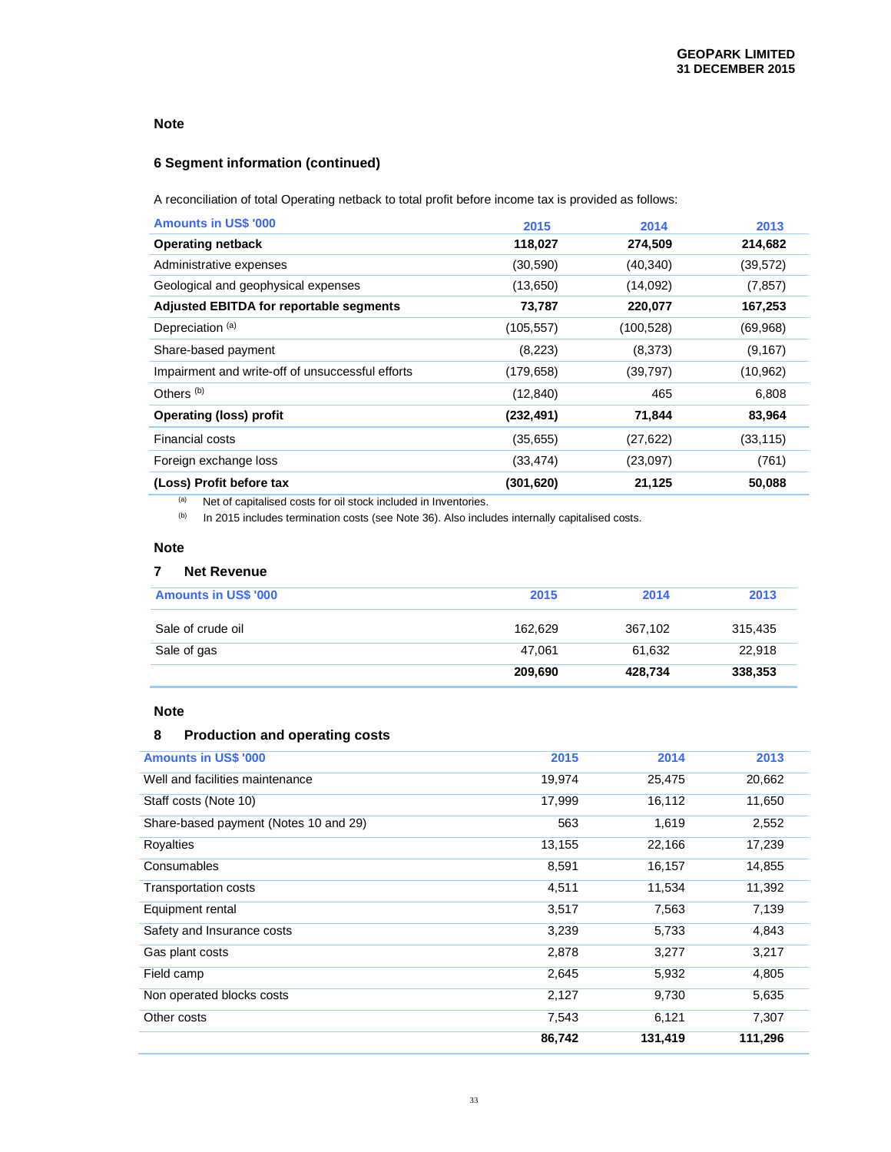# **6 Segment information (continued)**

A reconciliation of total Operating netback to total profit before income tax is provided as follows:

| <b>Amounts in US\$ '000</b>                      | 2015       | 2014       | 2013      |
|--------------------------------------------------|------------|------------|-----------|
| <b>Operating netback</b>                         | 118,027    | 274,509    | 214,682   |
| Administrative expenses                          | (30, 590)  | (40, 340)  | (39, 572) |
| Geological and geophysical expenses              | (13,650)   | (14,092)   | (7, 857)  |
| Adjusted EBITDA for reportable segments          | 73,787     | 220,077    | 167,253   |
| Depreciation <sup>(a)</sup>                      | (105, 557) | (100, 528) | (69,968)  |
| Share-based payment                              | (8,223)    | (8,373)    | (9, 167)  |
| Impairment and write-off of unsuccessful efforts | (179, 658) | (39,797)   | (10, 962) |
| Others <sup>(b)</sup>                            | (12, 840)  | 465        | 6,808     |
| <b>Operating (loss) profit</b>                   | (232, 491) | 71,844     | 83,964    |
| <b>Financial costs</b>                           | (35,655)   | (27, 622)  | (33, 115) |
| Foreign exchange loss                            | (33, 474)  | (23,097)   | (761)     |
| (Loss) Profit before tax                         | (301, 620) | 21,125     | 50,088    |

(a) Net of capitalised costs for oil stock included in Inventories.

(b) In 2015 includes termination costs (see Note 36). Also includes internally capitalised costs.

# **Note**

# **7 Net Revenue**

| <b>Amounts in US\$ '000</b> | 2015    | 2014    | 2013    |
|-----------------------------|---------|---------|---------|
| Sale of crude oil           | 162.629 | 367,102 | 315,435 |
| Sale of gas                 | 47.061  | 61,632  | 22,918  |
|                             | 209,690 | 428,734 | 338,353 |

# **Note**

# **8 Production and operating costs**

| <b>Amounts in US\$ '000</b>           | 2015   | 2014    | 2013    |
|---------------------------------------|--------|---------|---------|
| Well and facilities maintenance       | 19,974 | 25,475  | 20,662  |
| Staff costs (Note 10)                 | 17,999 | 16,112  | 11,650  |
| Share-based payment (Notes 10 and 29) | 563    | 1,619   | 2,552   |
| Royalties                             | 13,155 | 22,166  | 17,239  |
| Consumables                           | 8,591  | 16,157  | 14,855  |
| <b>Transportation costs</b>           | 4,511  | 11,534  | 11,392  |
| Equipment rental                      | 3,517  | 7,563   | 7,139   |
| Safety and Insurance costs            | 3,239  | 5,733   | 4,843   |
| Gas plant costs                       | 2,878  | 3,277   | 3,217   |
| Field camp                            | 2,645  | 5,932   | 4,805   |
| Non operated blocks costs             | 2,127  | 9,730   | 5,635   |
| Other costs                           | 7,543  | 6,121   | 7,307   |
|                                       | 86,742 | 131,419 | 111,296 |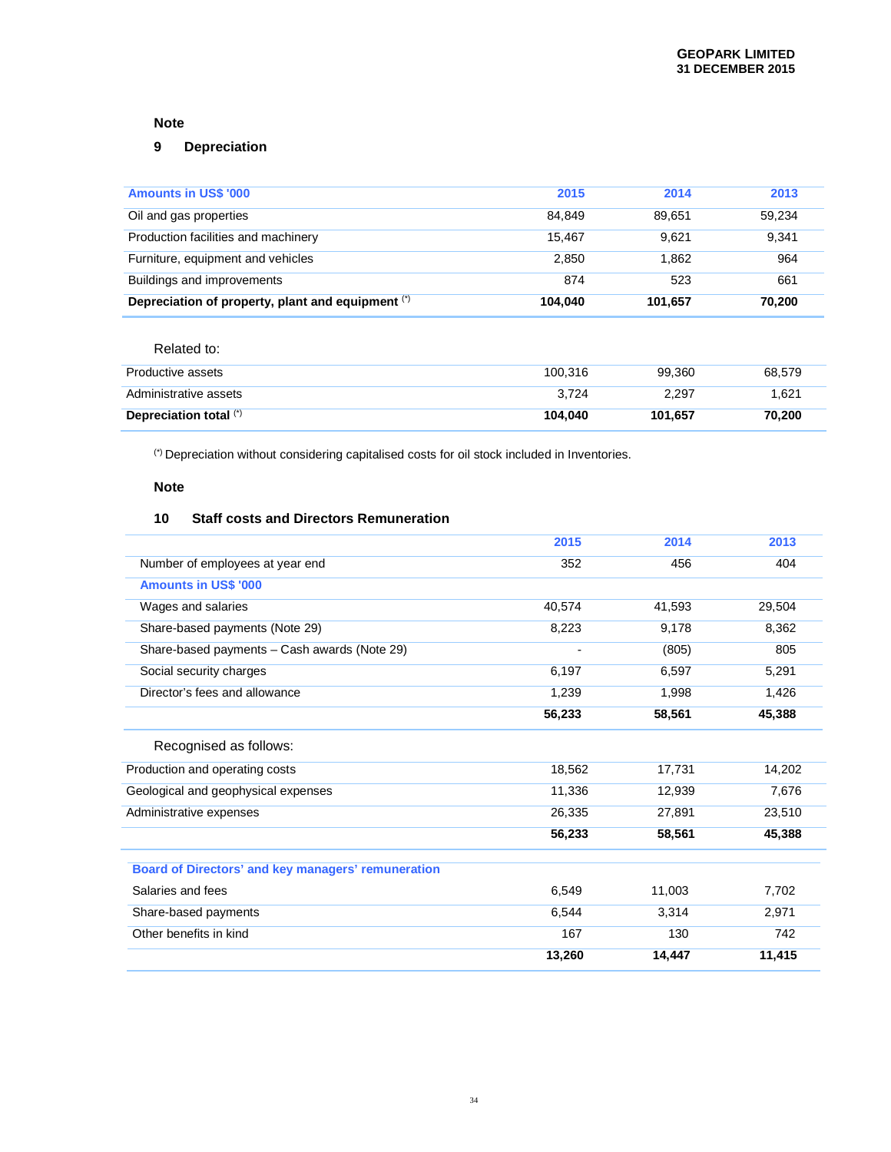# **9 Depreciation**

| <b>Amounts in US\$ '000</b>                       | 2015    | 2014    | 2013   |
|---------------------------------------------------|---------|---------|--------|
| Oil and gas properties                            | 84.849  | 89.651  | 59.234 |
| Production facilities and machinery               | 15.467  | 9.621   | 9.341  |
| Furniture, equipment and vehicles                 | 2.850   | 1.862   | 964    |
| Buildings and improvements                        | 874     | 523     | 661    |
| Depreciation of property, plant and equipment (*) | 104.040 | 101.657 | 70.200 |

# Related to:

| Productive assets      | 100.316 | 99.360  | 68.579 |
|------------------------|---------|---------|--------|
| Administrative assets  | 3.724   | 2.297   | 1.621  |
| Depreciation total (*) | 104.040 | 101.657 | 70.200 |

(\*) Depreciation without considering capitalised costs for oil stock included in Inventories.

# **Note**

## **10 Staff costs and Directors Remuneration**

|                                                    | 2015   | 2014   | 2013   |
|----------------------------------------------------|--------|--------|--------|
| Number of employees at year end                    | 352    | 456    | 404    |
| <b>Amounts in US\$ '000</b>                        |        |        |        |
| Wages and salaries                                 | 40,574 | 41,593 | 29,504 |
| Share-based payments (Note 29)                     | 8,223  | 9,178  | 8.362  |
| Share-based payments - Cash awards (Note 29)       |        | (805)  | 805    |
| Social security charges                            | 6,197  | 6,597  | 5,291  |
| Director's fees and allowance                      | 1,239  | 1,998  | 1,426  |
|                                                    | 56,233 | 58,561 | 45,388 |
| Recognised as follows:                             |        |        |        |
| Production and operating costs                     | 18,562 | 17,731 | 14,202 |
| Geological and geophysical expenses                | 11,336 | 12,939 | 7,676  |
| Administrative expenses                            | 26,335 | 27,891 | 23,510 |
|                                                    | 56,233 | 58,561 | 45,388 |
| Board of Directors' and key managers' remuneration |        |        |        |
| Salaries and fees                                  | 6,549  | 11,003 | 7,702  |
| Share-based payments                               | 6,544  | 3,314  | 2,971  |
| Other benefits in kind                             | 167    | 130    | 742    |
|                                                    | 13,260 | 14,447 | 11,415 |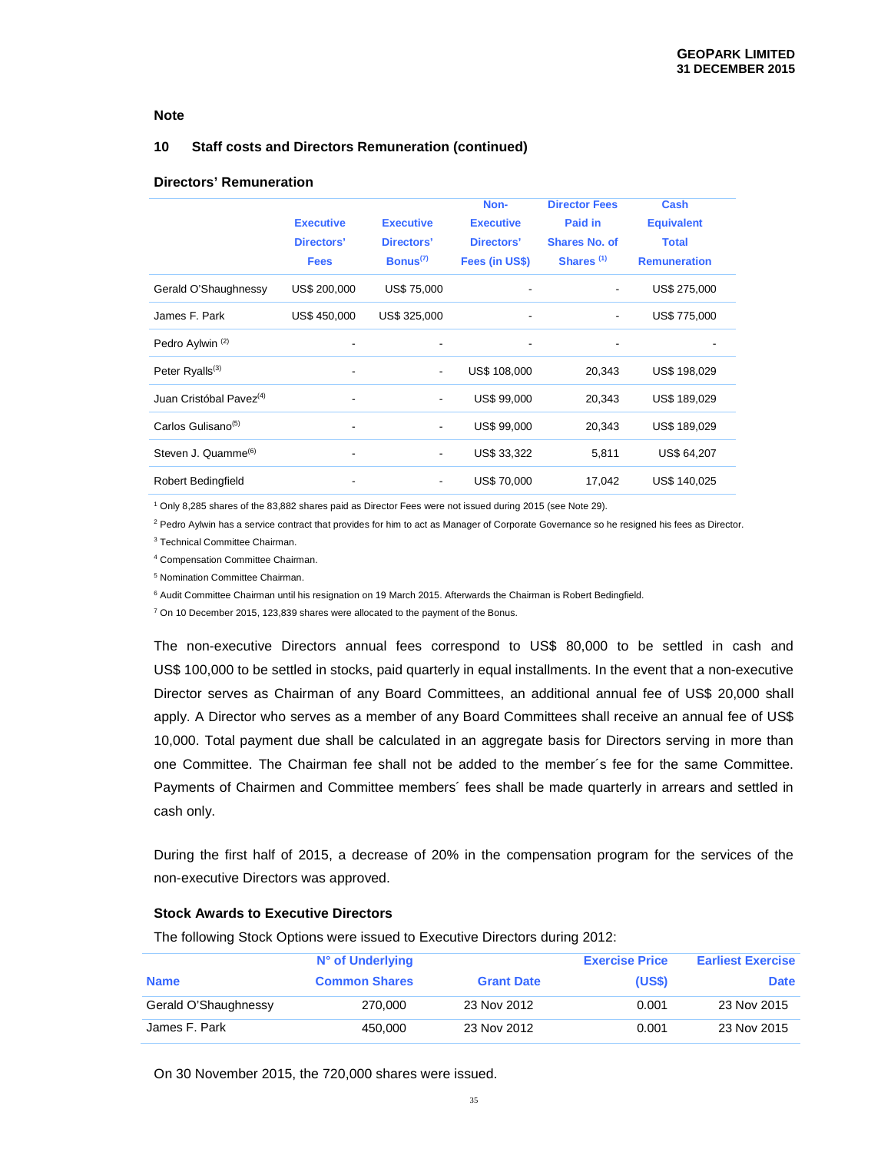# **10 Staff costs and Directors Remuneration (continued)**

## **Directors' Remuneration**

|                                     | <b>Executive</b><br>Directors'<br><b>Fees</b> | <b>Executive</b><br>Directors'<br>Bonus <sup>(7)</sup> | Non-<br><b>Executive</b><br>Directors'<br>Fees (in US\$) | <b>Director Fees</b><br>Paid in<br>Shares No. of<br>Shares <sup>(1)</sup> | Cash<br><b>Equivalent</b><br><b>Total</b><br><b>Remuneration</b> |
|-------------------------------------|-----------------------------------------------|--------------------------------------------------------|----------------------------------------------------------|---------------------------------------------------------------------------|------------------------------------------------------------------|
| Gerald O'Shaughnessy                | US\$ 200,000                                  | <b>US\$ 75,000</b>                                     | -                                                        | $\overline{\phantom{a}}$                                                  | US\$ 275,000                                                     |
| James F. Park                       | US\$ 450,000                                  | US\$ 325,000                                           | $\overline{\phantom{a}}$                                 | $\overline{\phantom{m}}$                                                  | US\$ 775,000                                                     |
| Pedro Aylwin <sup>(2)</sup>         |                                               |                                                        | $\overline{\phantom{a}}$                                 | -                                                                         |                                                                  |
| Peter Ryalls <sup>(3)</sup>         |                                               | $\overline{\phantom{a}}$                               | US\$ 108,000                                             | 20,343                                                                    | US\$ 198,029                                                     |
| Juan Cristóbal Pavez <sup>(4)</sup> |                                               | $\overline{\phantom{a}}$                               | US\$ 99,000                                              | 20,343                                                                    | US\$ 189,029                                                     |
| Carlos Gulisano <sup>(5)</sup>      |                                               | $\overline{\phantom{a}}$                               | US\$ 99,000                                              | 20,343                                                                    | US\$ 189,029                                                     |
| Steven J. Quamme <sup>(6)</sup>     |                                               | $\overline{\phantom{a}}$                               | US\$ 33,322                                              | 5,811                                                                     | US\$ 64,207                                                      |
| <b>Robert Bedingfield</b>           |                                               | $\overline{\phantom{a}}$                               | <b>US\$70,000</b>                                        | 17,042                                                                    | US\$ 140,025                                                     |

1 Only 8,285 shares of the 83,882 shares paid as Director Fees were not issued during 2015 (see Note 29).

<sup>2</sup> Pedro Aylwin has a service contract that provides for him to act as Manager of Corporate Governance so he resigned his fees as Director.

3 Technical Committee Chairman.

4 Compensation Committee Chairman.

5 Nomination Committee Chairman.

<sup>6</sup> Audit Committee Chairman until his resignation on 19 March 2015. Afterwards the Chairman is Robert Bedingfield.

<sup>7</sup> On 10 December 2015, 123,839 shares were allocated to the payment of the Bonus.

The non-executive Directors annual fees correspond to US\$ 80,000 to be settled in cash and US\$ 100,000 to be settled in stocks, paid quarterly in equal installments. In the event that a non-executive Director serves as Chairman of any Board Committees, an additional annual fee of US\$ 20,000 shall apply. A Director who serves as a member of any Board Committees shall receive an annual fee of US\$ 10,000. Total payment due shall be calculated in an aggregate basis for Directors serving in more than one Committee. The Chairman fee shall not be added to the member´s fee for the same Committee. Payments of Chairmen and Committee members´ fees shall be made quarterly in arrears and settled in cash only.

During the first half of 2015, a decrease of 20% in the compensation program for the services of the non-executive Directors was approved.

#### **Stock Awards to Executive Directors**

The following Stock Options were issued to Executive Directors during 2012:

|                      | N° of Underlying     |                   | <b>Exercise Price</b> | <b>Earliest Exercise</b> |
|----------------------|----------------------|-------------------|-----------------------|--------------------------|
|                      |                      |                   |                       |                          |
| <b>Name</b>          | <b>Common Shares</b> | <b>Grant Date</b> | (US\$)                | <b>Date</b>              |
| Gerald O'Shaughnessy | 270,000              | 23 Nov 2012       | 0.001                 | 23 Nov 2015              |
|                      |                      |                   |                       |                          |
| James F. Park        | 450,000              | 23 Nov 2012       | 0.001                 | 23 Nov 2015              |
|                      |                      |                   |                       |                          |

On 30 November 2015, the 720,000 shares were issued.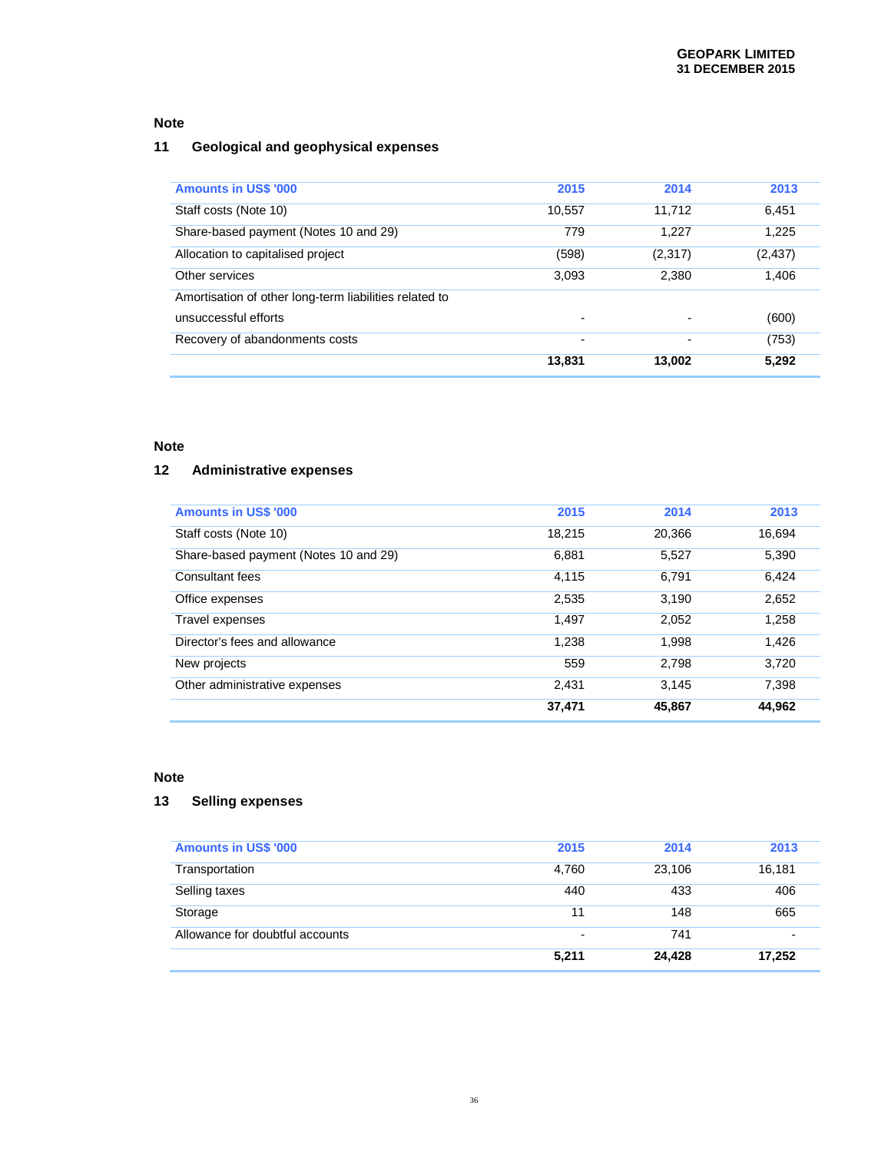# **11 Geological and geophysical expenses**

| <b>Amounts in US\$ '000</b>                            | 2015                     | 2014                     | 2013     |
|--------------------------------------------------------|--------------------------|--------------------------|----------|
| Staff costs (Note 10)                                  | 10,557                   | 11.712                   | 6,451    |
| Share-based payment (Notes 10 and 29)                  | 779                      | 1.227                    | 1,225    |
| Allocation to capitalised project                      | (598)                    | (2,317)                  | (2, 437) |
| Other services                                         | 3,093                    | 2,380                    | 1,406    |
| Amortisation of other long-term liabilities related to |                          |                          |          |
| unsuccessful efforts                                   | $\overline{\phantom{0}}$ | $\overline{\phantom{a}}$ | (600)    |
| Recovery of abandonments costs                         | -                        | $\overline{\phantom{0}}$ | (753)    |
|                                                        | 13,831                   | 13,002                   | 5,292    |

# **Note**

# **12 Administrative expenses**

| <b>Amounts in US\$ '000</b>           | 2015   | 2014   | 2013   |
|---------------------------------------|--------|--------|--------|
| Staff costs (Note 10)                 | 18,215 | 20,366 | 16,694 |
| Share-based payment (Notes 10 and 29) | 6,881  | 5,527  | 5,390  |
| Consultant fees                       | 4,115  | 6,791  | 6,424  |
| Office expenses                       | 2,535  | 3,190  | 2,652  |
| Travel expenses                       | 1,497  | 2,052  | 1,258  |
| Director's fees and allowance         | 1,238  | 1,998  | 1,426  |
| New projects                          | 559    | 2,798  | 3.720  |
| Other administrative expenses         | 2.431  | 3,145  | 7,398  |
|                                       | 37.471 | 45,867 | 44,962 |

## **Note**

# **13 Selling expenses**

| <b>Amounts in US\$ '000</b>     | 2015                     | 2014   | 2013   |
|---------------------------------|--------------------------|--------|--------|
| Transportation                  | 4.760                    | 23,106 | 16,181 |
| Selling taxes                   | 440                      | 433    | 406    |
| Storage                         | 11                       | 148    | 665    |
| Allowance for doubtful accounts | $\overline{\phantom{0}}$ | 741    |        |
|                                 | 5,211                    | 24.428 | 17.252 |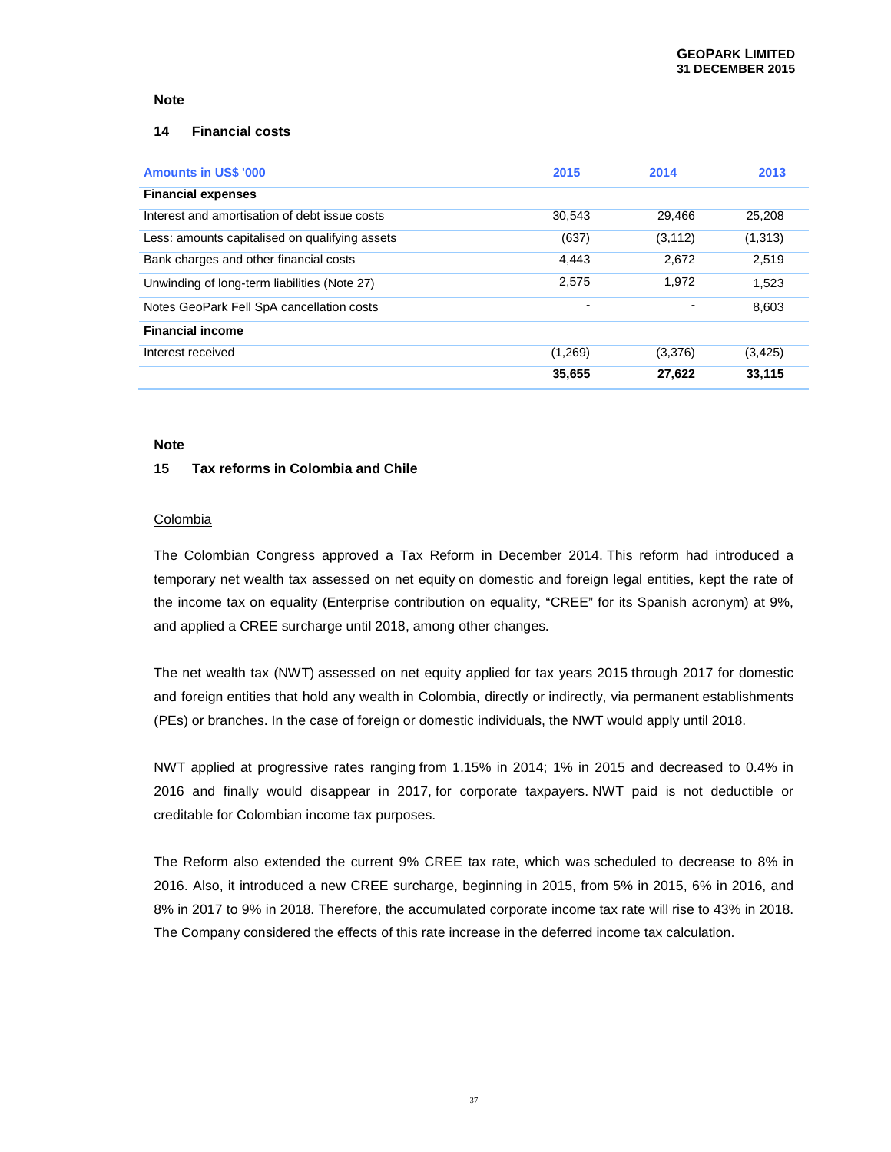#### **14 Financial costs**

| <b>Amounts in US\$ '000</b>                    | 2015    | 2014           | 2013     |
|------------------------------------------------|---------|----------------|----------|
| <b>Financial expenses</b>                      |         |                |          |
| Interest and amortisation of debt issue costs  | 30,543  | 29,466         | 25,208   |
| Less: amounts capitalised on qualifying assets | (637)   | (3, 112)       | (1,313)  |
| Bank charges and other financial costs         | 4,443   | 2,672          | 2,519    |
| Unwinding of long-term liabilities (Note 27)   | 2.575   | 1.972          | 1,523    |
| Notes GeoPark Fell SpA cancellation costs      |         | $\blacksquare$ | 8,603    |
| <b>Financial income</b>                        |         |                |          |
| Interest received                              | (1,269) | (3,376)        | (3, 425) |
|                                                | 35,655  | 27,622         | 33,115   |

#### **Note**

#### **15 Tax reforms in Colombia and Chile**

#### **Colombia**

The Colombian Congress approved a Tax Reform in December 2014. This reform had introduced a temporary net wealth tax assessed on net equity on domestic and foreign legal entities, kept the rate of the income tax on equality (Enterprise contribution on equality, "CREE" for its Spanish acronym) at 9%, and applied a CREE surcharge until 2018, among other changes.

The net wealth tax (NWT) assessed on net equity applied for tax years 2015 through 2017 for domestic and foreign entities that hold any wealth in Colombia, directly or indirectly, via permanent establishments (PEs) or branches. In the case of foreign or domestic individuals, the NWT would apply until 2018.

NWT applied at progressive rates ranging from 1.15% in 2014; 1% in 2015 and decreased to 0.4% in 2016 and finally would disappear in 2017, for corporate taxpayers. NWT paid is not deductible or creditable for Colombian income tax purposes.

The Reform also extended the current 9% CREE tax rate, which was scheduled to decrease to 8% in 2016. Also, it introduced a new CREE surcharge, beginning in 2015, from 5% in 2015, 6% in 2016, and 8% in 2017 to 9% in 2018. Therefore, the accumulated corporate income tax rate will rise to 43% in 2018. The Company considered the effects of this rate increase in the deferred income tax calculation.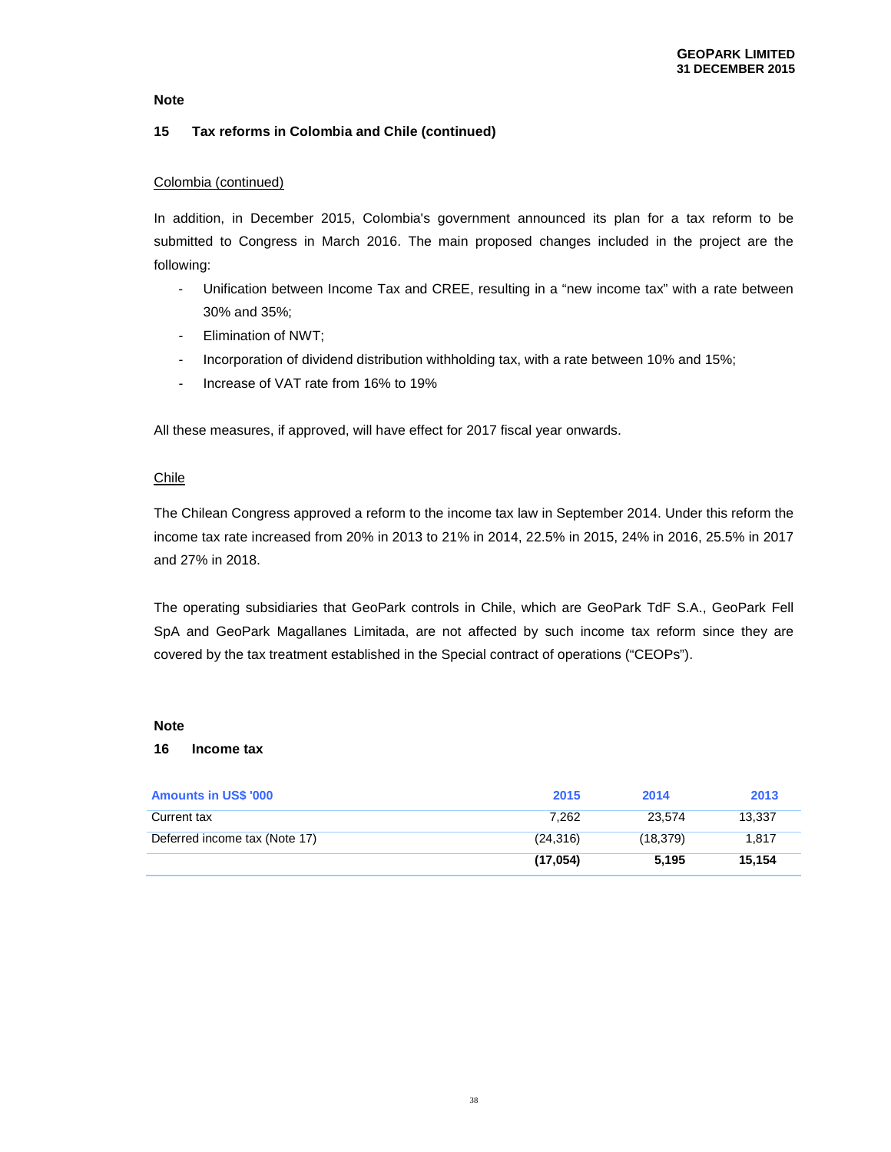### **15 Tax reforms in Colombia and Chile (continued)**

### Colombia (continued)

In addition, in December 2015, Colombia's government announced its plan for a tax reform to be submitted to Congress in March 2016. The main proposed changes included in the project are the following:

- Unification between Income Tax and CREE, resulting in a "new income tax" with a rate between 30% and 35%;
- Elimination of NWT;
- Incorporation of dividend distribution withholding tax, with a rate between 10% and 15%;
- Increase of VAT rate from 16% to 19%

All these measures, if approved, will have effect for 2017 fiscal year onwards.

### Chile

The Chilean Congress approved a reform to the income tax law in September 2014. Under this reform the income tax rate increased from 20% in 2013 to 21% in 2014, 22.5% in 2015, 24% in 2016, 25.5% in 2017 and 27% in 2018.

The operating subsidiaries that GeoPark controls in Chile, which are GeoPark TdF S.A., GeoPark Fell SpA and GeoPark Magallanes Limitada, are not affected by such income tax reform since they are covered by the tax treatment established in the Special contract of operations ("CEOPs").

#### **Note**

#### **16 Income tax**

| <b>Amounts in US\$ '000</b>   | 2015      | 2014      | 2013   |
|-------------------------------|-----------|-----------|--------|
| Current tax                   | 7.262     | 23.574    | 13,337 |
| Deferred income tax (Note 17) | (24, 316) | (18, 379) | 1.817  |
|                               | (17,054)  | 5.195     | 15.154 |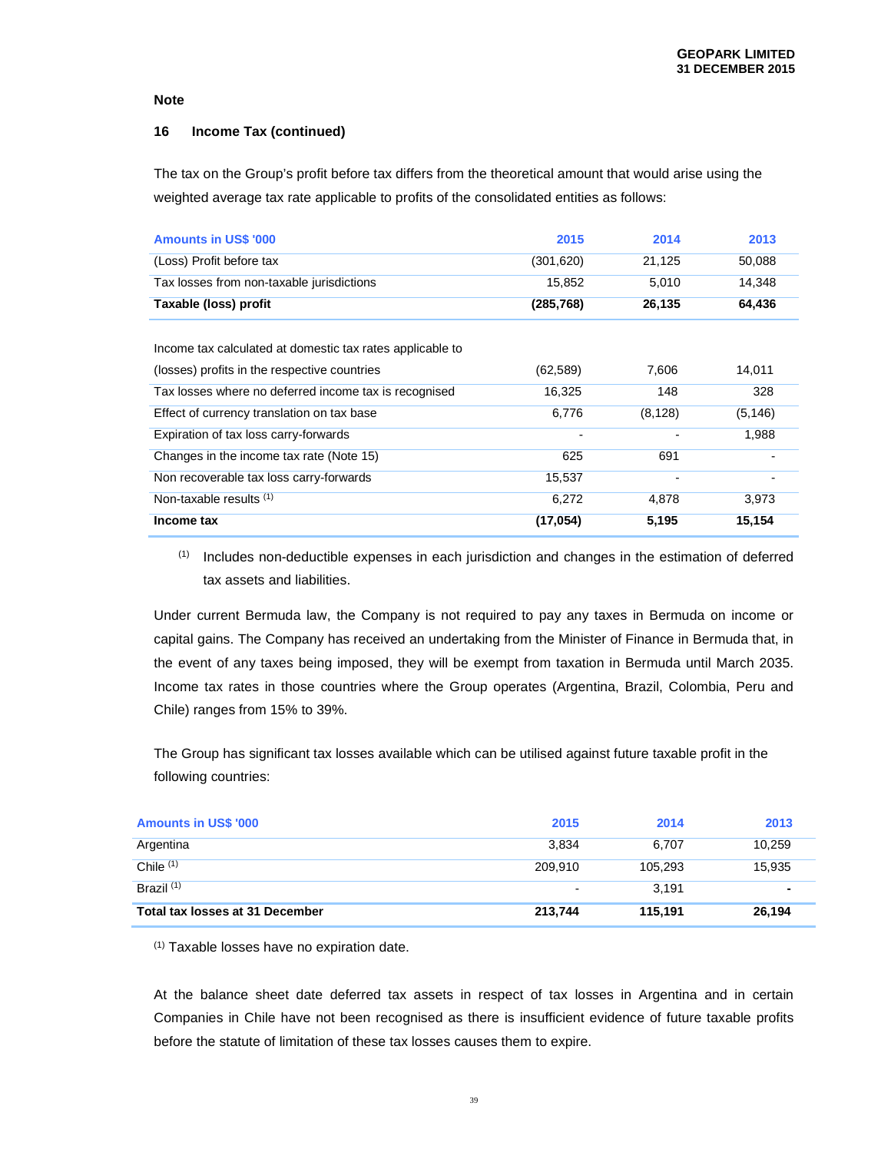#### **16 Income Tax (continued)**

The tax on the Group's profit before tax differs from the theoretical amount that would arise using the weighted average tax rate applicable to profits of the consolidated entities as follows:

| <b>Amounts in US\$ '000</b>                               | 2015      | 2014     | 2013     |
|-----------------------------------------------------------|-----------|----------|----------|
| (Loss) Profit before tax                                  | (301,620) | 21,125   | 50,088   |
| Tax losses from non-taxable jurisdictions                 | 15,852    | 5,010    | 14,348   |
| Taxable (loss) profit                                     | (285,768) | 26,135   | 64,436   |
|                                                           |           |          |          |
| Income tax calculated at domestic tax rates applicable to |           |          |          |
| (losses) profits in the respective countries              | (62,589)  | 7,606    | 14,011   |
| Tax losses where no deferred income tax is recognised     | 16,325    | 148      | 328      |
| Effect of currency translation on tax base                | 6,776     | (8, 128) | (5, 146) |
| Expiration of tax loss carry-forwards                     | -         |          | 1,988    |
| Changes in the income tax rate (Note 15)                  | 625       | 691      |          |
| Non recoverable tax loss carry-forwards                   | 15,537    |          |          |
| Non-taxable results $(1)$                                 | 6,272     | 4,878    | 3,973    |
| Income tax                                                | (17, 054) | 5,195    | 15,154   |

(1) Includes non-deductible expenses in each jurisdiction and changes in the estimation of deferred tax assets and liabilities.

Under current Bermuda law, the Company is not required to pay any taxes in Bermuda on income or capital gains. The Company has received an undertaking from the Minister of Finance in Bermuda that, in the event of any taxes being imposed, they will be exempt from taxation in Bermuda until March 2035. Income tax rates in those countries where the Group operates (Argentina, Brazil, Colombia, Peru and Chile) ranges from 15% to 39%.

The Group has significant tax losses available which can be utilised against future taxable profit in the following countries:

| <b>Amounts in US\$ '000</b>     | 2015    | 2014    | 2013   |
|---------------------------------|---------|---------|--------|
| Argentina                       | 3.834   | 6.707   | 10,259 |
| Chile $(1)$                     | 209.910 | 105.293 | 15,935 |
| Brazil <sup>(1)</sup>           |         | 3.191   | ۰      |
| Total tax losses at 31 December | 213,744 | 115.191 | 26,194 |

(1) Taxable losses have no expiration date.

At the balance sheet date deferred tax assets in respect of tax losses in Argentina and in certain Companies in Chile have not been recognised as there is insufficient evidence of future taxable profits before the statute of limitation of these tax losses causes them to expire.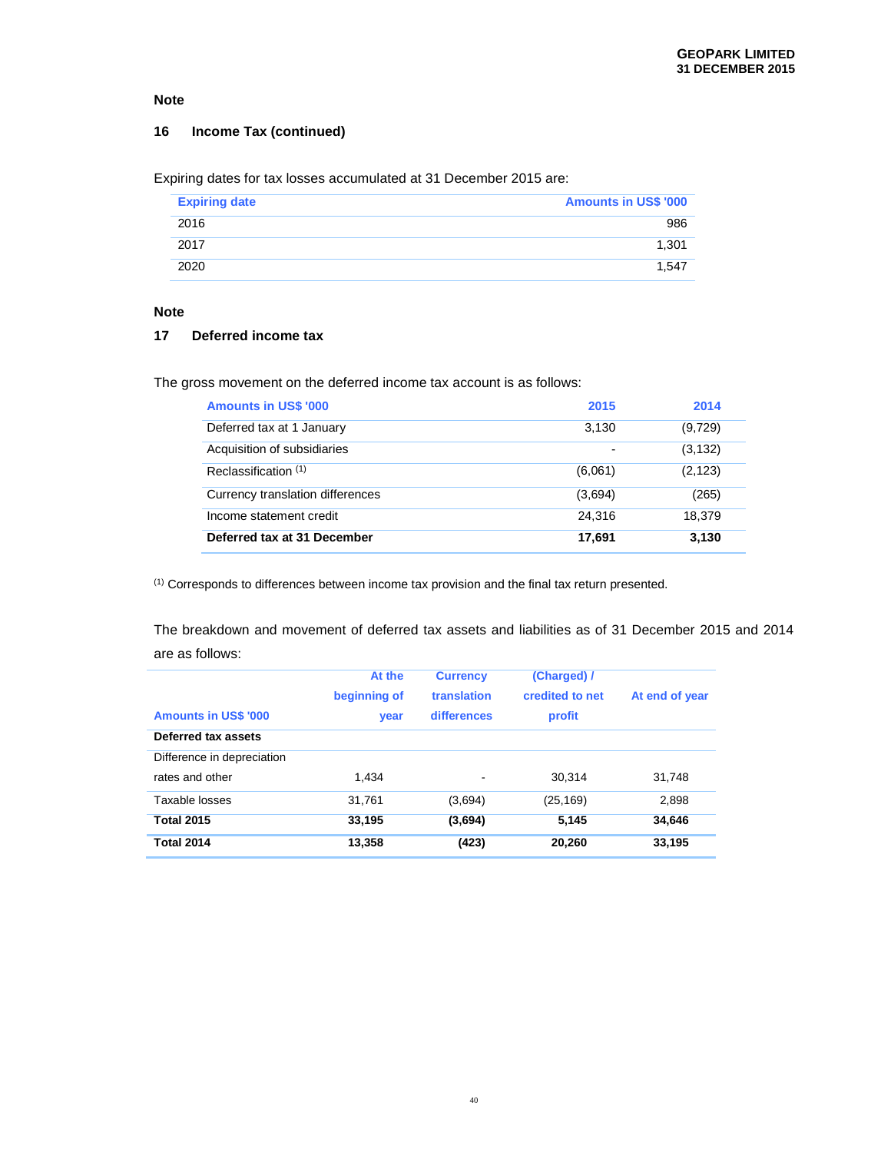### **16 Income Tax (continued)**

Expiring dates for tax losses accumulated at 31 December 2015 are:

| <b>Expiring date</b> | <b>Amounts in US\$ '000</b> |
|----------------------|-----------------------------|
| 2016                 | 986                         |
| 2017                 | 1,301                       |
| 2020                 | 1.547                       |

# **Note**

## **17 Deferred income tax**

The gross movement on the deferred income tax account is as follows:

| <b>Amounts in US\$ '000</b>      | 2015                     | 2014     |
|----------------------------------|--------------------------|----------|
| Deferred tax at 1 January        | 3,130                    | (9,729)  |
| Acquisition of subsidiaries      | $\overline{\phantom{0}}$ | (3, 132) |
| Reclassification <sup>(1)</sup>  | (6,061)                  | (2, 123) |
| Currency translation differences | (3,694)                  | (265)    |
| Income statement credit          | 24.316                   | 18.379   |
| Deferred tax at 31 December      | 17,691                   | 3,130    |

(1) Corresponds to differences between income tax provision and the final tax return presented.

The breakdown and movement of deferred tax assets and liabilities as of 31 December 2015 and 2014 are as follows:

| <b>Amounts in US\$ '000</b> | At the<br>beginning of<br>year | <b>Currency</b><br>translation<br>differences | (Charged) /<br>credited to net<br>profit | At end of year |
|-----------------------------|--------------------------------|-----------------------------------------------|------------------------------------------|----------------|
| Deferred tax assets         |                                |                                               |                                          |                |
| Difference in depreciation  |                                |                                               |                                          |                |
| rates and other             | 1.434                          | ٠                                             | 30.314                                   | 31.748         |
| Taxable losses              | 31,761                         | (3,694)                                       | (25, 169)                                | 2,898          |
| <b>Total 2015</b>           | 33,195                         | (3,694)                                       | 5,145                                    | 34,646         |
| <b>Total 2014</b>           | 13,358                         | (423)                                         | 20,260                                   | 33,195         |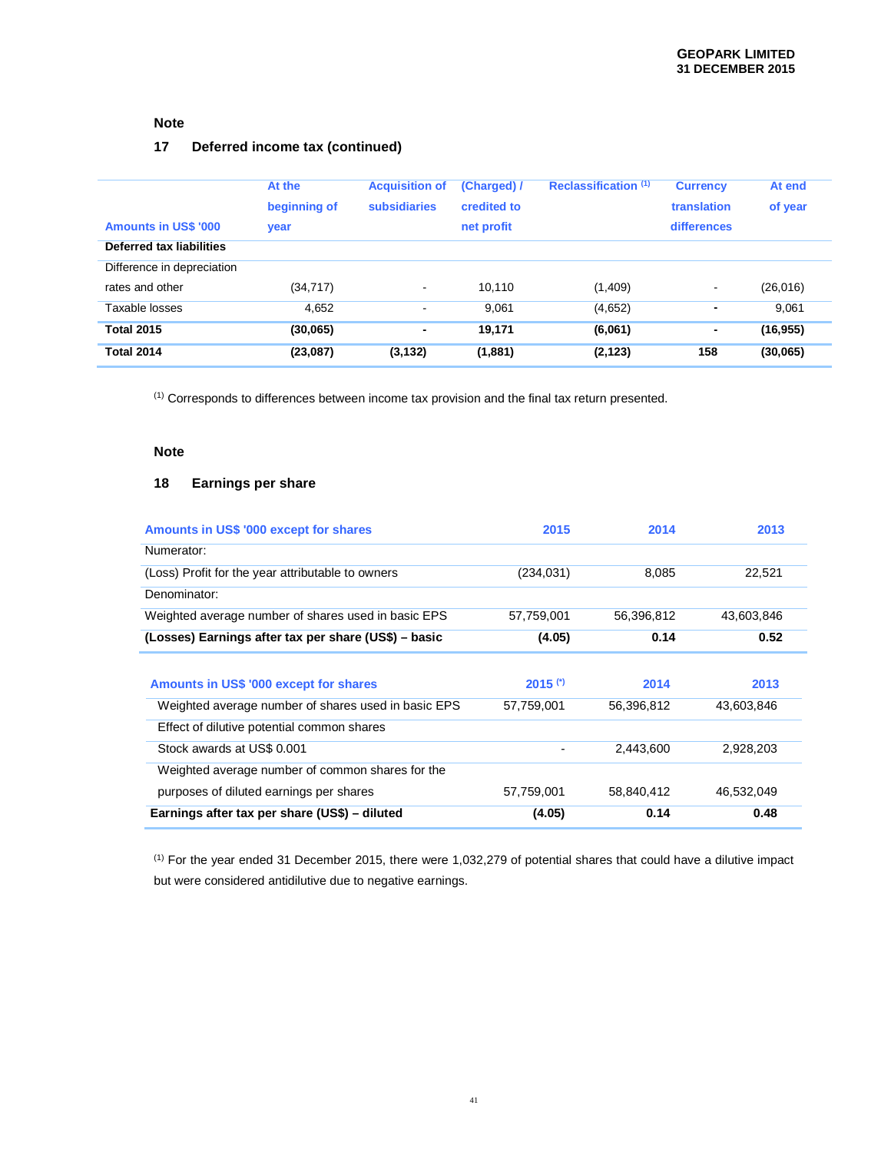# **17 Deferred income tax (continued)**

| <b>Amounts in US\$ '000</b><br>Deferred tax liabilities | At the<br>beginning of<br>year | <b>Acquisition of</b><br>subsidiaries | (Charged) /<br>credited to<br>net profit | Reclassification (1) | <b>Currency</b><br>translation<br>differences | At end<br>of year  |
|---------------------------------------------------------|--------------------------------|---------------------------------------|------------------------------------------|----------------------|-----------------------------------------------|--------------------|
| Difference in depreciation<br>rates and other           | (34, 717)                      | $\blacksquare$                        | 10.110                                   | (1,409)              | $\blacksquare$                                | (26, 016)          |
| Taxable losses<br><b>Total 2015</b>                     | 4,652<br>(30,065)              | $\blacksquare$<br>$\blacksquare$      | 9.061<br>19,171                          | (4,652)<br>(6,061)   | $\blacksquare$<br>$\blacksquare$              | 9.061<br>(16, 955) |
| <b>Total 2014</b>                                       | (23,087)                       | (3, 132)                              | (1,881)                                  | (2, 123)             | 158                                           | (30,065)           |

(1) Corresponds to differences between income tax provision and the final tax return presented.

## **Note**

### **18 Earnings per share**

| Amounts in US\$ '000 except for shares               | 2015       | 2014       | 2013       |
|------------------------------------------------------|------------|------------|------------|
| Numerator:                                           |            |            |            |
| (Loss) Profit for the year attributable to owners    | (234, 031) | 8,085      | 22,521     |
| Denominator:                                         |            |            |            |
| Weighted average number of shares used in basic EPS  | 57,759,001 | 56,396,812 | 43,603,846 |
| (Losses) Earnings after tax per share (US\$) – basic | (4.05)     | 0.14       | 0.52       |
|                                                      |            |            |            |
| Amounts in US\$ '000 except for shares               | $2015$ (*) | 2014       | 2013       |
| Weighted average number of shares used in basic EPS  | 57,759,001 | 56,396,812 | 43,603,846 |
| Effect of dilutive potential common shares           |            |            |            |
| Stock awards at US\$ 0.001                           | -          | 2,443,600  | 2,928,203  |
| Weighted average number of common shares for the     |            |            |            |
| purposes of diluted earnings per shares              | 57,759,001 | 58,840,412 | 46,532,049 |
| Earnings after tax per share (US\$) - diluted        | (4.05)     | 0.14       | 0.48       |

 $(1)$  For the year ended 31 December 2015, there were 1,032,279 of potential shares that could have a dilutive impact but were considered antidilutive due to negative earnings.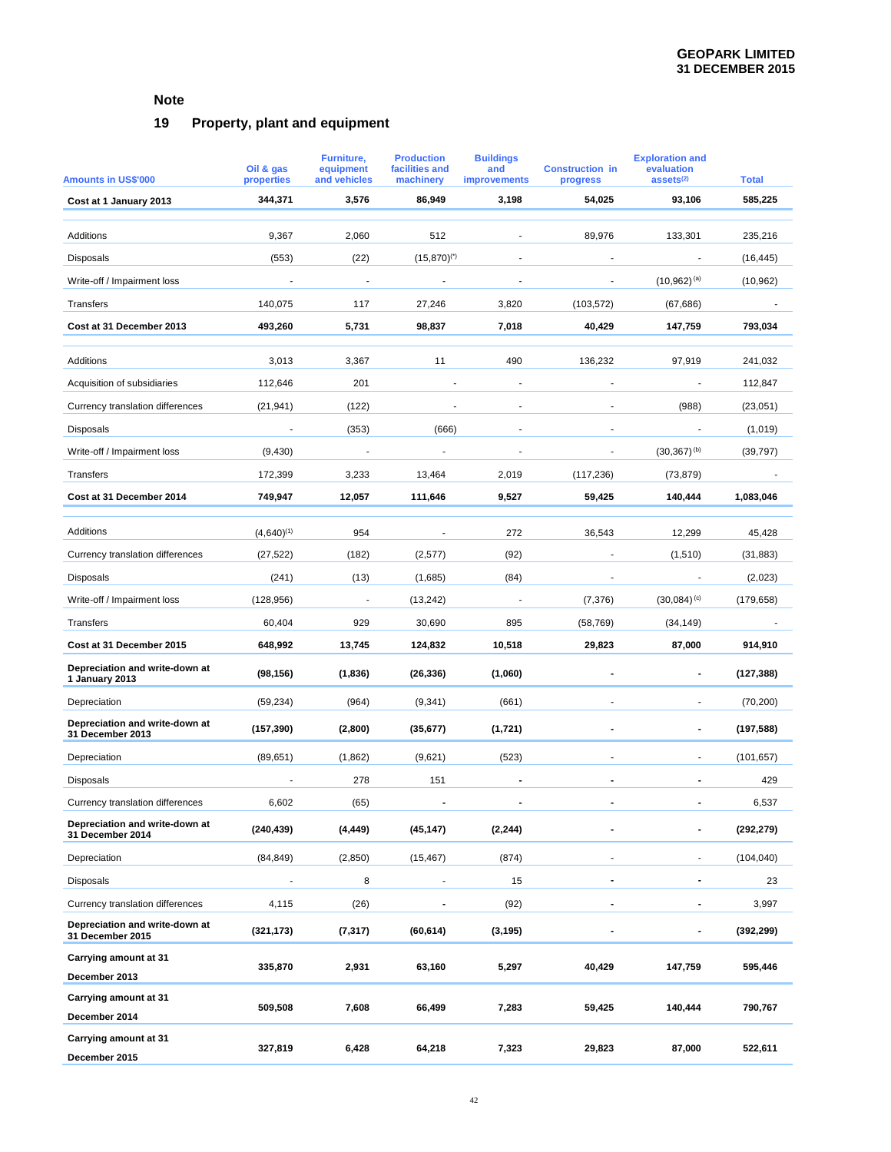# **19 Property, plant and equipment**

| <b>Amounts in US\$'000</b>                         | Oil & gas<br>properties | Furniture,<br>equipment<br>and vehicles | <b>Production</b><br>facilities and<br>machinery | <b>Buildings</b><br>and<br>improvements | <b>Construction in</b><br>progress | <b>Exploration and</b><br>evaluation<br>assets $(2)$ | <b>Total</b> |
|----------------------------------------------------|-------------------------|-----------------------------------------|--------------------------------------------------|-----------------------------------------|------------------------------------|------------------------------------------------------|--------------|
| Cost at 1 January 2013                             | 344,371                 | 3,576                                   | 86,949                                           | 3,198                                   | 54,025                             | 93,106                                               | 585,225      |
|                                                    |                         |                                         |                                                  |                                         |                                    |                                                      |              |
| Additions                                          | 9,367                   | 2,060                                   | 512                                              |                                         | 89,976                             | 133,301                                              | 235,216      |
| Disposals                                          | (553)                   | (22)                                    | $(15,870)^{(*)}$                                 |                                         |                                    |                                                      | (16, 445)    |
| Write-off / Impairment loss                        | $\overline{a}$          | $\overline{\phantom{a}}$                | $\overline{\phantom{a}}$                         | $\overline{\phantom{a}}$                | $\overline{\phantom{a}}$           | $(10,962)^{(a)}$                                     | (10, 962)    |
| Transfers                                          | 140,075                 | 117                                     | 27,246                                           | 3,820                                   | (103, 572)                         | (67, 686)                                            |              |
| Cost at 31 December 2013                           | 493,260                 | 5,731                                   | 98,837                                           | 7,018                                   | 40,429                             | 147,759                                              | 793,034      |
| Additions                                          | 3,013                   | 3,367                                   | 11                                               | 490                                     | 136,232                            | 97,919                                               | 241,032      |
| Acquisition of subsidiaries                        | 112,646                 | 201                                     |                                                  |                                         | ÷,                                 | $\overline{\phantom{a}}$                             | 112,847      |
| Currency translation differences                   | (21, 941)               | (122)                                   |                                                  |                                         |                                    | (988)                                                | (23,051)     |
| <b>Disposals</b>                                   | $\blacksquare$          | (353)                                   | (666)                                            | $\overline{\phantom{a}}$                | $\blacksquare$                     | $\overline{\phantom{a}}$                             | (1,019)      |
| Write-off / Impairment loss                        | (9, 430)                | $\overline{\phantom{a}}$                | $\overline{\phantom{a}}$                         |                                         | $\blacksquare$                     | $(30,367)^{(b)}$                                     | (39, 797)    |
| Transfers                                          | 172,399                 | 3,233                                   | 13,464                                           | 2,019                                   | (117, 236)                         | (73, 879)                                            |              |
| Cost at 31 December 2014                           | 749,947                 | 12,057                                  | 111,646                                          | 9,527                                   | 59,425                             | 140,444                                              | 1,083,046    |
|                                                    |                         |                                         |                                                  |                                         |                                    |                                                      |              |
| Additions                                          | $(4,640)^{(1)}$         | 954                                     | $\overline{a}$                                   | 272                                     | 36,543                             | 12,299                                               | 45,428       |
| Currency translation differences                   | (27, 522)               | (182)                                   | (2,577)                                          | (92)                                    |                                    | (1,510)                                              | (31, 883)    |
| <b>Disposals</b>                                   | (241)                   | (13)                                    | (1,685)                                          | (84)                                    | $\blacksquare$                     | $\overline{\phantom{a}}$                             | (2,023)      |
| Write-off / Impairment loss                        | (128, 956)              | $\overline{\phantom{a}}$                | (13, 242)                                        | $\overline{\phantom{a}}$                | (7, 376)                           | $(30,084)$ <sup>(c)</sup>                            | (179, 658)   |
| Transfers                                          | 60,404                  | 929                                     | 30,690                                           | 895                                     | (58, 769)                          | (34, 149)                                            |              |
| Cost at 31 December 2015                           | 648,992                 | 13,745                                  | 124,832                                          | 10,518                                  | 29,823                             | 87,000                                               | 914,910      |
| Depreciation and write-down at<br>1 January 2013   | (98, 156)               | (1,836)                                 | (26, 336)                                        | (1,060)                                 | $\blacksquare$                     | $\blacksquare$                                       | (127, 388)   |
| Depreciation                                       | (59, 234)               | (964)                                   | (9, 341)                                         | (661)                                   |                                    |                                                      | (70, 200)    |
| Depreciation and write-down at<br>31 December 2013 | (157, 390)              | (2,800)                                 | (35, 677)                                        | (1,721)                                 |                                    |                                                      | (197, 588)   |
| Depreciation                                       | (89, 651)               | (1,862)                                 | (9,621)                                          | (523)                                   |                                    | $\blacksquare$                                       | (101, 657)   |
| <b>Disposals</b>                                   | $\overline{a}$          | 278                                     | 151                                              |                                         |                                    | $\blacksquare$                                       | 429          |
| Currency translation differences                   | 6,602                   | (65)                                    |                                                  |                                         |                                    |                                                      | 6,537        |
| Depreciation and write-down at<br>31 December 2014 | (240, 439)              | (4, 449)                                | (45, 147)                                        | (2, 244)                                | $\blacksquare$                     |                                                      | (292, 279)   |
| Depreciation                                       | (84, 849)               | (2, 850)                                | (15, 467)                                        | (874)                                   | $\blacksquare$                     | $\blacksquare$                                       | (104, 040)   |
| <b>Disposals</b>                                   |                         | 8                                       |                                                  | 15                                      | $\blacksquare$                     | $\blacksquare$                                       | 23           |
| Currency translation differences                   | 4,115                   | (26)                                    |                                                  | (92)                                    |                                    |                                                      | 3,997        |
| Depreciation and write-down at<br>31 December 2015 | (321, 173)              | (7, 317)                                | (60, 614)                                        | (3, 195)                                |                                    |                                                      | (392,299)    |
| Carrying amount at 31                              | 335,870                 | 2,931                                   | 63,160                                           | 5,297                                   | 40,429                             | 147,759                                              | 595,446      |
| December 2013                                      |                         |                                         |                                                  |                                         |                                    |                                                      |              |
| Carrying amount at 31<br>December 2014             | 509,508                 | 7,608                                   | 66,499                                           | 7,283                                   | 59,425                             | 140,444                                              | 790,767      |
| Carrying amount at 31                              |                         |                                         |                                                  |                                         |                                    |                                                      |              |
| December 2015                                      | 327,819                 | 6,428                                   | 64,218                                           | 7,323                                   | 29,823                             | 87,000                                               | 522,611      |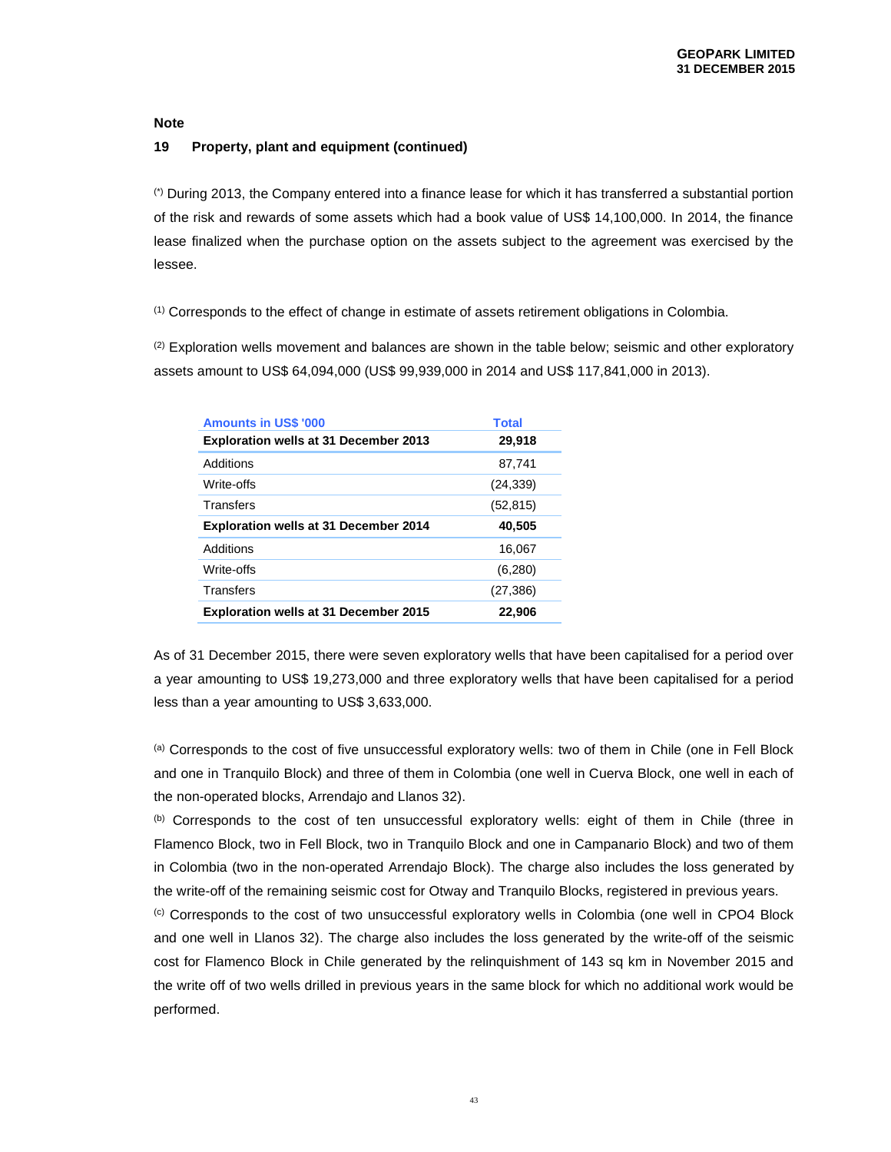### **19 Property, plant and equipment (continued)**

(\*) During 2013, the Company entered into a finance lease for which it has transferred a substantial portion of the risk and rewards of some assets which had a book value of US\$ 14,100,000. In 2014, the finance lease finalized when the purchase option on the assets subject to the agreement was exercised by the lessee.

(1) Corresponds to the effect of change in estimate of assets retirement obligations in Colombia.

 $(2)$  Exploration wells movement and balances are shown in the table below; seismic and other exploratory assets amount to US\$ 64,094,000 (US\$ 99,939,000 in 2014 and US\$ 117,841,000 in 2013).

| <b>Amounts in US\$ '000</b>                  | <b>Total</b> |
|----------------------------------------------|--------------|
| <b>Exploration wells at 31 December 2013</b> | 29,918       |
| Additions                                    | 87,741       |
| Write-offs                                   | (24, 339)    |
| Transfers                                    | (52, 815)    |
| <b>Exploration wells at 31 December 2014</b> | 40,505       |
| Additions                                    | 16.067       |
| Write-offs                                   | (6,280)      |
| Transfers                                    | (27, 386)    |
| <b>Exploration wells at 31 December 2015</b> | 22,906       |

As of 31 December 2015, there were seven exploratory wells that have been capitalised for a period over a year amounting to US\$ 19,273,000 and three exploratory wells that have been capitalised for a period less than a year amounting to US\$ 3,633,000.

(a) Corresponds to the cost of five unsuccessful exploratory wells: two of them in Chile (one in Fell Block and one in Tranquilo Block) and three of them in Colombia (one well in Cuerva Block, one well in each of the non-operated blocks, Arrendajo and Llanos 32).

(b) Corresponds to the cost of ten unsuccessful exploratory wells: eight of them in Chile (three in Flamenco Block, two in Fell Block, two in Tranquilo Block and one in Campanario Block) and two of them in Colombia (two in the non-operated Arrendajo Block). The charge also includes the loss generated by the write-off of the remaining seismic cost for Otway and Tranquilo Blocks, registered in previous years.

(c) Corresponds to the cost of two unsuccessful exploratory wells in Colombia (one well in CPO4 Block and one well in Llanos 32). The charge also includes the loss generated by the write-off of the seismic cost for Flamenco Block in Chile generated by the relinquishment of 143 sq km in November 2015 and the write off of two wells drilled in previous years in the same block for which no additional work would be performed.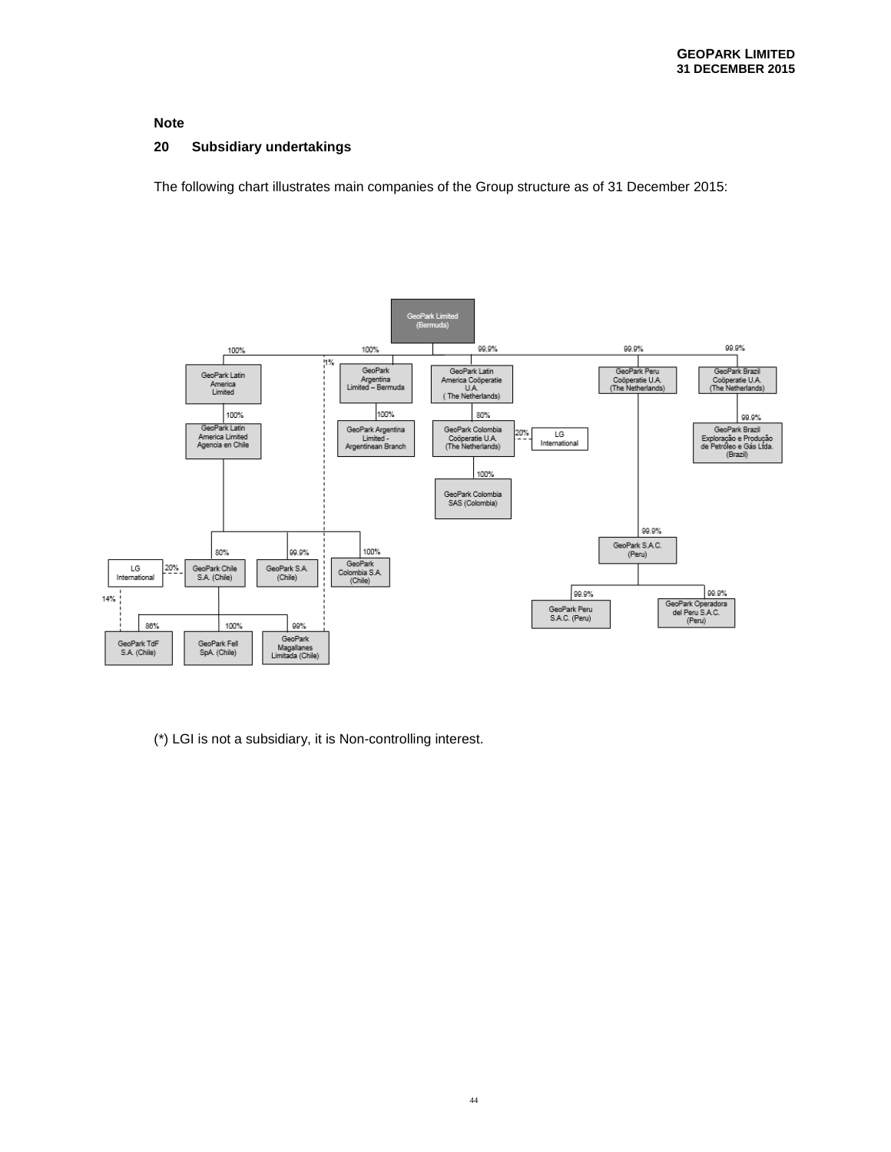### **20 Subsidiary undertakings**

The following chart illustrates main companies of the Group structure as of 31 December 2015:



(\*) LGI is not a subsidiary, it is Non-controlling interest.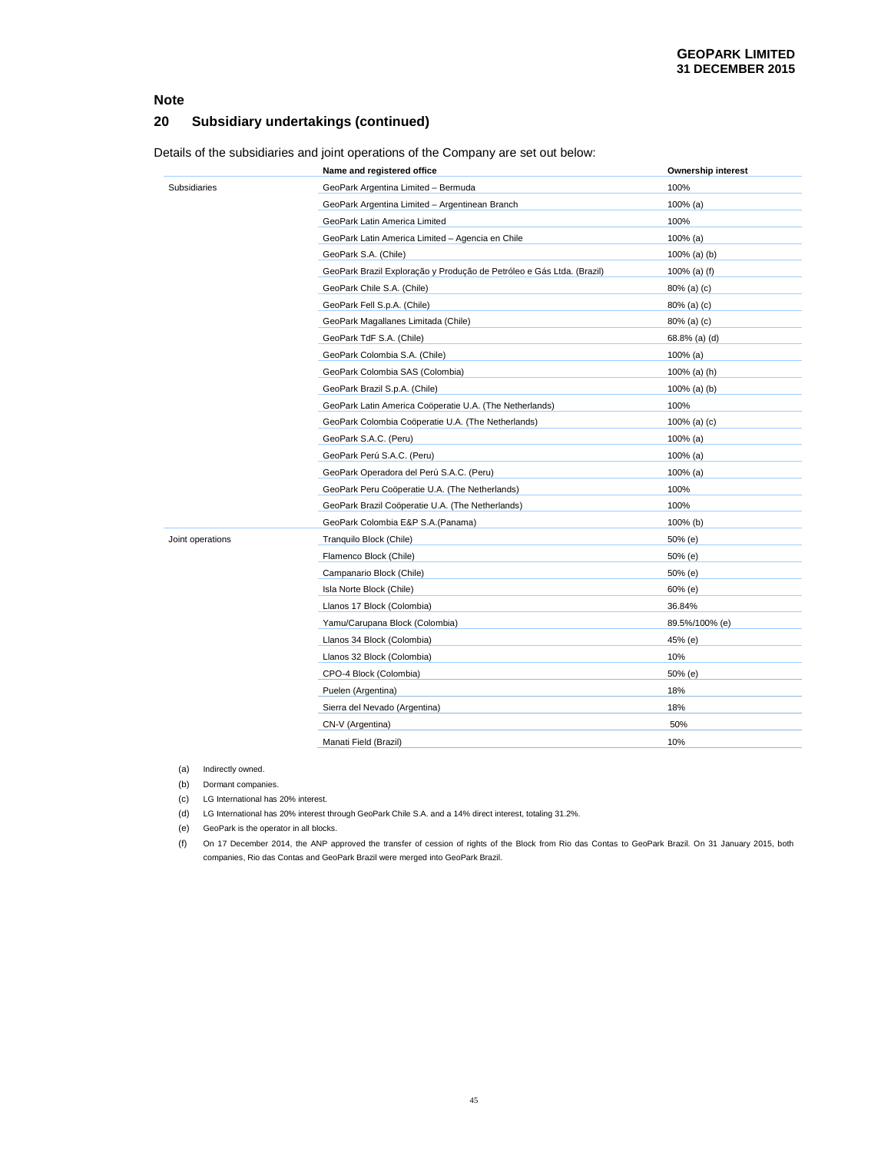### **20 Subsidiary undertakings (continued)**

Details of the subsidiaries and joint operations of the Company are set out below:

|                  | Name and registered office                                            | <b>Ownership interest</b> |
|------------------|-----------------------------------------------------------------------|---------------------------|
| Subsidiaries     | GeoPark Argentina Limited - Bermuda                                   | 100%                      |
|                  | GeoPark Argentina Limited - Argentinean Branch                        | $100\%$ (a)               |
|                  | GeoPark Latin America Limited                                         | 100%                      |
|                  | GeoPark Latin America Limited - Agencia en Chile                      | $100\%$ (a)               |
|                  | GeoPark S.A. (Chile)                                                  | $100\%$ (a) (b)           |
|                  | GeoPark Brazil Exploração y Produção de Petróleo e Gás Ltda. (Brazil) | 100% (a) (f)              |
|                  | GeoPark Chile S.A. (Chile)                                            | 80% (a) (c)               |
|                  | GeoPark Fell S.p.A. (Chile)                                           | 80% (a) (c)               |
|                  | GeoPark Magallanes Limitada (Chile)                                   | $80\%$ (a) (c)            |
|                  | GeoPark TdF S.A. (Chile)                                              | 68.8% (a) (d)             |
|                  | GeoPark Colombia S.A. (Chile)                                         | $100\%$ (a)               |
|                  | GeoPark Colombia SAS (Colombia)                                       | 100% (a) (h)              |
|                  | GeoPark Brazil S.p.A. (Chile)                                         | $100\%$ (a) (b)           |
|                  | GeoPark Latin America Coöperatie U.A. (The Netherlands)               | 100%                      |
|                  | GeoPark Colombia Coöperatie U.A. (The Netherlands)                    | 100% (a) $(c)$            |
|                  | GeoPark S.A.C. (Peru)                                                 | $100\%$ (a)               |
|                  | GeoPark Perú S.A.C. (Peru)                                            | $100\%$ (a)               |
|                  | GeoPark Operadora del Perú S.A.C. (Peru)                              | $100\%$ (a)               |
|                  | GeoPark Peru Coöperatie U.A. (The Netherlands)                        | 100%                      |
|                  | GeoPark Brazil Coöperatie U.A. (The Netherlands)                      | 100%                      |
|                  | GeoPark Colombia E&P S.A.(Panama)                                     | 100% (b)                  |
| Joint operations | Tranquilo Block (Chile)                                               | 50% (e)                   |
|                  | Flamenco Block (Chile)                                                | 50% (e)                   |
|                  | Campanario Block (Chile)                                              | 50% (e)                   |
|                  | Isla Norte Block (Chile)                                              | $60%$ (e)                 |
|                  | Llanos 17 Block (Colombia)                                            | 36.84%                    |
|                  | Yamu/Carupana Block (Colombia)                                        | 89.5%/100% (e)            |
|                  | Llanos 34 Block (Colombia)                                            | 45% (e)                   |
|                  | Llanos 32 Block (Colombia)                                            | 10%                       |
|                  | CPO-4 Block (Colombia)                                                | 50% (e)                   |
|                  | Puelen (Argentina)                                                    | 18%                       |
|                  | Sierra del Nevado (Argentina)                                         | 18%                       |
|                  | CN-V (Argentina)                                                      | 50%                       |
|                  | Manati Field (Brazil)                                                 | 10%                       |

(a) Indirectly owned.

(b) Dormant companies.

(c) LG International has 20% interest.

(d) LG International has 20% interest through GeoPark Chile S.A. and a 14% direct interest, totaling 31.2%.

(e) GeoPark is the operator in all blocks.

(f) On 17 December 2014, the ANP approved the transfer of cession of rights of the Block from Rio das Contas to GeoPark Brazil. On 31 January 2015, both companies, Rio das Contas and GeoPark Brazil were merged into GeoPark Brazil.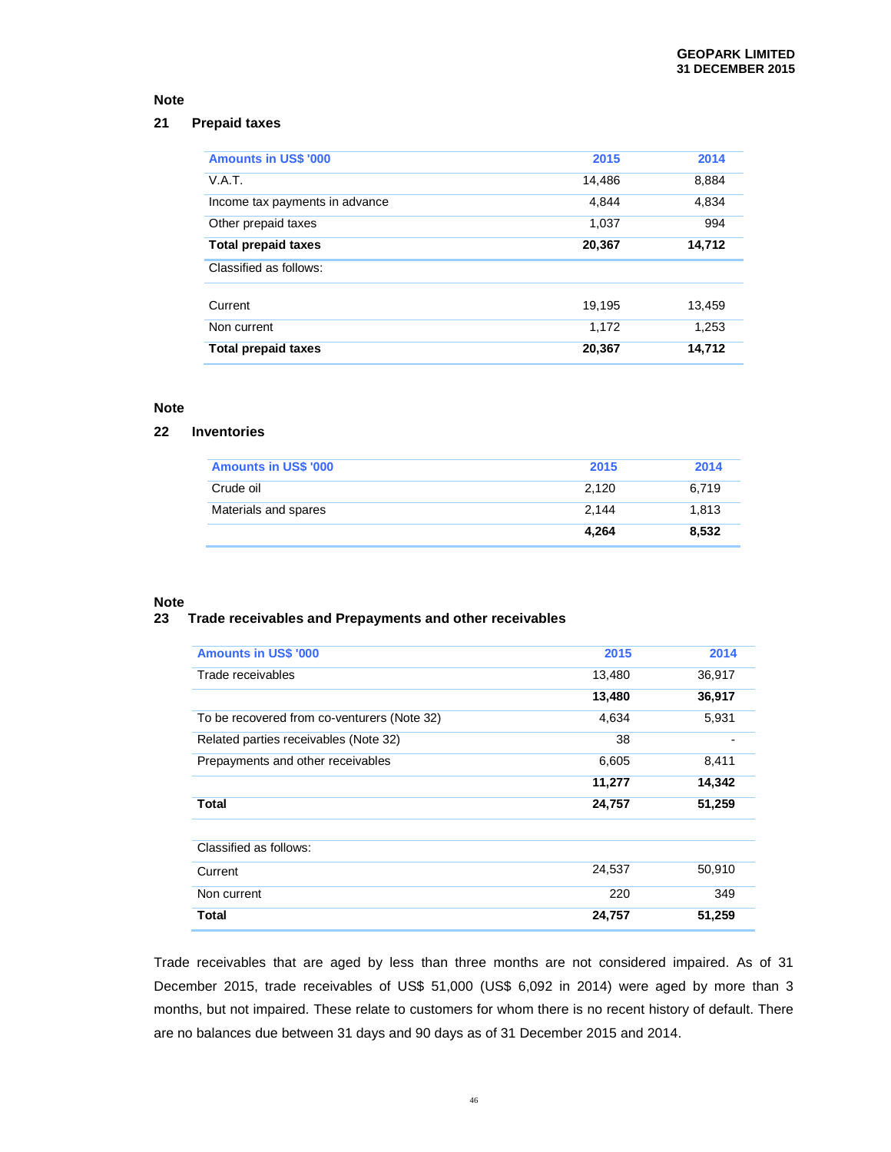### **21 Prepaid taxes**

| <b>Amounts in US\$ '000</b>    | 2015   | 2014   |
|--------------------------------|--------|--------|
| V.A.T.                         | 14,486 | 8,884  |
| Income tax payments in advance | 4.844  | 4,834  |
| Other prepaid taxes            | 1,037  | 994    |
| <b>Total prepaid taxes</b>     | 20,367 | 14,712 |
| Classified as follows:         |        |        |
|                                |        |        |
| Current                        | 19.195 | 13,459 |
| Non current                    | 1,172  | 1,253  |

### **Note**

### **22 Inventories**

| <b>Amounts in US\$ '000</b> | 2015  | 2014  |
|-----------------------------|-------|-------|
| Crude oil                   | 2.120 | 6.719 |
| Materials and spares        | 2.144 | 1.813 |
|                             | 4.264 | 8,532 |

#### **Note**

#### **23 Trade receivables and Prepayments and other receivables**

| <b>Amounts in US\$ '000</b>                 | 2015   | 2014   |
|---------------------------------------------|--------|--------|
| Trade receivables                           | 13,480 | 36,917 |
|                                             | 13,480 | 36,917 |
| To be recovered from co-venturers (Note 32) | 4,634  | 5,931  |
| Related parties receivables (Note 32)       | 38     |        |
| Prepayments and other receivables           | 6,605  | 8,411  |
|                                             | 11,277 | 14,342 |
| Total                                       | 24,757 | 51,259 |
|                                             |        |        |
| Classified as follows:                      |        |        |
| Current                                     | 24,537 | 50,910 |
| Non current                                 | 220    | 349    |
| Total                                       | 24,757 | 51,259 |

Trade receivables that are aged by less than three months are not considered impaired. As of 31 December 2015, trade receivables of US\$ 51,000 (US\$ 6,092 in 2014) were aged by more than 3 months, but not impaired. These relate to customers for whom there is no recent history of default. There are no balances due between 31 days and 90 days as of 31 December 2015 and 2014.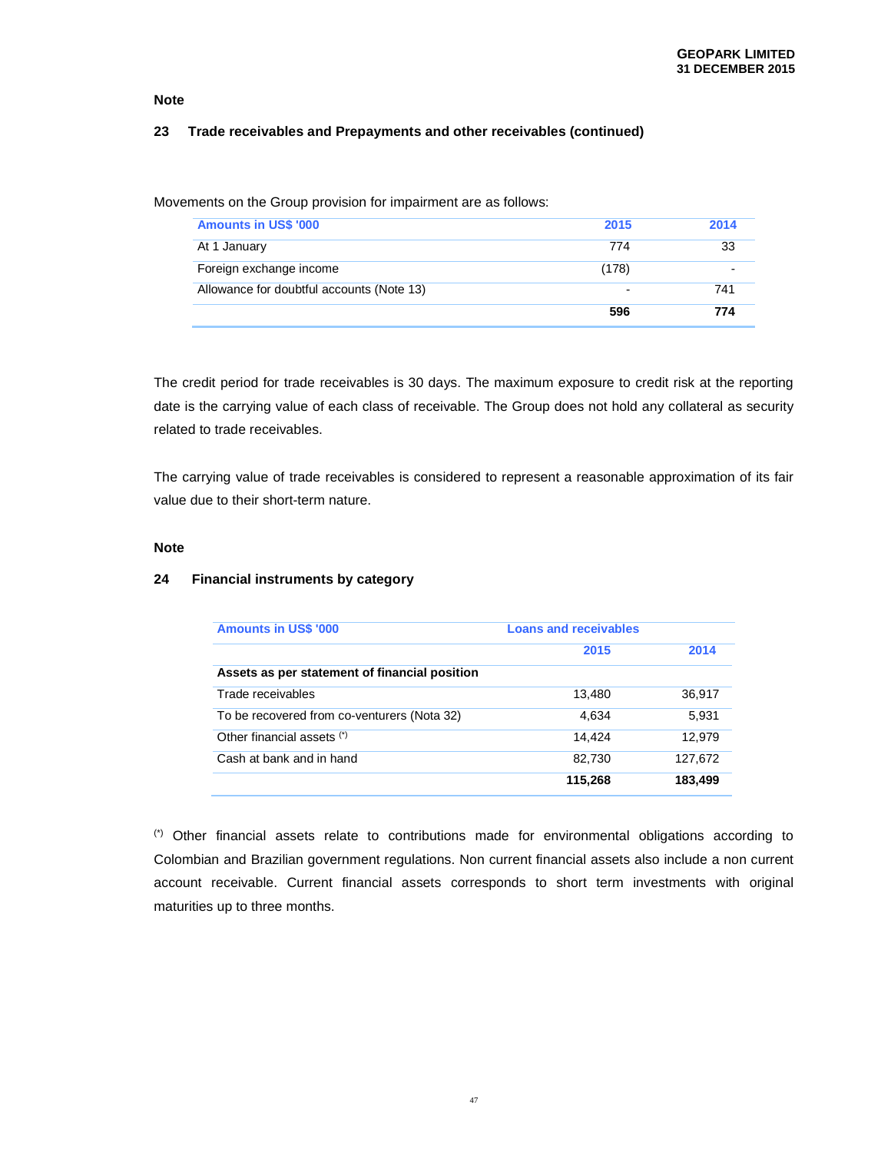#### **23 Trade receivables and Prepayments and other receivables (continued)**

Movements on the Group provision for impairment are as follows:

| <b>Amounts in US\$ '000</b>               | 2015                     | 2014 |
|-------------------------------------------|--------------------------|------|
| At 1 January                              | 774                      | -33  |
| Foreign exchange income                   | (178)                    |      |
| Allowance for doubtful accounts (Note 13) | $\overline{\phantom{0}}$ | 741  |
|                                           | 596                      | 774  |

The credit period for trade receivables is 30 days. The maximum exposure to credit risk at the reporting date is the carrying value of each class of receivable. The Group does not hold any collateral as security related to trade receivables.

The carrying value of trade receivables is considered to represent a reasonable approximation of its fair value due to their short-term nature.

#### **Note**

#### **24 Financial instruments by category**

| <b>Amounts in US\$ '000</b>                   | <b>Loans and receivables</b> |         |
|-----------------------------------------------|------------------------------|---------|
|                                               | 2015                         | 2014    |
| Assets as per statement of financial position |                              |         |
| Trade receivables                             | 13.480                       | 36.917  |
| To be recovered from co-venturers (Nota 32)   | 4.634                        | 5,931   |
| Other financial assets (*)                    | 14.424                       | 12,979  |
| Cash at bank and in hand                      | 82,730                       | 127,672 |
|                                               | 115,268                      | 183.499 |

(\*) Other financial assets relate to contributions made for environmental obligations according to Colombian and Brazilian government regulations. Non current financial assets also include a non current account receivable. Current financial assets corresponds to short term investments with original maturities up to three months.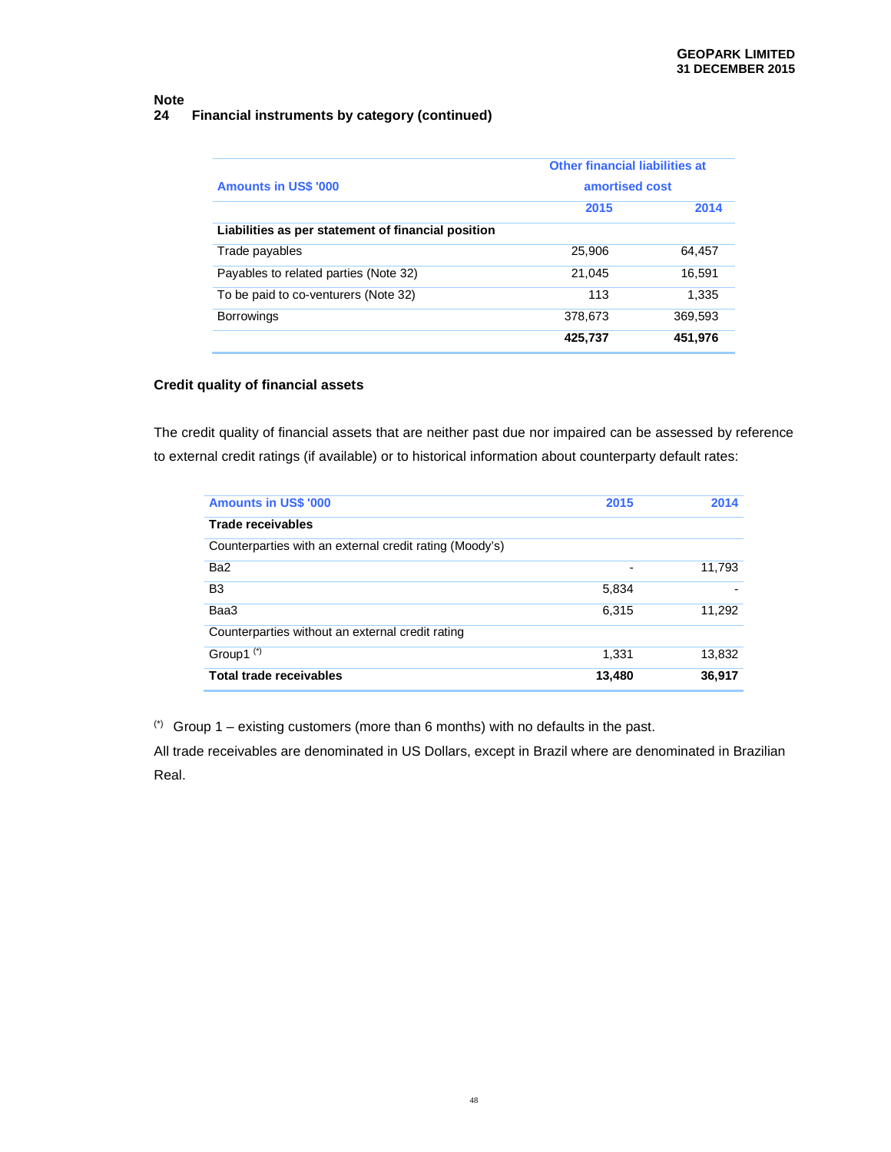### **Note 24 Financial instruments by category (continued)**

| <b>Amounts in US\$ '000</b>                        | <b>Other financial liabilities at</b><br>amortised cost |         |
|----------------------------------------------------|---------------------------------------------------------|---------|
|                                                    | 2015                                                    | 2014    |
| Liabilities as per statement of financial position |                                                         |         |
| Trade payables                                     | 25,906                                                  | 64.457  |
| Payables to related parties (Note 32)              | 21,045                                                  | 16,591  |
| To be paid to co-venturers (Note 32)               | 113                                                     | 1,335   |
| <b>Borrowings</b>                                  | 378.673                                                 | 369.593 |
|                                                    | 425,737                                                 | 451,976 |

# **Credit quality of financial assets**

The credit quality of financial assets that are neither past due nor impaired can be assessed by reference to external credit ratings (if available) or to historical information about counterparty default rates:

| <b>Amounts in US\$ '000</b>                             | 2015           | 2014   |
|---------------------------------------------------------|----------------|--------|
| Trade receivables                                       |                |        |
| Counterparties with an external credit rating (Moody's) |                |        |
| Ba <sub>2</sub>                                         | $\blacksquare$ | 11.793 |
| B <sub>3</sub>                                          | 5,834          |        |
| Baa3                                                    | 6.315          | 11,292 |
| Counterparties without an external credit rating        |                |        |
| Group1 $(*)$                                            | 1.331          | 13,832 |
| Total trade receivables                                 | 13,480         | 36,917 |

(\*) Group 1 – existing customers (more than 6 months) with no defaults in the past.

All trade receivables are denominated in US Dollars, except in Brazil where are denominated in Brazilian Real.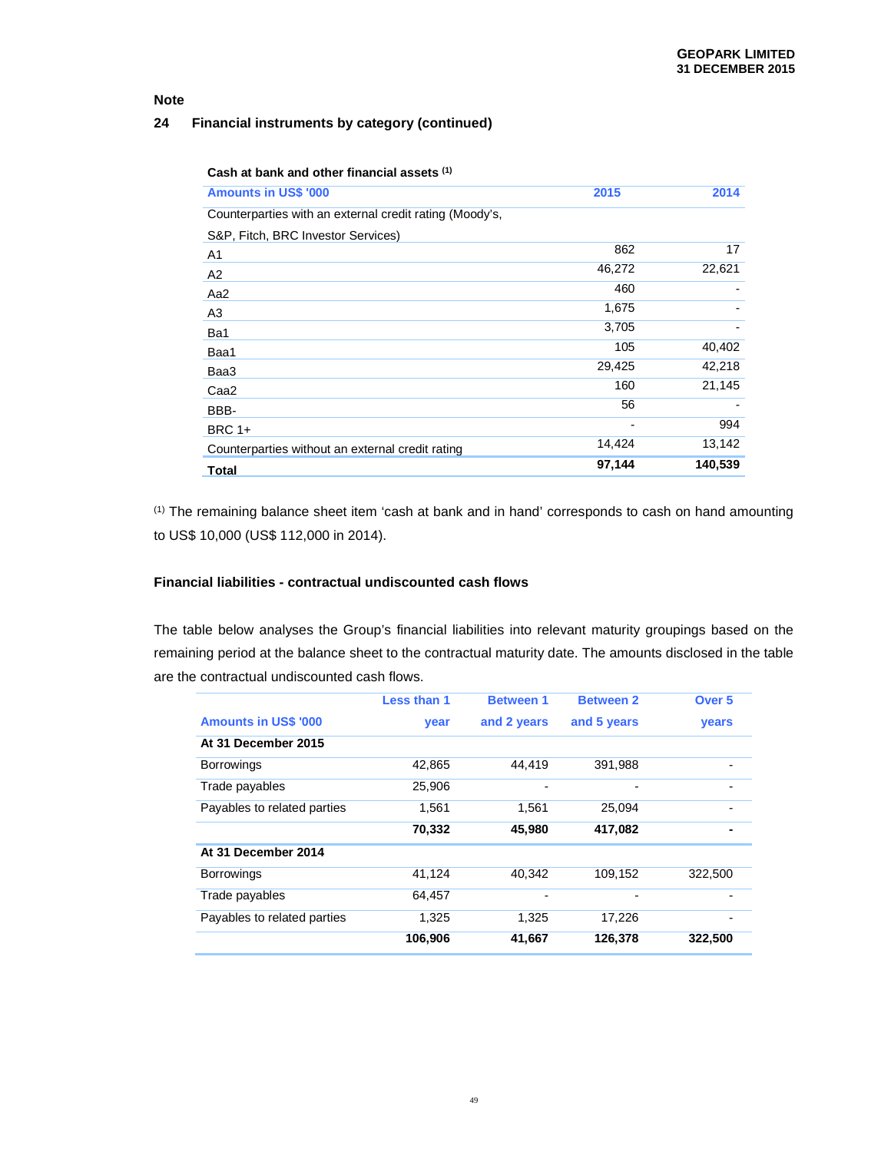# **24 Financial instruments by category (continued)**

| <b>Amounts in US\$ '000</b>                             | 2015   | 2014    |
|---------------------------------------------------------|--------|---------|
| Counterparties with an external credit rating (Moody's, |        |         |
| S&P, Fitch, BRC Investor Services)                      |        |         |
| A1                                                      | 862    | 17      |
| A2                                                      | 46,272 | 22,621  |
| Aa2                                                     | 460    |         |
| A3                                                      | 1,675  |         |
| Ba1                                                     | 3,705  |         |
| Baa1                                                    | 105    | 40,402  |
| Baa3                                                    | 29,425 | 42,218  |
| Caa <sub>2</sub>                                        | 160    | 21,145  |
| BBB-                                                    | 56     |         |
| <b>BRC 1+</b>                                           |        | 994     |
| Counterparties without an external credit rating        | 14,424 | 13,142  |
| Total                                                   | 97,144 | 140,539 |

(1) The remaining balance sheet item 'cash at bank and in hand' corresponds to cash on hand amounting to US\$ 10,000 (US\$ 112,000 in 2014).

#### **Financial liabilities - contractual undiscounted cash flows**

The table below analyses the Group's financial liabilities into relevant maturity groupings based on the remaining period at the balance sheet to the contractual maturity date. The amounts disclosed in the table are the contractual undiscounted cash flows.

|                             | Less than 1 | <b>Between 1</b> | <b>Between 2</b> | Over <sub>5</sub> |
|-----------------------------|-------------|------------------|------------------|-------------------|
| <b>Amounts in US\$ '000</b> | year        | and 2 years      | and 5 years      | <b>vears</b>      |
| At 31 December 2015         |             |                  |                  |                   |
| <b>Borrowings</b>           | 42,865      | 44,419           | 391,988          |                   |
| Trade payables              | 25,906      | $\overline{a}$   | ۰                |                   |
| Payables to related parties | 1.561       | 1.561            | 25.094           |                   |
|                             | 70,332      | 45,980           | 417,082          |                   |
| At 31 December 2014         |             |                  |                  |                   |
| <b>Borrowings</b>           | 41,124      | 40,342           | 109,152          | 322,500           |
| Trade payables              | 64,457      |                  |                  |                   |
| Payables to related parties | 1,325       | 1,325            | 17,226           |                   |
|                             | 106,906     | 41,667           | 126,378          | 322,500           |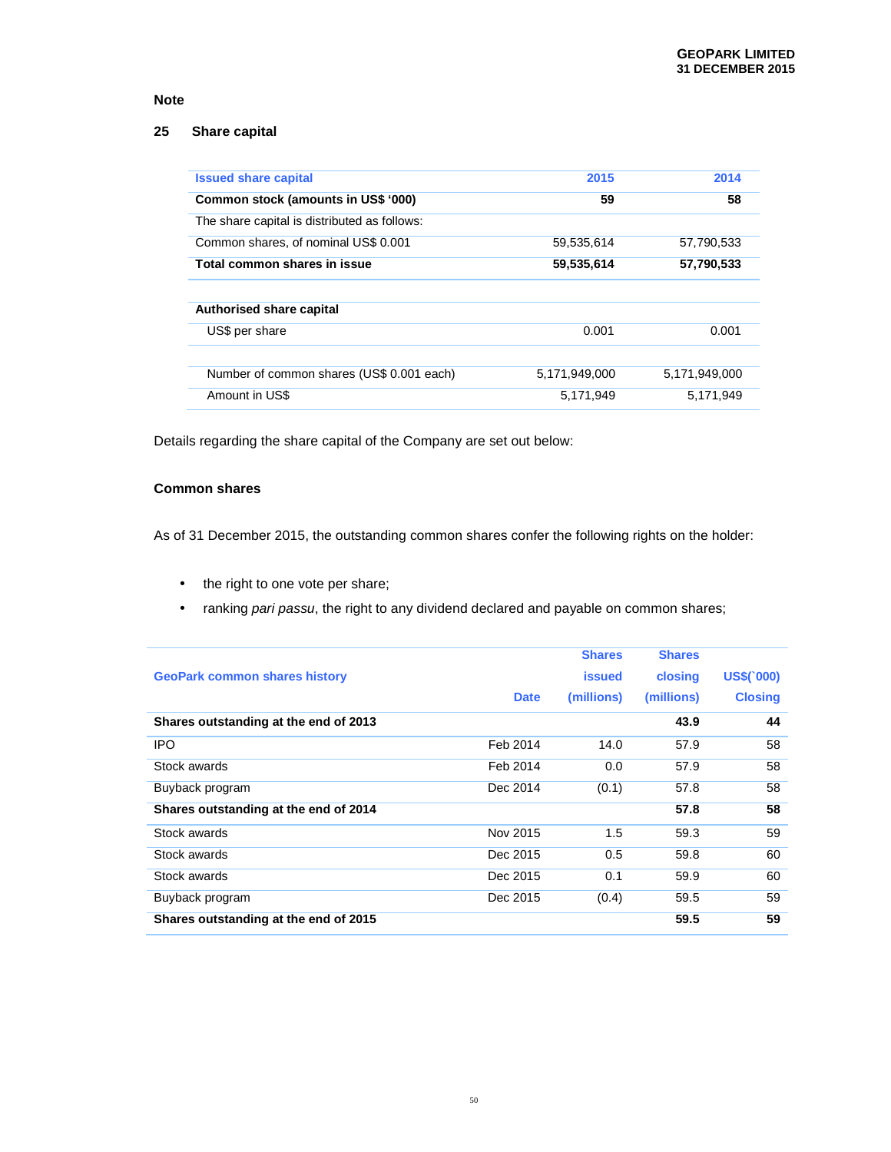### **25 Share capital**

| <b>Issued share capital</b>                  | 2015          | 2014          |
|----------------------------------------------|---------------|---------------|
| Common stock (amounts in US\$ '000)          | 59            | 58            |
| The share capital is distributed as follows: |               |               |
| Common shares, of nominal US\$ 0.001         | 59.535.614    | 57.790.533    |
| Total common shares in issue                 | 59,535,614    | 57,790,533    |
|                                              |               |               |
| <b>Authorised share capital</b>              |               |               |
| US\$ per share                               | 0.001         | 0.001         |
|                                              |               |               |
| Number of common shares (US\$ 0.001 each)    | 5,171,949,000 | 5,171,949,000 |
|                                              |               |               |

Details regarding the share capital of the Company are set out below:

### **Common shares**

As of 31 December 2015, the outstanding common shares confer the following rights on the holder:

- the right to one vote per share;
- ranking pari passu, the right to any dividend declared and payable on common shares;

| <b>GeoPark common shares history</b><br>Shares outstanding at the end of 2013 | <b>Date</b> | <b>Shares</b><br><b>issued</b><br>(millions) | <b>Shares</b><br>closing<br>(millions)<br>43.9 | <b>US\$(`000)</b><br><b>Closing</b><br>44 |
|-------------------------------------------------------------------------------|-------------|----------------------------------------------|------------------------------------------------|-------------------------------------------|
| <b>IPO</b>                                                                    | Feb 2014    | 14.0                                         | 57.9                                           | 58                                        |
| Stock awards                                                                  | Feb 2014    | 0.0                                          | 57.9                                           | 58                                        |
| Buyback program                                                               | Dec 2014    | (0.1)                                        | 57.8                                           | 58                                        |
| Shares outstanding at the end of 2014                                         |             |                                              | 57.8                                           | 58                                        |
| Stock awards                                                                  | Nov 2015    | 1.5                                          | 59.3                                           | 59                                        |
| Stock awards                                                                  | Dec 2015    | 0.5                                          | 59.8                                           | 60                                        |
| Stock awards                                                                  | Dec 2015    | 0.1                                          | 59.9                                           | 60                                        |
| Buyback program                                                               | Dec 2015    | (0.4)                                        | 59.5                                           | 59                                        |
| Shares outstanding at the end of 2015                                         |             |                                              | 59.5                                           | 59                                        |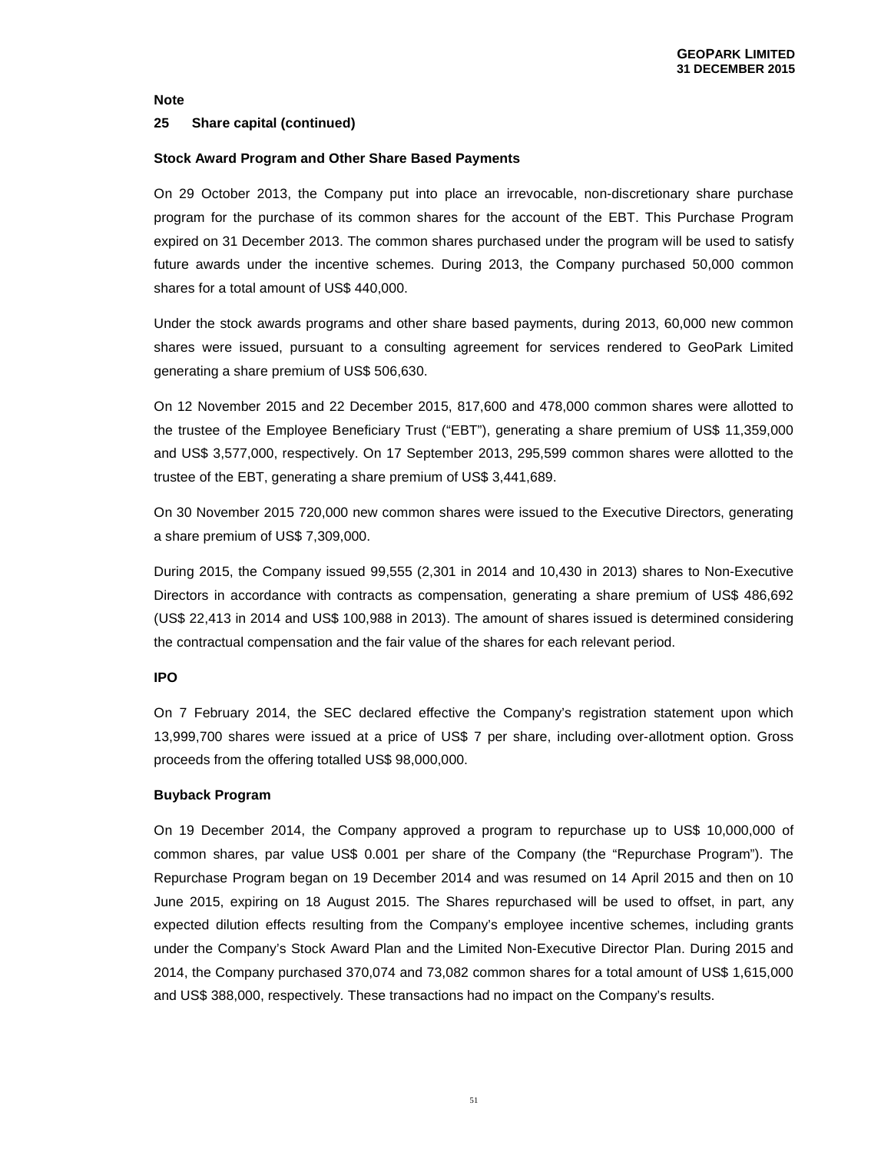#### **25 Share capital (continued)**

#### **Stock Award Program and Other Share Based Payments**

On 29 October 2013, the Company put into place an irrevocable, non-discretionary share purchase program for the purchase of its common shares for the account of the EBT. This Purchase Program expired on 31 December 2013. The common shares purchased under the program will be used to satisfy future awards under the incentive schemes. During 2013, the Company purchased 50,000 common shares for a total amount of US\$ 440,000.

Under the stock awards programs and other share based payments, during 2013, 60,000 new common shares were issued, pursuant to a consulting agreement for services rendered to GeoPark Limited generating a share premium of US\$ 506,630.

On 12 November 2015 and 22 December 2015, 817,600 and 478,000 common shares were allotted to the trustee of the Employee Beneficiary Trust ("EBT"), generating a share premium of US\$ 11,359,000 and US\$ 3,577,000, respectively. On 17 September 2013, 295,599 common shares were allotted to the trustee of the EBT, generating a share premium of US\$ 3,441,689.

On 30 November 2015 720,000 new common shares were issued to the Executive Directors, generating a share premium of US\$ 7,309,000.

During 2015, the Company issued 99,555 (2,301 in 2014 and 10,430 in 2013) shares to Non-Executive Directors in accordance with contracts as compensation, generating a share premium of US\$ 486,692 (US\$ 22,413 in 2014 and US\$ 100,988 in 2013). The amount of shares issued is determined considering the contractual compensation and the fair value of the shares for each relevant period.

#### **IPO**

On 7 February 2014, the SEC declared effective the Company's registration statement upon which 13,999,700 shares were issued at a price of US\$ 7 per share, including over-allotment option. Gross proceeds from the offering totalled US\$ 98,000,000.

#### **Buyback Program**

On 19 December 2014, the Company approved a program to repurchase up to US\$ 10,000,000 of common shares, par value US\$ 0.001 per share of the Company (the "Repurchase Program"). The Repurchase Program began on 19 December 2014 and was resumed on 14 April 2015 and then on 10 June 2015, expiring on 18 August 2015. The Shares repurchased will be used to offset, in part, any expected dilution effects resulting from the Company's employee incentive schemes, including grants under the Company's Stock Award Plan and the Limited Non-Executive Director Plan. During 2015 and 2014, the Company purchased 370,074 and 73,082 common shares for a total amount of US\$ 1,615,000 and US\$ 388,000, respectively. These transactions had no impact on the Company's results.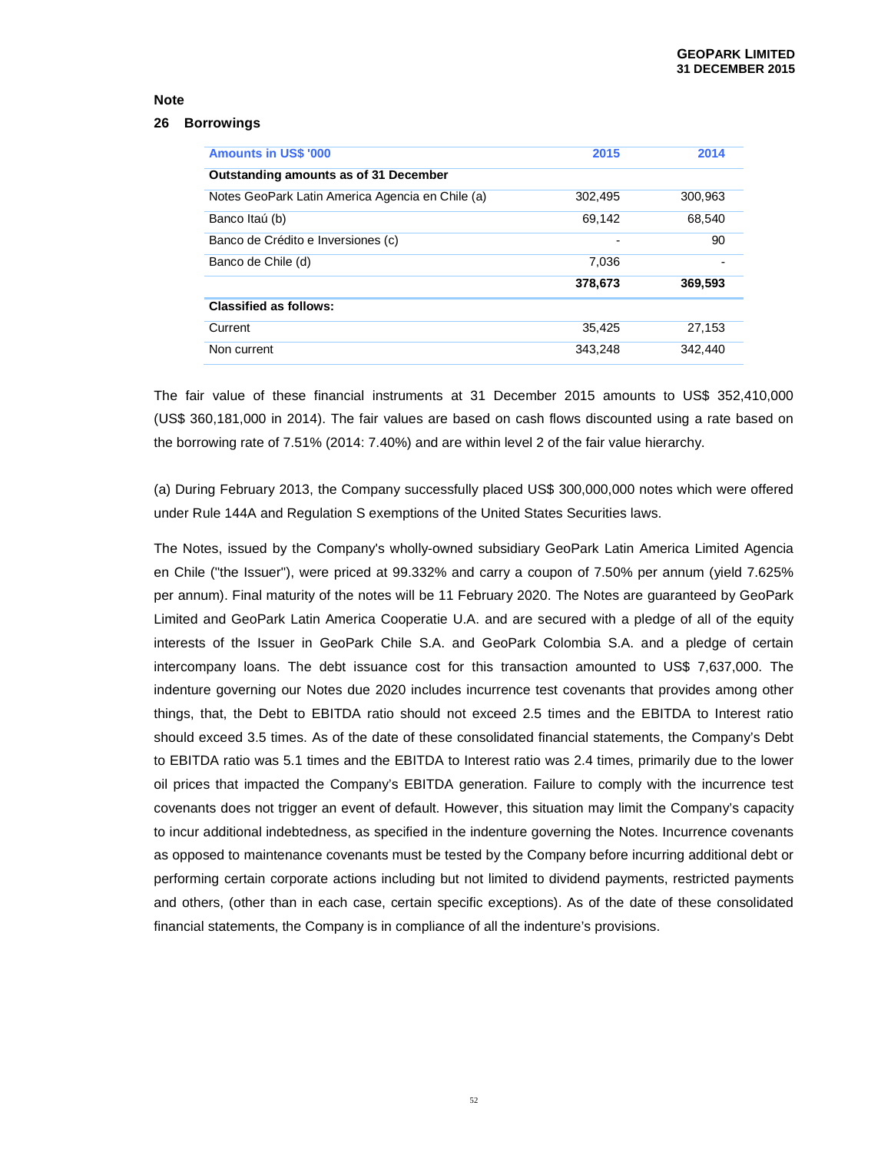#### **26 Borrowings**

| <b>Amounts in US\$ '000</b>                      | 2015    | 2014    |
|--------------------------------------------------|---------|---------|
| Outstanding amounts as of 31 December            |         |         |
| Notes GeoPark Latin America Agencia en Chile (a) | 302,495 | 300,963 |
| Banco Itaú (b)                                   | 69,142  | 68,540  |
| Banco de Crédito e Inversiones (c)               |         | 90      |
| Banco de Chile (d)                               | 7,036   |         |
|                                                  | 378,673 | 369,593 |
| <b>Classified as follows:</b>                    |         |         |
| Current                                          | 35,425  | 27,153  |
| Non current                                      | 343,248 | 342.440 |

The fair value of these financial instruments at 31 December 2015 amounts to US\$ 352,410,000 (US\$ 360,181,000 in 2014). The fair values are based on cash flows discounted using a rate based on the borrowing rate of 7.51% (2014: 7.40%) and are within level 2 of the fair value hierarchy.

(a) During February 2013, the Company successfully placed US\$ 300,000,000 notes which were offered under Rule 144A and Regulation S exemptions of the United States Securities laws.

The Notes, issued by the Company's wholly-owned subsidiary GeoPark Latin America Limited Agencia en Chile ("the Issuer"), were priced at 99.332% and carry a coupon of 7.50% per annum (yield 7.625% per annum). Final maturity of the notes will be 11 February 2020. The Notes are guaranteed by GeoPark Limited and GeoPark Latin America Cooperatie U.A. and are secured with a pledge of all of the equity interests of the Issuer in GeoPark Chile S.A. and GeoPark Colombia S.A. and a pledge of certain intercompany loans. The debt issuance cost for this transaction amounted to US\$ 7,637,000. The indenture governing our Notes due 2020 includes incurrence test covenants that provides among other things, that, the Debt to EBITDA ratio should not exceed 2.5 times and the EBITDA to Interest ratio should exceed 3.5 times. As of the date of these consolidated financial statements, the Company's Debt to EBITDA ratio was 5.1 times and the EBITDA to Interest ratio was 2.4 times, primarily due to the lower oil prices that impacted the Company's EBITDA generation. Failure to comply with the incurrence test covenants does not trigger an event of default. However, this situation may limit the Company's capacity to incur additional indebtedness, as specified in the indenture governing the Notes. Incurrence covenants as opposed to maintenance covenants must be tested by the Company before incurring additional debt or performing certain corporate actions including but not limited to dividend payments, restricted payments and others, (other than in each case, certain specific exceptions). As of the date of these consolidated financial statements, the Company is in compliance of all the indenture's provisions.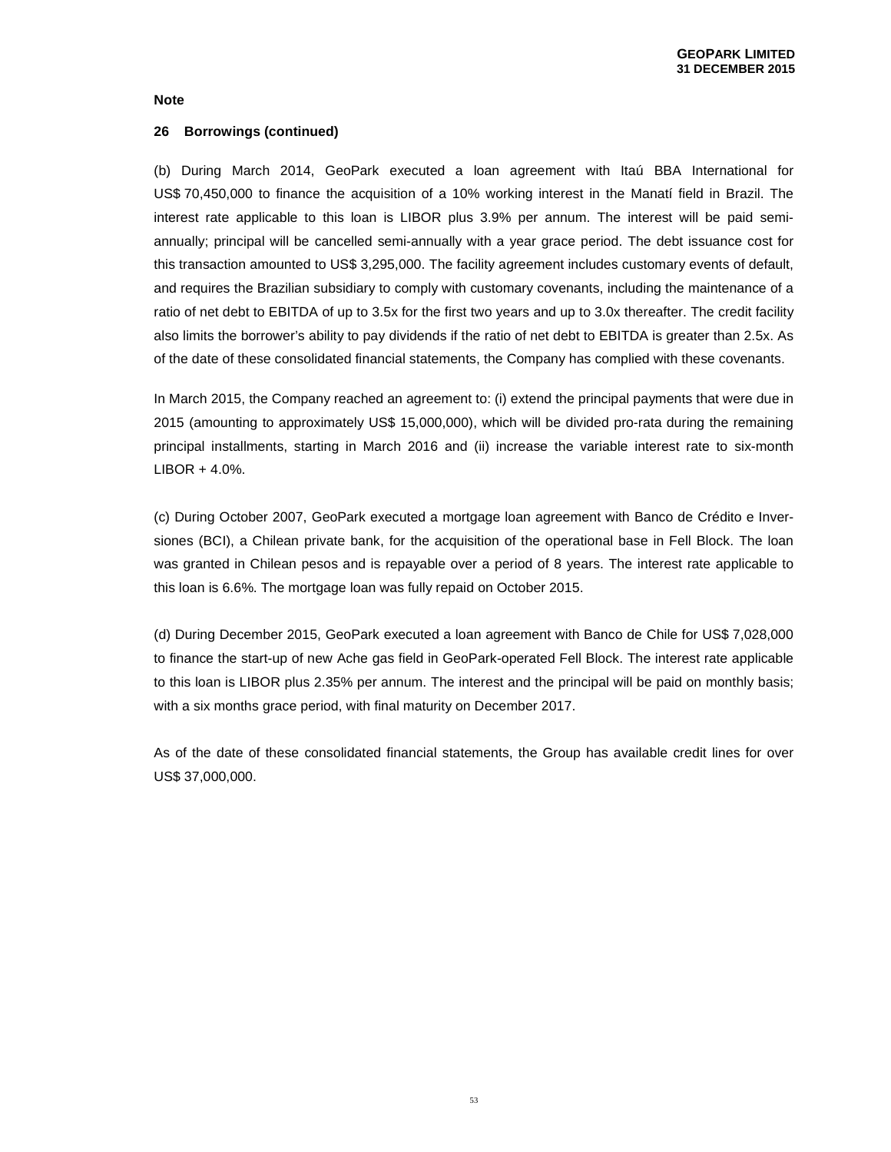#### **26 Borrowings (continued)**

(b) During March 2014, GeoPark executed a loan agreement with Itaú BBA International for US\$ 70,450,000 to finance the acquisition of a 10% working interest in the Manatí field in Brazil. The interest rate applicable to this loan is LIBOR plus 3.9% per annum. The interest will be paid semiannually; principal will be cancelled semi-annually with a year grace period. The debt issuance cost for this transaction amounted to US\$ 3,295,000. The facility agreement includes customary events of default, and requires the Brazilian subsidiary to comply with customary covenants, including the maintenance of a ratio of net debt to EBITDA of up to 3.5x for the first two years and up to 3.0x thereafter. The credit facility also limits the borrower's ability to pay dividends if the ratio of net debt to EBITDA is greater than 2.5x. As of the date of these consolidated financial statements, the Company has complied with these covenants.

In March 2015, the Company reached an agreement to: (i) extend the principal payments that were due in 2015 (amounting to approximately US\$ 15,000,000), which will be divided pro-rata during the remaining principal installments, starting in March 2016 and (ii) increase the variable interest rate to six-month LIBOR + 4.0%.

(c) During October 2007, GeoPark executed a mortgage loan agreement with Banco de Crédito e Inversiones (BCI), a Chilean private bank, for the acquisition of the operational base in Fell Block. The loan was granted in Chilean pesos and is repayable over a period of 8 years. The interest rate applicable to this loan is 6.6%. The mortgage loan was fully repaid on October 2015.

(d) During December 2015, GeoPark executed a loan agreement with Banco de Chile for US\$ 7,028,000 to finance the start-up of new Ache gas field in GeoPark-operated Fell Block. The interest rate applicable to this loan is LIBOR plus 2.35% per annum. The interest and the principal will be paid on monthly basis; with a six months grace period, with final maturity on December 2017.

As of the date of these consolidated financial statements, the Group has available credit lines for over US\$ 37,000,000.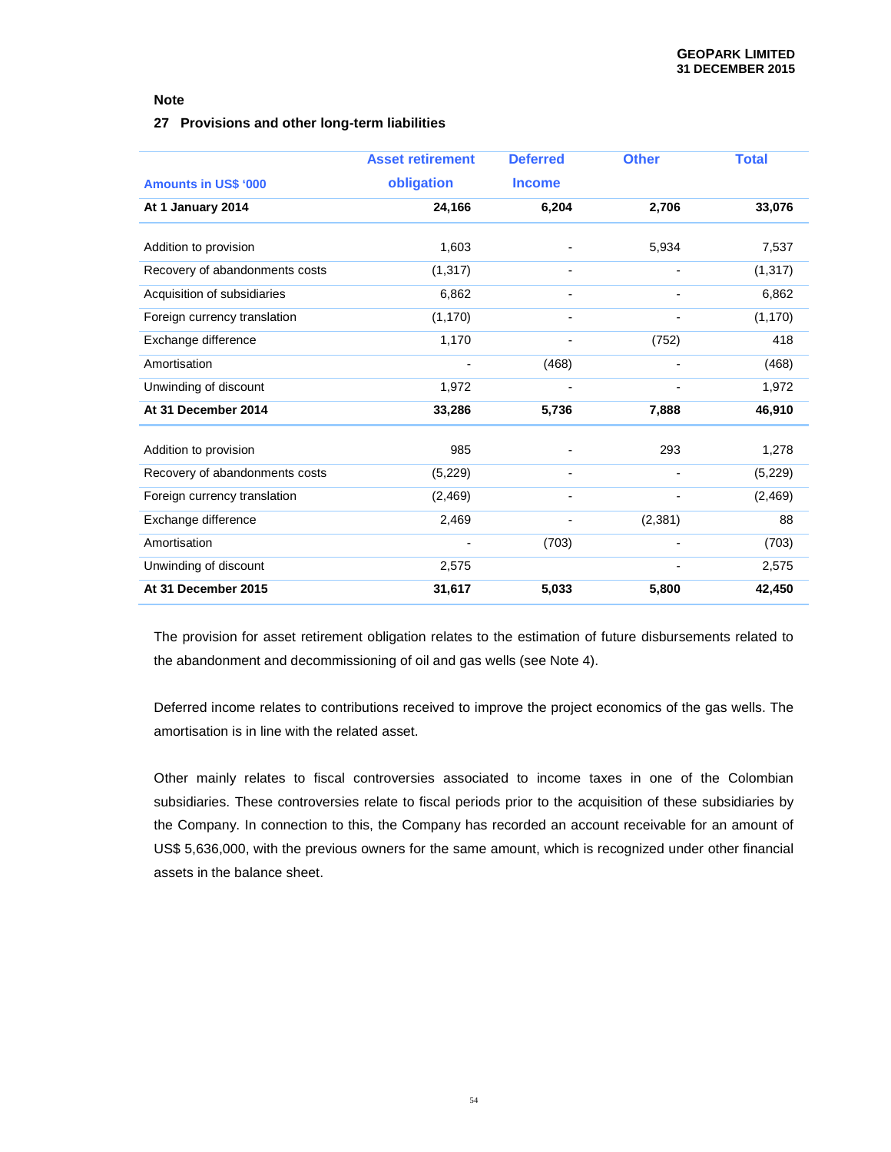### **27 Provisions and other long-term liabilities**

|                                | <b>Asset retirement</b> | <b>Deferred</b> | <b>Other</b> | <b>Total</b> |
|--------------------------------|-------------------------|-----------------|--------------|--------------|
| <b>Amounts in US\$ '000</b>    | obligation              | <b>Income</b>   |              |              |
| At 1 January 2014              | 24,166                  | 6,204           | 2,706        | 33,076       |
|                                |                         |                 |              |              |
| Addition to provision          | 1,603                   |                 | 5,934        | 7,537        |
| Recovery of abandonments costs | (1, 317)                | ٠               |              | (1, 317)     |
| Acquisition of subsidiaries    | 6,862                   |                 |              | 6,862        |
| Foreign currency translation   | (1, 170)                |                 |              | (1, 170)     |
| Exchange difference            | 1,170                   |                 | (752)        | 418          |
| Amortisation                   |                         | (468)           |              | (468)        |
| Unwinding of discount          | 1,972                   |                 |              | 1,972        |
| At 31 December 2014            | 33,286                  | 5,736           | 7,888        | 46,910       |
| Addition to provision          | 985                     |                 | 293          | 1,278        |
|                                |                         |                 |              |              |
| Recovery of abandonments costs | (5,229)                 | ٠               |              | (5,229)      |
| Foreign currency translation   | (2, 469)                |                 |              | (2, 469)     |
| Exchange difference            | 2,469                   |                 | (2, 381)     | 88           |
| Amortisation                   |                         | (703)           |              | (703)        |
| Unwinding of discount          | 2,575                   |                 |              | 2,575        |
| At 31 December 2015            | 31,617                  | 5,033           | 5,800        | 42,450       |

The provision for asset retirement obligation relates to the estimation of future disbursements related to the abandonment and decommissioning of oil and gas wells (see Note 4).

Deferred income relates to contributions received to improve the project economics of the gas wells. The amortisation is in line with the related asset.

Other mainly relates to fiscal controversies associated to income taxes in one of the Colombian subsidiaries. These controversies relate to fiscal periods prior to the acquisition of these subsidiaries by the Company. In connection to this, the Company has recorded an account receivable for an amount of US\$ 5,636,000, with the previous owners for the same amount, which is recognized under other financial assets in the balance sheet.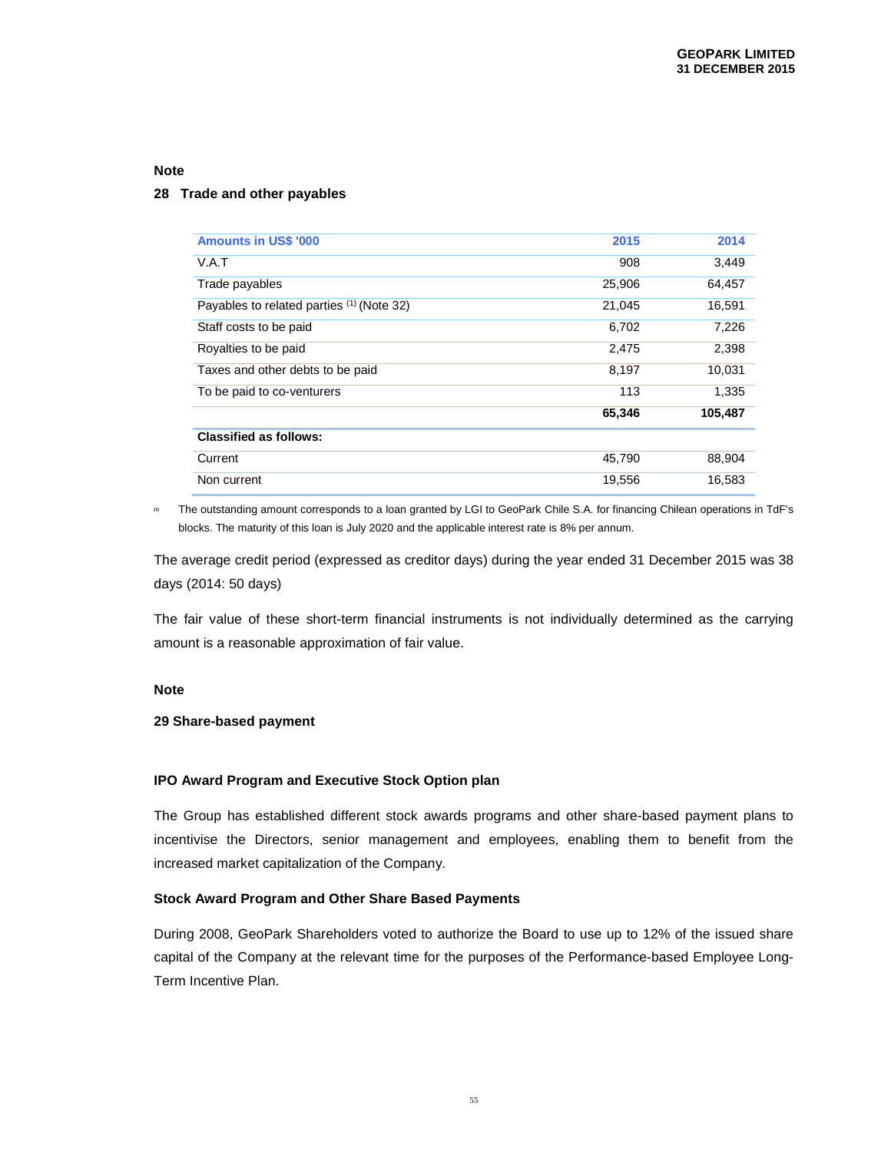#### **28 Trade and other payables**

| <b>Amounts in US\$ '000</b>               | 2015   | 2014    |
|-------------------------------------------|--------|---------|
| V.A.T                                     | 908    | 3,449   |
| Trade payables                            | 25,906 | 64,457  |
| Payables to related parties (1) (Note 32) | 21.045 | 16,591  |
| Staff costs to be paid                    | 6.702  | 7,226   |
| Royalties to be paid                      | 2,475  | 2,398   |
| Taxes and other debts to be paid          | 8.197  | 10,031  |
| To be paid to co-venturers                | 113    | 1.335   |
|                                           | 65,346 | 105,487 |
| <b>Classified as follows:</b>             |        |         |
| Current                                   | 45,790 | 88,904  |
| Non current                               | 19,556 | 16,583  |

**(1)** The outstanding amount corresponds to a loan granted by LGI to GeoPark Chile S.A. for financing Chilean operations in TdF's blocks. The maturity of this loan is July 2020 and the applicable interest rate is 8% per annum.

The average credit period (expressed as creditor days) during the year ended 31 December 2015 was 38 days (2014: 50 days)

The fair value of these short-term financial instruments is not individually determined as the carrying amount is a reasonable approximation of fair value.

#### **Note**

#### **29 Share-based payment**

#### **IPO Award Program and Executive Stock Option plan**

The Group has established different stock awards programs and other share-based payment plans to incentivise the Directors, senior management and employees, enabling them to benefit from the increased market capitalization of the Company.

#### **Stock Award Program and Other Share Based Payments**

During 2008, GeoPark Shareholders voted to authorize the Board to use up to 12% of the issued share capital of the Company at the relevant time for the purposes of the Performance-based Employee Long-Term Incentive Plan.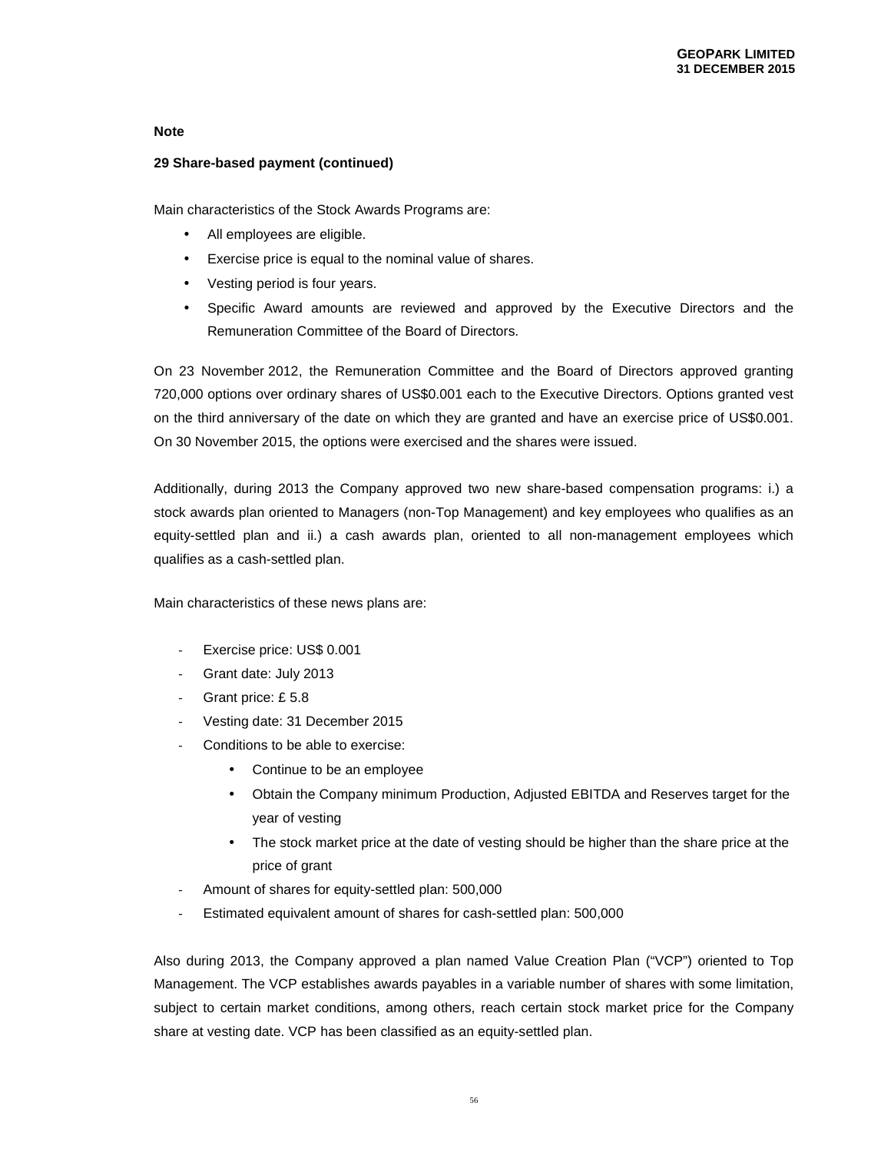### **29 Share-based payment (continued)**

Main characteristics of the Stock Awards Programs are:

- All employees are eligible.
- Exercise price is equal to the nominal value of shares.
- Vesting period is four years.
- Specific Award amounts are reviewed and approved by the Executive Directors and the Remuneration Committee of the Board of Directors.

On 23 November 2012, the Remuneration Committee and the Board of Directors approved granting 720,000 options over ordinary shares of US\$0.001 each to the Executive Directors. Options granted vest on the third anniversary of the date on which they are granted and have an exercise price of US\$0.001. On 30 November 2015, the options were exercised and the shares were issued.

Additionally, during 2013 the Company approved two new share-based compensation programs: i.) a stock awards plan oriented to Managers (non-Top Management) and key employees who qualifies as an equity-settled plan and ii.) a cash awards plan, oriented to all non-management employees which qualifies as a cash-settled plan.

Main characteristics of these news plans are:

- Exercise price: US\$ 0.001
- Grant date: July 2013
- Grant price: £5.8
- Vesting date: 31 December 2015
- Conditions to be able to exercise:
	- Continue to be an employee
	- Obtain the Company minimum Production, Adjusted EBITDA and Reserves target for the year of vesting
	- The stock market price at the date of vesting should be higher than the share price at the price of grant
- Amount of shares for equity-settled plan: 500,000
- Estimated equivalent amount of shares for cash-settled plan: 500,000

Also during 2013, the Company approved a plan named Value Creation Plan ("VCP") oriented to Top Management. The VCP establishes awards payables in a variable number of shares with some limitation, subject to certain market conditions, among others, reach certain stock market price for the Company share at vesting date. VCP has been classified as an equity-settled plan.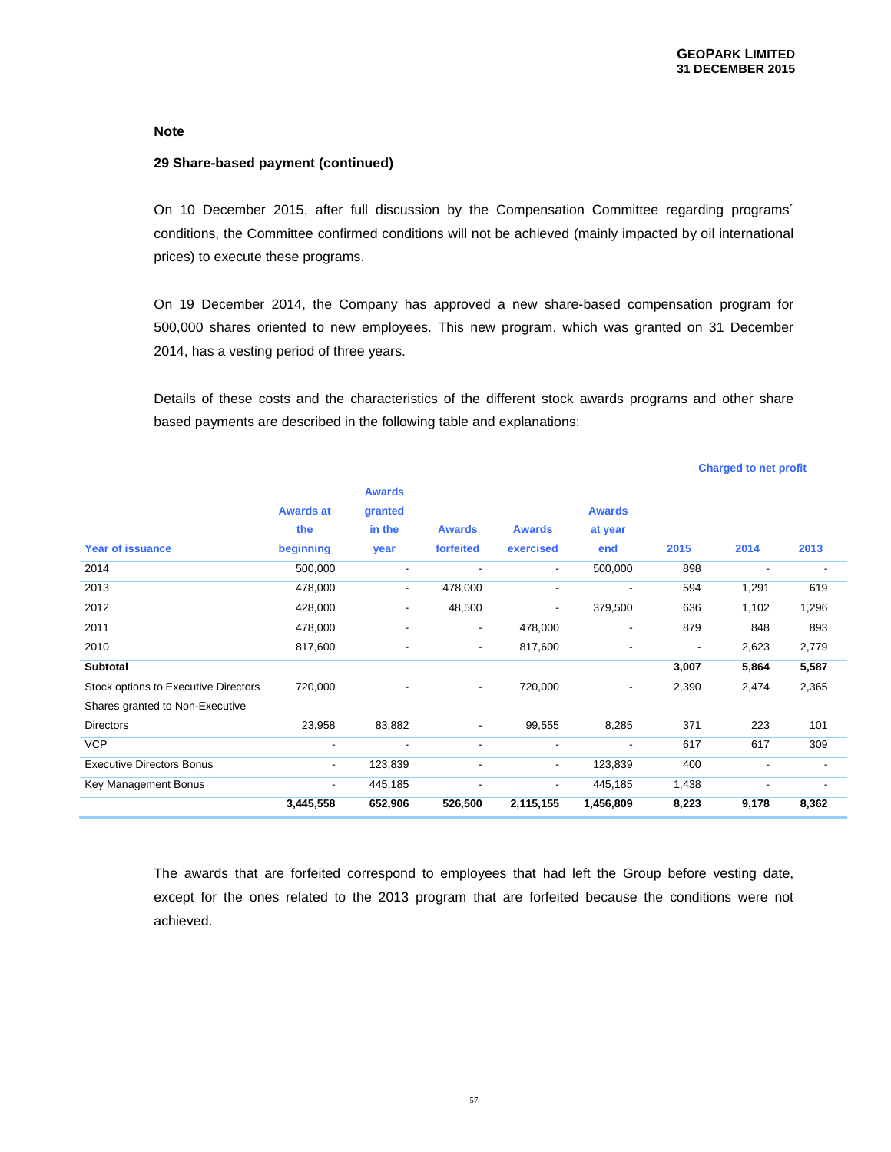#### **29 Share-based payment (continued)**

On 10 December 2015, after full discussion by the Compensation Committee regarding programs´ conditions, the Committee confirmed conditions will not be achieved (mainly impacted by oil international prices) to execute these programs.

On 19 December 2014, the Company has approved a new share-based compensation program for 500,000 shares oriented to new employees. This new program, which was granted on 31 December 2014, has a vesting period of three years.

Details of these costs and the characteristics of the different stock awards programs and other share based payments are described in the following table and explanations:

|                                      |                          |                          |                          |                          | <b>Charged to net profit</b> |                          |                          |       |
|--------------------------------------|--------------------------|--------------------------|--------------------------|--------------------------|------------------------------|--------------------------|--------------------------|-------|
|                                      |                          | <b>Awards</b>            |                          |                          |                              |                          |                          |       |
|                                      | <b>Awards at</b>         | granted                  |                          |                          | <b>Awards</b>                |                          |                          |       |
|                                      | the                      | in the                   | <b>Awards</b>            | <b>Awards</b>            | at year                      |                          |                          |       |
| <b>Year of issuance</b>              | beginning                | year                     | forfeited                | exercised                | end                          | 2015                     | 2014                     | 2013  |
| 2014                                 | 500,000                  | $\overline{\phantom{a}}$ | $\overline{\phantom{a}}$ | $\overline{\phantom{a}}$ | 500,000                      | 898                      | $\overline{\phantom{a}}$ |       |
| 2013                                 | 478,000                  | $\overline{\phantom{a}}$ | 478,000                  | $\overline{\phantom{a}}$ | $\blacksquare$               | 594                      | 1,291                    | 619   |
| 2012                                 | 428,000                  | $\overline{\phantom{a}}$ | 48,500                   | $\overline{\phantom{a}}$ | 379,500                      | 636                      | 1,102                    | 1,296 |
| 2011                                 | 478,000                  | $\blacksquare$           | $\overline{\phantom{a}}$ | 478,000                  | $\overline{\phantom{a}}$     | 879                      | 848                      | 893   |
| 2010                                 | 817,600                  | $\overline{\phantom{a}}$ | $\overline{\phantom{a}}$ | 817,600                  | $\overline{\phantom{a}}$     | $\overline{\phantom{a}}$ | 2,623                    | 2,779 |
| <b>Subtotal</b>                      |                          |                          |                          |                          |                              | 3,007                    | 5,864                    | 5,587 |
| Stock options to Executive Directors | 720,000                  |                          | $\overline{\phantom{a}}$ | 720,000                  | $\overline{\phantom{a}}$     | 2,390                    | 2,474                    | 2,365 |
| Shares granted to Non-Executive      |                          |                          |                          |                          |                              |                          |                          |       |
| <b>Directors</b>                     | 23,958                   | 83,882                   | $\overline{\phantom{m}}$ | 99,555                   | 8,285                        | 371                      | 223                      | 101   |
| <b>VCP</b>                           | $\blacksquare$           | $\overline{\phantom{0}}$ | $\overline{\phantom{a}}$ | $\overline{\phantom{a}}$ | $\blacksquare$               | 617                      | 617                      | 309   |
| <b>Executive Directors Bonus</b>     | $\overline{\phantom{a}}$ | 123,839                  | $\overline{a}$           | $\sim$                   | 123,839                      | 400                      |                          |       |
| Key Management Bonus                 | $\overline{\phantom{a}}$ | 445,185                  | $\overline{\phantom{a}}$ | $\overline{\phantom{a}}$ | 445,185                      | 1,438                    | $\overline{\phantom{a}}$ |       |
|                                      | 3,445,558                | 652,906                  | 526,500                  | 2,115,155                | 1,456,809                    | 8,223                    | 9,178                    | 8,362 |

The awards that are forfeited correspond to employees that had left the Group before vesting date, except for the ones related to the 2013 program that are forfeited because the conditions were not achieved.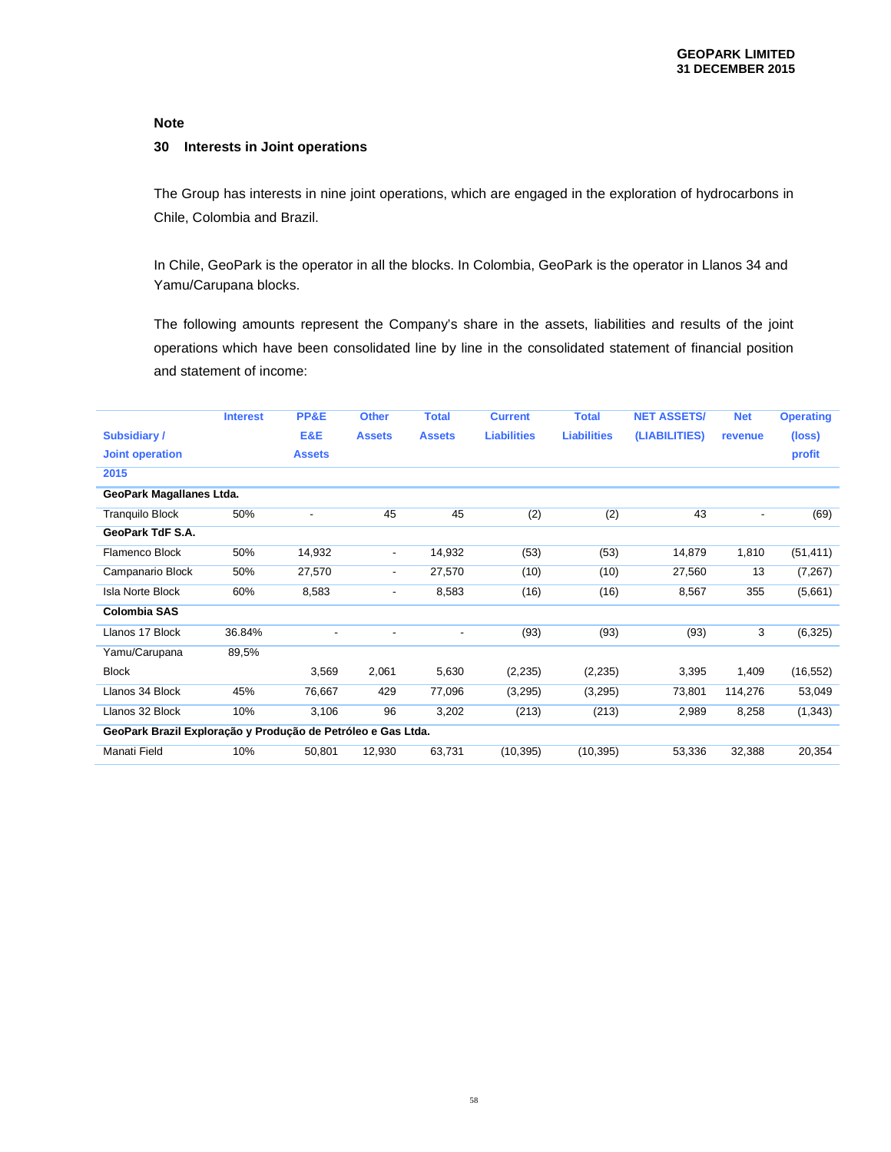#### **30 Interests in Joint operations**

The Group has interests in nine joint operations, which are engaged in the exploration of hydrocarbons in Chile, Colombia and Brazil.

In Chile, GeoPark is the operator in all the blocks. In Colombia, GeoPark is the operator in Llanos 34 and Yamu/Carupana blocks.

The following amounts represent the Company's share in the assets, liabilities and results of the joint operations which have been consolidated line by line in the consolidated statement of financial position and statement of income:

|                                                              | <b>Interest</b> | PP&E                     | <b>Other</b>             | <b>Total</b>             | <b>Current</b>     | <b>Total</b>       | <b>NET ASSETS/</b> | <b>Net</b>               | <b>Operating</b> |
|--------------------------------------------------------------|-----------------|--------------------------|--------------------------|--------------------------|--------------------|--------------------|--------------------|--------------------------|------------------|
| <b>Subsidiary /</b>                                          |                 | E&E                      | <b>Assets</b>            | <b>Assets</b>            | <b>Liabilities</b> | <b>Liabilities</b> | (LIABILITIES)      | revenue                  | (loss)           |
| <b>Joint operation</b>                                       |                 | <b>Assets</b>            |                          |                          |                    |                    |                    |                          | profit           |
| 2015                                                         |                 |                          |                          |                          |                    |                    |                    |                          |                  |
| GeoPark Magallanes Ltda.                                     |                 |                          |                          |                          |                    |                    |                    |                          |                  |
| <b>Tranquilo Block</b>                                       | 50%             | -                        | 45                       | 45                       | (2)                | (2)                | 43                 | $\overline{\phantom{a}}$ | (69)             |
| GeoPark TdF S.A.                                             |                 |                          |                          |                          |                    |                    |                    |                          |                  |
| Flamenco Block                                               | 50%             | 14,932                   | $\overline{\phantom{a}}$ | 14,932                   | (53)               | (53)               | 14,879             | 1,810                    | (51, 411)        |
| Campanario Block                                             | 50%             | 27,570                   | $\overline{\phantom{a}}$ | 27,570                   | (10)               | (10)               | 27,560             | 13                       | (7, 267)         |
| <b>Isla Norte Block</b>                                      | 60%             | 8,583                    | $\overline{\phantom{a}}$ | 8,583                    | (16)               | (16)               | 8,567              | 355                      | (5,661)          |
| <b>Colombia SAS</b>                                          |                 |                          |                          |                          |                    |                    |                    |                          |                  |
| Llanos 17 Block                                              | 36.84%          | $\overline{\phantom{a}}$ | $\overline{\phantom{a}}$ | $\overline{\phantom{a}}$ | (93)               | (93)               | (93)               | 3                        | (6, 325)         |
| Yamu/Carupana                                                | 89,5%           |                          |                          |                          |                    |                    |                    |                          |                  |
| <b>Block</b>                                                 |                 | 3,569                    | 2,061                    | 5,630                    | (2, 235)           | (2,235)            | 3,395              | 1,409                    | (16, 552)        |
| Llanos 34 Block                                              | 45%             | 76,667                   | 429                      | 77,096                   | (3,295)            | (3,295)            | 73,801             | 114,276                  | 53,049           |
| Llanos 32 Block                                              | 10%             | 3,106                    | 96                       | 3,202                    | (213)              | (213)              | 2,989              | 8,258                    | (1, 343)         |
| GeoPark Brazil Exploração y Produção de Petróleo e Gas Ltda. |                 |                          |                          |                          |                    |                    |                    |                          |                  |
| Manati Field                                                 | 10%             | 50,801                   | 12,930                   | 63,731                   | (10, 395)          | (10, 395)          | 53,336             | 32,388                   | 20,354           |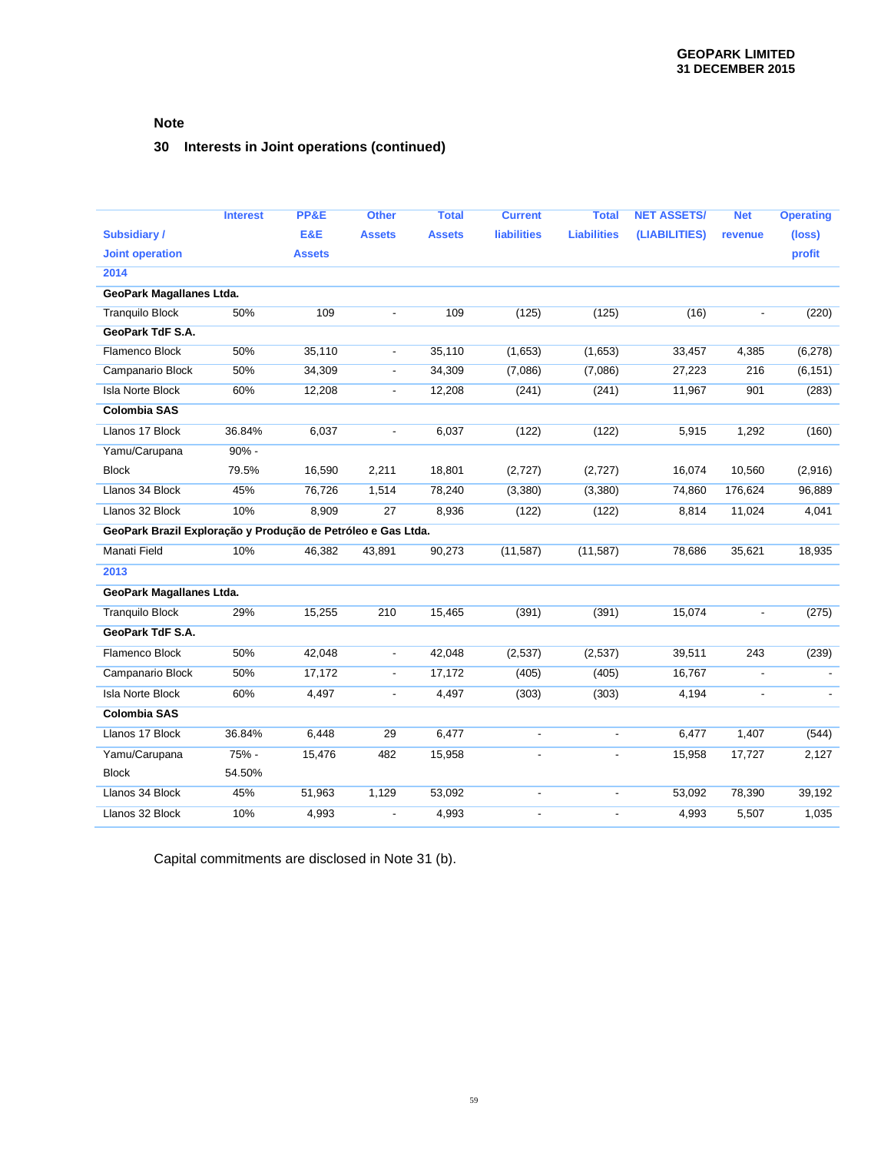# **30 Interests in Joint operations (continued)**

|                                                              | <b>Interest</b> | PP&E          | <b>Other</b>             | <b>Total</b>  | <b>Current</b>           | <b>Total</b>             | <b>NET ASSETS/</b> | <b>Net</b>     | <b>Operating</b> |
|--------------------------------------------------------------|-----------------|---------------|--------------------------|---------------|--------------------------|--------------------------|--------------------|----------------|------------------|
| <b>Subsidiary/</b>                                           |                 | E&E           | <b>Assets</b>            | <b>Assets</b> | <b>liabilities</b>       | <b>Liabilities</b>       | (LIABILITIES)      | revenue        | (loss)           |
| <b>Joint operation</b>                                       |                 | <b>Assets</b> |                          |               |                          |                          |                    |                | profit           |
| 2014                                                         |                 |               |                          |               |                          |                          |                    |                |                  |
| GeoPark Magallanes Ltda.                                     |                 |               |                          |               |                          |                          |                    |                |                  |
| <b>Tranquilo Block</b>                                       | 50%             | 109           |                          | 109           | (125)                    | (125)                    | (16)               |                | (220)            |
| GeoPark TdF S.A.                                             |                 |               |                          |               |                          |                          |                    |                |                  |
| Flamenco Block                                               | 50%             | 35,110        | $\blacksquare$           | 35,110        | (1,653)                  | (1,653)                  | 33,457             | 4,385          | (6,278)          |
| Campanario Block                                             | 50%             | 34,309        | $\overline{\phantom{a}}$ | 34,309        | (7,086)                  | (7,086)                  | 27,223             | 216            | (6, 151)         |
| <b>Isla Norte Block</b>                                      | 60%             | 12,208        | $\overline{\phantom{a}}$ | 12,208        | (241)                    | (241)                    | 11,967             | 901            | (283)            |
| <b>Colombia SAS</b>                                          |                 |               |                          |               |                          |                          |                    |                |                  |
| Llanos 17 Block                                              | 36.84%          | 6,037         | $\overline{\phantom{a}}$ | 6,037         | (122)                    | (122)                    | 5,915              | 1,292          | (160)            |
| Yamu/Carupana                                                | $90% -$         |               |                          |               |                          |                          |                    |                |                  |
| <b>Block</b>                                                 | 79.5%           | 16,590        | 2,211                    | 18,801        | (2,727)                  | (2,727)                  | 16,074             | 10,560         | (2,916)          |
| Llanos 34 Block                                              | 45%             | 76,726        | 1,514                    | 78,240        | (3,380)                  | (3,380)                  | 74,860             | 176,624        | 96,889           |
| Llanos 32 Block                                              | 10%             | 8,909         | 27                       | 8,936         | (122)                    | (122)                    | 8,814              | 11,024         | 4,041            |
| GeoPark Brazil Exploração y Produção de Petróleo e Gas Ltda. |                 |               |                          |               |                          |                          |                    |                |                  |
| Manati Field                                                 | 10%             | 46,382        | 43,891                   | 90,273        | (11, 587)                | (11, 587)                | 78,686             | 35,621         | 18,935           |
| 2013                                                         |                 |               |                          |               |                          |                          |                    |                |                  |
| GeoPark Magallanes Ltda.                                     |                 |               |                          |               |                          |                          |                    |                |                  |
| <b>Tranquilo Block</b>                                       | 29%             | 15,255        | 210                      | 15,465        | (391)                    | (391)                    | 15,074             | $\overline{a}$ | (275)            |
| GeoPark TdF S.A.                                             |                 |               |                          |               |                          |                          |                    |                |                  |
| Flamenco Block                                               | 50%             | 42,048        | $\overline{\phantom{a}}$ | 42,048        | (2, 537)                 | (2,537)                  | 39,511             | 243            | (239)            |
| Campanario Block                                             | 50%             | 17,172        | $\overline{\phantom{a}}$ | 17,172        | (405)                    | (405)                    | 16,767             | $\blacksquare$ |                  |
| <b>Isla Norte Block</b>                                      | 60%             | 4,497         |                          | 4,497         | (303)                    | (303)                    | 4,194              |                |                  |
| <b>Colombia SAS</b>                                          |                 |               |                          |               |                          |                          |                    |                |                  |
| Llanos 17 Block                                              | 36.84%          | 6,448         | 29                       | 6,477         | $\overline{\phantom{a}}$ |                          | 6,477              | 1,407          | (544)            |
| Yamu/Carupana                                                | 75% -           | 15,476        | 482                      | 15,958        | $\overline{a}$           | $\blacksquare$           | 15,958             | 17,727         | 2,127            |
| <b>Block</b>                                                 | 54.50%          |               |                          |               |                          |                          |                    |                |                  |
| Llanos 34 Block                                              | 45%             | 51,963        | 1,129                    | 53,092        | $\overline{a}$           | $\overline{a}$           | 53,092             | 78,390         | 39,192           |
| Llanos 32 Block                                              | 10%             | 4,993         | Ĭ.                       | 4,993         | $\overline{\phantom{a}}$ | $\overline{\phantom{a}}$ | 4,993              | 5,507          | 1,035            |

Capital commitments are disclosed in Note 31 (b).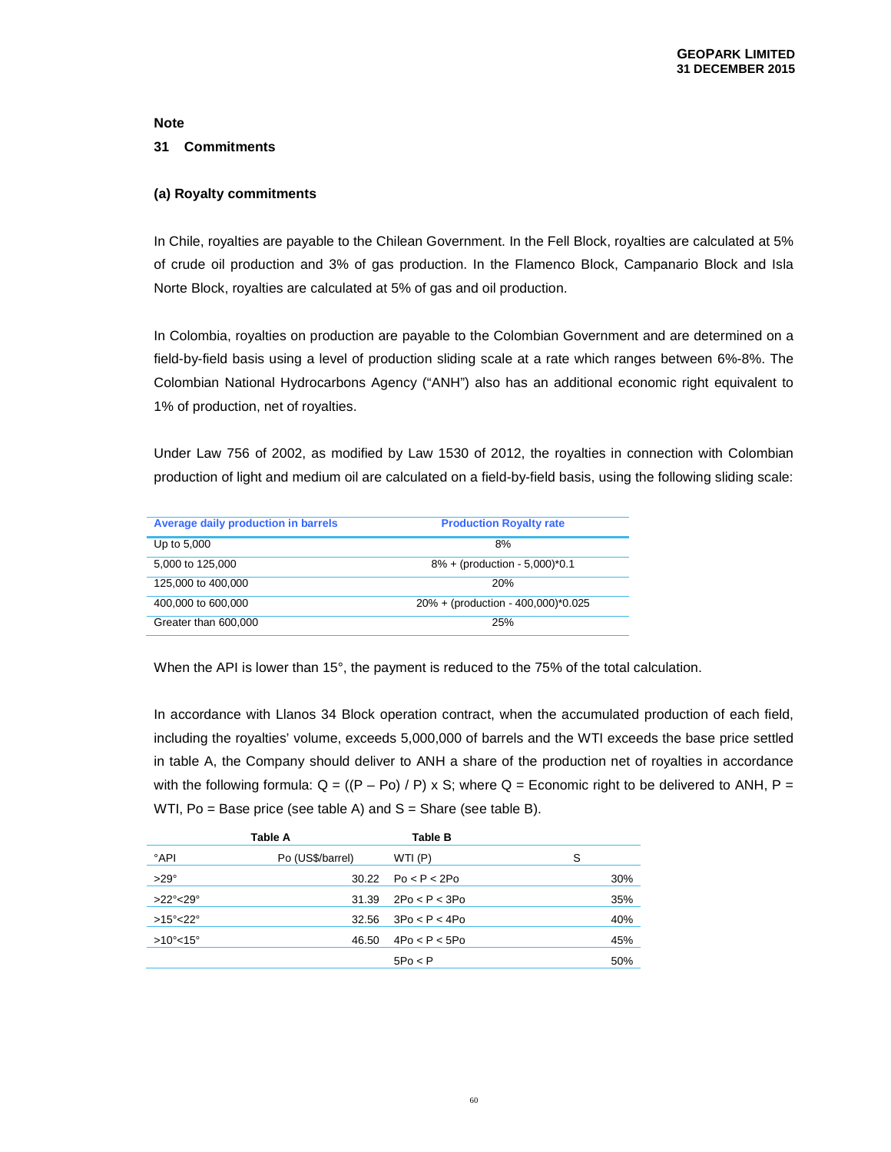#### **31 Commitments**

#### **(a) Royalty commitments**

In Chile, royalties are payable to the Chilean Government. In the Fell Block, royalties are calculated at 5% of crude oil production and 3% of gas production. In the Flamenco Block, Campanario Block and Isla Norte Block, royalties are calculated at 5% of gas and oil production.

In Colombia, royalties on production are payable to the Colombian Government and are determined on a field-by-field basis using a level of production sliding scale at a rate which ranges between 6%-8%. The Colombian National Hydrocarbons Agency ("ANH") also has an additional economic right equivalent to 1% of production, net of royalties.

Under Law 756 of 2002, as modified by Law 1530 of 2012, the royalties in connection with Colombian production of light and medium oil are calculated on a field-by-field basis, using the following sliding scale:

| Average daily production in barrels | <b>Production Royalty rate</b>     |
|-------------------------------------|------------------------------------|
| Up to 5,000                         | 8%                                 |
| 5,000 to 125,000                    | $8\% + (production - 5,000)^*0.1$  |
| 125,000 to 400,000                  | 20%                                |
| 400,000 to 600,000                  | 20% + (production - 400,000)*0.025 |
| Greater than 600,000                | 25%                                |

When the API is lower than 15°, the payment is reduced to the 75% of the total calculation.

In accordance with Llanos 34 Block operation contract, when the accumulated production of each field, including the royalties' volume, exceeds 5,000,000 of barrels and the WTI exceeds the base price settled in table A, the Company should deliver to ANH a share of the production net of royalties in accordance with the following formula:  $Q = ((P - Po) / P) \times S$ ; where  $Q = E$ conomic right to be delivered to ANH,  $P =$ WTI,  $Po = Base$  price (see table A) and  $S =$  Share (see table B).

|                           | Table A          | Table B       |     |
|---------------------------|------------------|---------------|-----|
| °API                      | Po (US\$/barrel) | WTI (P)       | S   |
| $>29^\circ$               | 30.22            | Po < P < 2Po  | 30% |
| $>22^\circ$ < 29 $^\circ$ | 31.39            | 2Po < P < 3Po | 35% |
| $>15^{\circ}$ < 22°       | 32.56            | 3Po < P < 4Po | 40% |
| $>10^{\circ}$ < 15°       | 46.50            | 4Po < P < 5Po | 45% |
|                           |                  | $5P_0 < P$    | 50% |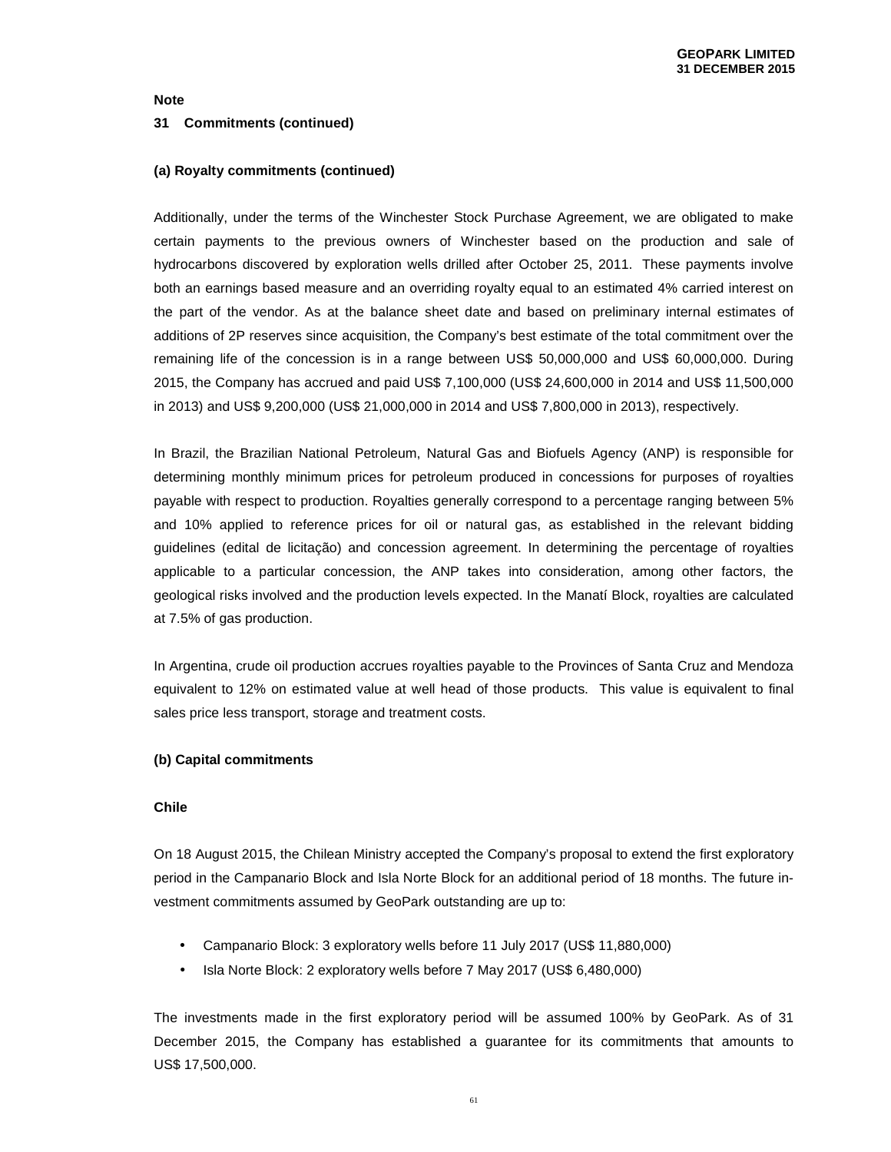#### **31 Commitments (continued)**

#### **(a) Royalty commitments (continued)**

Additionally, under the terms of the Winchester Stock Purchase Agreement, we are obligated to make certain payments to the previous owners of Winchester based on the production and sale of hydrocarbons discovered by exploration wells drilled after October 25, 2011. These payments involve both an earnings based measure and an overriding royalty equal to an estimated 4% carried interest on the part of the vendor. As at the balance sheet date and based on preliminary internal estimates of additions of 2P reserves since acquisition, the Company's best estimate of the total commitment over the remaining life of the concession is in a range between US\$ 50,000,000 and US\$ 60,000,000. During 2015, the Company has accrued and paid US\$ 7,100,000 (US\$ 24,600,000 in 2014 and US\$ 11,500,000 in 2013) and US\$ 9,200,000 (US\$ 21,000,000 in 2014 and US\$ 7,800,000 in 2013), respectively.

In Brazil, the Brazilian National Petroleum, Natural Gas and Biofuels Agency (ANP) is responsible for determining monthly minimum prices for petroleum produced in concessions for purposes of royalties payable with respect to production. Royalties generally correspond to a percentage ranging between 5% and 10% applied to reference prices for oil or natural gas, as established in the relevant bidding guidelines (edital de licitação) and concession agreement. In determining the percentage of royalties applicable to a particular concession, the ANP takes into consideration, among other factors, the geological risks involved and the production levels expected. In the Manatí Block, royalties are calculated at 7.5% of gas production.

In Argentina, crude oil production accrues royalties payable to the Provinces of Santa Cruz and Mendoza equivalent to 12% on estimated value at well head of those products. This value is equivalent to final sales price less transport, storage and treatment costs.

#### **(b) Capital commitments**

#### **Chile**

On 18 August 2015, the Chilean Ministry accepted the Company's proposal to extend the first exploratory period in the Campanario Block and Isla Norte Block for an additional period of 18 months. The future investment commitments assumed by GeoPark outstanding are up to:

- Campanario Block: 3 exploratory wells before 11 July 2017 (US\$ 11,880,000)
- Isla Norte Block: 2 exploratory wells before 7 May 2017 (US\$ 6,480,000)

The investments made in the first exploratory period will be assumed 100% by GeoPark. As of 31 December 2015, the Company has established a guarantee for its commitments that amounts to US\$ 17,500,000.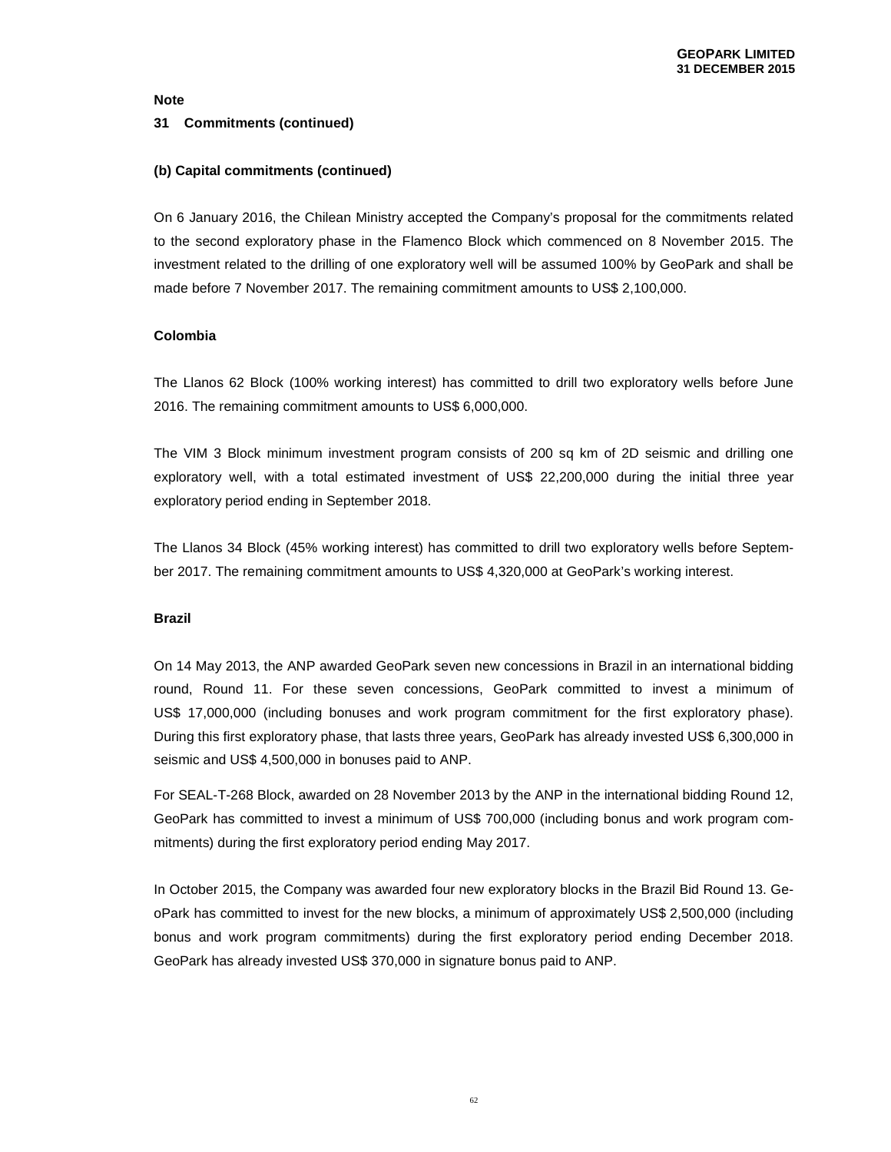#### **31 Commitments (continued)**

#### **(b) Capital commitments (continued)**

On 6 January 2016, the Chilean Ministry accepted the Company's proposal for the commitments related to the second exploratory phase in the Flamenco Block which commenced on 8 November 2015. The investment related to the drilling of one exploratory well will be assumed 100% by GeoPark and shall be made before 7 November 2017. The remaining commitment amounts to US\$ 2,100,000.

### **Colombia**

The Llanos 62 Block (100% working interest) has committed to drill two exploratory wells before June 2016. The remaining commitment amounts to US\$ 6,000,000.

The VIM 3 Block minimum investment program consists of 200 sq km of 2D seismic and drilling one exploratory well, with a total estimated investment of US\$ 22,200,000 during the initial three year exploratory period ending in September 2018.

The Llanos 34 Block (45% working interest) has committed to drill two exploratory wells before September 2017. The remaining commitment amounts to US\$ 4,320,000 at GeoPark's working interest.

#### **Brazil**

On 14 May 2013, the ANP awarded GeoPark seven new concessions in Brazil in an international bidding round, Round 11. For these seven concessions, GeoPark committed to invest a minimum of US\$ 17,000,000 (including bonuses and work program commitment for the first exploratory phase). During this first exploratory phase, that lasts three years, GeoPark has already invested US\$ 6,300,000 in seismic and US\$ 4,500,000 in bonuses paid to ANP.

For SEAL-T-268 Block, awarded on 28 November 2013 by the ANP in the international bidding Round 12, GeoPark has committed to invest a minimum of US\$ 700,000 (including bonus and work program commitments) during the first exploratory period ending May 2017.

In October 2015, the Company was awarded four new exploratory blocks in the Brazil Bid Round 13. GeoPark has committed to invest for the new blocks, a minimum of approximately US\$ 2,500,000 (including bonus and work program commitments) during the first exploratory period ending December 2018. GeoPark has already invested US\$ 370,000 in signature bonus paid to ANP.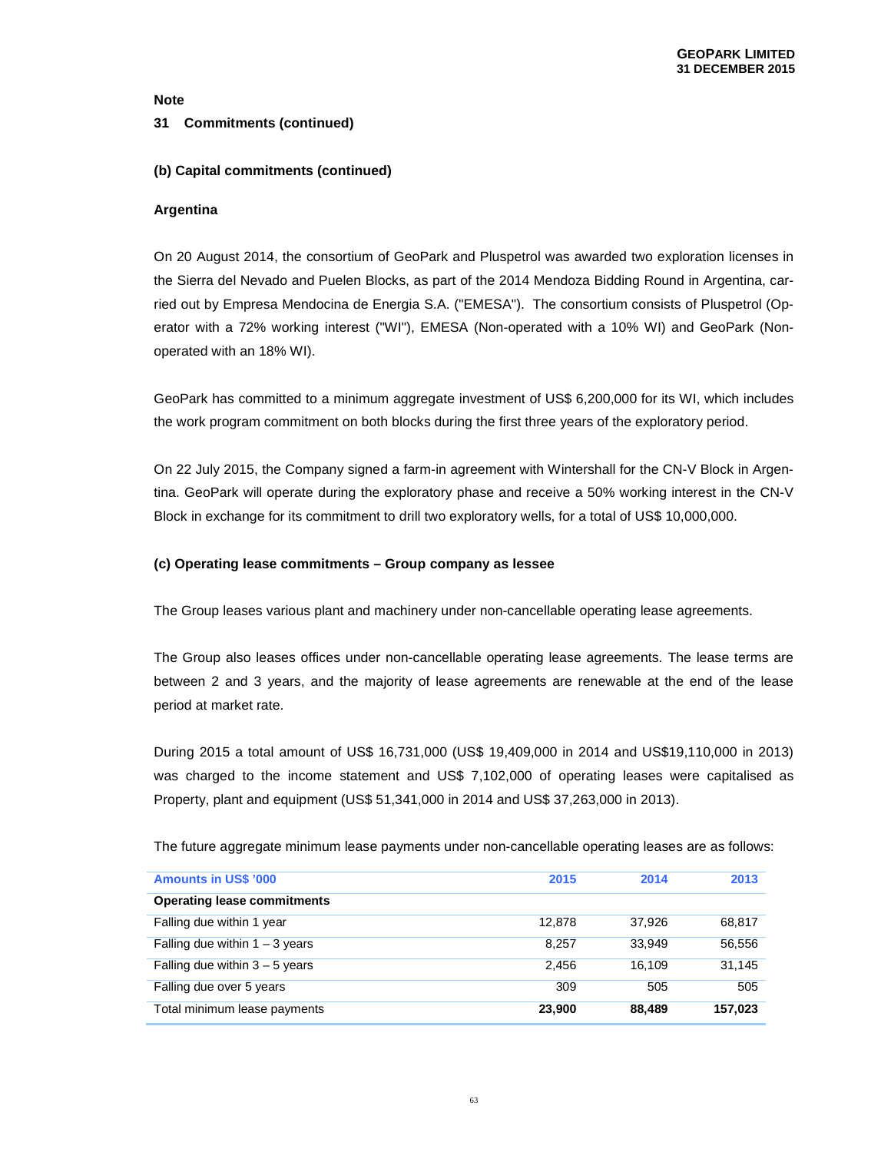#### **31 Commitments (continued)**

### **(b) Capital commitments (continued)**

#### **Argentina**

On 20 August 2014, the consortium of GeoPark and Pluspetrol was awarded two exploration licenses in the Sierra del Nevado and Puelen Blocks, as part of the 2014 Mendoza Bidding Round in Argentina, carried out by Empresa Mendocina de Energia S.A. ("EMESA"). The consortium consists of Pluspetrol (Operator with a 72% working interest ("WI"), EMESA (Non-operated with a 10% WI) and GeoPark (Nonoperated with an 18% WI).

GeoPark has committed to a minimum aggregate investment of US\$ 6,200,000 for its WI, which includes the work program commitment on both blocks during the first three years of the exploratory period.

On 22 July 2015, the Company signed a farm-in agreement with Wintershall for the CN-V Block in Argentina. GeoPark will operate during the exploratory phase and receive a 50% working interest in the CN-V Block in exchange for its commitment to drill two exploratory wells, for a total of US\$ 10,000,000.

#### **(c) Operating lease commitments – Group company as lessee**

The Group leases various plant and machinery under non-cancellable operating lease agreements.

The Group also leases offices under non-cancellable operating lease agreements. The lease terms are between 2 and 3 years, and the majority of lease agreements are renewable at the end of the lease period at market rate.

During 2015 a total amount of US\$ 16,731,000 (US\$ 19,409,000 in 2014 and US\$19,110,000 in 2013) was charged to the income statement and US\$ 7,102,000 of operating leases were capitalised as Property, plant and equipment (US\$ 51,341,000 in 2014 and US\$ 37,263,000 in 2013).

The future aggregate minimum lease payments under non-cancellable operating leases are as follows:

| <b>Amounts in US\$ '000</b>        | 2015   | 2014   | 2013    |
|------------------------------------|--------|--------|---------|
| <b>Operating lease commitments</b> |        |        |         |
| Falling due within 1 year          | 12.878 | 37.926 | 68,817  |
| Falling due within $1 - 3$ years   | 8.257  | 33.949 | 56,556  |
| Falling due within $3 - 5$ years   | 2.456  | 16.109 | 31.145  |
| Falling due over 5 years           | 309    | 505    | 505     |
| Total minimum lease payments       | 23,900 | 88,489 | 157.023 |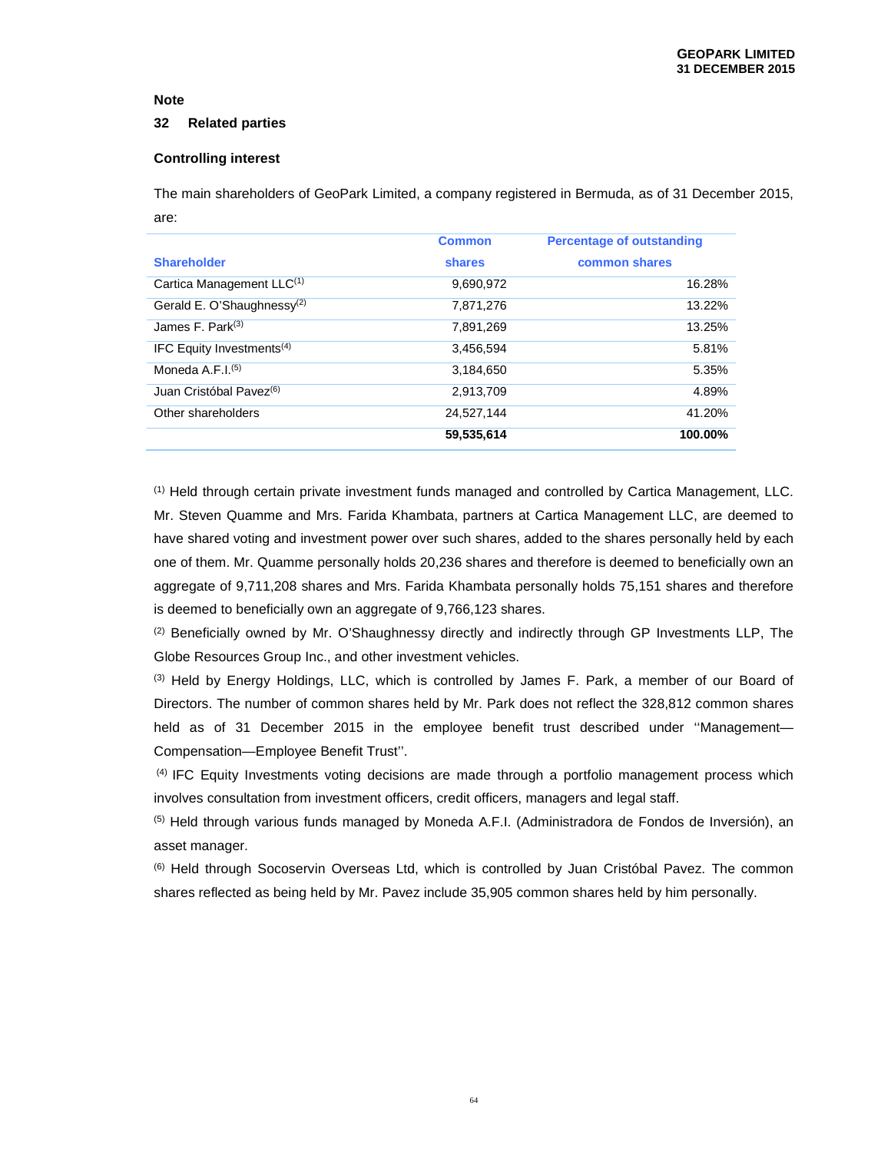#### **32 Related parties**

### **Controlling interest**

The main shareholders of GeoPark Limited, a company registered in Bermuda, as of 31 December 2015, are:

|                                        | <b>Common</b> | <b>Percentage of outstanding</b> |
|----------------------------------------|---------------|----------------------------------|
| <b>Shareholder</b>                     | shares        | common shares                    |
| Cartica Management LLC <sup>(1)</sup>  | 9.690.972     | 16.28%                           |
| Gerald E. O'Shaughnessy <sup>(2)</sup> | 7.871.276     | 13.22%                           |
| James F. Park $(3)$                    | 7.891.269     | 13.25%                           |
| IFC Equity Investments <sup>(4)</sup>  | 3.456.594     | 5.81%                            |
| Moneda A.F.I. $(5)$                    | 3,184,650     | 5.35%                            |
| Juan Cristóbal Pavez <sup>(6)</sup>    | 2.913.709     | 4.89%                            |
| Other shareholders                     | 24.527.144    | 41.20%                           |
|                                        | 59,535,614    | 100.00%                          |

(1) Held through certain private investment funds managed and controlled by Cartica Management, LLC. Mr. Steven Quamme and Mrs. Farida Khambata, partners at Cartica Management LLC, are deemed to have shared voting and investment power over such shares, added to the shares personally held by each one of them. Mr. Quamme personally holds 20,236 shares and therefore is deemed to beneficially own an aggregate of 9,711,208 shares and Mrs. Farida Khambata personally holds 75,151 shares and therefore is deemed to beneficially own an aggregate of 9,766,123 shares.

 $(2)$  Beneficially owned by Mr. O'Shaughnessy directly and indirectly through GP Investments LLP, The Globe Resources Group Inc., and other investment vehicles.

(3) Held by Energy Holdings, LLC, which is controlled by James F. Park, a member of our Board of Directors. The number of common shares held by Mr. Park does not reflect the 328,812 common shares held as of 31 December 2015 in the employee benefit trust described under "Management-Compensation—Employee Benefit Trust''.

 (4) IFC Equity Investments voting decisions are made through a portfolio management process which involves consultation from investment officers, credit officers, managers and legal staff.

(5) Held through various funds managed by Moneda A.F.I. (Administradora de Fondos de Inversión), an asset manager.

(6) Held through Socoservin Overseas Ltd, which is controlled by Juan Cristóbal Pavez. The common shares reflected as being held by Mr. Pavez include 35,905 common shares held by him personally.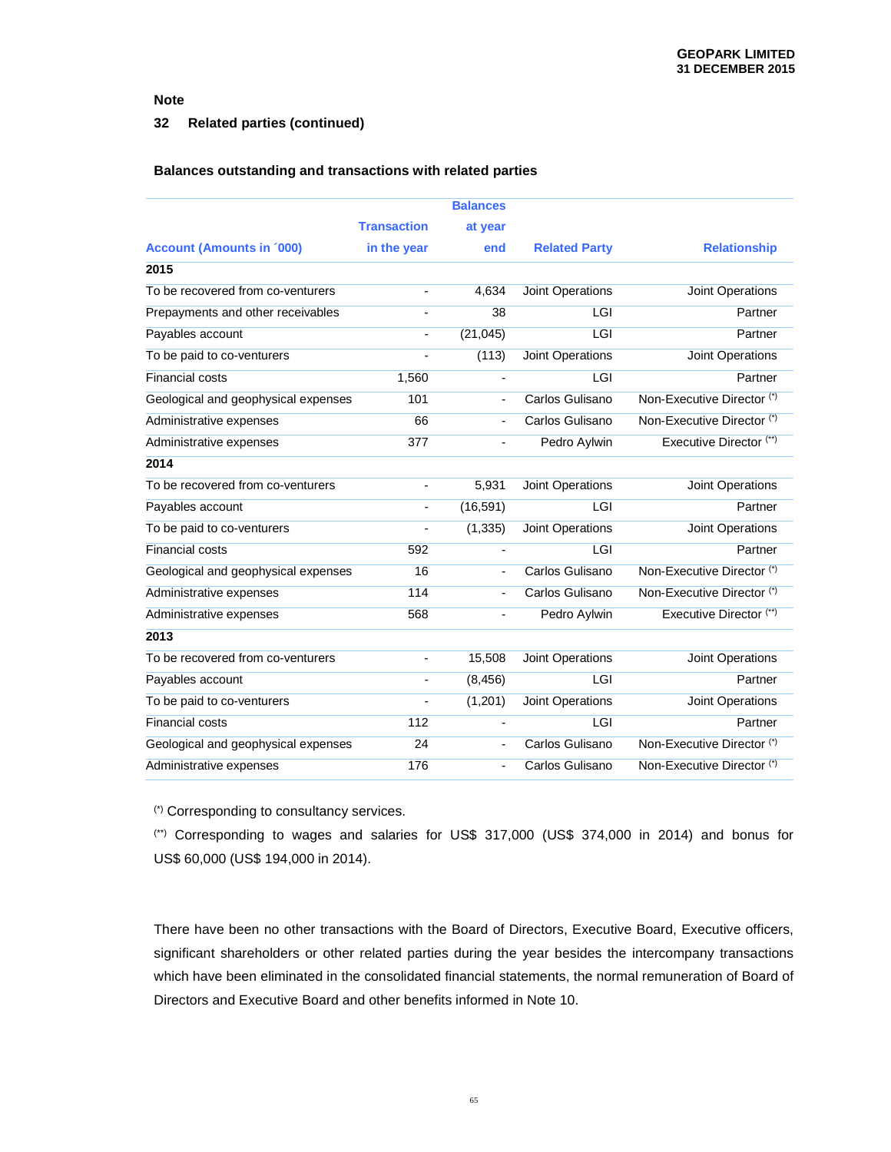### **32 Related parties (continued)**

#### **Balances outstanding and transactions with related parties**

|                                     |                    | <b>Balances</b>          |                      |                            |
|-------------------------------------|--------------------|--------------------------|----------------------|----------------------------|
|                                     | <b>Transaction</b> | at year                  |                      |                            |
| <b>Account (Amounts in '000)</b>    | in the year        | end                      | <b>Related Party</b> | <b>Relationship</b>        |
| 2015                                |                    |                          |                      |                            |
| To be recovered from co-venturers   | $\overline{a}$     | 4,634                    | Joint Operations     | <b>Joint Operations</b>    |
| Prepayments and other receivables   | $\overline{a}$     | 38                       | LGI                  | Partner                    |
| Payables account                    | $\overline{a}$     | (21, 045)                | LGI                  | Partner                    |
| To be paid to co-venturers          |                    | (113)                    | Joint Operations     | Joint Operations           |
| Financial costs                     | 1,560              | $\overline{\phantom{a}}$ | LGI                  | Partner                    |
| Geological and geophysical expenses | 101                | $\overline{\phantom{a}}$ | Carlos Gulisano      | Non-Executive Director (*) |
| Administrative expenses             | 66                 |                          | Carlos Gulisano      | Non-Executive Director (*) |
| Administrative expenses             | 377                | $\overline{\phantom{a}}$ | Pedro Aylwin         | Executive Director (**)    |
| 2014                                |                    |                          |                      |                            |
| To be recovered from co-venturers   | $\overline{a}$     | 5,931                    | Joint Operations     | Joint Operations           |
| Payables account                    | $\overline{a}$     | (16, 591)                | LGI                  | Partner                    |
| To be paid to co-venturers          |                    | (1, 335)                 | Joint Operations     | Joint Operations           |
| <b>Financial costs</b>              | 592                | $\overline{\phantom{a}}$ | LGI                  | Partner                    |
| Geological and geophysical expenses | 16                 | $\overline{\phantom{a}}$ | Carlos Gulisano      | Non-Executive Director (*) |
| Administrative expenses             | 114                | $\overline{\phantom{a}}$ | Carlos Gulisano      | Non-Executive Director (*) |
| Administrative expenses             | 568                | $\overline{a}$           | Pedro Aylwin         | Executive Director (**)    |
| 2013                                |                    |                          |                      |                            |
| To be recovered from co-venturers   | -                  | 15,508                   | Joint Operations     | Joint Operations           |
| Payables account                    | $\overline{a}$     | (8, 456)                 | LGI                  | Partner                    |
| To be paid to co-venturers          |                    | (1,201)                  | Joint Operations     | Joint Operations           |
| <b>Financial costs</b>              | 112                | $\blacksquare$           | LGI                  | Partner                    |
| Geological and geophysical expenses | 24                 | $\blacksquare$           | Carlos Gulisano      | Non-Executive Director (*) |
| Administrative expenses             | 176                |                          | Carlos Gulisano      | Non-Executive Director (*) |

(\*) Corresponding to consultancy services.

(\*\*) Corresponding to wages and salaries for US\$ 317,000 (US\$ 374,000 in 2014) and bonus for US\$ 60,000 (US\$ 194,000 in 2014).

There have been no other transactions with the Board of Directors, Executive Board, Executive officers, significant shareholders or other related parties during the year besides the intercompany transactions which have been eliminated in the consolidated financial statements, the normal remuneration of Board of Directors and Executive Board and other benefits informed in Note 10.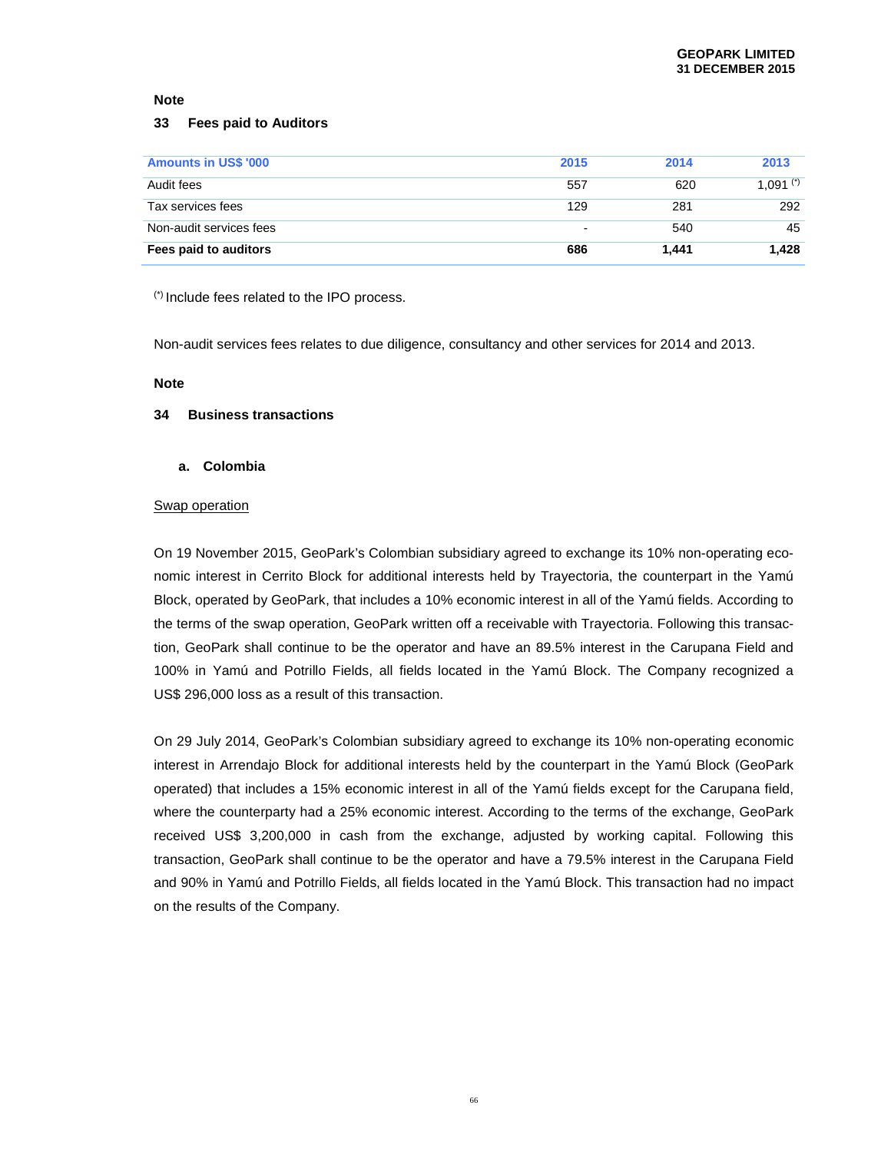#### **33 Fees paid to Auditors**

| <b>Amounts in US\$ '000</b> | 2015           | 2014  | 2013        |
|-----------------------------|----------------|-------|-------------|
| Audit fees                  | 557            | 620   | 1,091 $(*)$ |
| Tax services fees           | 129            | 281   | 292         |
| Non-audit services fees     | $\blacksquare$ | 540   | 45          |
| Fees paid to auditors       | 686            | 1.441 | 1.428       |

(\*) Include fees related to the IPO process.

Non-audit services fees relates to due diligence, consultancy and other services for 2014 and 2013.

#### **Note**

#### **34 Business transactions**

#### **a. Colombia**

#### Swap operation

On 19 November 2015, GeoPark's Colombian subsidiary agreed to exchange its 10% non-operating economic interest in Cerrito Block for additional interests held by Trayectoria, the counterpart in the Yamú Block, operated by GeoPark, that includes a 10% economic interest in all of the Yamú fields. According to the terms of the swap operation, GeoPark written off a receivable with Trayectoria. Following this transaction, GeoPark shall continue to be the operator and have an 89.5% interest in the Carupana Field and 100% in Yamú and Potrillo Fields, all fields located in the Yamú Block. The Company recognized a US\$ 296,000 loss as a result of this transaction.

On 29 July 2014, GeoPark's Colombian subsidiary agreed to exchange its 10% non-operating economic interest in Arrendajo Block for additional interests held by the counterpart in the Yamú Block (GeoPark operated) that includes a 15% economic interest in all of the Yamú fields except for the Carupana field, where the counterparty had a 25% economic interest. According to the terms of the exchange, GeoPark received US\$ 3,200,000 in cash from the exchange, adjusted by working capital. Following this transaction, GeoPark shall continue to be the operator and have a 79.5% interest in the Carupana Field and 90% in Yamú and Potrillo Fields, all fields located in the Yamú Block. This transaction had no impact on the results of the Company.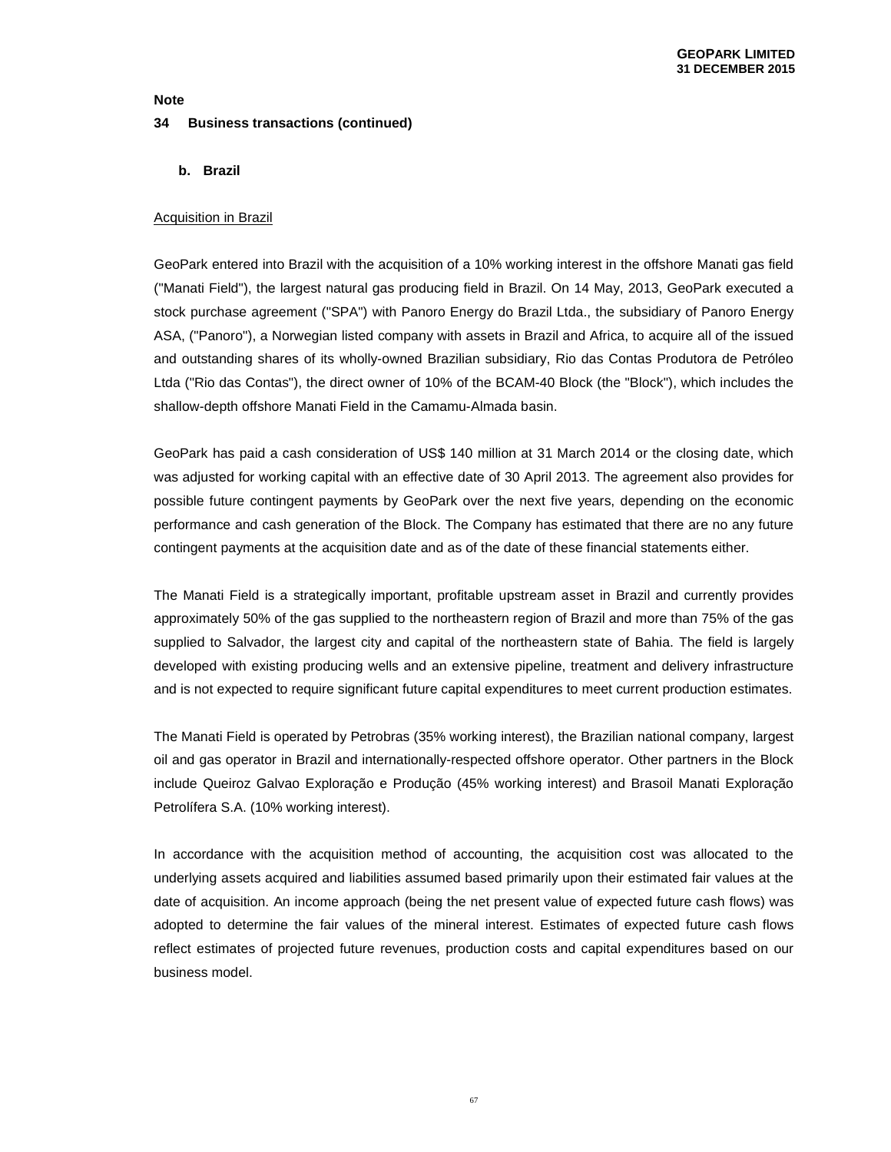# **Note 34 Business transactions (continued)**

**b. Brazil** 

### Acquisition in Brazil

GeoPark entered into Brazil with the acquisition of a 10% working interest in the offshore Manati gas field ("Manati Field"), the largest natural gas producing field in Brazil. On 14 May, 2013, GeoPark executed a stock purchase agreement ("SPA") with Panoro Energy do Brazil Ltda., the subsidiary of Panoro Energy ASA, ("Panoro"), a Norwegian listed company with assets in Brazil and Africa, to acquire all of the issued and outstanding shares of its wholly-owned Brazilian subsidiary, Rio das Contas Produtora de Petróleo Ltda ("Rio das Contas"), the direct owner of 10% of the BCAM-40 Block (the "Block"), which includes the shallow-depth offshore Manati Field in the Camamu-Almada basin.

GeoPark has paid a cash consideration of US\$ 140 million at 31 March 2014 or the closing date, which was adjusted for working capital with an effective date of 30 April 2013. The agreement also provides for possible future contingent payments by GeoPark over the next five years, depending on the economic performance and cash generation of the Block. The Company has estimated that there are no any future contingent payments at the acquisition date and as of the date of these financial statements either.

The Manati Field is a strategically important, profitable upstream asset in Brazil and currently provides approximately 50% of the gas supplied to the northeastern region of Brazil and more than 75% of the gas supplied to Salvador, the largest city and capital of the northeastern state of Bahia. The field is largely developed with existing producing wells and an extensive pipeline, treatment and delivery infrastructure and is not expected to require significant future capital expenditures to meet current production estimates.

The Manati Field is operated by Petrobras (35% working interest), the Brazilian national company, largest oil and gas operator in Brazil and internationally-respected offshore operator. Other partners in the Block include Queiroz Galvao Exploração e Produção (45% working interest) and Brasoil Manati Exploração Petrolífera S.A. (10% working interest).

In accordance with the acquisition method of accounting, the acquisition cost was allocated to the underlying assets acquired and liabilities assumed based primarily upon their estimated fair values at the date of acquisition. An income approach (being the net present value of expected future cash flows) was adopted to determine the fair values of the mineral interest. Estimates of expected future cash flows reflect estimates of projected future revenues, production costs and capital expenditures based on our business model.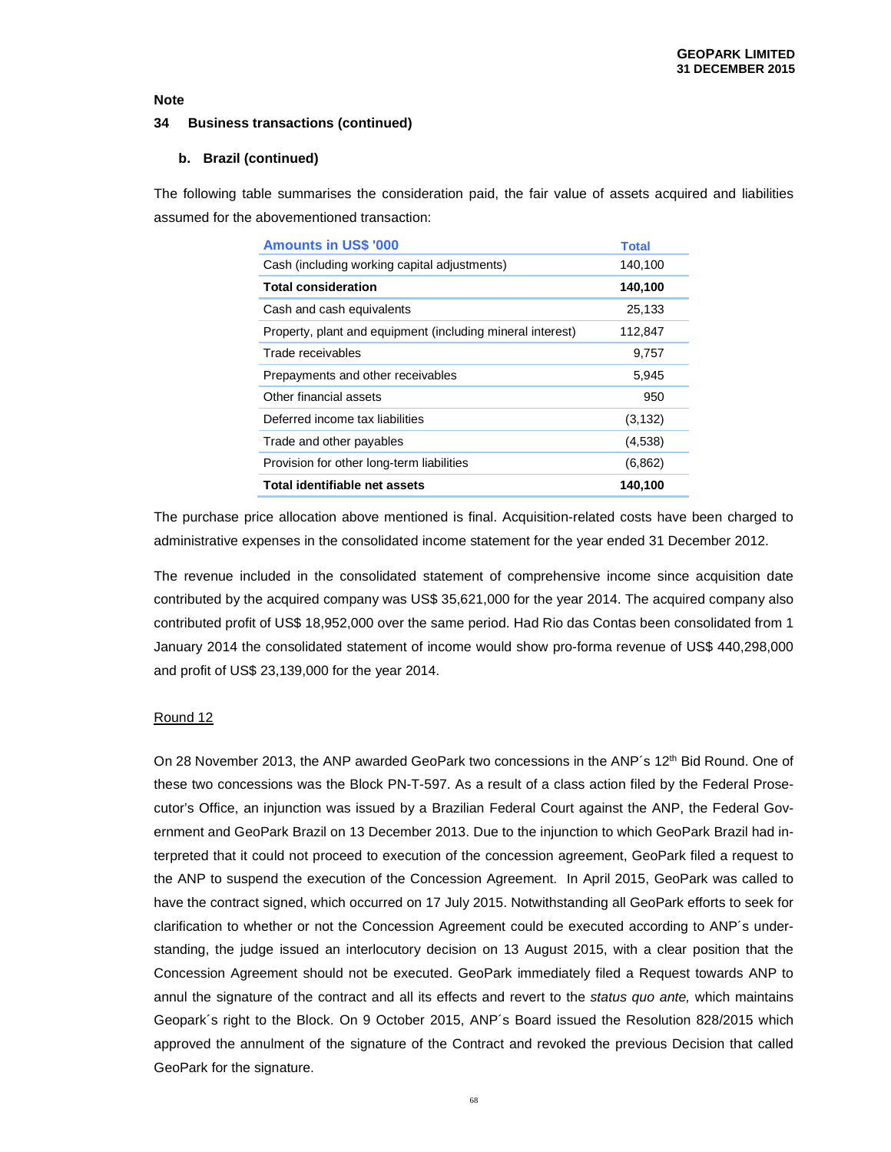#### **34 Business transactions (continued)**

#### **b. Brazil (continued)**

The following table summarises the consideration paid, the fair value of assets acquired and liabilities assumed for the abovementioned transaction:

| <b>Amounts in US\$ '000</b>                                | <b>Total</b> |
|------------------------------------------------------------|--------------|
| Cash (including working capital adjustments)               | 140,100      |
| <b>Total consideration</b>                                 | 140,100      |
| Cash and cash equivalents                                  | 25,133       |
| Property, plant and equipment (including mineral interest) | 112,847      |
| Trade receivables                                          | 9,757        |
| Prepayments and other receivables                          | 5,945        |
| Other financial assets                                     | 950          |
| Deferred income tax liabilities                            | (3, 132)     |
| Trade and other payables                                   | (4,538)      |
| Provision for other long-term liabilities                  | (6, 862)     |
| Total identifiable net assets                              | 140,100      |

The purchase price allocation above mentioned is final. Acquisition-related costs have been charged to administrative expenses in the consolidated income statement for the year ended 31 December 2012.

The revenue included in the consolidated statement of comprehensive income since acquisition date contributed by the acquired company was US\$ 35,621,000 for the year 2014. The acquired company also contributed profit of US\$ 18,952,000 over the same period. Had Rio das Contas been consolidated from 1 January 2014 the consolidated statement of income would show pro-forma revenue of US\$ 440,298,000 and profit of US\$ 23,139,000 for the year 2014.

#### Round 12

On 28 November 2013, the ANP awarded GeoPark two concessions in the ANP's 12<sup>th</sup> Bid Round. One of these two concessions was the Block PN-T-597. As a result of a class action filed by the Federal Prosecutor's Office, an injunction was issued by a Brazilian Federal Court against the ANP, the Federal Government and GeoPark Brazil on 13 December 2013. Due to the injunction to which GeoPark Brazil had interpreted that it could not proceed to execution of the concession agreement, GeoPark filed a request to the ANP to suspend the execution of the Concession Agreement. In April 2015, GeoPark was called to have the contract signed, which occurred on 17 July 2015. Notwithstanding all GeoPark efforts to seek for clarification to whether or not the Concession Agreement could be executed according to ANP´s understanding, the judge issued an interlocutory decision on 13 August 2015, with a clear position that the Concession Agreement should not be executed. GeoPark immediately filed a Request towards ANP to annul the signature of the contract and all its effects and revert to the *status quo ante*, which maintains Geopark´s right to the Block. On 9 October 2015, ANP´s Board issued the Resolution 828/2015 which approved the annulment of the signature of the Contract and revoked the previous Decision that called GeoPark for the signature.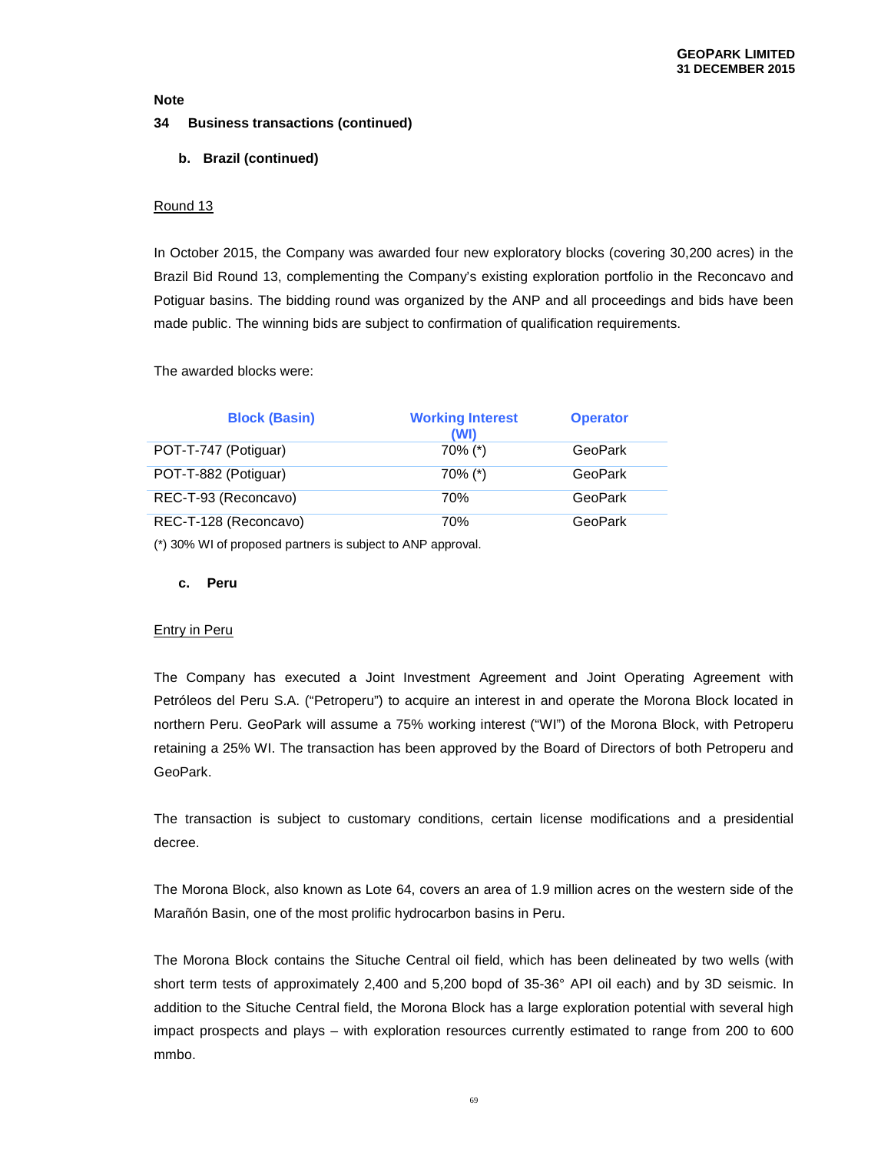### **34 Business transactions (continued)**

### **b. Brazil (continued)**

### Round 13

In October 2015, the Company was awarded four new exploratory blocks (covering 30,200 acres) in the Brazil Bid Round 13, complementing the Company's existing exploration portfolio in the Reconcavo and Potiguar basins. The bidding round was organized by the ANP and all proceedings and bids have been made public. The winning bids are subject to confirmation of qualification requirements.

#### The awarded blocks were:

|                      | <b>Block (Basin)</b>  | <b>Working Interest</b><br>(WI) | <b>Operator</b> |
|----------------------|-----------------------|---------------------------------|-----------------|
| POT-T-747 (Potiguar) |                       | 70% (*)                         | GeoPark         |
| POT-T-882 (Potiguar) |                       | 70% (*)                         | GeoPark         |
|                      | REC-T-93 (Reconcavo)  | 70%                             | <b>GeoPark</b>  |
|                      | REC-T-128 (Reconcavo) | 70%                             | GeoPark         |

(\*) 30% WI of proposed partners is subject to ANP approval.

#### **c. Peru**

### Entry in Peru

The Company has executed a Joint Investment Agreement and Joint Operating Agreement with Petróleos del Peru S.A. ("Petroperu") to acquire an interest in and operate the Morona Block located in northern Peru. GeoPark will assume a 75% working interest ("WI") of the Morona Block, with Petroperu retaining a 25% WI. The transaction has been approved by the Board of Directors of both Petroperu and GeoPark.

The transaction is subject to customary conditions, certain license modifications and a presidential decree.

The Morona Block, also known as Lote 64, covers an area of 1.9 million acres on the western side of the Marañón Basin, one of the most prolific hydrocarbon basins in Peru.

The Morona Block contains the Situche Central oil field, which has been delineated by two wells (with short term tests of approximately 2,400 and 5,200 bopd of 35-36° API oil each) and by 3D seismic. In addition to the Situche Central field, the Morona Block has a large exploration potential with several high impact prospects and plays – with exploration resources currently estimated to range from 200 to 600 mmbo.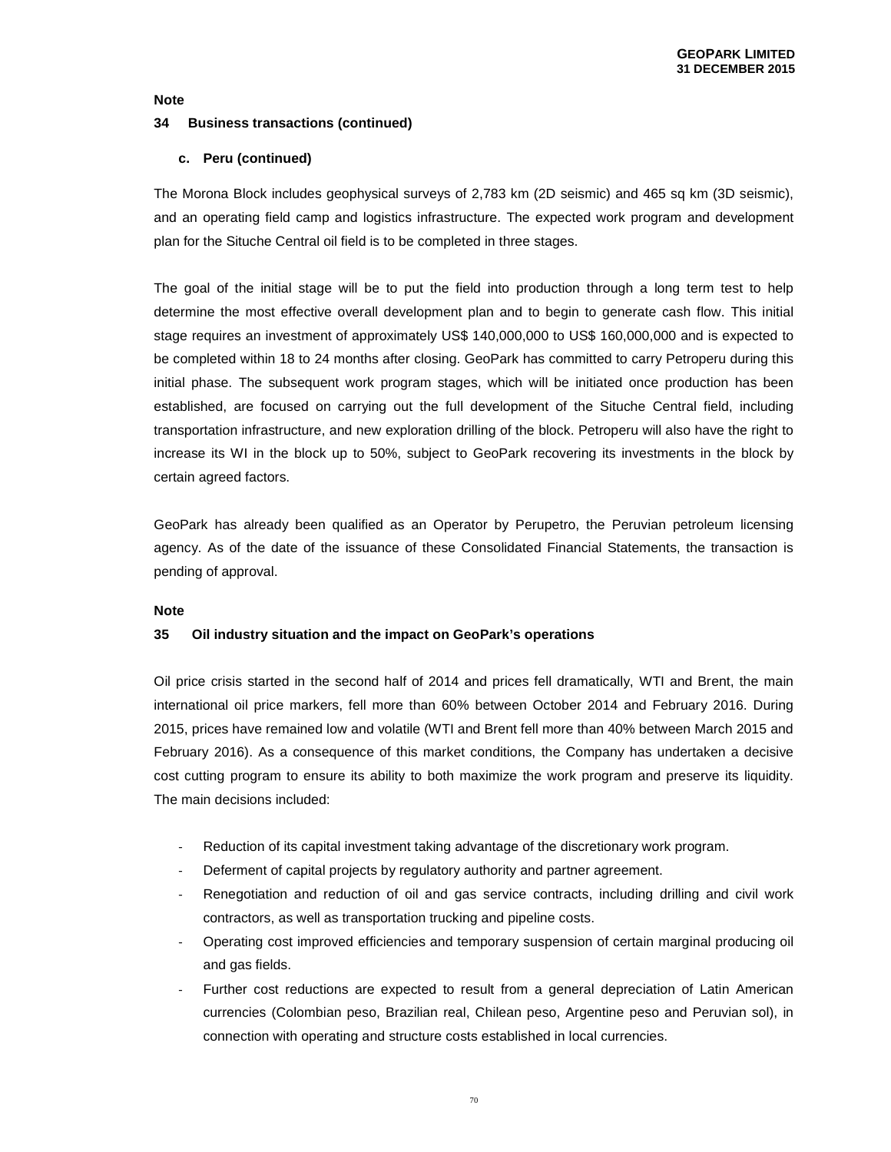#### **34 Business transactions (continued)**

#### **c. Peru (continued)**

The Morona Block includes geophysical surveys of 2,783 km (2D seismic) and 465 sq km (3D seismic), and an operating field camp and logistics infrastructure. The expected work program and development plan for the Situche Central oil field is to be completed in three stages.

The goal of the initial stage will be to put the field into production through a long term test to help determine the most effective overall development plan and to begin to generate cash flow. This initial stage requires an investment of approximately US\$ 140,000,000 to US\$ 160,000,000 and is expected to be completed within 18 to 24 months after closing. GeoPark has committed to carry Petroperu during this initial phase. The subsequent work program stages, which will be initiated once production has been established, are focused on carrying out the full development of the Situche Central field, including transportation infrastructure, and new exploration drilling of the block. Petroperu will also have the right to increase its WI in the block up to 50%, subject to GeoPark recovering its investments in the block by certain agreed factors.

GeoPark has already been qualified as an Operator by Perupetro, the Peruvian petroleum licensing agency. As of the date of the issuance of these Consolidated Financial Statements, the transaction is pending of approval.

#### **Note**

### **35 Oil industry situation and the impact on GeoPark's operations**

Oil price crisis started in the second half of 2014 and prices fell dramatically, WTI and Brent, the main international oil price markers, fell more than 60% between October 2014 and February 2016. During 2015, prices have remained low and volatile (WTI and Brent fell more than 40% between March 2015 and February 2016). As a consequence of this market conditions, the Company has undertaken a decisive cost cutting program to ensure its ability to both maximize the work program and preserve its liquidity. The main decisions included:

- Reduction of its capital investment taking advantage of the discretionary work program.
- Deferment of capital projects by regulatory authority and partner agreement.
- Renegotiation and reduction of oil and gas service contracts, including drilling and civil work contractors, as well as transportation trucking and pipeline costs.
- Operating cost improved efficiencies and temporary suspension of certain marginal producing oil and gas fields.
- Further cost reductions are expected to result from a general depreciation of Latin American currencies (Colombian peso, Brazilian real, Chilean peso, Argentine peso and Peruvian sol), in connection with operating and structure costs established in local currencies.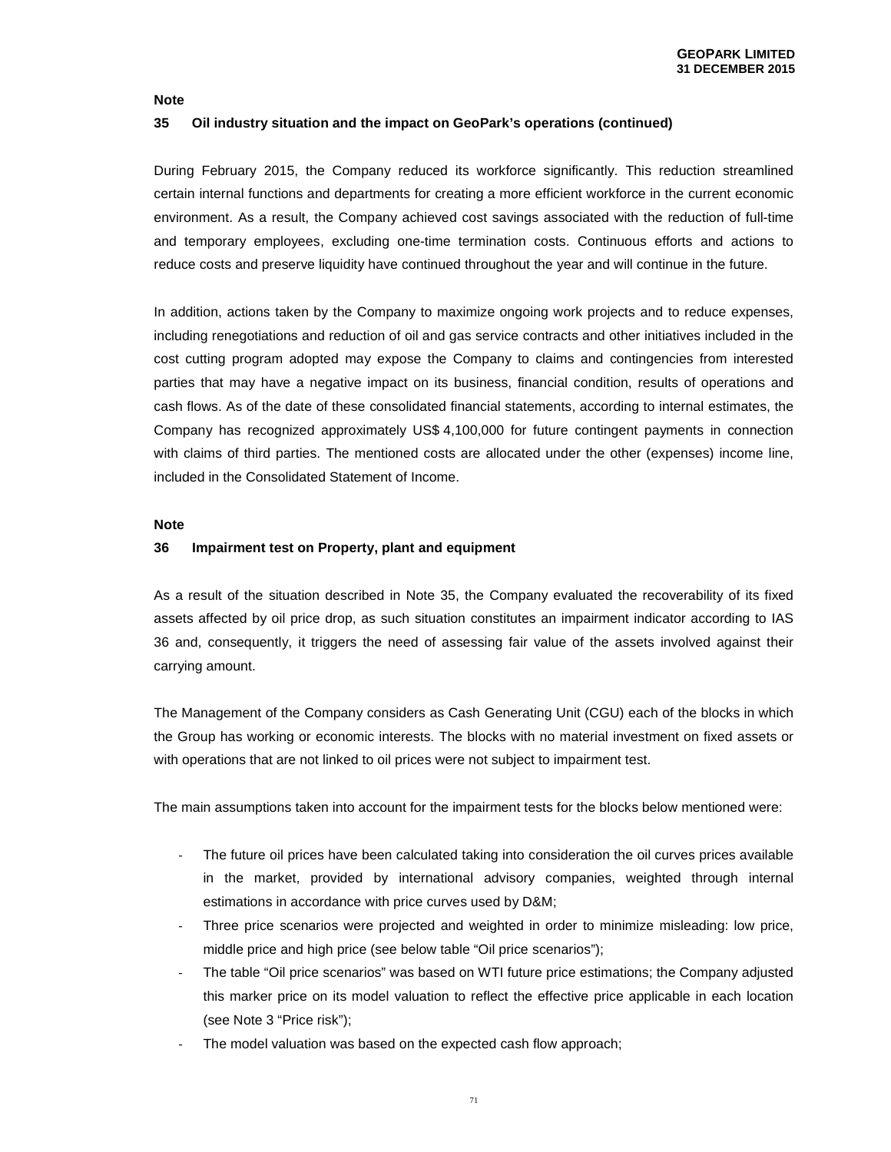#### **35 Oil industry situation and the impact on GeoPark's operations (continued)**

During February 2015, the Company reduced its workforce significantly. This reduction streamlined certain internal functions and departments for creating a more efficient workforce in the current economic environment. As a result, the Company achieved cost savings associated with the reduction of full-time and temporary employees, excluding one-time termination costs. Continuous efforts and actions to reduce costs and preserve liquidity have continued throughout the year and will continue in the future.

In addition, actions taken by the Company to maximize ongoing work projects and to reduce expenses, including renegotiations and reduction of oil and gas service contracts and other initiatives included in the cost cutting program adopted may expose the Company to claims and contingencies from interested parties that may have a negative impact on its business, financial condition, results of operations and cash flows. As of the date of these consolidated financial statements, according to internal estimates, the Company has recognized approximately US\$ 4,100,000 for future contingent payments in connection with claims of third parties. The mentioned costs are allocated under the other (expenses) income line, included in the Consolidated Statement of Income.

#### **Note**

#### **36 Impairment test on Property, plant and equipment**

As a result of the situation described in Note 35, the Company evaluated the recoverability of its fixed assets affected by oil price drop, as such situation constitutes an impairment indicator according to IAS 36 and, consequently, it triggers the need of assessing fair value of the assets involved against their carrying amount.

The Management of the Company considers as Cash Generating Unit (CGU) each of the blocks in which the Group has working or economic interests. The blocks with no material investment on fixed assets or with operations that are not linked to oil prices were not subject to impairment test.

The main assumptions taken into account for the impairment tests for the blocks below mentioned were:

- The future oil prices have been calculated taking into consideration the oil curves prices available in the market, provided by international advisory companies, weighted through internal estimations in accordance with price curves used by D&M;
- Three price scenarios were projected and weighted in order to minimize misleading: low price, middle price and high price (see below table "Oil price scenarios");
- The table "Oil price scenarios" was based on WTI future price estimations; the Company adjusted this marker price on its model valuation to reflect the effective price applicable in each location (see Note 3 "Price risk");
- The model valuation was based on the expected cash flow approach;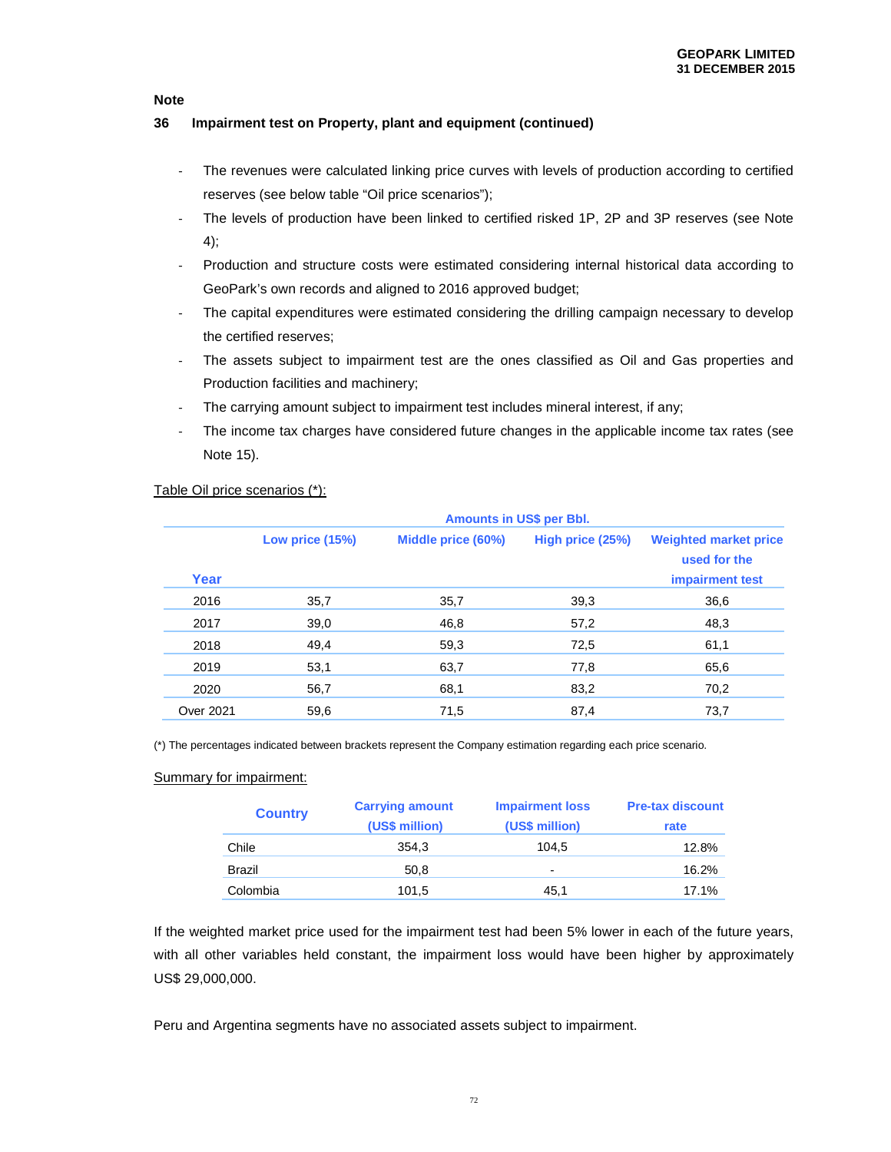## **36 Impairment test on Property, plant and equipment (continued)**

- The revenues were calculated linking price curves with levels of production according to certified reserves (see below table "Oil price scenarios");
- The levels of production have been linked to certified risked 1P, 2P and 3P reserves (see Note 4);
- Production and structure costs were estimated considering internal historical data according to GeoPark's own records and aligned to 2016 approved budget;
- The capital expenditures were estimated considering the drilling campaign necessary to develop the certified reserves;
- The assets subject to impairment test are the ones classified as Oil and Gas properties and Production facilities and machinery;
- The carrying amount subject to impairment test includes mineral interest, if any;
- The income tax charges have considered future changes in the applicable income tax rates (see Note 15).

|                  | <b>Amounts in US\$ per Bbl.</b> |                    |                  |                                                                 |  |  |  |
|------------------|---------------------------------|--------------------|------------------|-----------------------------------------------------------------|--|--|--|
| Year             | Low price (15%)                 | Middle price (60%) | High price (25%) | <b>Weighted market price</b><br>used for the<br>impairment test |  |  |  |
| 2016             | 35,7                            | 35,7               | 39,3             | 36,6                                                            |  |  |  |
| 2017             | 39,0                            | 46,8               | 57,2             | 48,3                                                            |  |  |  |
| 2018             | 49,4                            | 59,3               | 72,5             | 61,1                                                            |  |  |  |
| 2019             | 53,1                            | 63,7               | 77,8             | 65,6                                                            |  |  |  |
| 2020             | 56,7                            | 68,1               | 83,2             | 70,2                                                            |  |  |  |
| <b>Over 2021</b> | 59,6                            | 71,5               | 87,4             | 73,7                                                            |  |  |  |

## Table Oil price scenarios (\*):

(\*) The percentages indicated between brackets represent the Company estimation regarding each price scenario.

## Summary for impairment:

| <b>Country</b> | <b>Carrying amount</b><br>(US\$ million) | <b>Impairment loss</b><br>(US\$ million) | <b>Pre-tax discount</b><br>rate |
|----------------|------------------------------------------|------------------------------------------|---------------------------------|
| Chile          | 354.3                                    | 104.5                                    | 12.8%                           |
| <b>Brazil</b>  | 50,8                                     | $\overline{\phantom{0}}$                 | 16.2%                           |
| Colombia       | 101,5                                    | 45,1                                     | 17.1%                           |

If the weighted market price used for the impairment test had been 5% lower in each of the future years, with all other variables held constant, the impairment loss would have been higher by approximately US\$ 29,000,000.

Peru and Argentina segments have no associated assets subject to impairment.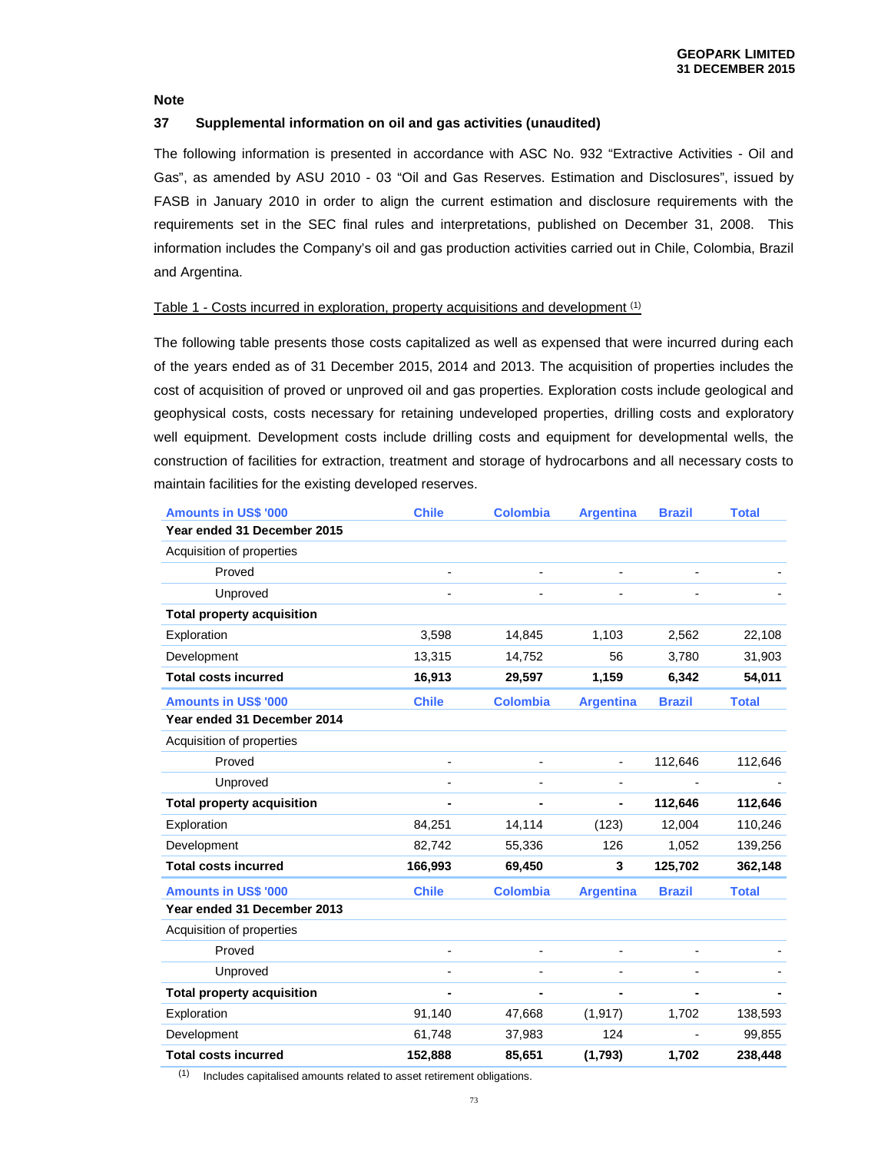## **37 Supplemental information on oil and gas activities (unaudited)**

The following information is presented in accordance with ASC No. 932 "Extractive Activities - Oil and Gas", as amended by ASU 2010 - 03 "Oil and Gas Reserves. Estimation and Disclosures", issued by FASB in January 2010 in order to align the current estimation and disclosure requirements with the requirements set in the SEC final rules and interpretations, published on December 31, 2008. This information includes the Company's oil and gas production activities carried out in Chile, Colombia, Brazil and Argentina.

## Table 1 - Costs incurred in exploration, property acquisitions and development (1)

The following table presents those costs capitalized as well as expensed that were incurred during each of the years ended as of 31 December 2015, 2014 and 2013. The acquisition of properties includes the cost of acquisition of proved or unproved oil and gas properties. Exploration costs include geological and geophysical costs, costs necessary for retaining undeveloped properties, drilling costs and exploratory well equipment. Development costs include drilling costs and equipment for developmental wells, the construction of facilities for extraction, treatment and storage of hydrocarbons and all necessary costs to maintain facilities for the existing developed reserves.

| <b>Amounts in US\$ '000</b>       | <b>Chile</b>             | <b>Colombia</b>          | <b>Argentina</b>         | <b>Brazil</b> | <b>Total</b> |
|-----------------------------------|--------------------------|--------------------------|--------------------------|---------------|--------------|
| Year ended 31 December 2015       |                          |                          |                          |               |              |
| Acquisition of properties         |                          |                          |                          |               |              |
| Proved                            |                          |                          |                          |               |              |
| Unproved                          |                          |                          |                          |               |              |
| <b>Total property acquisition</b> |                          |                          |                          |               |              |
| Exploration                       | 3,598                    | 14,845                   | 1,103                    | 2,562         | 22,108       |
| Development                       | 13,315                   | 14,752                   | 56                       | 3,780         | 31,903       |
| <b>Total costs incurred</b>       | 16,913                   | 29,597                   | 1,159                    | 6,342         | 54,011       |
| <b>Amounts in US\$ '000</b>       | <b>Chile</b>             | <b>Colombia</b>          | <b>Argentina</b>         | <b>Brazil</b> | <b>Total</b> |
| Year ended 31 December 2014       |                          |                          |                          |               |              |
| Acquisition of properties         |                          |                          |                          |               |              |
| Proved                            | $\overline{\phantom{0}}$ | $\overline{\phantom{0}}$ | $\overline{\phantom{a}}$ | 112,646       | 112,646      |
| Unproved                          |                          |                          |                          |               |              |
| <b>Total property acquisition</b> |                          |                          |                          | 112,646       | 112,646      |
| Exploration                       | 84,251                   | 14,114                   | (123)                    | 12,004        | 110,246      |
| Development                       | 82,742                   | 55,336                   | 126                      | 1,052         | 139,256      |
| <b>Total costs incurred</b>       | 166,993                  | 69,450                   | 3                        | 125,702       | 362,148      |
| <b>Amounts in US\$ '000</b>       | <b>Chile</b>             | <b>Colombia</b>          | <b>Argentina</b>         | <b>Brazil</b> | <b>Total</b> |
| Year ended 31 December 2013       |                          |                          |                          |               |              |
| Acquisition of properties         |                          |                          |                          |               |              |
| Proved                            | $\overline{a}$           | $\overline{\phantom{a}}$ | $\overline{\phantom{a}}$ |               |              |
| Unproved                          |                          |                          |                          |               |              |
| <b>Total property acquisition</b> |                          |                          |                          |               |              |
| Exploration                       | 91,140                   | 47,668                   | (1, 917)                 | 1,702         | 138,593      |
| Development                       | 61,748                   | 37,983                   | 124                      |               | 99,855       |
| <b>Total costs incurred</b>       | 152,888                  | 85,651                   | (1,793)                  | 1,702         | 238,448      |

 $(1)$  Includes capitalised amounts related to asset retirement obligations.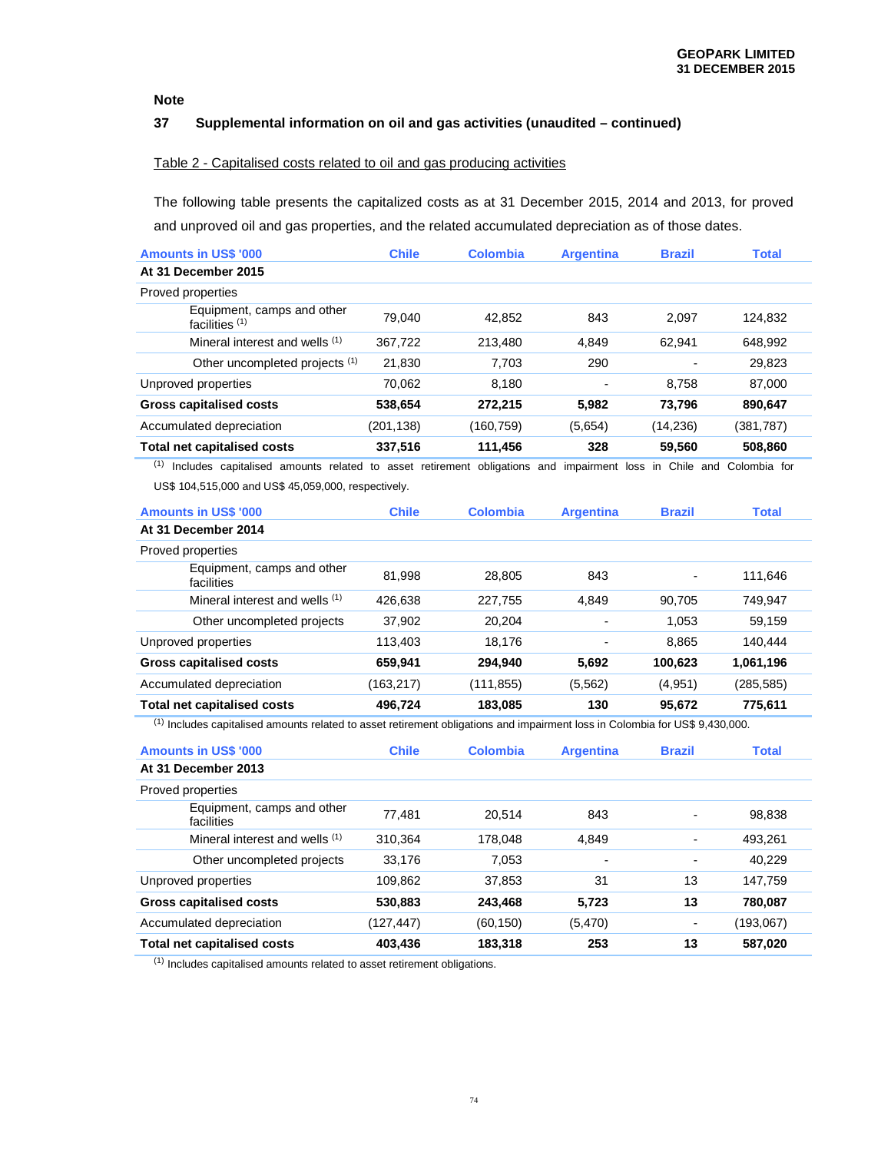## **37 Supplemental information on oil and gas activities (unaudited – continued)**

## Table 2 - Capitalised costs related to oil and gas producing activities

The following table presents the capitalized costs as at 31 December 2015, 2014 and 2013, for proved and unproved oil and gas properties, and the related accumulated depreciation as of those dates.

| <b>Amounts in US\$ '000</b>                    | <b>Chile</b> | Colombia  | <b>Argentina</b> | <b>Brazil</b> | <b>Total</b> |
|------------------------------------------------|--------------|-----------|------------------|---------------|--------------|
| At 31 December 2015                            |              |           |                  |               |              |
| Proved properties                              |              |           |                  |               |              |
| Equipment, camps and other<br>facilities $(1)$ | 79.040       | 42.852    | 843              | 2.097         | 124.832      |
| Mineral interest and wells (1)                 | 367.722      | 213.480   | 4.849            | 62.941        | 648,992      |
| Other uncompleted projects (1)                 | 21,830       | 7.703     | 290              |               | 29,823       |
| Unproved properties                            | 70,062       | 8.180     |                  | 8.758         | 87,000       |
| <b>Gross capitalised costs</b>                 | 538,654      | 272,215   | 5,982            | 73,796        | 890,647      |
| Accumulated depreciation                       | (201, 138)   | (160,759) | (5,654)          | (14, 236)     | (381,787)    |
| <b>Total net capitalised costs</b>             | 337,516      | 111,456   | 328              | 59,560        | 508,860      |

(1) Includes capitalised amounts related to asset retirement obligations and impairment loss in Chile and Colombia for US\$ 104,515,000 and US\$ 45,059,000, respectively.

| <b>Amounts in US\$ '000</b>              | <b>Chile</b> | <b>Colombia</b> | <b>Argentina</b> | <b>Brazil</b> | <b>Total</b> |
|------------------------------------------|--------------|-----------------|------------------|---------------|--------------|
| At 31 December 2014                      |              |                 |                  |               |              |
| Proved properties                        |              |                 |                  |               |              |
| Equipment, camps and other<br>facilities | 81.998       | 28.805          | 843              | Ξ.            | 111.646      |
| Mineral interest and wells (1)           | 426.638      | 227.755         | 4.849            | 90.705        | 749.947      |
| Other uncompleted projects               | 37,902       | 20.204          |                  | 1,053         | 59.159       |
| Unproved properties                      | 113.403      | 18.176          | $\blacksquare$   | 8.865         | 140.444      |
| <b>Gross capitalised costs</b>           | 659,941      | 294,940         | 5,692            | 100,623       | 1,061,196    |
| Accumulated depreciation                 | (163,217)    | (111, 855)      | (5, 562)         | (4,951)       | (285, 585)   |
| Total net capitalised costs              | 496.724      | 183.085         | 130              | 95.672        | 775.611      |

(1) Includes capitalised amounts related to asset retirement obligations and impairment loss in Colombia for US\$ 9,430,000.

| <b>Amounts in US\$ '000</b>              | <b>Chile</b> | <b>Colombia</b> | <b>Argentina</b> | <b>Brazil</b>            | <b>Total</b> |
|------------------------------------------|--------------|-----------------|------------------|--------------------------|--------------|
| At 31 December 2013                      |              |                 |                  |                          |              |
| Proved properties                        |              |                 |                  |                          |              |
| Equipment, camps and other<br>facilities | 77.481       | 20.514          | 843              |                          | 98.838       |
| Mineral interest and wells (1)           | 310.364      | 178.048         | 4.849            |                          | 493,261      |
| Other uncompleted projects               | 33.176       | 7.053           |                  | -                        | 40,229       |
| Unproved properties                      | 109,862      | 37.853          | 31               | 13                       | 147,759      |
| <b>Gross capitalised costs</b>           | 530,883      | 243.468         | 5.723            | 13                       | 780.087      |
| Accumulated depreciation                 | (127,447)    | (60, 150)       | (5,470)          | $\overline{\phantom{a}}$ | (193,067)    |
| <b>Total net capitalised costs</b>       | 403.436      | 183.318         | 253              | 13                       | 587.020      |

(1) Includes capitalised amounts related to asset retirement obligations.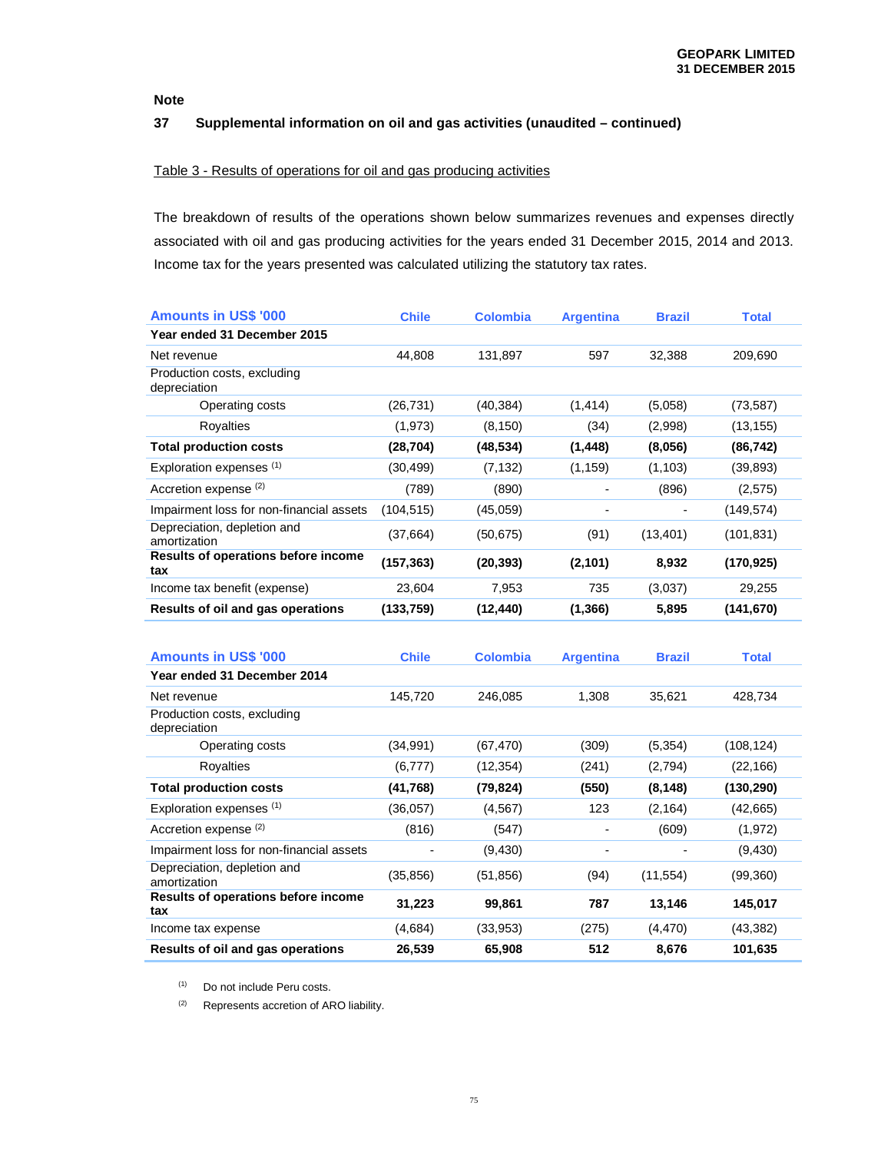## **37 Supplemental information on oil and gas activities (unaudited – continued)**

## Table 3 - Results of operations for oil and gas producing activities

The breakdown of results of the operations shown below summarizes revenues and expenses directly associated with oil and gas producing activities for the years ended 31 December 2015, 2014 and 2013. Income tax for the years presented was calculated utilizing the statutory tax rates.

| <b>Amounts in US\$ '000</b>                 | <b>Chile</b> | <b>Colombia</b> | <b>Argentina</b>         | <b>Brazil</b> | <b>Total</b> |
|---------------------------------------------|--------------|-----------------|--------------------------|---------------|--------------|
| Year ended 31 December 2015                 |              |                 |                          |               |              |
| Net revenue                                 | 44,808       | 131,897         | 597                      | 32,388        | 209,690      |
| Production costs, excluding<br>depreciation |              |                 |                          |               |              |
| Operating costs                             | (26, 731)    | (40, 384)       | (1, 414)                 | (5,058)       | (73, 587)    |
| Royalties                                   | (1, 973)     | (8, 150)        | (34)                     | (2,998)       | (13,155)     |
| <b>Total production costs</b>               | (28, 704)    | (48, 534)       | (1, 448)                 | (8,056)       | (86, 742)    |
| Exploration expenses (1)                    | (30, 499)    | (7, 132)        | (1, 159)                 | (1, 103)      | (39,893)     |
| Accretion expense (2)                       | (789)        | (890)           | -                        | (896)         | (2,575)      |
| Impairment loss for non-financial assets    | (104, 515)   | (45,059)        | $\overline{\phantom{a}}$ |               | (149, 574)   |
| Depreciation, depletion and<br>amortization | (37, 664)    | (50, 675)       | (91)                     | (13, 401)     | (101, 831)   |
| Results of operations before income<br>tax  | (157, 363)   | (20, 393)       | (2, 101)                 | 8,932         | (170, 925)   |
| Income tax benefit (expense)                | 23,604       | 7.953           | 735                      | (3,037)       | 29,255       |
| Results of oil and gas operations           | (133, 759)   | (12, 440)       | (1, 366)                 | 5,895         | (141,670)    |

| <b>Amounts in US\$ '000</b>                 | <b>Chile</b>             | <b>Colombia</b> | <b>Argentina</b> | <b>Brazil</b> | <b>Total</b> |
|---------------------------------------------|--------------------------|-----------------|------------------|---------------|--------------|
| Year ended 31 December 2014                 |                          |                 |                  |               |              |
| Net revenue                                 | 145,720                  | 246,085         | 1,308            | 35,621        | 428,734      |
| Production costs, excluding<br>depreciation |                          |                 |                  |               |              |
| Operating costs                             | (34, 991)                | (67, 470)       | (309)            | (5, 354)      | (108, 124)   |
| Royalties                                   | (6, 777)                 | (12, 354)       | (241)            | (2,794)       | (22,166)     |
| <b>Total production costs</b>               | (41, 768)                | (79,824)        | (550)            | (8, 148)      | (130, 290)   |
| Exploration expenses (1)                    | (36, 057)                | (4, 567)        | 123              | (2, 164)      | (42,665)     |
| Accretion expense (2)                       | (816)                    | (547)           |                  | (609)         | (1, 972)     |
| Impairment loss for non-financial assets    | $\overline{\phantom{0}}$ | (9,430)         | ۰                |               | (9,430)      |
| Depreciation, depletion and<br>amortization | (35, 856)                | (51, 856)       | (94)             | (11, 554)     | (99,360)     |
| Results of operations before income<br>tax  | 31,223                   | 99,861          | 787              | 13,146        | 145,017      |
| Income tax expense                          | (4,684)                  | (33, 953)       | (275)            | (4, 470)      | (43, 382)    |
| Results of oil and gas operations           | 26,539                   | 65,908          | 512              | 8,676         | 101,635      |

(1) Do not include Peru costs.

(2) Represents accretion of ARO liability.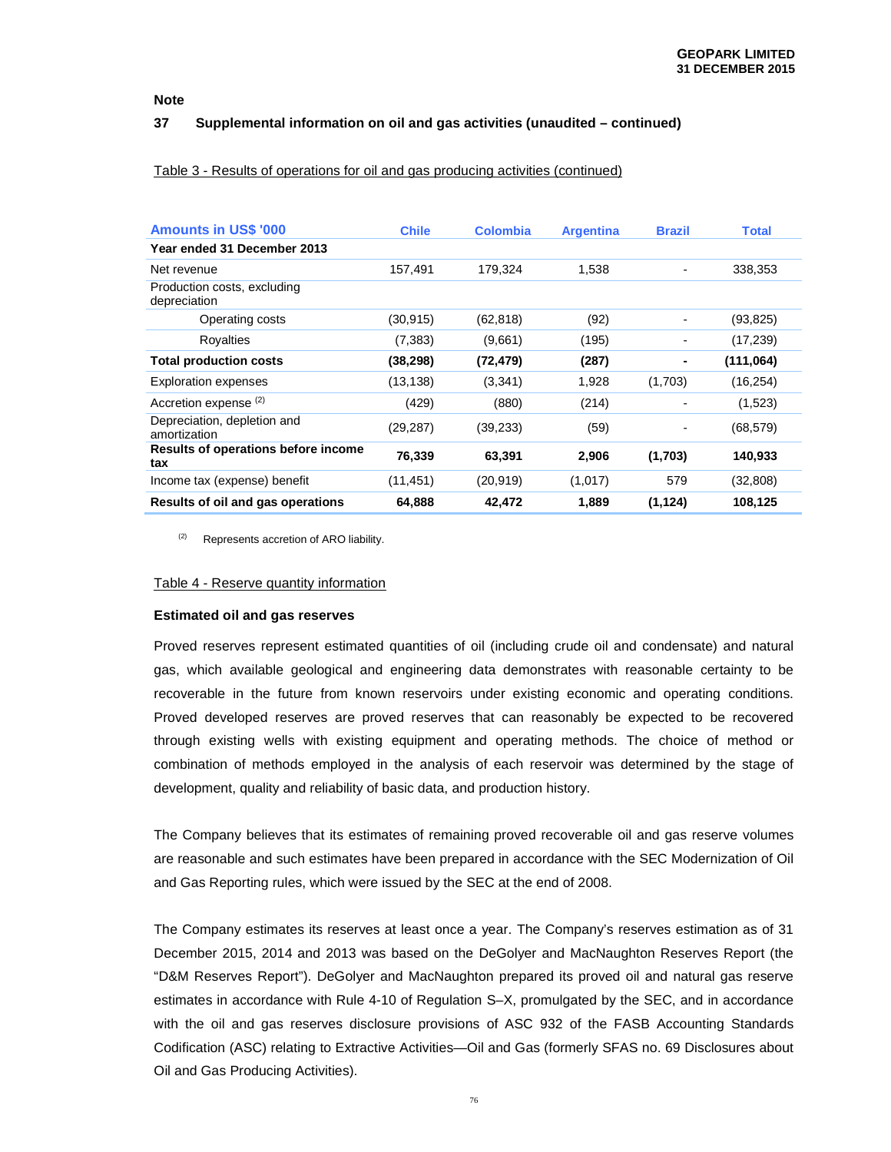#### **37 Supplemental information on oil and gas activities (unaudited – continued)**

#### Table 3 - Results of operations for oil and gas producing activities (continued)

| <b>Amounts in US\$ '000</b>                 | <b>Chile</b> | <b>Colombia</b> | <b>Argentina</b> | <b>Brazil</b> | <b>Total</b> |
|---------------------------------------------|--------------|-----------------|------------------|---------------|--------------|
| Year ended 31 December 2013                 |              |                 |                  |               |              |
| Net revenue                                 | 157.491      | 179.324         | 1.538            |               | 338.353      |
| Production costs, excluding<br>depreciation |              |                 |                  |               |              |
| Operating costs                             | (30, 915)    | (62, 818)       | (92)             | -             | (93,825)     |
| Royalties                                   | (7, 383)     | (9,661)         | (195)            | -             | (17, 239)    |
| <b>Total production costs</b>               | (38,298)     | (72, 479)       | (287)            |               | (111,064)    |
| <b>Exploration expenses</b>                 | (13, 138)    | (3,341)         | 1,928            | (1,703)       | (16, 254)    |
| Accretion expense (2)                       | (429)        | (880)           | (214)            | -             | (1,523)      |
| Depreciation, depletion and<br>amortization | (29, 287)    | (39, 233)       | (59)             |               | (68, 579)    |
| Results of operations before income<br>tax  | 76,339       | 63,391          | 2,906            | (1,703)       | 140,933      |
| Income tax (expense) benefit                | (11,451)     | (20, 919)       | (1,017)          | 579           | (32, 808)    |
| Results of oil and gas operations           | 64,888       | 42,472          | 1.889            | (1, 124)      | 108,125      |

(2) Represents accretion of ARO liability.

#### Table 4 - Reserve quantity information

#### **Estimated oil and gas reserves**

Proved reserves represent estimated quantities of oil (including crude oil and condensate) and natural gas, which available geological and engineering data demonstrates with reasonable certainty to be recoverable in the future from known reservoirs under existing economic and operating conditions. Proved developed reserves are proved reserves that can reasonably be expected to be recovered through existing wells with existing equipment and operating methods. The choice of method or combination of methods employed in the analysis of each reservoir was determined by the stage of development, quality and reliability of basic data, and production history.

The Company believes that its estimates of remaining proved recoverable oil and gas reserve volumes are reasonable and such estimates have been prepared in accordance with the SEC Modernization of Oil and Gas Reporting rules, which were issued by the SEC at the end of 2008.

The Company estimates its reserves at least once a year. The Company's reserves estimation as of 31 December 2015, 2014 and 2013 was based on the DeGolyer and MacNaughton Reserves Report (the "D&M Reserves Report"). DeGolyer and MacNaughton prepared its proved oil and natural gas reserve estimates in accordance with Rule 4-10 of Regulation S–X, promulgated by the SEC, and in accordance with the oil and gas reserves disclosure provisions of ASC 932 of the FASB Accounting Standards Codification (ASC) relating to Extractive Activities—Oil and Gas (formerly SFAS no. 69 Disclosures about Oil and Gas Producing Activities).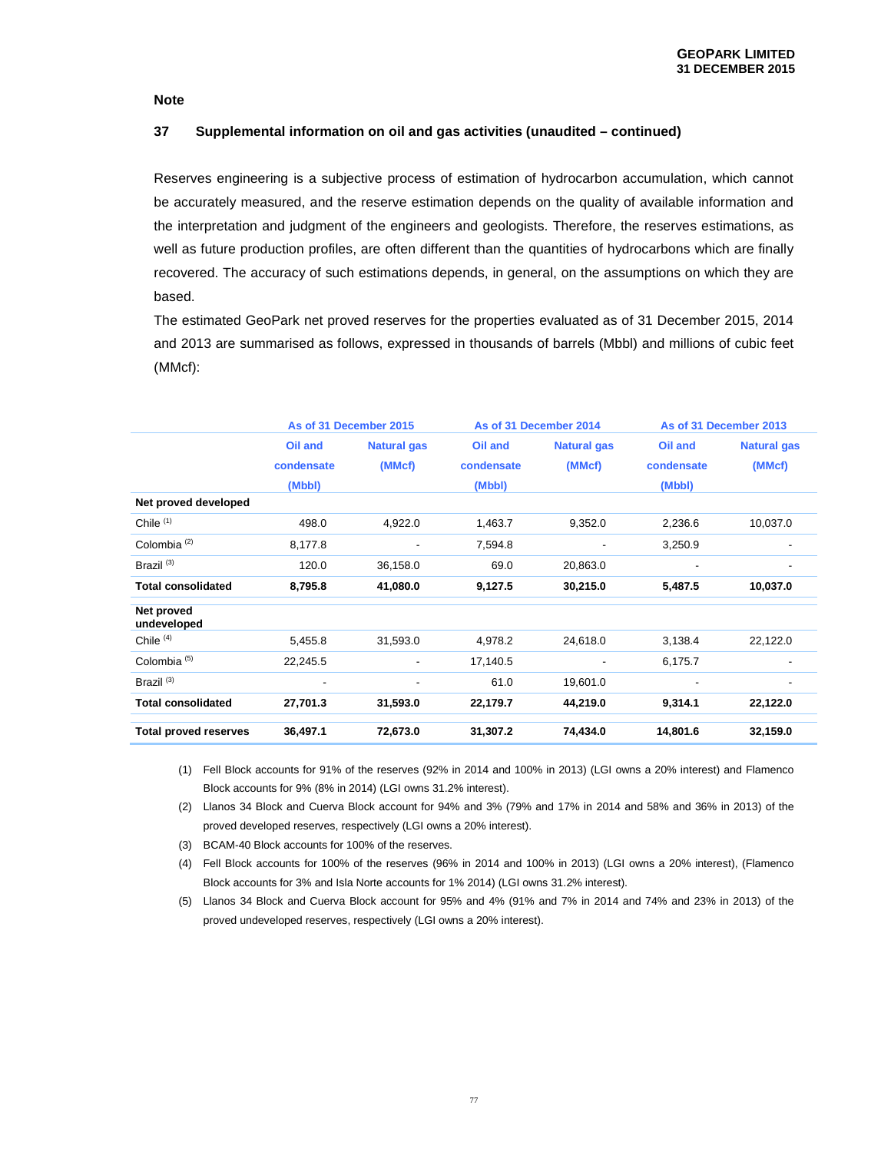## **37 Supplemental information on oil and gas activities (unaudited – continued)**

Reserves engineering is a subjective process of estimation of hydrocarbon accumulation, which cannot be accurately measured, and the reserve estimation depends on the quality of available information and the interpretation and judgment of the engineers and geologists. Therefore, the reserves estimations, as well as future production profiles, are often different than the quantities of hydrocarbons which are finally recovered. The accuracy of such estimations depends, in general, on the assumptions on which they are based.

The estimated GeoPark net proved reserves for the properties evaluated as of 31 December 2015, 2014 and 2013 are summarised as follows, expressed in thousands of barrels (Mbbl) and millions of cubic feet (MMcf):

|                              | As of 31 December 2015 |                    | As of 31 December 2014 |                    | As of 31 December 2013   |                    |
|------------------------------|------------------------|--------------------|------------------------|--------------------|--------------------------|--------------------|
|                              | Oil and                | <b>Natural gas</b> | Oil and                | <b>Natural gas</b> | Oil and                  | <b>Natural gas</b> |
|                              | condensate             | (MMcf)             | condensate             | (MMcf)             | condensate               | (MMcf)             |
|                              | (Mbbl)                 |                    | (Mbbl)                 |                    | (Mbbl)                   |                    |
| Net proved developed         |                        |                    |                        |                    |                          |                    |
| Chile $(1)$                  | 498.0                  | 4,922.0            | 1,463.7                | 9,352.0            | 2,236.6                  | 10,037.0           |
| Colombia <sup>(2)</sup>      | 8,177.8                |                    | 7,594.8                |                    | 3,250.9                  |                    |
| Brazil <sup>(3)</sup>        | 120.0                  | 36,158.0           | 69.0                   | 20,863.0           | $\overline{\phantom{a}}$ |                    |
| <b>Total consolidated</b>    | 8,795.8                | 41,080.0           | 9,127.5                | 30,215.0           | 5,487.5                  | 10,037.0           |
| Net proved<br>undeveloped    |                        |                    |                        |                    |                          |                    |
| Chile $(4)$                  | 5,455.8                | 31,593.0           | 4,978.2                | 24,618.0           | 3,138.4                  | 22,122.0           |
| Colombia <sup>(5)</sup>      | 22,245.5               |                    | 17,140.5               |                    | 6,175.7                  |                    |
| Brazil <sup>(3)</sup>        | ۰                      | ٠                  | 61.0                   | 19,601.0           | ٠                        | ٠                  |
| <b>Total consolidated</b>    | 27,701.3               | 31,593.0           | 22,179.7               | 44,219.0           | 9,314.1                  | 22,122.0           |
| <b>Total proved reserves</b> | 36,497.1               | 72,673.0           | 31,307.2               | 74,434.0           | 14,801.6                 | 32,159.0           |

(1) Fell Block accounts for 91% of the reserves (92% in 2014 and 100% in 2013) (LGI owns a 20% interest) and Flamenco Block accounts for 9% (8% in 2014) (LGI owns 31.2% interest).

(2) Llanos 34 Block and Cuerva Block account for 94% and 3% (79% and 17% in 2014 and 58% and 36% in 2013) of the proved developed reserves, respectively (LGI owns a 20% interest).

(3) BCAM-40 Block accounts for 100% of the reserves.

(4) Fell Block accounts for 100% of the reserves (96% in 2014 and 100% in 2013) (LGI owns a 20% interest), (Flamenco Block accounts for 3% and Isla Norte accounts for 1% 2014) (LGI owns 31.2% interest).

(5) Llanos 34 Block and Cuerva Block account for 95% and 4% (91% and 7% in 2014 and 74% and 23% in 2013) of the proved undeveloped reserves, respectively (LGI owns a 20% interest).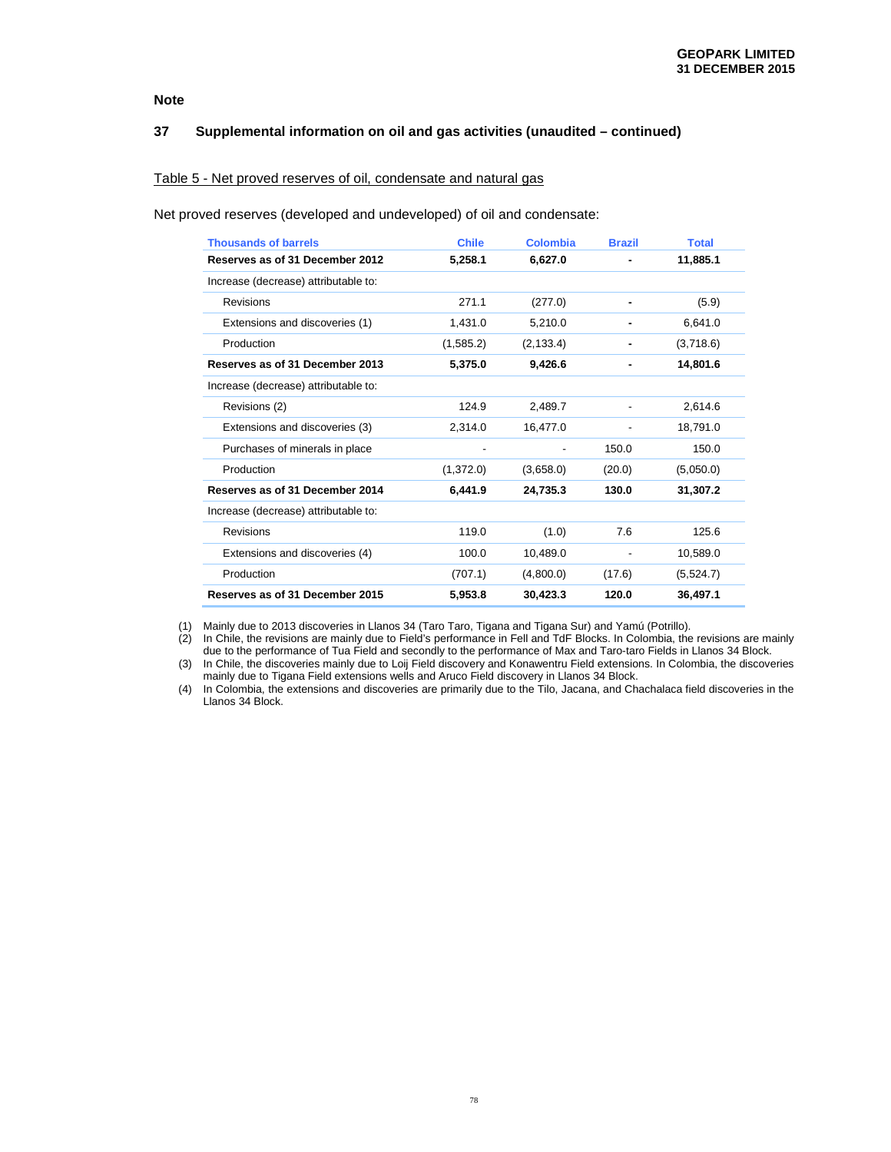## **37 Supplemental information on oil and gas activities (unaudited – continued)**

## Table 5 - Net proved reserves of oil, condensate and natural gas

Net proved reserves (developed and undeveloped) of oil and condensate:

| <b>Thousands of barrels</b>          | <b>Chile</b> | Colombia   | <b>Brazil</b> | <b>Total</b> |
|--------------------------------------|--------------|------------|---------------|--------------|
| Reserves as of 31 December 2012      | 5,258.1      | 6,627.0    |               | 11,885.1     |
| Increase (decrease) attributable to: |              |            |               |              |
| Revisions                            | 271.1        | (277.0)    |               | (5.9)        |
| Extensions and discoveries (1)       | 1.431.0      | 5.210.0    |               | 6.641.0      |
| Production                           | (1,585.2)    | (2, 133.4) |               | (3,718.6)    |
| Reserves as of 31 December 2013      | 5,375.0      | 9,426.6    |               | 14,801.6     |
| Increase (decrease) attributable to: |              |            |               |              |
| Revisions (2)                        | 124.9        | 2,489.7    |               | 2,614.6      |
| Extensions and discoveries (3)       | 2,314.0      | 16,477.0   |               | 18,791.0     |
| Purchases of minerals in place       |              |            | 150.0         | 150.0        |
| Production                           | (1,372.0)    | (3,658.0)  | (20.0)        | (5,050.0)    |
| Reserves as of 31 December 2014      | 6,441.9      | 24,735.3   | 130.0         | 31,307.2     |
| Increase (decrease) attributable to: |              |            |               |              |
| Revisions                            | 119.0        | (1.0)      | 7.6           | 125.6        |
| Extensions and discoveries (4)       | 100.0        | 10,489.0   |               | 10,589.0     |
| Production                           | (707.1)      | (4,800.0)  | (17.6)        | (5,524.7)    |
| Reserves as of 31 December 2015      | 5,953.8      | 30,423.3   | 120.0         | 36,497.1     |

(1) Mainly due to 2013 discoveries in Llanos 34 (Taro Taro, Tigana and Tigana Sur) and Yamú (Potrillo).

(2) In Chile, the revisions are mainly due to Field's performance in Fell and TdF Blocks. In Colombia, the revisions are mainly due to the performance of Tua Field and secondly to the performance of Max and Taro-taro Fields in Llanos 34 Block.

(3) In Chile, the discoveries mainly due to Loij Field discovery and Konawentru Field extensions. In Colombia, the discoveries mainly due to Tigana Field extensions wells and Aruco Field discovery in Llanos 34 Block.

(4) In Colombia, the extensions and discoveries are primarily due to the Tilo, Jacana, and Chachalaca field discoveries in the Llanos 34 Block.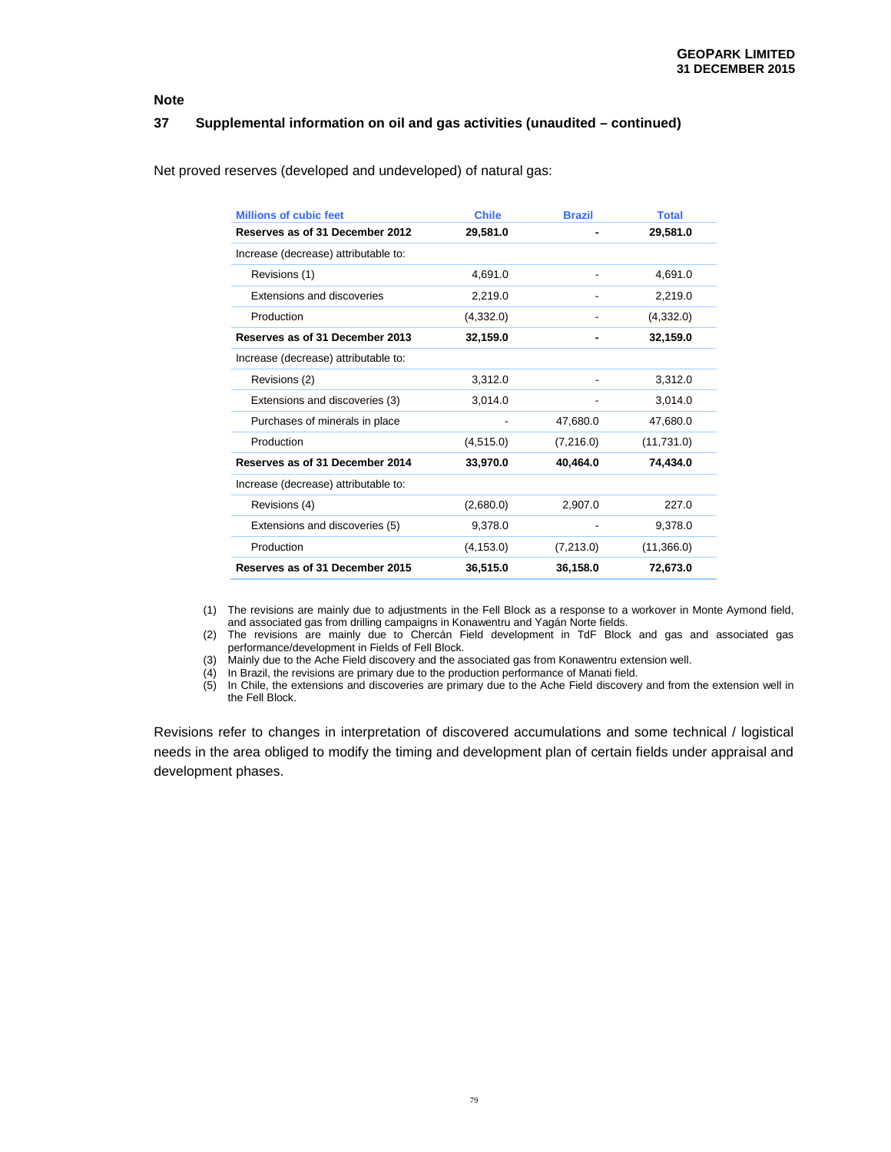## **37 Supplemental information on oil and gas activities (unaudited – continued)**

| <b>Millions of cubic feet</b>        | <b>Chile</b> | <b>Brazil</b>            | <b>Total</b> |
|--------------------------------------|--------------|--------------------------|--------------|
| Reserves as of 31 December 2012      | 29,581.0     |                          | 29,581.0     |
| Increase (decrease) attributable to: |              |                          |              |
| Revisions (1)                        | 4.691.0      |                          | 4.691.0      |
| Extensions and discoveries           | 2,219.0      |                          | 2,219.0      |
| Production                           | (4,332.0)    |                          | (4,332.0)    |
| Reserves as of 31 December 2013      | 32,159.0     |                          | 32,159.0     |
| Increase (decrease) attributable to: |              |                          |              |
| Revisions (2)                        | 3,312.0      | $\overline{\phantom{a}}$ | 3,312.0      |
| Extensions and discoveries (3)       | 3,014.0      | -                        | 3,014.0      |
| Purchases of minerals in place       |              | 47,680.0                 | 47,680.0     |
| Production                           | (4, 515.0)   | (7,216.0)                | (11,731.0)   |
| Reserves as of 31 December 2014      | 33,970.0     | 40,464.0                 | 74,434.0     |
| Increase (decrease) attributable to: |              |                          |              |
| Revisions (4)                        | (2,680.0)    | 2,907.0                  | 227.0        |
| Extensions and discoveries (5)       | 9,378.0      |                          | 9,378.0      |
| Production                           | (4, 153.0)   | (7,213.0)                | (11,366.0)   |
| Reserves as of 31 December 2015      | 36,515.0     | 36,158.0                 | 72,673.0     |

Net proved reserves (developed and undeveloped) of natural gas:

(1) The revisions are mainly due to adjustments in the Fell Block as a response to a workover in Monte Aymond field, and associated gas from drilling campaigns in Konawentru and Yagán Norte fields.

(2) The revisions are mainly due to Chercán Field development in TdF Block and gas and associated gas performance/development in Fields of Fell Block.

(3) Mainly due to the Ache Field discovery and the associated gas from Konawentru extension well.

 $(4)$  In Brazil, the revisions are primary due to the production performance of Manati field.

(5) In Chile, the extensions and discoveries are primary due to the Ache Field discovery and from the extension well in the Fell Block.

Revisions refer to changes in interpretation of discovered accumulations and some technical / logistical needs in the area obliged to modify the timing and development plan of certain fields under appraisal and development phases.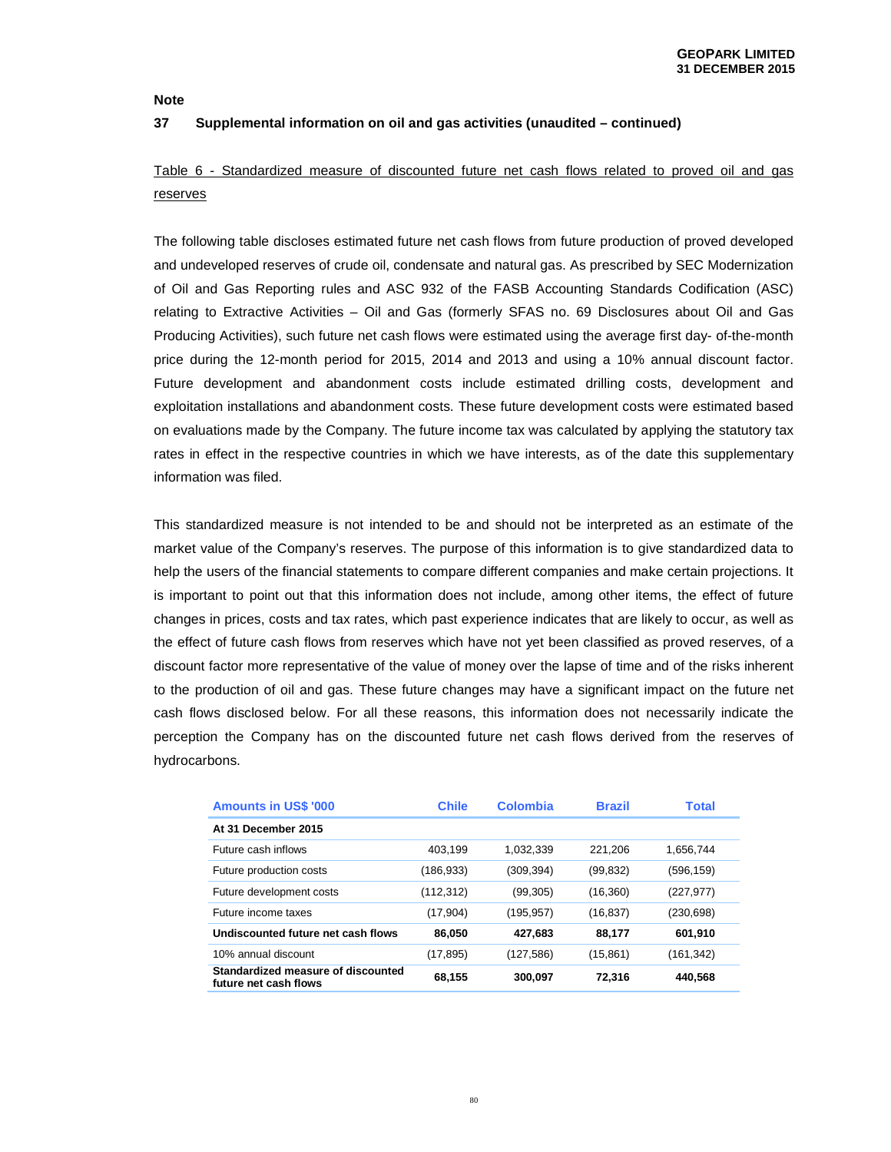## **37 Supplemental information on oil and gas activities (unaudited – continued)**

# Table 6 - Standardized measure of discounted future net cash flows related to proved oil and gas reserves

The following table discloses estimated future net cash flows from future production of proved developed and undeveloped reserves of crude oil, condensate and natural gas. As prescribed by SEC Modernization of Oil and Gas Reporting rules and ASC 932 of the FASB Accounting Standards Codification (ASC) relating to Extractive Activities – Oil and Gas (formerly SFAS no. 69 Disclosures about Oil and Gas Producing Activities), such future net cash flows were estimated using the average first day- of-the-month price during the 12-month period for 2015, 2014 and 2013 and using a 10% annual discount factor. Future development and abandonment costs include estimated drilling costs, development and exploitation installations and abandonment costs. These future development costs were estimated based on evaluations made by the Company. The future income tax was calculated by applying the statutory tax rates in effect in the respective countries in which we have interests, as of the date this supplementary information was filed.

This standardized measure is not intended to be and should not be interpreted as an estimate of the market value of the Company's reserves. The purpose of this information is to give standardized data to help the users of the financial statements to compare different companies and make certain projections. It is important to point out that this information does not include, among other items, the effect of future changes in prices, costs and tax rates, which past experience indicates that are likely to occur, as well as the effect of future cash flows from reserves which have not yet been classified as proved reserves, of a discount factor more representative of the value of money over the lapse of time and of the risks inherent to the production of oil and gas. These future changes may have a significant impact on the future net cash flows disclosed below. For all these reasons, this information does not necessarily indicate the perception the Company has on the discounted future net cash flows derived from the reserves of hydrocarbons.

| <b>Amounts in US\$ '000</b>                                 | <b>Chile</b> | <b>Colombia</b> | <b>Brazil</b> | <b>Total</b> |
|-------------------------------------------------------------|--------------|-----------------|---------------|--------------|
| At 31 December 2015                                         |              |                 |               |              |
| Future cash inflows                                         | 403.199      | 1.032.339       | 221.206       | 1.656.744    |
| Future production costs                                     | (186,933)    | (309,394)       | (99,832)      | (596,159)    |
| Future development costs                                    | (112,312)    | (99, 305)       | (16, 360)     | (227, 977)   |
| Future income taxes                                         | (17, 904)    | (195,957)       | (16, 837)     | (230,698)    |
| Undiscounted future net cash flows                          | 86.050       | 427.683         | 88.177        | 601,910      |
| 10% annual discount                                         | (17, 895)    | (127,586)       | (15, 861)     | (161,342)    |
| Standardized measure of discounted<br>future net cash flows | 68,155       | 300,097         | 72,316        | 440,568      |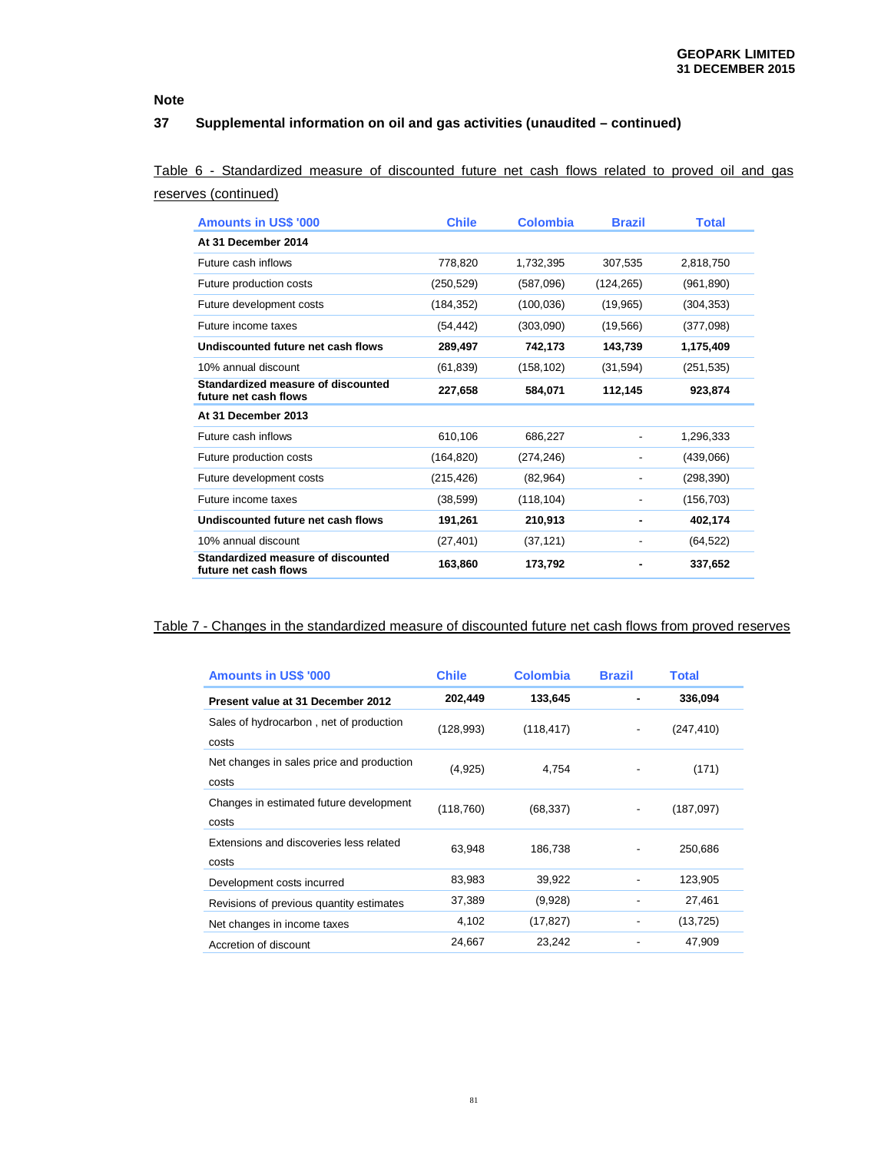# **37 Supplemental information on oil and gas activities (unaudited – continued)**

Table 6 - Standardized measure of discounted future net cash flows related to proved oil and gas reserves (continued)

| <b>Amounts in US\$ '000</b>                                 | <b>Chile</b> | <b>Colombia</b> | <b>Brazil</b>            | <b>Total</b> |
|-------------------------------------------------------------|--------------|-----------------|--------------------------|--------------|
| At 31 December 2014                                         |              |                 |                          |              |
| Future cash inflows                                         | 778.820      | 1,732,395       | 307.535                  | 2.818.750    |
| Future production costs                                     | (250, 529)   | (587,096)       | (124, 265)               | (961, 890)   |
| Future development costs                                    | (184, 352)   | (100, 036)      | (19, 965)                | (304, 353)   |
| Future income taxes                                         | (54, 442)    | (303,090)       | (19, 566)                | (377,098)    |
| Undiscounted future net cash flows                          | 289,497      | 742,173         | 143,739                  | 1,175,409    |
| 10% annual discount                                         | (61, 839)    | (158, 102)      | (31, 594)                | (251, 535)   |
| Standardized measure of discounted<br>future net cash flows | 227,658      | 584,071         | 112,145                  | 923,874      |
| At 31 December 2013                                         |              |                 |                          |              |
| Future cash inflows                                         | 610,106      | 686,227         | $\overline{\phantom{a}}$ | 1,296,333    |
| Future production costs                                     | (164, 820)   | (274, 246)      |                          | (439,066)    |
| Future development costs                                    | (215, 426)   | (82, 964)       |                          | (298, 390)   |
| Future income taxes                                         | (38, 599)    | (118, 104)      |                          | (156, 703)   |
| Undiscounted future net cash flows                          | 191,261      | 210,913         |                          | 402,174      |
| 10% annual discount                                         | (27, 401)    | (37, 121)       |                          | (64, 522)    |
| Standardized measure of discounted<br>future net cash flows | 163,860      | 173,792         |                          | 337,652      |

# Table 7 - Changes in the standardized measure of discounted future net cash flows from proved reserves

| <b>Amounts in US\$ '000</b>                        | <b>Chile</b> | <b>Colombia</b> | <b>Brazil</b> | <b>Total</b> |
|----------------------------------------------------|--------------|-----------------|---------------|--------------|
| Present value at 31 December 2012                  | 202,449      | 133,645         |               | 336,094      |
| Sales of hydrocarbon, net of production<br>costs   | (128,993)    | (118, 417)      | ۰             | (247, 410)   |
| Net changes in sales price and production<br>costs | (4,925)      | 4,754           |               | (171)        |
| Changes in estimated future development<br>costs   | (118, 760)   | (68, 337)       | ۰             | (187,097)    |
| Extensions and discoveries less related<br>costs   | 63,948       | 186,738         |               | 250,686      |
| Development costs incurred                         | 83,983       | 39,922          |               | 123,905      |
| Revisions of previous quantity estimates           | 37,389       | (9,928)         |               | 27,461       |
| Net changes in income taxes                        | 4,102        | (17, 827)       |               | (13, 725)    |
| Accretion of discount                              | 24,667       | 23,242          |               | 47,909       |